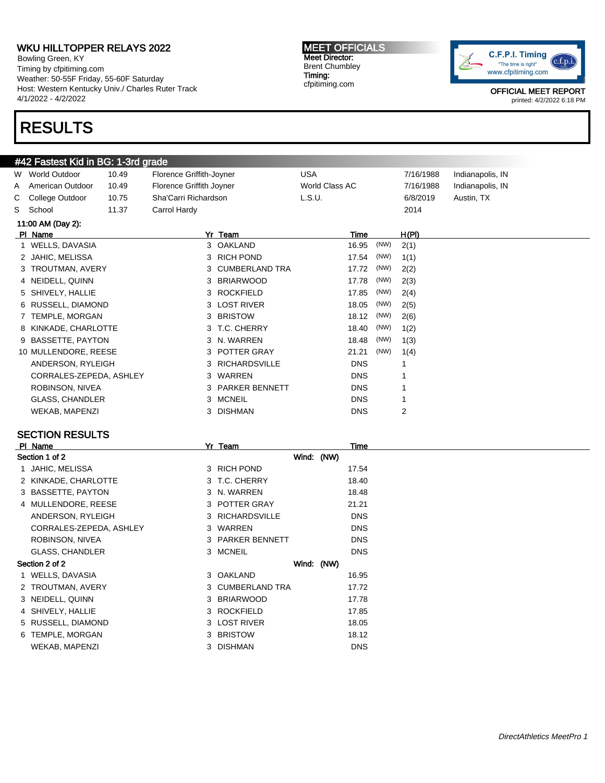Bowling Green, KY Timing by cfpitiming.com Weather: 50-55F Friday, 55-60F Saturday Host: Western Kentucky Univ./ Charles Ruter Track 4/1/2022 - 4/2/2022

## RESULTS

#### MEET OFFICIALS Meet Director: Brent Chumbley Timing: cfpitiming.com



OFFICIAL MEET REPORT printed: 4/2/2022 6:18 PM

|    |                         |       |                          | #42 Fastest Kid in BG: 1-3rd grade |                |      |           |                  |  |  |  |  |  |  |
|----|-------------------------|-------|--------------------------|------------------------------------|----------------|------|-----------|------------------|--|--|--|--|--|--|
|    | W World Outdoor         | 10.49 | Florence Griffith-Joyner |                                    | <b>USA</b>     |      | 7/16/1988 | Indianapolis, IN |  |  |  |  |  |  |
| Α  | American Outdoor        | 10.49 | Florence Griffith Joyner |                                    | World Class AC |      | 7/16/1988 | Indianapolis, IN |  |  |  |  |  |  |
| C. | College Outdoor         | 10.75 | Sha'Carri Richardson     |                                    | L.S.U.         |      | 6/8/2019  | Austin, TX       |  |  |  |  |  |  |
| S  | School                  | 11.37 | Carrol Hardy             |                                    |                |      | 2014      |                  |  |  |  |  |  |  |
|    | 11:00 AM (Day 2):       |       |                          |                                    |                |      |           |                  |  |  |  |  |  |  |
|    | PI Name                 |       |                          | Yr Team                            | Time           |      | H(PI)     |                  |  |  |  |  |  |  |
|    | 1 WELLS, DAVASIA        |       |                          | 3 OAKLAND                          | 16.95          | (NW) | 2(1)      |                  |  |  |  |  |  |  |
|    | 2 JAHIC, MELISSA        |       | 3                        | <b>RICH POND</b>                   | 17.54          | (NW) | 1(1)      |                  |  |  |  |  |  |  |
|    | 3 TROUTMAN, AVERY       |       | 3                        | <b>CUMBERLAND TRA</b>              | 17.72          | (NW) | 2(2)      |                  |  |  |  |  |  |  |
|    | 4 NEIDELL, QUINN        |       | 3                        | <b>BRIARWOOD</b>                   | 17.78          | (NW) | 2(3)      |                  |  |  |  |  |  |  |
|    | 5 SHIVELY, HALLIE       |       | 3.                       | <b>ROCKFIELD</b>                   | 17.85          | (NW) | 2(4)      |                  |  |  |  |  |  |  |
|    | 6 RUSSELL, DIAMOND      |       | 3                        | <b>LOST RIVER</b>                  | 18.05          | (NW) | 2(5)      |                  |  |  |  |  |  |  |
|    | 7 TEMPLE, MORGAN        |       |                          | 3 BRISTOW                          | 18.12          | (NW) | 2(6)      |                  |  |  |  |  |  |  |
|    | 8 KINKADE, CHARLOTTE    |       |                          | 3 T.C. CHERRY                      | 18.40          | (NW) | 1(2)      |                  |  |  |  |  |  |  |
|    | 9 BASSETTE, PAYTON      |       | 3                        | N. WARREN                          | 18.48          | (NW) | 1(3)      |                  |  |  |  |  |  |  |
|    | 10 MULLENDORE, REESE    |       |                          | 3 POTTER GRAY                      | 21.21          | (NW) | 1(4)      |                  |  |  |  |  |  |  |
|    | ANDERSON, RYLEIGH       |       | 3                        | <b>RICHARDSVILLE</b>               | <b>DNS</b>     |      |           |                  |  |  |  |  |  |  |
|    | CORRALES-ZEPEDA, ASHLEY |       | 3.                       | <b>WARREN</b>                      | <b>DNS</b>     |      |           |                  |  |  |  |  |  |  |
|    | ROBINSON, NIVEA         |       |                          | 3 PARKER BENNETT                   | <b>DNS</b>     |      |           |                  |  |  |  |  |  |  |
|    | GLASS, CHANDLER         |       | 3                        | <b>MCNEIL</b>                      | <b>DNS</b>     |      |           |                  |  |  |  |  |  |  |
|    | <b>WEKAB, MAPENZI</b>   |       | 3                        | <b>DISHMAN</b>                     | <b>DNS</b>     |      | 2         |                  |  |  |  |  |  |  |
|    |                         |       |                          |                                    |                |      |           |                  |  |  |  |  |  |  |

#### SECTION RESULTS

| PI Name                 | Yr Team          | Time       |  |
|-------------------------|------------------|------------|--|
| Section 1 of 2          | Wind: (NW)       |            |  |
| JAHIC, MELISSA          | 3 RICH POND      | 17.54      |  |
| 2 KINKADE, CHARLOTTE    | 3 T.C. CHERRY    | 18.40      |  |
| 3 BASSETTE, PAYTON      | 3 N. WARREN      | 18.48      |  |
| 4 MULLENDORE, REESE     | 3 POTTER GRAY    | 21.21      |  |
| ANDERSON, RYLEIGH       | 3 RICHARDSVILLE  | <b>DNS</b> |  |
| CORRALES-ZEPEDA, ASHLEY | 3 WARREN         | <b>DNS</b> |  |
| ROBINSON, NIVEA         | 3 PARKER BENNETT | <b>DNS</b> |  |
| <b>GLASS, CHANDLER</b>  | 3 MCNEIL         | <b>DNS</b> |  |
| Section 2 of 2          | Wind: (NW)       |            |  |
| 1 WELLS, DAVASIA        | 3 OAKLAND        | 16.95      |  |
| 2 TROUTMAN, AVERY       | 3 CUMBERLAND TRA | 17.72      |  |
| 3 NEIDELL, QUINN        | 3 BRIARWOOD      | 17.78      |  |
| 4 SHIVELY, HALLIE       | 3 ROCKFIELD      | 17.85      |  |
| 5 RUSSELL, DIAMOND      | 3 LOST RIVER     | 18.05      |  |
| 6 TEMPLE, MORGAN        | 3 BRISTOW        | 18.12      |  |
| <b>WEKAB, MAPENZI</b>   | 3 DISHMAN        | <b>DNS</b> |  |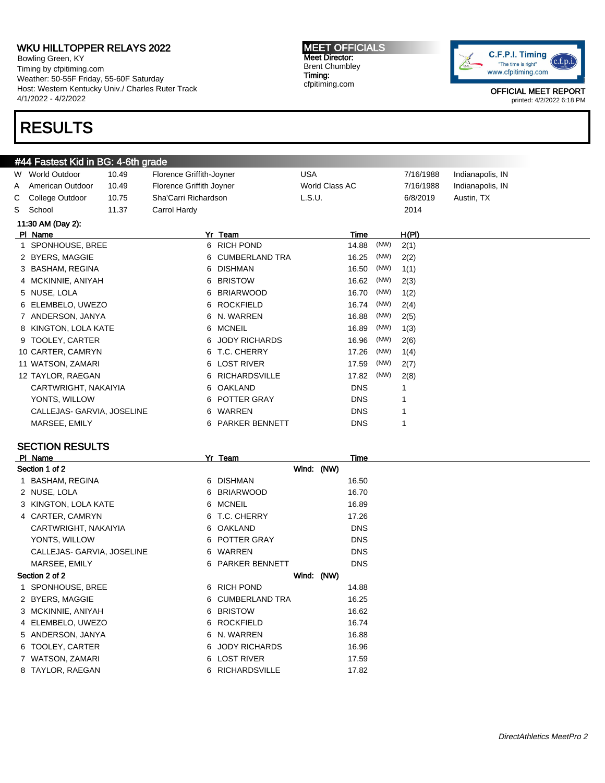Bowling Green, KY Timing by cfpitiming.com Weather: 50-55F Friday, 55-60F Saturday Host: Western Kentucky Univ./ Charles Ruter Track 4/1/2022 - 4/2/2022

# RESULTS

#### MEET OFFICIALS Meet Director: Brent Chumbley Timing: cfpitiming.com



OFFICIAL MEET REPORT printed: 4/2/2022 6:18 PM

|                   | #44 Fastest Kid in BG: 4-6th grade |       |                          |                       |                |      |           |                  |  |  |  |
|-------------------|------------------------------------|-------|--------------------------|-----------------------|----------------|------|-----------|------------------|--|--|--|
|                   | W World Outdoor                    | 10.49 | Florence Griffith-Joyner |                       | <b>USA</b>     |      | 7/16/1988 | Indianapolis, IN |  |  |  |
| A                 | American Outdoor                   | 10.49 | Florence Griffith Joyner |                       | World Class AC |      | 7/16/1988 | Indianapolis, IN |  |  |  |
| C.                | College Outdoor                    | 10.75 | Sha'Carri Richardson     |                       | L.S.U.         |      | 6/8/2019  | Austin, TX       |  |  |  |
| S                 | School                             | 11.37 | Carrol Hardy             |                       |                |      | 2014      |                  |  |  |  |
| 11:30 AM (Day 2): |                                    |       |                          |                       |                |      |           |                  |  |  |  |
|                   | PI Name                            |       |                          | Yr Team               | Time           |      | H(PI)     |                  |  |  |  |
|                   | SPONHOUSE, BREE                    |       |                          | 6 RICH POND           | 14.88          | (NW) | 2(1)      |                  |  |  |  |
|                   | 2 BYERS, MAGGIE                    |       | 6                        | <b>CUMBERLAND TRA</b> | 16.25          | (NW) | 2(2)      |                  |  |  |  |
|                   | 3 BASHAM, REGINA                   |       | 6.                       | <b>DISHMAN</b>        | 16.50          | (NW) | 1(1)      |                  |  |  |  |
|                   | 4 MCKINNIE, ANIYAH                 |       |                          | 6 BRISTOW             | 16.62          | (NW) | 2(3)      |                  |  |  |  |
|                   | 5 NUSE, LOLA                       |       |                          | 6 BRIARWOOD           | 16.70          | (NW) | 1(2)      |                  |  |  |  |
|                   | 6 ELEMBELO, UWEZO                  |       | 6.                       | <b>ROCKFIELD</b>      | 16.74          | (NW) | 2(4)      |                  |  |  |  |
|                   | 7 ANDERSON, JANYA                  |       |                          | 6 N. WARREN           | 16.88          | (NW) | 2(5)      |                  |  |  |  |
|                   | 8 KINGTON, LOLA KATE               |       | 6.                       | <b>MCNEIL</b>         | 16.89          | (NW) | 1(3)      |                  |  |  |  |
|                   | 9 TOOLEY, CARTER                   |       | 6.                       | <b>JODY RICHARDS</b>  | 16.96          | (NW) | 2(6)      |                  |  |  |  |
|                   | 10 CARTER, CAMRYN                  |       | 6                        | T.C. CHERRY           | 17.26          | (NW) | 1(4)      |                  |  |  |  |
|                   | 11 WATSON, ZAMARI                  |       | 6.                       | <b>LOST RIVER</b>     | 17.59          | (NW) | 2(7)      |                  |  |  |  |
|                   | 12 TAYLOR, RAEGAN                  |       | 6.                       | <b>RICHARDSVILLE</b>  | 17.82          | (NW) | 2(8)      |                  |  |  |  |
|                   | CARTWRIGHT, NAKAIYIA               |       |                          | 6 OAKLAND             | <b>DNS</b>     |      |           |                  |  |  |  |
|                   | YONTS, WILLOW                      |       | 6.                       | <b>POTTER GRAY</b>    | <b>DNS</b>     |      | 1         |                  |  |  |  |
|                   | CALLEJAS- GARVIA, JOSELINE         |       | 6.                       | WARREN                | <b>DNS</b>     |      |           |                  |  |  |  |
|                   | MARSEE, EMILY                      |       | 6.                       | <b>PARKER BENNETT</b> | <b>DNS</b>     |      |           |                  |  |  |  |
|                   |                                    |       |                          |                       |                |      |           |                  |  |  |  |

### SECTION RESULTS

| PI Name                    |    | Yr Team          | Time       |
|----------------------------|----|------------------|------------|
| Section 1 of 2             |    | Wind: (NW)       |            |
| 1 BASHAM, REGINA           |    | 6 DISHMAN        | 16.50      |
| 2 NUSE, LOLA               |    | 6 BRIARWOOD      | 16.70      |
| 3 KINGTON, LOLA KATE       |    | 6 MCNEIL         | 16.89      |
| 4 CARTER, CAMRYN           |    | 6 T.C. CHERRY    | 17.26      |
| CARTWRIGHT, NAKAIYIA       |    | 6 OAKLAND        | <b>DNS</b> |
| YONTS, WILLOW              |    | 6 POTTER GRAY    | <b>DNS</b> |
| CALLEJAS- GARVIA, JOSELINE |    | 6 WARREN         | <b>DNS</b> |
| MARSEE, EMILY              |    | 6 PARKER BENNETT | <b>DNS</b> |
| Section 2 of 2             |    | Wind: (NW)       |            |
| 1 SPONHOUSE, BREE          |    | 6 RICH POND      | 14.88      |
| 2 BYERS, MAGGIE            |    | 6 CUMBERLAND TRA | 16.25      |
| 3 MCKINNIE, ANIYAH         |    | 6 BRISTOW        | 16.62      |
| 4 ELEMBELO, UWEZO          |    | 6 ROCKFIELD      | 16.74      |
| 5 ANDERSON, JANYA          |    | 6 N. WARREN      | 16.88      |
| 6 TOOLEY, CARTER           |    | 6 JODY RICHARDS  | 16.96      |
| 7 WATSON, ZAMARI           |    | 6 LOST RIVER     | 17.59      |
| 8 TAYLOR, RAEGAN           | 6. | RICHARDSVILLE    | 17.82      |
|                            |    |                  |            |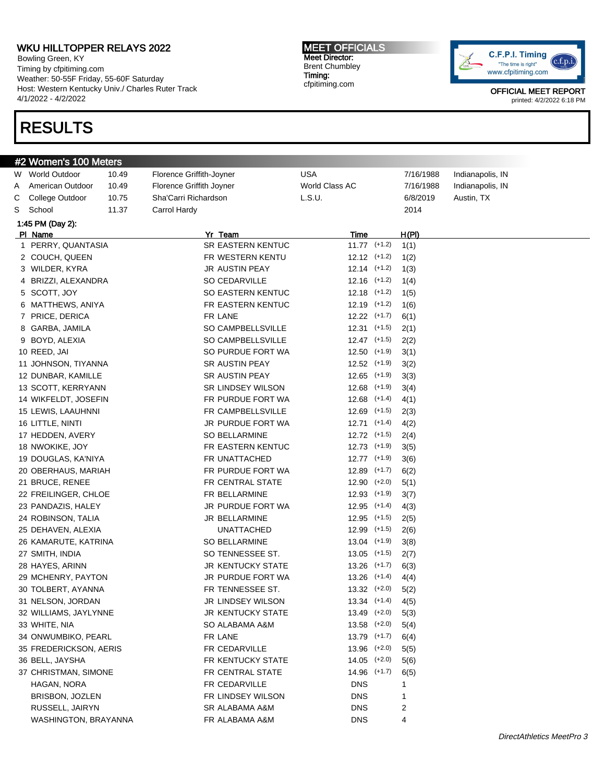Bowling Green, KY Timing by cfpitiming.com Weather: 50-55F Friday, 55-60F Saturday Host: Western Kentucky Univ./ Charles Ruter Track 4/1/2022 - 4/2/2022

# RESULTS

#### MEET OFFICIALS Meet Director: Brent Chumbley Timing: cfpitiming.com



|   | #2 Women's 100 Meters  |       |                          |                  |           |                  |  |
|---|------------------------|-------|--------------------------|------------------|-----------|------------------|--|
|   | W World Outdoor        | 10.49 | Florence Griffith-Joyner | USA              | 7/16/1988 | Indianapolis, IN |  |
| A | American Outdoor       | 10.49 | Florence Griffith Joyner | World Class AC   | 7/16/1988 | Indianapolis, IN |  |
| С | College Outdoor        | 10.75 | Sha'Carri Richardson     | L.S.U.           | 6/8/2019  | Austin, TX       |  |
| S | School                 | 11.37 | Carrol Hardy             |                  | 2014      |                  |  |
|   | 1:45 PM (Day 2):       |       |                          |                  |           |                  |  |
|   | PI Name                |       | Yr Team                  | Time             | H(PI)     |                  |  |
|   | 1 PERRY, QUANTASIA     |       | SR EASTERN KENTUC        | $11.77$ (+1.2)   | 1(1)      |                  |  |
|   | 2 COUCH, QUEEN         |       | FR WESTERN KENTU         | $12.12$ $(+1.2)$ | 1(2)      |                  |  |
|   | 3 WILDER, KYRA         |       | JR AUSTIN PEAY           | $12.14$ $(+1.2)$ | 1(3)      |                  |  |
|   | 4 BRIZZI, ALEXANDRA    |       | SO CEDARVILLE            | $12.16$ $(+1.2)$ | 1(4)      |                  |  |
|   | 5 SCOTT, JOY           |       | SO EASTERN KENTUC        | $12.18$ $(+1.2)$ | 1(5)      |                  |  |
|   | 6 MATTHEWS, ANIYA      |       | FR EASTERN KENTUC        | $12.19$ $(+1.2)$ | 1(6)      |                  |  |
|   | 7 PRICE, DERICA        |       | FR LANE                  | $12.22$ $(+1.7)$ | 6(1)      |                  |  |
|   | 8 GARBA, JAMILA        |       | <b>SO CAMPBELLSVILLE</b> | $12.31$ $(+1.5)$ | 2(1)      |                  |  |
|   | 9 BOYD, ALEXIA         |       | SO CAMPBELLSVILLE        | $12.47$ $(+1.5)$ | 2(2)      |                  |  |
|   | 10 REED, JAI           |       | SO PURDUE FORT WA        | $12.50$ (+1.9)   | 3(1)      |                  |  |
|   | 11 JOHNSON, TIYANNA    |       | SR AUSTIN PEAY           | $12.52$ $(+1.9)$ | 3(2)      |                  |  |
|   | 12 DUNBAR, KAMILLE     |       | SR AUSTIN PEAY           | $12.65$ $(+1.9)$ | 3(3)      |                  |  |
|   | 13 SCOTT, KERRYANN     |       | SR LINDSEY WILSON        | $12.68$ $(+1.9)$ | 3(4)      |                  |  |
|   | 14 WIKFELDT, JOSEFIN   |       | FR PURDUE FORT WA        | $12.68$ $(+1.4)$ | 4(1)      |                  |  |
|   | 15 LEWIS, LAAUHNNI     |       | FR CAMPBELLSVILLE        | $12.69$ $(+1.5)$ | 2(3)      |                  |  |
|   | 16 LITTLE, NINTI       |       | JR PURDUE FORT WA        | $12.71$ $(+1.4)$ | 4(2)      |                  |  |
|   | 17 HEDDEN, AVERY       |       | <b>SO BELLARMINE</b>     | $12.72$ $(+1.5)$ | 2(4)      |                  |  |
|   | 18 NWOKIKE, JOY        |       | FR EASTERN KENTUC        | $12.73$ (+1.9)   | 3(5)      |                  |  |
|   | 19 DOUGLAS, KA'NIYA    |       | FR UNATTACHED            | $12.77$ (+1.9)   | 3(6)      |                  |  |
|   | 20 OBERHAUS, MARIAH    |       | FR PURDUE FORT WA        | $12.89$ $(+1.7)$ | 6(2)      |                  |  |
|   | 21 BRUCE, RENEE        |       | FR CENTRAL STATE         | $12.90$ $(+2.0)$ | 5(1)      |                  |  |
|   | 22 FREILINGER, CHLOE   |       | FR BELLARMINE            | $12.93$ $(+1.9)$ | 3(7)      |                  |  |
|   | 23 PANDAZIS, HALEY     |       | JR PURDUE FORT WA        | $12.95$ $(+1.4)$ | 4(3)      |                  |  |
|   | 24 ROBINSON, TALIA     |       | JR BELLARMINE            | $12.95$ $(+1.5)$ | 2(5)      |                  |  |
|   | 25 DEHAVEN, ALEXIA     |       | <b>UNATTACHED</b>        | $12.99$ $(+1.5)$ | 2(6)      |                  |  |
|   | 26 KAMARUTE, KATRINA   |       | SO BELLARMINE            | $13.04$ $(+1.9)$ | 3(8)      |                  |  |
|   | 27 SMITH, INDIA        |       | SO TENNESSEE ST.         | $13.05$ (+1.5)   | 2(7)      |                  |  |
|   | 28 HAYES, ARINN        |       | JR KENTUCKY STATE        | $13.26$ $(+1.7)$ | 6(3)      |                  |  |
|   | 29 MCHENRY, PAYTON     |       | JR PURDUE FORT WA        | $13.26$ $(+1.4)$ | 4(4)      |                  |  |
|   | 30 TOLBERT, AYANNA     |       | FR TENNESSEE ST.         | $13.32$ $(+2.0)$ | 5(2)      |                  |  |
|   | 31 NELSON, JORDAN      |       | JR LINDSEY WILSON        | $13.34$ $(+1.4)$ | 4(5)      |                  |  |
|   | 32 WILLIAMS, JAYLYNNE  |       | JR KENTUCKY STATE        | $13.49$ (+2.0)   | 5(3)      |                  |  |
|   | 33 WHITE, NIA          |       | SO ALABAMA A&M           | $13.58$ $(+2.0)$ | 5(4)      |                  |  |
|   | 34 ONWUMBIKO, PEARL    |       | FR LANE                  | 13.79 (+1.7)     | 6(4)      |                  |  |
|   | 35 FREDERICKSON, AERIS |       | FR CEDARVILLE            | $13.96$ $(+2.0)$ | 5(5)      |                  |  |
|   | 36 BELL, JAYSHA        |       | FR KENTUCKY STATE        | $14.05$ $(+2.0)$ | 5(6)      |                  |  |
|   | 37 CHRISTMAN, SIMONE   |       | FR CENTRAL STATE         | $14.96$ $(+1.7)$ | 6(5)      |                  |  |
|   | HAGAN, NORA            |       | FR CEDARVILLE            | <b>DNS</b>       | 1         |                  |  |
|   | BRISBON, JOZLEN        |       | FR LINDSEY WILSON        | <b>DNS</b>       | 1         |                  |  |
|   | RUSSELL, JAIRYN        |       | SR ALABAMA A&M           | <b>DNS</b>       | 2         |                  |  |
|   | WASHINGTON, BRAYANNA   |       | FR ALABAMA A&M           | DNS              | 4         |                  |  |
|   |                        |       |                          |                  |           |                  |  |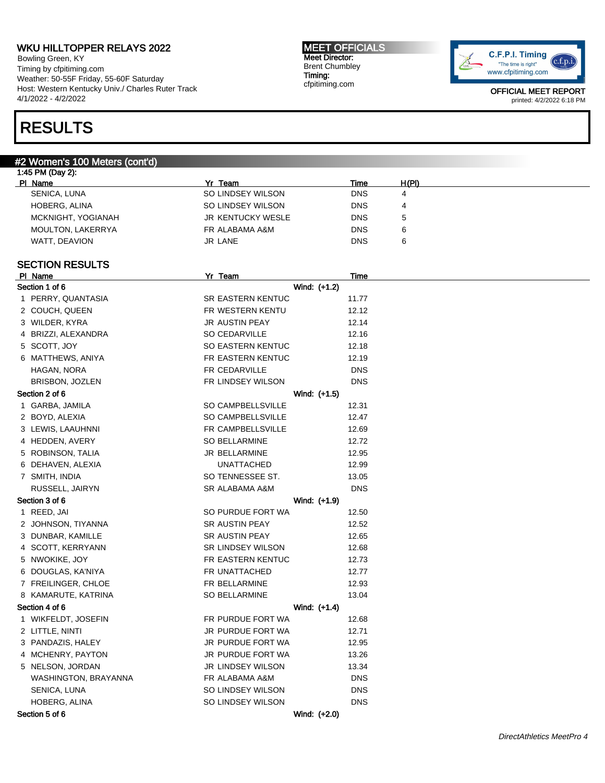Bowling Green, KY Timing by cfpitiming.com Weather: 50-55F Friday, 55-60F Saturday Host: Western Kentucky Univ./ Charles Ruter Track 4/1/2022 - 4/2/2022

## RESULTS

#### #2 Women's 100 Meters (cont'd)

| Yr Team           | Time       | H(PI) |  |
|-------------------|------------|-------|--|
| SO LINDSEY WILSON | <b>DNS</b> | 4     |  |
| SO LINDSEY WILSON | <b>DNS</b> | 4     |  |
| JR KENTUCKY WESLE | <b>DNS</b> | ა     |  |
| FR ALABAMA A&M    | <b>DNS</b> | 6     |  |
| JR LANE           | <b>DNS</b> | 6     |  |
|                   |            |       |  |

MEET OFFICIALS Meet Director: Brent Chumbley Timing: cfpitiming.com

#### SECTION RESULTS

| PI Name              | Yr Team                  | <b>Time</b> |
|----------------------|--------------------------|-------------|
| Section 1 of 6       | Wind: (+1.2)             |             |
| 1 PERRY, QUANTASIA   | SR EASTERN KENTUC        | 11.77       |
| 2 COUCH, QUEEN       | FR WESTERN KENTU         | 12.12       |
| 3 WILDER, KYRA       | JR AUSTIN PEAY           | 12.14       |
| 4 BRIZZI, ALEXANDRA  | SO CEDARVILLE            | 12.16       |
| 5 SCOTT, JOY         | SO EASTERN KENTUC        | 12.18       |
| 6 MATTHEWS, ANIYA    | FR EASTERN KENTUC        | 12.19       |
| HAGAN, NORA          | FR CEDARVILLE            | <b>DNS</b>  |
| BRISBON, JOZLEN      | FR LINDSEY WILSON        | <b>DNS</b>  |
| Section 2 of 6       | Wind: (+1.5)             |             |
| 1 GARBA, JAMILA      | SO CAMPBELLSVILLE        | 12.31       |
| 2 BOYD, ALEXIA       | SO CAMPBELLSVILLE        | 12.47       |
| 3 LEWIS, LAAUHNNI    | FR CAMPBELLSVILLE        | 12.69       |
| 4 HEDDEN, AVERY      | SO BELLARMINE            | 12.72       |
| 5 ROBINSON, TALIA    | JR BELLARMINE            | 12.95       |
| 6 DEHAVEN, ALEXIA    | <b>UNATTACHED</b>        | 12.99       |
| 7 SMITH, INDIA       | SO TENNESSEE ST.         | 13.05       |
| RUSSELL, JAIRYN      | SR ALABAMA A&M           | <b>DNS</b>  |
| Section 3 of 6       | Wind: (+1.9)             |             |
| 1 REED, JAI          | SO PURDUE FORT WA        | 12.50       |
| 2 JOHNSON, TIYANNA   | SR AUSTIN PEAY           | 12.52       |
| 3 DUNBAR, KAMILLE    | SR AUSTIN PEAY           | 12.65       |
| 4 SCOTT, KERRYANN    | <b>SR LINDSEY WILSON</b> | 12.68       |
| 5 NWOKIKE, JOY       | FR EASTERN KENTUC        | 12.73       |
| 6 DOUGLAS, KA'NIYA   | FR UNATTACHED            | 12.77       |
| 7 FREILINGER, CHLOE  | FR BELLARMINE            | 12.93       |
| 8 KAMARUTE, KATRINA  | SO BELLARMINE            | 13.04       |
| Section 4 of 6       | Wind: (+1.4)             |             |
| 1 WIKFELDT, JOSEFIN  | FR PURDUE FORT WA        | 12.68       |
| 2 LITTLE, NINTI      | JR PURDUE FORT WA        | 12.71       |
| 3 PANDAZIS, HALEY    | JR PURDUE FORT WA        | 12.95       |
| 4 MCHENRY, PAYTON    | JR PURDUE FORT WA        | 13.26       |
| 5 NELSON, JORDAN     | <b>JR LINDSEY WILSON</b> | 13.34       |
| WASHINGTON, BRAYANNA | FR ALABAMA A&M           | <b>DNS</b>  |
| SENICA, LUNA         | SO LINDSEY WILSON        | <b>DNS</b>  |
| HOBERG, ALINA        | SO LINDSEY WILSON        | <b>DNS</b>  |
| Section 5 of 6       | Wind: (+2.0)             |             |
|                      |                          |             |

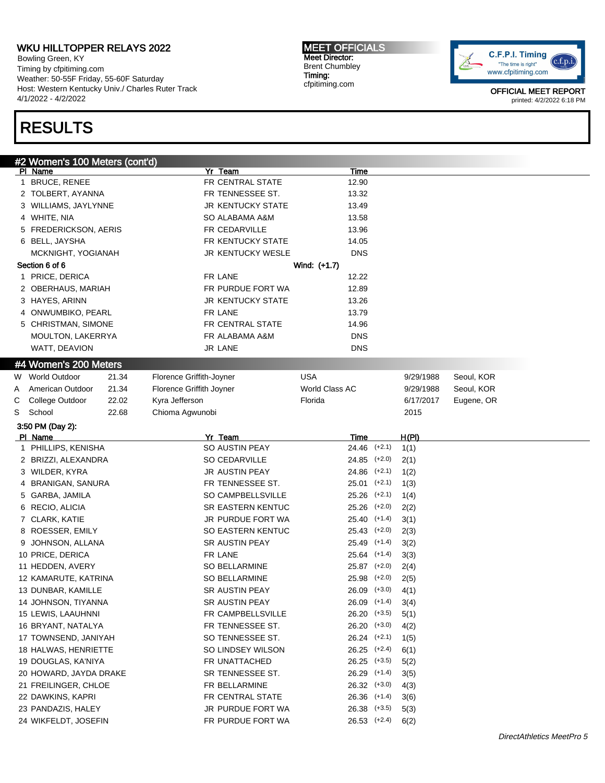Bowling Green, KY Timing by cfpitiming.com Weather: 50-55F Friday, 55-60F Saturday Host: Western Kentucky Univ./ Charles Ruter Track 4/1/2022 - 4/2/2022

## RESULTS

#2 Women's 100 Meters (cont'd) Pl Name Yr Team Time 1 BRUCE, RENEE FR CENTRAL STATE 12.90 2 TOLBERT, AYANNA 13.32 3 WILLIAMS, JAYLYNNE **STATE** JR KENTUCKY STATE 13.49 4 WHITE, NIA SO ALABAMA A&M 13.58 5 FREDERICKSON, AERIS FR CEDARVILLE 13.96 6 BELL, JAYSHA **FR KENTUCKY STATE** 14.05 MCKNIGHT, YOGIANAH DIR KENTUCKY WESLE DNS Section 6 of 6 Wind: (+1.7) 1 PRICE, DERICA **FRIGHT FRIGHT FRIGHT 12.22** 2 OBERHAUS, MARIAH FR PURDUE FORT WA 12.89 3 HAYES, ARINN 13.26 4 ONWUMBIKO, PEARL FR LANE FR LANE 13.79 5 CHRISTMAN, SIMONE FR CENTRAL STATE 14.96 MOULTON, LAKERRYA FR ALABAMA A&M DNS WATT, DEAVION DISCOVERS THE SERVICE OF SALE OF STRAINING USE OF SERVICE OF SERVICE OF SERVICE OF SERVICE OF ST #4 Women's 200 Meters W World Outdoor 21.34 Florence Griffith-Joyner USA 9/29/1988 Seoul, KOR A American Outdoor 21.34 Florence Griffith Joyner World Class AC 9/29/1988 Seoul, KOR C College Outdoor 22.02 Kyra Jefferson **Filtimage College College OR Strategier** College Collegene, OR S School 22.68 Chioma Agwunobi 2015 3:50 PM (Day 2): Pl Name Yr Team Time H(Pl) 1 PHILLIPS, KENISHA SO AUSTIN PEAY 24.46 (+2.1) 1(1) 2 BRIZZI, ALEXANDRA SO CEDARVILLE 24.85 (+2.0) 2(1) 3 WILDER, KYRA JR AUSTIN PEAY 24.86 (+2.1) 1(2) 4 BRANIGAN, SANURA FR TENNESSEE ST. 25.01 (+2.1) 1(3) 5 GARBA, JAMILA SO CAMPBELLSVILLE 25.26 (+2.1) 1(4) 6 RECIO, ALICIA SR EASTERN KENTUC 25.26 (+2.0) 2(2) 7 CLARK, KATIE **JR PURDUE FORT WA** 25.40 (+1.4) 3(1) 8 ROESSER, EMILY SO EASTERN KENTUC 25.43 (+2.0) 2(3) 9 JOHNSON, ALLANA SR AUSTIN PEAY 25.49 (+1.4) 3(2) 10 PRICE, DERICA 613 125.64 (+1.4) 25.64 (+1.4) 12.58 (+1.4) 12.58 12.59 12.59 12.59 12.59 12.59 12.59 12.59 1 11 HEDDEN, AVERY SO BELLARMINE 25.87 (+2.0) 2(4) 12 KAMARUTE, KATRINA SO BELLARMINE 25.98 (+2.0) 2(5) 13 DUNBAR, KAMILLE SR AUSTIN PEAY 26.09 (+3.0) 4(1) 14 JOHNSON, TIYANNA SR AUSTIN PEAY 26.09 (+1.4) 3(4) 15 LEWIS, LAAUHNNI FR CAMPBELLSVILLE 26.20 (+3.5) 5(1) 16 BRYANT, NATALYA FR TENNESSEE ST. 26.20 (+3.0) 4(2) 17 TOWNSEND, JANIYAH SO TENNESSEE ST. 26.24 (+2.1) 1(5) 18 HALWAS, HENRIETTE SO LINDSEY WILSON 26.25 (+2.4) 6(1) 19 DOUGLAS, KA'NIYA FR UNATTACHED 26.25 (+3.5) 5(2) 20 HOWARD, JAYDA DRAKE SR TENNESSEE ST. 26.29 (+1.4) 3(5) 21 FREILINGER, CHLOE FR BELLARMINE 26.32 (+3.0) 4(3) 22 DAWKINS, KAPRI **FR CENTRAL STATE** 26.36 (+1.4) 3(6) 23 PANDAZIS, HALEY JR PURDUE FORT WA 26.38 (+3.5) 5(3) 24 WIKFELDT, JOSEFIN FR PURDUE FORT WA 26.53 (+2.4) 6(2)

Meet Director: Brent Chumbley cfpitiming.com

MEET OFFICIALS

Timing:

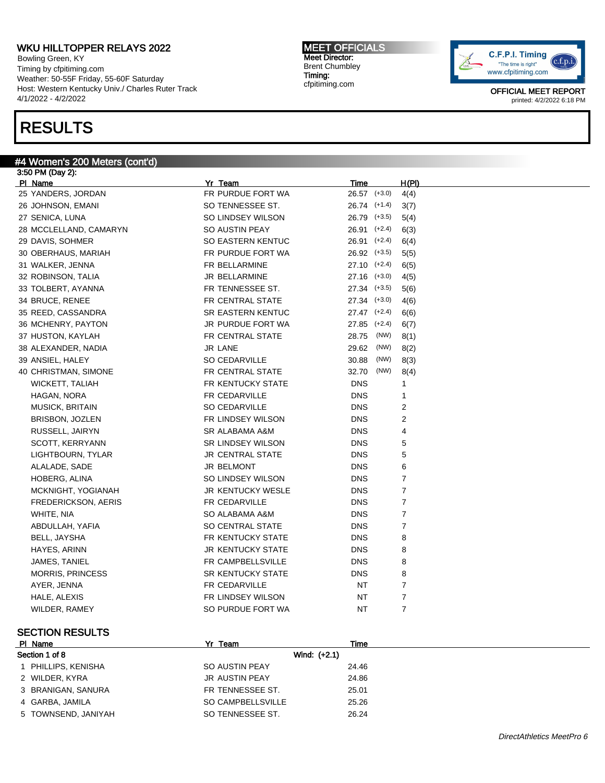Bowling Green, KY Timing by cfpitiming.com Weather: 50-55F Friday, 55-60F Saturday Host: Western Kentucky Univ./ Charles Ruter Track 4/1/2022 - 4/2/2022

## RESULTS

#### #4 Women's 200 Meters (cont'd)

3:50 PM (Day 2): Pl Name Yr Team Time H(Pl) 25 YANDERS, JORDAN FR PURDUE FORT WA 26.57 (+3.0) 4(4) 26 JOHNSON, EMANI SO TENNESSEE ST. 26.74 (+1.4) 3(7) 27 SENICA, LUNA 641 SO LINDSEY WILSON 26.79 (+3.5) 5(4) 28 MCCLELLAND, CAMARYN SO AUSTIN PEAY 26.91 (+2.4) 6(3) 29 DAVIS, SOHMER SO EASTERN KENTUC 26.91 (+2.4) 6(4) 30 OBERHAUS, MARIAH FR PURDUE FORT WA 26.92 (+3.5) 5(5) 31 WALKER, JENNA FR BELLARMINE 27.10 (+2.4) 6(5) 32 ROBINSON, TALIA JR BELLARMINE 27.16 (+3.0) 4(5) 33 TOLBERT, AYANNA FR TENNESSEE ST. 27.34 (+3.5) 5(6) 34 BRUCE, RENEE FR CENTRAL STATE 27.34 (+3.0) 4(6) 35 REED, CASSANDRA SR EASTERN KENTUC 27.47 (+2.4) 6(6) 36 MCHENRY, PAYTON JR PURDUE FORT WA 27.85 (+2.4) 6(7) 37 HUSTON, KAYLAH **FR CENTRAL STATE** 28.75 (NW) 8(1) 38 ALEXANDER, NADIA JR LANE 29.62 (NW) 8(2) 39 ANSIEL, HALEY **SO CEDARVILLE** 30.88 (NW) 8(3) 40 CHRISTMAN, SIMONE FR CENTRAL STATE 32.70 (NW) 8(4) WICKETT, TALIAH GERALD ON THE RENTUCKY STATE THE DNS THE 1 **HAGAN, NORA Example 20 Inc. In the CEDARVILLE FR CEDARVILLE DNS** 1 MUSICK, BRITAIN **SO CEDARVILLE** DNS 2 BRISBON, JOZLEN FR LINDSEY WILSON DNS 2 RUSSELL, JAIRYN SR ALABAMA A&M DNS 4 SCOTT, KERRYANN SR LINDSEY WILSON DNS 5 LIGHTBOURN. TYLAR GENERAL STATE DNS 5 ALALADE, SADE JR BELMONT DNS 6 HOBERG, ALINA **SO LINDSEY WILSON** DNS 7 MCKNIGHT, YOGIANAH JR KENTUCKY WESLE DNS 7 FREDERICKSON, AERIS FR CEDARVILLE EXAMPLE THE DNS T WHITE, NIA SO ALABAMA A&M DNS 7 ABDULLAH, YAFIA SO CENTRAL STATE DNS 7 BELL, JAYSHA FR KENTUCKY STATE DNS 8 HAYES, ARINN GERALD AND SURPORT ON STATE SERVICKY STATE THAT IS A RESERVED ON STATE ON STATE SERVICE ON STATE S JAMES, TANIEL **EXECUTE EXECUTE EXECUTED EXECUTED** FR CAMPBELLSVILLE **DISTURNS ASSESS** MORRIS, PRINCESS SALE SANTUCKY STATE THIS ISSUE ON SANTUCKY STATE AYER, JENNA FR CEDARVILLE NT T HALE, ALEXIS **FR LINDSEY WILSON** NT 7 WILDER, RAMEY **SO PURDUE FORT WA** NT 7

### SECTION RESULTS

| PI Name             | Yr Team               | Time  |  |
|---------------------|-----------------------|-------|--|
| Section 1 of 8      | Wind: $(+2.1)$        |       |  |
| PHILLIPS, KENISHA   | SO AUSTIN PEAY        | 24.46 |  |
| 2 WILDER, KYRA      | <b>JR AUSTIN PEAY</b> | 24.86 |  |
| 3 BRANIGAN, SANURA  | FR TENNESSEE ST.      | 25.01 |  |
| 4 GARBA, JAMILA     | SO CAMPBELLSVILLE     | 25.26 |  |
| 5 TOWNSEND, JANIYAH | SO TENNESSEE ST.      | 26.24 |  |

MEET OFFICIALS Meet Director: Brent Chumbley Timing: cfpitiming.com

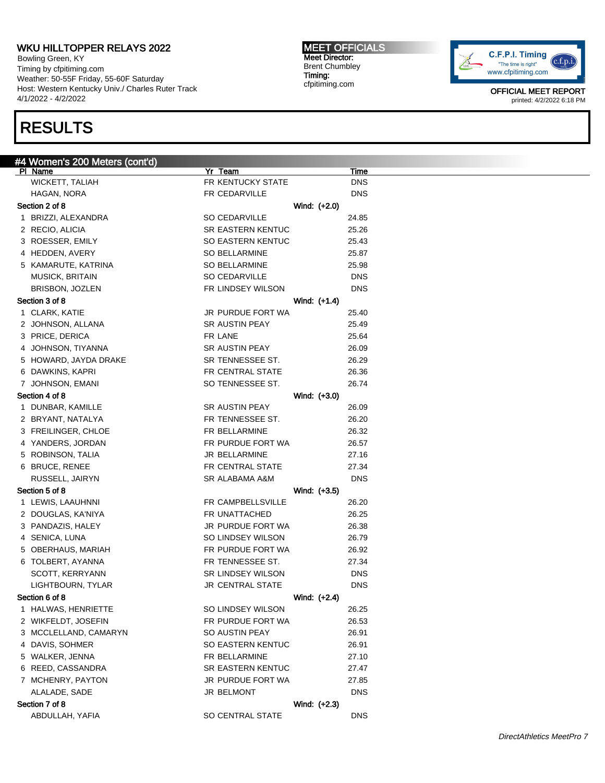Bowling Green, KY Timing by cfpitiming.com Weather: 50-55F Friday, 55-60F Saturday Host: Western Kentucky Univ./ Charles Ruter Track 4/1/2022 - 4/2/2022

## RESULTS

# #4 Women's 200 Meters (cont'd)<br><u>Pl Name</u>

| UNIGHTO LUV MIGIGIO (VUIILU)      |                              |              |                           |
|-----------------------------------|------------------------------|--------------|---------------------------|
| PI Name<br><b>WICKETT, TALIAH</b> | Yr Team<br>FR KENTUCKY STATE |              | <b>Time</b><br><b>DNS</b> |
| HAGAN, NORA                       | FR CEDARVILLE                |              | <b>DNS</b>                |
| Section 2 of 8                    |                              | Wind: (+2.0) |                           |
| 1 BRIZZI, ALEXANDRA               | SO CEDARVILLE                |              | 24.85                     |
| 2 RECIO, ALICIA                   | <b>SR EASTERN KENTUC</b>     |              | 25.26                     |
| 3 ROESSER, EMILY                  | SO EASTERN KENTUC            |              | 25.43                     |
| 4 HEDDEN, AVERY                   | SO BELLARMINE                |              | 25.87                     |
| 5 KAMARUTE, KATRINA               | SO BELLARMINE                |              | 25.98                     |
| <b>MUSICK, BRITAIN</b>            | SO CEDARVILLE                |              | <b>DNS</b>                |
| BRISBON, JOZLEN                   | FR LINDSEY WILSON            |              | <b>DNS</b>                |
| Section 3 of 8                    |                              | Wind: (+1.4) |                           |
| 1 CLARK, KATIE                    | JR PURDUE FORT WA            |              | 25.40                     |
| 2 JOHNSON, ALLANA                 | SR AUSTIN PEAY               |              | 25.49                     |
| 3 PRICE, DERICA                   | FR LANE                      |              | 25.64                     |
| 4 JOHNSON, TIYANNA                | SR AUSTIN PEAY               |              | 26.09                     |
| 5 HOWARD, JAYDA DRAKE             | SR TENNESSEE ST.             |              | 26.29                     |
| 6 DAWKINS, KAPRI                  | FR CENTRAL STATE             |              | 26.36                     |
| 7 JOHNSON, EMANI                  | SO TENNESSEE ST.             |              | 26.74                     |
| Section 4 of 8                    |                              | Wind: (+3.0) |                           |
| 1 DUNBAR, KAMILLE                 | SR AUSTIN PEAY               |              | 26.09                     |
| 2 BRYANT, NATALYA                 | FR TENNESSEE ST.             |              | 26.20                     |
| 3 FREILINGER, CHLOE               | FR BELLARMINE                |              | 26.32                     |
| 4 YANDERS, JORDAN                 | FR PURDUE FORT WA            |              | 26.57                     |
| 5 ROBINSON, TALIA                 | JR BELLARMINE                |              | 27.16                     |
| 6 BRUCE, RENEE                    | FR CENTRAL STATE             |              | 27.34                     |
| RUSSELL, JAIRYN                   | SR ALABAMA A&M               |              | <b>DNS</b>                |
| Section 5 of 8                    |                              | Wind: (+3.5) |                           |
| 1 LEWIS, LAAUHNNI                 | FR CAMPBELLSVILLE            |              | 26.20                     |
| 2 DOUGLAS, KA'NIYA                | FR UNATTACHED                |              | 26.25                     |
| 3 PANDAZIS, HALEY                 | JR PURDUE FORT WA            |              | 26.38                     |
| 4 SENICA, LUNA                    | SO LINDSEY WILSON            |              | 26.79                     |
| 5 OBERHAUS, MARIAH                | FR PURDUE FORT WA            |              | 26.92                     |
| 6 TOLBERT, AYANNA                 | FR TENNESSEE ST.             |              | 27.34                     |
| SCOTT, KERRYANN                   | SR LINDSEY WILSON            |              | <b>DNS</b>                |
| LIGHTBOURN, TYLAR                 | <b>JR CENTRAL STATE</b>      |              | <b>DNS</b>                |
| Section 6 of 8                    |                              | Wind: (+2.4) |                           |
| 1 HALWAS, HENRIETTE               | SO LINDSEY WILSON            |              | 26.25                     |
| 2 WIKFELDT, JOSEFIN               | FR PURDUE FORT WA            |              | 26.53                     |
| 3 MCCLELLAND, CAMARYN             | SO AUSTIN PEAY               |              | 26.91                     |
| 4 DAVIS, SOHMER                   | <b>SO EASTERN KENTUC</b>     |              | 26.91                     |
| 5 WALKER, JENNA                   | FR BELLARMINE                |              | 27.10                     |
| 6 REED, CASSANDRA                 | <b>SR EASTERN KENTUC</b>     |              | 27.47                     |
| 7 MCHENRY, PAYTON                 | JR PURDUE FORT WA            |              | 27.85                     |
| ALALADE, SADE                     | <b>JR BELMONT</b>            |              | DNS.                      |
| Section 7 of 8                    |                              | Wind: (+2.3) |                           |
| ABDULLAH, YAFIA                   | <b>SO CENTRAL STATE</b>      |              | <b>DNS</b>                |

C.F.P.I. Timing  $(c.f.p.i$ "The time is right" www.cfpitiming.com

> OFFICIAL MEET REPORT printed: 4/2/2022 6:18 PM



MEET OFFICIALS Meet Director: Brent Chumbley Timing: cfpitiming.com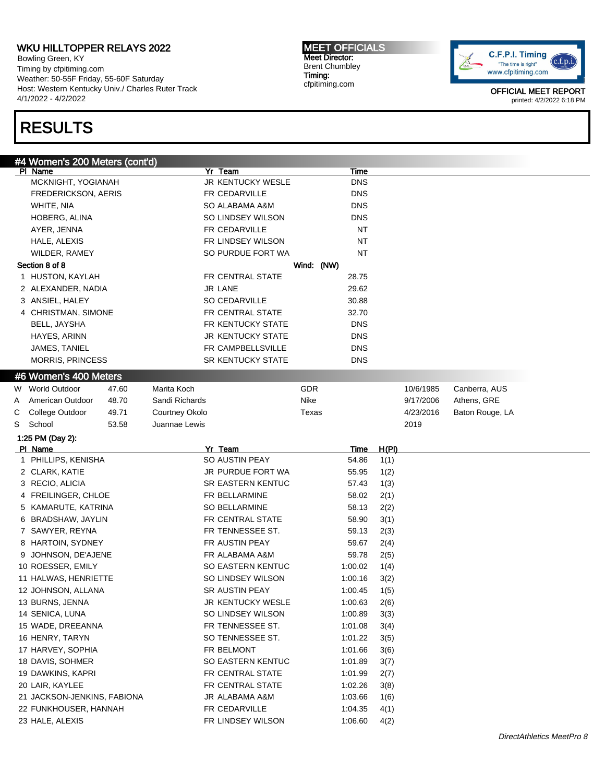Bowling Green, KY Timing by cfpitiming.com Weather: 50-55F Friday, 55-60F Saturday Host: Western Kentucky Univ./ Charles Ruter Track 4/1/2022 - 4/2/2022

# RESULTS

MEET OFFICIALS Meet Director: Brent Chumbley Timing: cfpitiming.com



| #4 Women's 200 Meters (cont'd)           |       |                |                          |            |             |              |           |                 |
|------------------------------------------|-------|----------------|--------------------------|------------|-------------|--------------|-----------|-----------------|
| PI Name                                  |       |                | Yr Team                  |            | <b>Time</b> |              |           |                 |
| MCKNIGHT, YOGIANAH                       |       |                | JR KENTUCKY WESLE        |            | <b>DNS</b>  |              |           |                 |
| <b>FREDERICKSON, AERIS</b>               |       |                | FR CEDARVILLE            |            | <b>DNS</b>  |              |           |                 |
| WHITE, NIA                               |       |                | SO ALABAMA A&M           |            | <b>DNS</b>  |              |           |                 |
| HOBERG, ALINA                            |       |                | SO LINDSEY WILSON        |            | <b>DNS</b>  |              |           |                 |
| AYER, JENNA                              |       |                | FR CEDARVILLE            |            | NT          |              |           |                 |
| HALE, ALEXIS                             |       |                | FR LINDSEY WILSON        |            | NT          |              |           |                 |
| WILDER, RAMEY                            |       |                | SO PURDUE FORT WA        |            | NT          |              |           |                 |
| Section 8 of 8                           |       |                |                          | Wind: (NW) |             |              |           |                 |
| 1 HUSTON, KAYLAH                         |       |                | FR CENTRAL STATE         |            | 28.75       |              |           |                 |
| 2 ALEXANDER, NADIA                       |       |                | <b>JR LANE</b>           |            | 29.62       |              |           |                 |
| 3 ANSIEL, HALEY                          |       |                | <b>SO CEDARVILLE</b>     |            | 30.88       |              |           |                 |
| 4 CHRISTMAN, SIMONE                      |       |                | FR CENTRAL STATE         |            | 32.70       |              |           |                 |
| BELL, JAYSHA                             |       |                | FR KENTUCKY STATE        |            | <b>DNS</b>  |              |           |                 |
| HAYES, ARINN                             |       |                | <b>JR KENTUCKY STATE</b> |            | <b>DNS</b>  |              |           |                 |
| JAMES, TANIEL                            |       |                | FR CAMPBELLSVILLE        |            | <b>DNS</b>  |              |           |                 |
| <b>MORRIS, PRINCESS</b>                  |       |                | <b>SR KENTUCKY STATE</b> |            | <b>DNS</b>  |              |           |                 |
| #6 Women's 400 Meters                    |       |                |                          |            |             |              |           |                 |
| W World Outdoor                          | 47.60 | Marita Koch    |                          | GDR        |             |              | 10/6/1985 | Canberra, AUS   |
| American Outdoor<br>A                    | 48.70 | Sandi Richards |                          | Nike       |             |              | 9/17/2006 | Athens, GRE     |
| College Outdoor<br>С                     | 49.71 | Courtney Okolo |                          | Texas      |             |              | 4/23/2016 | Baton Rouge, LA |
| School<br>S                              | 53.58 | Juannae Lewis  |                          |            |             |              | 2019      |                 |
| 1:25 PM (Day 2):                         |       |                |                          |            |             |              |           |                 |
| PI Name                                  |       |                | Yr Team                  |            | <u>Time</u> | <u>H(PI)</u> |           |                 |
| 1 PHILLIPS, KENISHA                      |       |                | <b>SO AUSTIN PEAY</b>    |            | 54.86       | 1(1)         |           |                 |
| 2 CLARK, KATIE                           |       |                | JR PURDUE FORT WA        |            | 55.95       | 1(2)         |           |                 |
| 3 RECIO, ALICIA                          |       |                | <b>SR EASTERN KENTUC</b> |            | 57.43       | 1(3)         |           |                 |
| 4 FREILINGER, CHLOE                      |       |                | FR BELLARMINE            |            | 58.02       | 2(1)         |           |                 |
| 5 KAMARUTE, KATRINA                      |       |                | <b>SO BELLARMINE</b>     |            | 58.13       | 2(2)         |           |                 |
| 6 BRADSHAW, JAYLIN                       |       |                | FR CENTRAL STATE         |            | 58.90       | 3(1)         |           |                 |
| 7 SAWYER, REYNA                          |       |                | FR TENNESSEE ST.         |            | 59.13       | 2(3)         |           |                 |
| 8 HARTOIN, SYDNEY                        |       |                | FR AUSTIN PEAY           |            | 59.67       | 2(4)         |           |                 |
| 9 JOHNSON, DE'AJENE                      |       |                | FR ALABAMA A&M           |            | 59.78       | 2(5)         |           |                 |
| 10 ROESSER, EMILY                        |       |                | SO EASTERN KENTUC        |            | 1:00.02     | 1(4)         |           |                 |
| 11 HALWAS, HENRIETTE                     |       |                | SO LINDSEY WILSON        |            | 1:00.16     | 3(2)         |           |                 |
| 12 JOHNSON, ALLANA                       |       |                | SR AUSTIN PEAY           |            | 1:00.45     | 1(5)         |           |                 |
| 13 BURNS, JENNA                          |       |                | JR KENTUCKY WESLE        |            | 1:00.63     | 2(6)         |           |                 |
| 14 SENICA, LUNA                          |       |                | SO LINDSEY WILSON        |            | 1:00.89     | 3(3)         |           |                 |
| 15 WADE, DREEANNA                        |       |                | FR TENNESSEE ST.         |            | 1:01.08     | 3(4)         |           |                 |
| 16 HENRY, TARYN                          |       |                | SO TENNESSEE ST.         |            | 1:01.22     |              |           |                 |
| 17 HARVEY, SOPHIA                        |       |                |                          |            |             | 3(5)         |           |                 |
|                                          |       |                | FR BELMONT               |            | 1:01.66     | 3(6)         |           |                 |
| 18 DAVIS, SOHMER                         |       |                | SO EASTERN KENTUC        |            | 1:01.89     | 3(7)         |           |                 |
| 19 DAWKINS, KAPRI                        |       |                | FR CENTRAL STATE         |            | 1:01.99     | 2(7)         |           |                 |
| 20 LAIR, KAYLEE                          |       |                | FR CENTRAL STATE         |            | 1:02.26     | 3(8)         |           |                 |
| 21 JACKSON-JENKINS, FABIONA              |       |                | JR ALABAMA A&M           |            | 1:03.66     | 1(6)         |           |                 |
| 22 FUNKHOUSER, HANNAH<br>23 HALE, ALEXIS |       |                | FR CEDARVILLE            |            | 1:04.35     | 4(1)         |           |                 |
|                                          |       |                | FR LINDSEY WILSON        |            | 1:06.60     | 4(2)         |           |                 |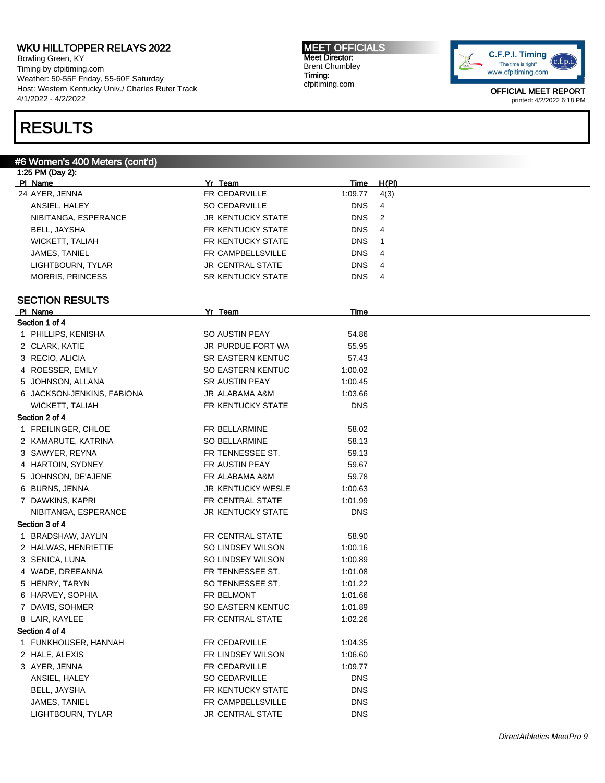Bowling Green, KY Timing by cfpitiming.com Weather: 50-55F Friday, 55-60F Saturday Host: Western Kentucky Univ./ Charles Ruter Track 4/1/2022 - 4/2/2022

## RESULTS

#### #6 Women's 400 Meters (cont'd)

1:25 PM (Day 2): Pl Name Yr Team Time H(Pl) 24 AYER, JENNA 1:09.77 4(3) ANSIEL, HALEY **SO CEDARVILLE** DNS 4 NIBITANGA, ESPERANCE **JR KENTUCKY STATE** DNS 2 BELL, JAYSHA FR KENTUCKY STATE DNS 4 WICKETT, TALIAH FR KENTUCKY STATE DNS 1 JAMES, TANIEL FR CAMPBELLSVILLE DNS 4 LIGHTBOURN, TYLAR GENTRAL STATE DNS 4 MORRIS, PRINCESS **SR KENTUCKY STATE** DNS 4 SECTION RESULTS PI Name Time Section 1 of 4 1 PHILLIPS, KENISHA SO AUSTIN PEAY 54.86 2 CLARK, KATIE **JR PURDUE FORT WA 55.95** 3 RECIO, ALICIA SR EASTERN KENTUC 57.43 4 ROESSER, EMILY SO EASTERN KENTUC 1:00.02 5 JOHNSON, ALLANA SR AUSTIN PEAY 1:00.45 6 JACKSON-JENKINS, FABIONA JR ALABAMA A&M 1:03.66 WICKETT, TALIAH FR KENTUCKY STATE DNS Section 2 of 4 1 FREILINGER, CHLOE FR BELLARMINE 58.02 2 KAMARUTE, KATRINA SO BELLARMINE 58.13 3 SAWYER, REYNA FR TENNESSEE ST. 59.13 4 HARTOIN, SYDNEY FR AUSTIN PEAY 59.67 5 JOHNSON, DE'AJENE FR ALABAMA A&M 59.78 6 BURNS, JENNA 1:00.63 7 DAWKINS, KAPRI FR CENTRAL STATE 1:01.99 NIBITANGA, ESPERANCE JR KENTUCKY STATE DNS Section 3 of 4 1 BRADSHAW, JAYLIN FR CENTRAL STATE 58.90 2 HALWAS, HENRIETTE SO LINDSEY WILSON 1:00.16 3 SENICA, LUNA SO LINDSEY WILSON 1:00.89 4 WADE, DREEANNA FR TENNESSEE ST. 1:01.08 5 HENRY, TARYN SO TENNESSEE ST. 1:01.22 6 HARVEY, SOPHIA **FR BELMONT** 1:01.66 7 DAVIS, SOHMER SO EASTERN KENTUC 1:01.89 8 LAIR, KAYLEE FR CENTRAL STATE 1:02.26 Section 4 of 4 1 FUNKHOUSER, HANNAH FR CEDARVILLE 1:04.35 2 HALE, ALEXIS **FR LINDSEY WILSON** 1:06.60 3 AYER, JENNA 1:09.77 ANSIEL, HALEY SO CEDARVILLE DNS BELL, JAYSHA DISTREMENT ON SERVICKY STATE THE RENTUCKY STATE JAMES, TANIEL DISCOME DESCRIPTION FR CAMPBELLSVILLE LIGHTBOURN, TYLAR JR CENTRAL STATE DNS

MEET OFFICIALS Meet Director: Brent Chumbley Timing: cfpitiming.com

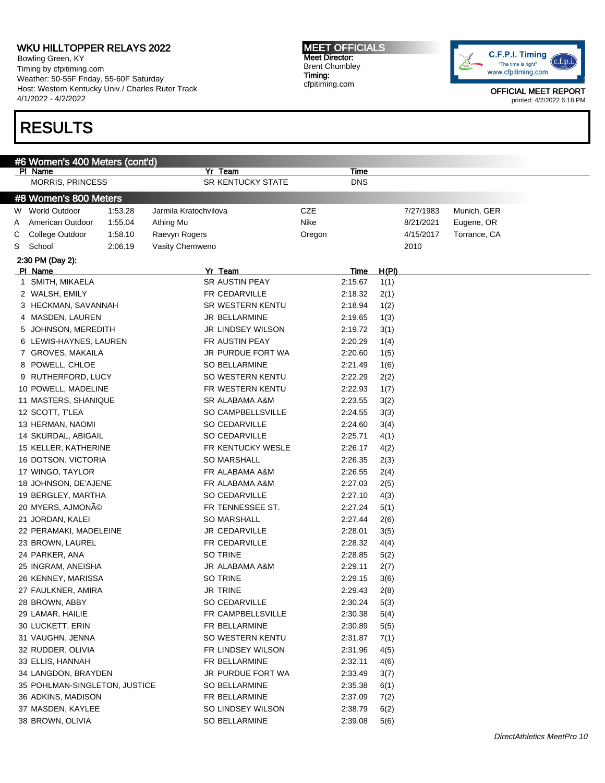Bowling Green, KY Timing by cfpitiming.com Weather: 50-55F Friday, 55-60F Saturday Host: Western Kentucky Univ./ Charles Ruter Track 4/1/2022 - 4/2/2022

# RESULTS

MEET OFFICIALS Meet Director: Brent Chumbley Timing: cfpitiming.com



| #6 Women's 400 Meters (cont'd) |                               |         |                       |                          |        |             |       |           |              |  |
|--------------------------------|-------------------------------|---------|-----------------------|--------------------------|--------|-------------|-------|-----------|--------------|--|
|                                | PI Name                       |         |                       | Yr Team                  |        | Time        |       |           |              |  |
|                                | <b>MORRIS, PRINCESS</b>       |         |                       | <b>SR KENTUCKY STATE</b> |        | <b>DNS</b>  |       |           |              |  |
| #8 Women's 800 Meters          |                               |         |                       |                          |        |             |       |           |              |  |
| W                              | <b>World Outdoor</b>          | 1:53.28 | Jarmila Kratochvilova |                          | CZE    |             |       | 7/27/1983 | Munich, GER  |  |
| A                              | American Outdoor              | 1:55.04 | Athing Mu             |                          | Nike   |             |       | 8/21/2021 | Eugene, OR   |  |
| С                              | College Outdoor               | 1:58.10 | Raevyn Rogers         |                          | Oregon |             |       | 4/15/2017 | Torrance, CA |  |
| S                              | School                        | 2:06.19 | Vasity Chemweno       |                          |        |             |       | 2010      |              |  |
|                                | 2:30 PM (Day 2):              |         |                       |                          |        |             |       |           |              |  |
|                                | PI Name                       |         |                       | Yr Team                  |        | <b>Time</b> | H(PI) |           |              |  |
| 1.                             | SMITH, MIKAELA                |         |                       | <b>SR AUSTIN PEAY</b>    |        | 2:15.67     | 1(1)  |           |              |  |
|                                | 2 WALSH, EMILY                |         |                       | FR CEDARVILLE            |        | 2:18.32     | 2(1)  |           |              |  |
|                                | 3 HECKMAN, SAVANNAH           |         |                       | SR WESTERN KENTU         |        | 2:18.94     | 1(2)  |           |              |  |
|                                | 4 MASDEN, LAUREN              |         |                       | JR BELLARMINE            |        | 2:19.65     | 1(3)  |           |              |  |
| 5                              | JOHNSON, MEREDITH             |         |                       | JR LINDSEY WILSON        |        | 2:19.72     | 3(1)  |           |              |  |
|                                | 6 LEWIS-HAYNES, LAUREN        |         |                       | FR AUSTIN PEAY           |        | 2:20.29     | 1(4)  |           |              |  |
|                                | 7 GROVES, MAKAILA             |         |                       | JR PURDUE FORT WA        |        | 2:20.60     | 1(5)  |           |              |  |
|                                | 8 POWELL, CHLOE               |         |                       | <b>SO BELLARMINE</b>     |        | 2:21.49     | 1(6)  |           |              |  |
|                                | 9 RUTHERFORD, LUCY            |         |                       | SO WESTERN KENTU         |        | 2:22.29     | 2(2)  |           |              |  |
|                                | 10 POWELL, MADELINE           |         |                       | FR WESTERN KENTU         |        | 2:22.93     | 1(7)  |           |              |  |
|                                | 11 MASTERS, SHANIQUE          |         |                       | SR ALABAMA A&M           |        | 2:23.55     | 3(2)  |           |              |  |
|                                | 12 SCOTT, T'LEA               |         |                       | SO CAMPBELLSVILLE        |        | 2:24.55     | 3(3)  |           |              |  |
|                                | 13 HERMAN, NAOMI              |         |                       | SO CEDARVILLE            |        | 2:24.60     | 3(4)  |           |              |  |
|                                | 14 SKURDAL, ABIGAIL           |         |                       | <b>SO CEDARVILLE</b>     |        | 2:25.71     | 4(1)  |           |              |  |
|                                | 15 KELLER, KATHERINE          |         |                       | FR KENTUCKY WESLE        |        | 2:26.17     | 4(2)  |           |              |  |
|                                | 16 DOTSON, VICTORIA           |         |                       | <b>SO MARSHALL</b>       |        | 2:26.35     | 2(3)  |           |              |  |
|                                | 17 WINGO, TAYLOR              |         |                       | FR ALABAMA A&M           |        | 2:26.55     | 2(4)  |           |              |  |
|                                | 18 JOHNSON, DE'AJENE          |         |                       | FR ALABAMA A&M           |        | 2:27.03     | 2(5)  |           |              |  |
|                                | 19 BERGLEY, MARTHA            |         |                       | SO CEDARVILLE            |        | 2:27.10     | 4(3)  |           |              |  |
|                                | 20 MYERS, AJMONÃO             |         |                       | FR TENNESSEE ST.         |        | 2:27.24     | 5(1)  |           |              |  |
|                                | 21 JORDAN, KALEI              |         |                       | <b>SO MARSHALL</b>       |        | 2:27.44     | 2(6)  |           |              |  |
|                                | 22 PERAMAKI, MADELEINE        |         |                       | JR CEDARVILLE            |        | 2:28.01     | 3(5)  |           |              |  |
|                                | 23 BROWN, LAUREL              |         |                       | FR CEDARVILLE            |        | 2:28.32     | 4(4)  |           |              |  |
|                                | 24 PARKER, ANA                |         |                       | SO TRINE                 |        | 2:28.85     | 5(2)  |           |              |  |
|                                | 25 INGRAM, ANEISHA            |         |                       | JR ALABAMA A&M           |        | 2:29.11     | 2(7)  |           |              |  |
|                                | 26 KENNEY, MARISSA            |         |                       | SO TRINE                 |        | 2:29.15     | 3(6)  |           |              |  |
|                                | 27 FAULKNER, AMIRA            |         |                       | JR TRINE                 |        | 2:29.43     | 2(8)  |           |              |  |
|                                | 28 BROWN, ABBY                |         |                       | SO CEDARVILLE            |        | 2:30.24     | 5(3)  |           |              |  |
|                                | 29 LAMAR, HAILIE              |         |                       | FR CAMPBELLSVILLE        |        | 2:30.38     | 5(4)  |           |              |  |
|                                | 30 LUCKETT, ERIN              |         |                       | FR BELLARMINE            |        | 2:30.89     | 5(5)  |           |              |  |
|                                | 31 VAUGHN, JENNA              |         |                       | SO WESTERN KENTU         |        | 2:31.87     | 7(1)  |           |              |  |
|                                | 32 RUDDER, OLIVIA             |         |                       | FR LINDSEY WILSON        |        | 2:31.96     | 4(5)  |           |              |  |
|                                | 33 ELLIS, HANNAH              |         |                       | FR BELLARMINE            |        | 2:32.11     | 4(6)  |           |              |  |
|                                | 34 LANGDON, BRAYDEN           |         |                       | JR PURDUE FORT WA        |        | 2:33.49     | 3(7)  |           |              |  |
|                                | 35 POHLMAN-SINGLETON, JUSTICE |         |                       | SO BELLARMINE            |        | 2:35.38     | 6(1)  |           |              |  |
|                                | 36 ADKINS, MADISON            |         |                       | FR BELLARMINE            |        | 2:37.09     | 7(2)  |           |              |  |
|                                | 37 MASDEN, KAYLEE             |         |                       | SO LINDSEY WILSON        |        | 2:38.79     | 6(2)  |           |              |  |
|                                | 38 BROWN, OLIVIA              |         |                       | SO BELLARMINE            |        | 2:39.08     | 5(6)  |           |              |  |
|                                |                               |         |                       |                          |        |             |       |           |              |  |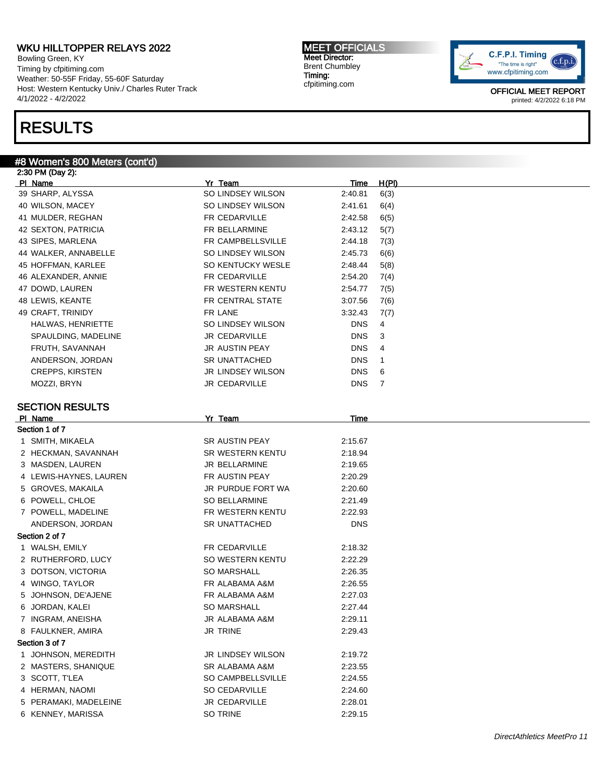Bowling Green, KY Timing by cfpitiming.com Weather: 50-55F Friday, 55-60F Saturday Host: Western Kentucky Univ./ Charles Ruter Track 4/1/2022 - 4/2/2022

## RESULTS

#### #8 Women's 800 Meters (cont'd)

2:30 PM (Day 2): Pl Name Yr Team Time H(Pl) 39 SHARP, ALYSSA SO LINDSEY WILSON 2:40.81 6(3) 40 WILSON, MACEY SO LINDSEY WILSON 2:41.61 6(4) 41 MULDER, REGHAN FR CEDARVILLE 2:42.58 6(5) 42 SEXTON, PATRICIA FR BELLARMINE 2:43.12 5(7) 43 SIPES, MARLENA **FR CAMPBELLSVILLE** 2:44.18 7(3) 44 WALKER, ANNABELLE SO LINDSEY WILSON 2:45.73 6(6) 45 HOFFMAN, KARLEE SO KENTUCKY WESLE 2:48.44 5(8) 46 ALEXANDER, ANNIE FR CEDARVILLE 2:54.20 7(4) 47 DOWD, LAUREN **FR WESTERN KENTU** 2:54.77 7(5) 48 LEWIS, KEANTE FR CENTRAL STATE 3:07.56 7(6) 49 CRAFT, TRINIDY FR LANE 3:32.43 7(7) HALWAS, HENRIETTE SO LINDSEY WILSON DNS 4 SPAULDING, MADELINE **SPAULDING, MADELINE** JR CEDARVILLE **DIS** 3 FRUTH, SAVANNAH JR AUSTIN PEAY DNS 4 ANDERSON, JORDAN SR UNATTACHED DNS 1 CREPPS, KIRSTEN JR LINDSEY WILSON DNS 6 MOZZI, BRYN JR CEDARVILLE DNS 7 SECTION RESULTS Pl Name Yr Team Time Section 1 of 7 1 SMITH, MIKAELA SR AUSTIN PEAY 2:15.67 2 HECKMAN, SAVANNAH SR WESTERN KENTU 2:18.94 3 MASDEN, LAUREN JR BELLARMINE 2:19.65 4 LEWIS-HAYNES, LAUREN FR AUSTIN PEAY 2:20.29 5 GROVES, MAKAILA JR PURDUE FORT WA 2:20.60 6 POWELL, CHLOE SO BELLARMINE 2:21.49 7 POWELL, MADELINE **FR WESTERN KENTU** 2:22.93 ANDERSON, JORDAN SR UNATTACHED DNS Section 2 of 7 1 WALSH, EMILY **EXECUTE FR CEDARVILLE** 2:18.32 2 RUTHERFORD, LUCY SO WESTERN KENTU 2:22.29 3 DOTSON, VICTORIA SO MARSHALL 2:26.35 4 WINGO, TAYLOR FR ALABAMA A&M 2:26.55 5 JOHNSON, DE'AJENE FR ALABAMA A&M 2:27.03 6 JORDAN, KALEI SO MARSHALL 2:27.44 7 INGRAM, ANEISHA JR ALABAMA A&M 2:29.11 8 FAULKNER, AMIRA JR TRINE 2:29.43 Section 3 of 7 1 JOHNSON, MEREDITH JR LINDSEY WILSON 2:19.72 2 MASTERS, SHANIQUE SR ALABAMA A&M 2:23.55 3 SCOTT, T'LEA SO CAMPBELLSVILLE 2:24.55 4 HERMAN, NAOMI SO CEDARVILLE 2:24.60 5 PERAMAKI, MADELEINE JR CEDARVILLE 2:28.01 6 KENNEY, MARISSA SO TRINE 2:29.15

MEET OFFICIALS Meet Director: Brent Chumbley Timing: cfpitiming.com

DirectAthletics MeetPro 11

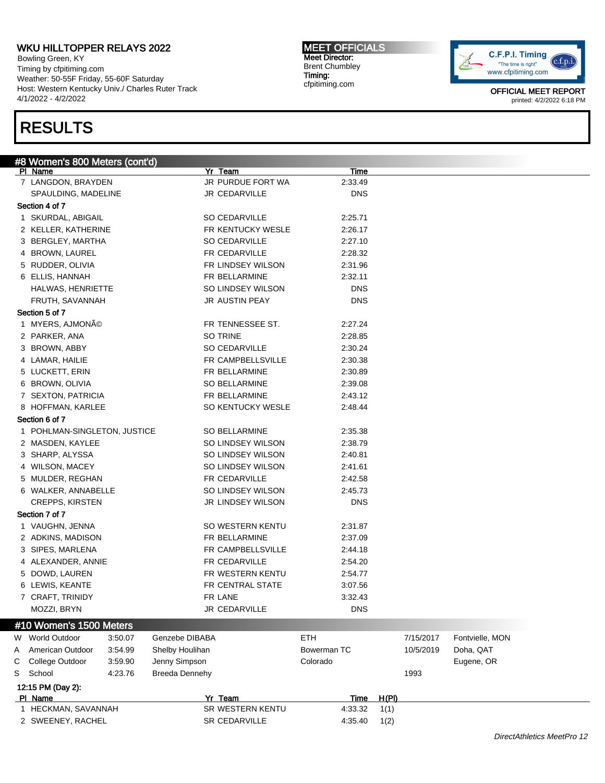Bowling Green, KY Timing by cfpitiming.com Weather: 50-55F Friday, 55-60F Saturday Host: Western Kentucky Univ./ Charles Ruter Track 4/1/2022 - 4/2/2022

## RESULTS

MEET OFFICIALS Meet Director: Brent Chumbley Timing: cfpitiming.com



|   | #8 Women's 800 Meters (cont'd) |                       |             |       |           |                 |
|---|--------------------------------|-----------------------|-------------|-------|-----------|-----------------|
|   | PI Name                        | Yr Team               | Time        |       |           |                 |
|   | 7 LANGDON, BRAYDEN             | JR PURDUE FORT WA     | 2:33.49     |       |           |                 |
|   | SPAULDING, MADELINE            | JR CEDARVILLE         | <b>DNS</b>  |       |           |                 |
|   | Section 4 of 7                 |                       |             |       |           |                 |
|   | 1 SKURDAL, ABIGAIL             | <b>SO CEDARVILLE</b>  | 2:25.71     |       |           |                 |
|   | 2 KELLER, KATHERINE            | FR KENTUCKY WESLE     | 2:26.17     |       |           |                 |
|   | 3 BERGLEY, MARTHA              | SO CEDARVILLE         | 2:27.10     |       |           |                 |
|   | 4 BROWN, LAUREL                | FR CEDARVILLE         | 2:28.32     |       |           |                 |
|   | 5 RUDDER, OLIVIA               | FR LINDSEY WILSON     | 2:31.96     |       |           |                 |
|   | 6 ELLIS, HANNAH                | FR BELLARMINE         | 2:32.11     |       |           |                 |
|   | <b>HALWAS, HENRIETTE</b>       | SO LINDSEY WILSON     | <b>DNS</b>  |       |           |                 |
|   | FRUTH, SAVANNAH                | JR AUSTIN PEAY        | <b>DNS</b>  |       |           |                 |
|   | Section 5 of 7                 |                       |             |       |           |                 |
|   |                                | FR TENNESSEE ST.      |             |       |           |                 |
|   | 1 MYERS, AJMONÃO               |                       | 2:27.24     |       |           |                 |
|   | 2 PARKER, ANA                  | SO TRINE              | 2:28.85     |       |           |                 |
|   | 3 BROWN, ABBY                  | SO CEDARVILLE         | 2:30.24     |       |           |                 |
|   | 4 LAMAR, HAILIE                | FR CAMPBELLSVILLE     | 2:30.38     |       |           |                 |
|   | 5 LUCKETT, ERIN                | FR BELLARMINE         | 2:30.89     |       |           |                 |
|   | 6 BROWN, OLIVIA                | <b>SO BELLARMINE</b>  | 2:39.08     |       |           |                 |
|   | 7 SEXTON, PATRICIA             | FR BELLARMINE         | 2:43.12     |       |           |                 |
|   | 8 HOFFMAN, KARLEE              | SO KENTUCKY WESLE     | 2:48.44     |       |           |                 |
|   | Section 6 of 7                 |                       |             |       |           |                 |
|   | 1 POHLMAN-SINGLETON, JUSTICE   | <b>SO BELLARMINE</b>  | 2:35.38     |       |           |                 |
|   | 2 MASDEN, KAYLEE               | SO LINDSEY WILSON     | 2:38.79     |       |           |                 |
|   | 3 SHARP, ALYSSA                | SO LINDSEY WILSON     | 2:40.81     |       |           |                 |
|   | 4 WILSON, MACEY                | SO LINDSEY WILSON     | 2:41.61     |       |           |                 |
|   | 5 MULDER, REGHAN               | FR CEDARVILLE         | 2:42.58     |       |           |                 |
|   | 6 WALKER, ANNABELLE            | SO LINDSEY WILSON     | 2:45.73     |       |           |                 |
|   | <b>CREPPS, KIRSTEN</b>         | JR LINDSEY WILSON     | <b>DNS</b>  |       |           |                 |
|   | Section 7 of 7                 |                       |             |       |           |                 |
|   |                                | SO WESTERN KENTU      |             |       |           |                 |
|   | 1 VAUGHN, JENNA                |                       | 2:31.87     |       |           |                 |
|   | 2 ADKINS, MADISON              | FR BELLARMINE         | 2:37.09     |       |           |                 |
|   | 3 SIPES, MARLENA               | FR CAMPBELLSVILLE     | 2:44.18     |       |           |                 |
|   | 4 ALEXANDER, ANNIE             | FR CEDARVILLE         | 2:54.20     |       |           |                 |
|   | 5 DOWD, LAUREN                 | FR WESTERN KENTU      | 2:54.77     |       |           |                 |
|   | 6 LEWIS, KEANTE                | FR CENTRAL STATE      | 3:07.56     |       |           |                 |
|   | 7 CRAFT, TRINIDY               | FR LANE               | 3:32.43     |       |           |                 |
|   | MOZZI, BRYN                    | JR CEDARVILLE         | <b>DNS</b>  |       |           |                 |
|   | #10 Women's 1500 Meters        |                       |             |       |           |                 |
|   | W World Outdoor<br>3:50.07     | Genzebe DIBABA        | <b>ETH</b>  |       | 7/15/2017 | Fontvielle, MON |
|   |                                |                       |             |       |           |                 |
| Α | American Outdoor<br>3.54.99    | Shelby Houlihan       | Bowerman TC |       | 10/5/2019 | Doha, QAT       |
| С | College Outdoor<br>3.59.90     | Jenny Simpson         | Colorado    |       |           | Eugene, OR      |
| S | 4:23.76<br>School              | <b>Breeda Dennehy</b> |             |       | 1993      |                 |
|   | 12:15 PM (Day 2):              |                       |             |       |           |                 |
|   | PI Name                        | Yr Team               | <b>Time</b> | H(PI) |           |                 |
|   | 1 HECKMAN, SAVANNAH            | SR WESTERN KENTU      | 4:33.32     | 1(1)  |           |                 |
|   | 2 SWEENEY, RACHEL              | SR CEDARVILLE         | 4:35.40     | 1(2)  |           |                 |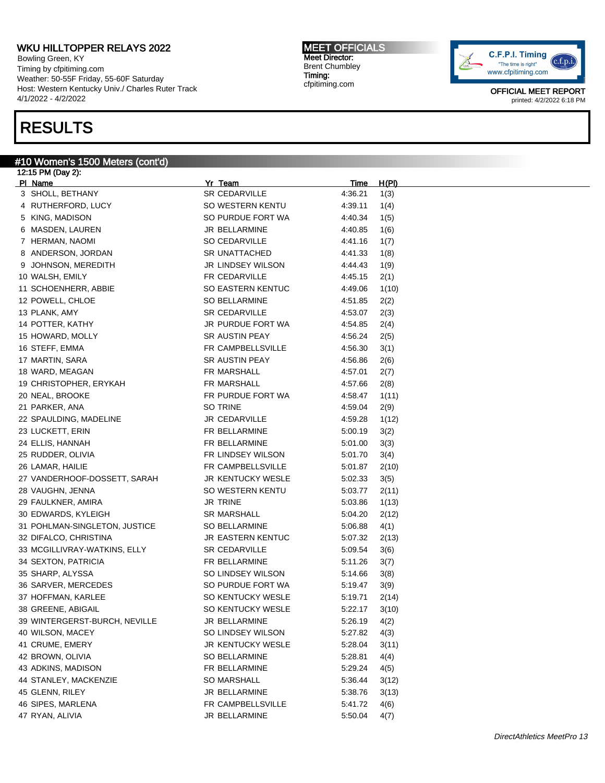Bowling Green, KY Timing by cfpitiming.com Weather: 50-55F Friday, 55-60F Saturday Host: Western Kentucky Univ./ Charles Ruter Track 4/1/2022 - 4/2/2022

## RESULTS

#### #10 Women's 1500 Meters (cont'd)

12:15 PM (Day 2): Pl Name Yr Team Time H(Pl) 3 SHOLL, BETHANY SR CEDARVILLE 4:36.21 1(3) 4 RUTHERFORD, LUCY SO WESTERN KENTU 4:39.11 1(4) 5 KING, MADISON SO PURDUE FORT WA 4:40.34 1(5) 6 MASDEN, LAUREN JR BELLARMINE 4:40.85 1(6) 7 HERMAN, NAOMI SO CEDARVILLE 4:41.16 1(7) 8 ANDERSON, JORDAN SR UNATTACHED 4:41.33 1(8) 9 JOHNSON, MEREDITH JR LINDSEY WILSON 4:44.43 1(9) 10 WALSH, EMILY FR CEDARVILLE 4:45.15 2(1) 11 SCHOENHERR, ABBIE SO EASTERN KENTUC 4:49.06 1(10) 12 POWELL, CHLOE SO BELLARMINE 4:51.85 2(2) 13 PLANK, AMY SR CEDARVILLE 4:53.07 2(3) 14 POTTER, KATHY JR PURDUE FORT WA 4:54.85 2(4) 15 HOWARD, MOLLY SR AUSTIN PEAY 4:56.24 2(5) 16 STEFF, EMMA FR CAMPBELLSVILLE 4:56.30 3(1) 17 MARTIN, SARA SR AUSTIN PEAY 4:56.86 2(6) 18 WARD, MEAGAN FR MARSHALL 4:57.01 2(7) 19 CHRISTOPHER, ERYKAH FR MARSHALL 4:57.66 2(8) 20 NEAL, BROOKE THE RESERVE FR PURDUE FORT WA 4:58.47 1(11) 21 PARKER, ANA SO TRINE SO TRINE 4:59.04 2(9) 22 SPAULDING, MADELINE JR CEDARVILLE 4:59.28 1(12) 23 LUCKETT, ERIN FR BELLARMINE 5:00.19 3(2) 24 ELLIS, HANNAH FR BELLARMINE 5:01.00 3(3) 25 RUDDER, OLIVIA FR LINDSEY WILSON 5:01.70 3(4) 26 LAMAR, HAILIE **FR CAMPBELLSVILLE** 5:01.87 2(10) 27 VANDERHOOF-DOSSETT, SARAH JR KENTUCKY WESLE 5:02.33 3(5) 28 VAUGHN, JENNA SO WESTERN KENTU 5:03.77 2(11) 29 FAULKNER, AMIRA JR TRINE 5:03.86 1(13) 30 EDWARDS, KYLEIGH SR MARSHALL 5:04.20 2(12) 31 POHLMAN-SINGLETON, JUSTICE SO BELLARMINE 5:06.88 4(1) 32 DIFALCO, CHRISTINA JR EASTERN KENTUC 5:07.32 2(13) 33 MCGILLIVRAY-WATKINS, ELLY SR CEDARVILLE 5:09.54 3(6) 34 SEXTON, PATRICIA FR BELLARMINE 5:11.26 3(7) 35 SHARP, ALYSSA SO LINDSEY WILSON 5:14.66 3(8) 36 SARVER, MERCEDES SO PURDUE FORT WA 5:19.47 3(9) 37 HOFFMAN, KARLEE SO KENTUCKY WESLE 5:19.71 2(14) 38 GREENE, ABIGAIL SO KENTUCKY WESLE 5:22.17 3(10) 39 WINTERGERST-BURCH, NEVILLE JR BELLARMINE 5:26.19 4(2) 40 WILSON, MACEY SO LINDSEY WILSON 5:27.82 4(3) 41 CRUME, EMERY JR KENTUCKY WESLE 5:28.04 3(11) 42 BROWN, OLIVIA 61 CHARA SO BELLARMINE 5:28.81 4(4) 43 ADKINS, MADISON FR BELLARMINE 5:29.24 4(5) 44 STANLEY, MACKENZIE SO MARSHALL 5:36.44 3(12) 45 GLENN, RILEY JR BELLARMINE 5:38.76 3(13) 46 SIPES, MARLENA FR CAMPBELLSVILLE 5:41.72 4(6) 47 RYAN, ALIVIA JR BELLARMINE 5:50.04 4(7)

MEET OFFICIALS Meet Director: Brent Chumbley Timing: cfpitiming.com

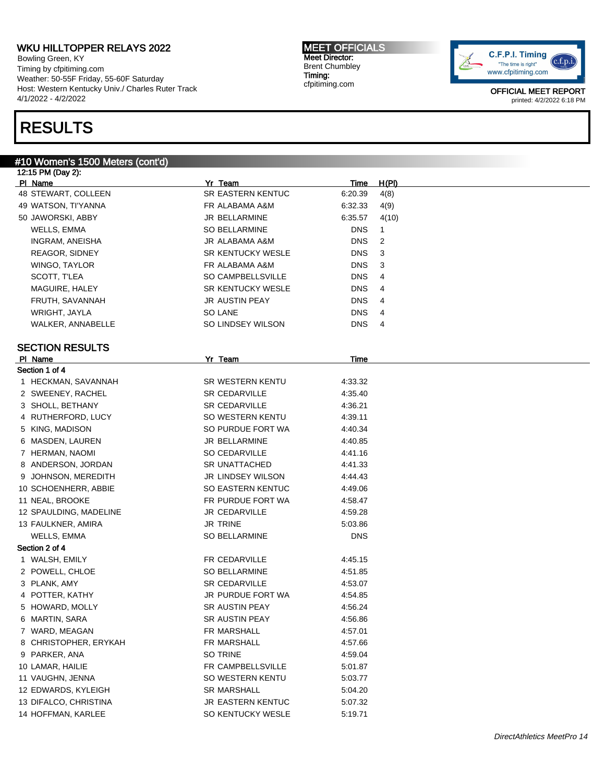Bowling Green, KY Timing by cfpitiming.com Weather: 50-55F Friday, 55-60F Saturday Host: Western Kentucky Univ./ Charles Ruter Track 4/1/2022 - 4/2/2022

## RESULTS

#### #10 Women's 1500 Meters (cont'd)

12:15 PM (Day 2): Pl Name Yr Team Time H(Pl) 48 STEWART, COLLEEN SR EASTERN KENTUC 6:20.39 4(8) 49 WATSON, TI'YANNA FR ALABAMA A&M 6:32.33 4(9) 50 JAWORSKI, ABBY JR BELLARMINE 6:35.57 4(10) WELLS, EMMA SO BELLARMINE DNS 1 INGRAM, ANEISHA JR ALABAMA A&M DNS 2 REAGOR, SIDNEY SR KENTUCKY WESLE DNS 3 WINGO, TAYLOR **EXAMPLE A RESEAULT A CONSTRUSS TO A RESEAULT A RESEAULT A RESEAULT A RESEAULT A RESEAULT A RESEAU** SCOTT, T'LEA SO CAMPBELLSVILLE DNS 4 MAGUIRE, HALEY **SR KENTUCKY WESLE** DNS 4 FRUTH, SAVANNAH DIR AUSTIN PEAY DIR AUSTIN PEAY WRIGHT, JAYLA SO LANE DNS 4 WALKER, ANNABELLE SO LINDSEY WILSON DNS 4 SECTION RESULTS Pl Name Yr Team Time Section 1 of 4 1 HECKMAN, SAVANNAH SR WESTERN KENTU 4:33.32 2 SWEENEY, RACHEL SR CEDARVILLE 4:35.40 3 SHOLL, BETHANY SR CEDARVILLE 4:36.21 4 RUTHERFORD, LUCY SO WESTERN KENTU 4:39.11 5 KING, MADISON SO PURDUE FORT WA 4:40.34 6 MASDEN, LAUREN JR BELLARMINE 4:40.85 7 HERMAN, NAOMI SO CEDARVILLE 4:41.16 8 ANDERSON, JORDAN SR UNATTACHED 4:41.33 9 JOHNSON, MEREDITH JR LINDSEY WILSON 4:44.43 10 SCHOENHERR, ABBIE SO EASTERN KENTUC 4:49.06 11 NEAL, BROOKE **FR PURDUE FORT WA** 4:58.47 12 SPAULDING, MADELINE **JR CEDARVILLE** 4:59.28 13 FAULKNER, AMIRA JR TRINE 5:03.86 WELLS, EMMA SO BELLARMINE DNS Section 2 of 4 1 WALSH, EMILY **FR CEDARVILLE** 4:45.15 2 POWELL, CHLOE SO BELLARMINE 4:51.85 3 PLANK, AMY SR CEDARVILLE 4:53.07 4 POTTER, KATHY JR PURDUE FORT WA 4:54.85 5 HOWARD, MOLLY SR AUSTIN PEAY 4:56.24 6 MARTIN, SARA SR AUSTIN PEAY 4:56.86 7 WARD, MEAGAN **FR MARSHALL** 4:57.01 8 CHRISTOPHER, ERYKAH FR MARSHALL 4:57.66 9 PARKER, ANA SO TRINE 4:59.04 10 LAMAR, HAILIE **FR CAMPBELLSVILLE** 5:01.87 11 VAUGHN, JENNA SO WESTERN KENTU 5:03.77 12 EDWARDS, KYLEIGH SR MARSHALL 5:04.20 13 DIFALCO, CHRISTINA JR EASTERN KENTUC 5:07.32 14 HOFFMAN, KARLEE SO KENTUCKY WESLE 5:19.71

MEET OFFICIALS Meet Director: Brent Chumbley Timing: cfpitiming.com

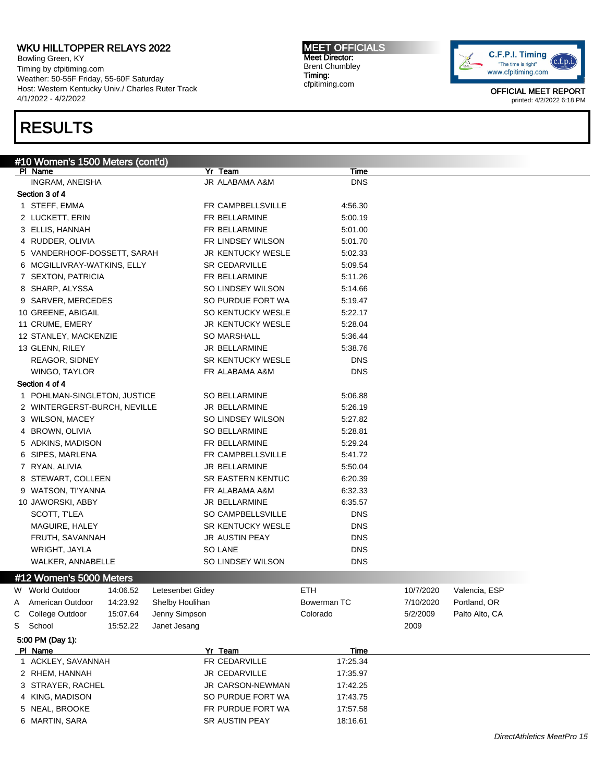Bowling Green, KY Timing by cfpitiming.com Weather: 50-55F Friday, 55-60F Saturday Host: Western Kentucky Univ./ Charles Ruter Track 4/1/2022 - 4/2/2022

# RESULTS

MEET OFFICIALS Meet Director: Brent Chumbley Timing: cfpitiming.com



|   | #10 Women's 1500 Meters (cont'd)  |          |                  |                                        |                           |           |                |  |
|---|-----------------------------------|----------|------------------|----------------------------------------|---------------------------|-----------|----------------|--|
|   | PI Name                           |          |                  | Yr Team<br>JR ALABAMA A&M              | <b>Time</b><br><b>DNS</b> |           |                |  |
|   | INGRAM, ANEISHA<br>Section 3 of 4 |          |                  |                                        |                           |           |                |  |
|   | 1 STEFF, EMMA                     |          |                  | FR CAMPBELLSVILLE                      | 4:56.30                   |           |                |  |
|   | 2 LUCKETT, ERIN                   |          |                  | FR BELLARMINE                          | 5:00.19                   |           |                |  |
|   | 3 ELLIS, HANNAH                   |          |                  | FR BELLARMINE                          | 5:01.00                   |           |                |  |
|   |                                   |          |                  |                                        |                           |           |                |  |
|   | 4 RUDDER, OLIVIA                  |          |                  | FR LINDSEY WILSON<br>JR KENTUCKY WESLE | 5:01.70                   |           |                |  |
|   | 5 VANDERHOOF-DOSSETT, SARAH       |          |                  |                                        | 5:02.33                   |           |                |  |
|   | 6 MCGILLIVRAY-WATKINS, ELLY       |          |                  | SR CEDARVILLE                          | 5:09.54                   |           |                |  |
|   | 7 SEXTON, PATRICIA                |          |                  | FR BELLARMINE                          | 5:11.26                   |           |                |  |
|   | 8 SHARP, ALYSSA                   |          |                  | SO LINDSEY WILSON                      | 5:14.66                   |           |                |  |
|   | 9 SARVER, MERCEDES                |          |                  | SO PURDUE FORT WA                      | 5:19.47                   |           |                |  |
|   | 10 GREENE, ABIGAIL                |          |                  | SO KENTUCKY WESLE                      | 5:22.17                   |           |                |  |
|   | 11 CRUME, EMERY                   |          |                  | JR KENTUCKY WESLE                      | 5:28.04                   |           |                |  |
|   | 12 STANLEY, MACKENZIE             |          |                  | <b>SO MARSHALL</b>                     | 5:36.44                   |           |                |  |
|   | 13 GLENN, RILEY                   |          |                  | JR BELLARMINE                          | 5:38.76                   |           |                |  |
|   | <b>REAGOR, SIDNEY</b>             |          |                  | <b>SR KENTUCKY WESLE</b>               | DNS                       |           |                |  |
|   | WINGO, TAYLOR                     |          |                  | FR ALABAMA A&M                         | <b>DNS</b>                |           |                |  |
|   | Section 4 of 4                    |          |                  |                                        |                           |           |                |  |
|   | 1 POHLMAN-SINGLETON, JUSTICE      |          |                  | <b>SO BELLARMINE</b>                   | 5:06.88                   |           |                |  |
|   | 2 WINTERGERST-BURCH, NEVILLE      |          |                  | JR BELLARMINE                          | 5:26.19                   |           |                |  |
|   | 3 WILSON, MACEY                   |          |                  | SO LINDSEY WILSON                      | 5:27.82                   |           |                |  |
|   | 4 BROWN, OLIVIA                   |          |                  | SO BELLARMINE                          | 5:28.81                   |           |                |  |
|   | 5 ADKINS, MADISON                 |          |                  | FR BELLARMINE                          | 5:29.24                   |           |                |  |
|   | 6 SIPES, MARLENA                  |          |                  | FR CAMPBELLSVILLE                      | 5:41.72                   |           |                |  |
|   | 7 RYAN, ALIVIA                    |          |                  | JR BELLARMINE                          | 5:50.04                   |           |                |  |
|   | 8 STEWART, COLLEEN                |          |                  | <b>SR EASTERN KENTUC</b>               | 6:20.39                   |           |                |  |
|   | 9 WATSON, TI'YANNA                |          |                  | FR ALABAMA A&M                         | 6:32.33                   |           |                |  |
|   | 10 JAWORSKI, ABBY                 |          |                  | JR BELLARMINE                          | 6:35.57                   |           |                |  |
|   | SCOTT, T'LEA                      |          |                  | SO CAMPBELLSVILLE                      | <b>DNS</b>                |           |                |  |
|   | MAGUIRE, HALEY                    |          |                  | <b>SR KENTUCKY WESLE</b>               | <b>DNS</b>                |           |                |  |
|   | FRUTH, SAVANNAH                   |          |                  | JR AUSTIN PEAY                         | <b>DNS</b>                |           |                |  |
|   | WRIGHT, JAYLA                     |          |                  | SO LANE                                | <b>DNS</b>                |           |                |  |
|   | WALKER, ANNABELLE                 |          |                  | SO LINDSEY WILSON                      | <b>DNS</b>                |           |                |  |
|   | #12 Women's 5000 Meters           |          |                  |                                        |                           |           |                |  |
|   | W World Outdoor                   | 14:06.52 | Letesenbet Gidey |                                        | ETH                       | 10/7/2020 | Valencia, ESP  |  |
| Α | American Outdoor                  | 14:23.92 | Shelby Houlihan  |                                        | Bowerman TC               | 7/10/2020 | Portland, OR   |  |
| С | College Outdoor                   | 15:07.64 | Jenny Simpson    |                                        | Colorado                  | 5/2/2009  | Palto Alto, CA |  |
| S | School                            | 15:52.22 | Janet Jesang     |                                        |                           | 2009      |                |  |
|   | 5:00 PM (Day 1):                  |          |                  |                                        |                           |           |                |  |
|   | PI Name                           |          |                  | Yr Team                                | <b>Time</b>               |           |                |  |
|   | 1 ACKLEY, SAVANNAH                |          |                  | FR CEDARVILLE                          | 17:25.34                  |           |                |  |
|   | 2 RHEM, HANNAH                    |          |                  | <b>JR CEDARVILLE</b>                   | 17:35.97                  |           |                |  |
|   | 3 STRAYER, RACHEL                 |          |                  | JR CARSON-NEWMAN                       | 17:42.25                  |           |                |  |
|   | 4 KING, MADISON                   |          |                  | SO PURDUE FORT WA                      | 17:43.75                  |           |                |  |
|   | 5 NEAL, BROOKE                    |          |                  | FR PURDUE FORT WA                      | 17:57.58                  |           |                |  |
|   | 6 MARTIN, SARA                    |          |                  | SR AUSTIN PEAY                         | 18:16.61                  |           |                |  |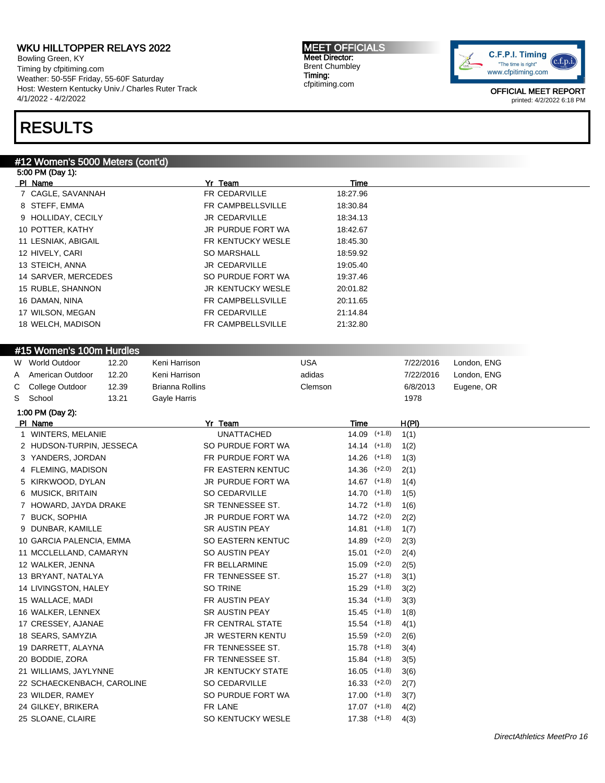Bowling Green, KY Timing by cfpitiming.com Weather: 50-55F Friday, 55-60F Saturday Host: Western Kentucky Univ./ Charles Ruter Track 4/1/2022 - 4/2/2022

#### MEET OFFICIALS Meet Director: Brent Chumbley Timing: cfpitiming.com



OFFICIAL MEET REPORT printed: 4/2/2022 6:18 PM

## RESULTS

### #12 Women's 5000 Meters (cont'd)

|   | 5:00 PM (Day 1):           |       |                        |                       |            |                  |                |           |             |  |
|---|----------------------------|-------|------------------------|-----------------------|------------|------------------|----------------|-----------|-------------|--|
|   | PI Name                    |       |                        | Yr Team               |            | Time             |                |           |             |  |
|   | 7 CAGLE, SAVANNAH          |       |                        | FR CEDARVILLE         |            | 18:27.96         |                |           |             |  |
|   | 8 STEFF, EMMA              |       |                        | FR CAMPBELLSVILLE     |            | 18:30.84         |                |           |             |  |
|   | 9 HOLLIDAY, CECILY         |       |                        | JR CEDARVILLE         |            | 18:34.13         |                |           |             |  |
|   | 10 POTTER, KATHY           |       |                        | JR PURDUE FORT WA     |            | 18:42.67         |                |           |             |  |
|   | 11 LESNIAK, ABIGAIL        |       |                        | FR KENTUCKY WESLE     |            | 18:45.30         |                |           |             |  |
|   | 12 HIVELY, CARI            |       |                        | SO MARSHALL           |            | 18:59.92         |                |           |             |  |
|   | 13 STEICH, ANNA            |       |                        | JR CEDARVILLE         |            | 19:05.40         |                |           |             |  |
|   | 14 SARVER, MERCEDES        |       |                        | SO PURDUE FORT WA     |            | 19:37.46         |                |           |             |  |
|   |                            |       |                        |                       |            |                  |                |           |             |  |
|   | 15 RUBLE, SHANNON          |       |                        | JR KENTUCKY WESLE     |            | 20:01.82         |                |           |             |  |
|   | 16 DAMAN, NINA             |       |                        | FR CAMPBELLSVILLE     |            | 20:11.65         |                |           |             |  |
|   | 17 WILSON, MEGAN           |       |                        | FR CEDARVILLE         |            | 21:14.84         |                |           |             |  |
|   | 18 WELCH, MADISON          |       |                        | FR CAMPBELLSVILLE     |            | 21:32.80         |                |           |             |  |
|   |                            |       |                        |                       |            |                  |                |           |             |  |
|   | #15 Women's 100m Hurdles   |       |                        |                       |            |                  |                |           |             |  |
|   | W World Outdoor            | 12.20 | Keni Harrison          |                       | <b>USA</b> |                  |                | 7/22/2016 | London, ENG |  |
| A | American Outdoor           | 12.20 | Keni Harrison          |                       | adidas     |                  |                | 7/22/2016 | London, ENG |  |
| С | College Outdoor            | 12.39 | <b>Brianna Rollins</b> |                       | Clemson    |                  |                | 6/8/2013  | Eugene, OR  |  |
| S | School                     | 13.21 | Gayle Harris           |                       |            |                  |                | 1978      |             |  |
|   | 1:00 PM (Day 2):           |       |                        |                       |            |                  |                |           |             |  |
|   | PI Name                    |       |                        | Yr Team               |            | Time             |                | H(PI)     |             |  |
|   | 1 WINTERS, MELANIE         |       |                        | <b>UNATTACHED</b>     |            | $14.09$ (+1.8)   |                | 1(1)      |             |  |
|   | 2 HUDSON-TURPIN, JESSECA   |       |                        | SO PURDUE FORT WA     |            | $14.14$ $(+1.8)$ |                | 1(2)      |             |  |
|   | 3 YANDERS, JORDAN          |       |                        | FR PURDUE FORT WA     |            | $14.26$ (+1.8)   |                | 1(3)      |             |  |
|   | 4 FLEMING, MADISON         |       |                        | FR EASTERN KENTUC     |            | $14.36$ $(+2.0)$ |                | 2(1)      |             |  |
|   | 5 KIRKWOOD, DYLAN          |       |                        | JR PURDUE FORT WA     |            | $14.67$ (+1.8)   |                | 1(4)      |             |  |
|   | 6 MUSICK, BRITAIN          |       |                        | <b>SO CEDARVILLE</b>  |            | $14.70$ (+1.8)   |                | 1(5)      |             |  |
|   | 7 HOWARD, JAYDA DRAKE      |       |                        | SR TENNESSEE ST.      |            | $14.72$ (+1.8)   |                | 1(6)      |             |  |
|   | 7 BUCK, SOPHIA             |       |                        | JR PURDUE FORT WA     |            | 14.72 (+2.0)     |                | 2(2)      |             |  |
|   | 9 DUNBAR, KAMILLE          |       |                        | <b>SR AUSTIN PEAY</b> |            | $14.81$ (+1.8)   |                | 1(7)      |             |  |
|   | 10 GARCIA PALENCIA, EMMA   |       |                        | SO EASTERN KENTUC     |            | $14.89$ $(+2.0)$ |                | 2(3)      |             |  |
|   | 11 MCCLELLAND, CAMARYN     |       |                        | SO AUSTIN PEAY        |            | $15.01$ $(+2.0)$ |                | 2(4)      |             |  |
|   | 12 WALKER, JENNA           |       |                        | FR BELLARMINE         |            | $15.09$ $(+2.0)$ |                | 2(5)      |             |  |
|   | 13 BRYANT, NATALYA         |       |                        | FR TENNESSEE ST.      |            | $15.27$ (+1.8)   |                | 3(1)      |             |  |
|   | 14 LIVINGSTON, HALEY       |       |                        | SO TRINE              |            | $15.29$ $(+1.8)$ |                | 3(2)      |             |  |
|   | 15 WALLACE, MADI           |       |                        | FR AUSTIN PEAY        |            | $15.34$ $(+1.8)$ |                | 3(3)      |             |  |
|   | 16 WALKER, LENNEX          |       |                        | SR AUSTIN PEAY        |            |                  | $15.45$ (+1.8) | 1(8)      |             |  |
|   | 17 CRESSEY, AJANAE         |       |                        | FR CENTRAL STATE      |            | $15.54$ (+1.8)   |                | 4(1)      |             |  |
|   | 18 SEARS, SAMYZIA          |       |                        | JR WESTERN KENTU      |            | $15.59$ $(+2.0)$ |                | 2(6)      |             |  |
|   |                            |       |                        | FR TENNESSEE ST.      |            |                  |                |           |             |  |
|   | 19 DARRETT, ALAYNA         |       |                        |                       |            | $15.78$ (+1.8)   |                | 3(4)      |             |  |
|   | 20 BODDIE, ZORA            |       |                        | FR TENNESSEE ST.      |            | $15.84$ (+1.8)   |                | 3(5)      |             |  |
|   | 21 WILLIAMS, JAYLYNNE      |       |                        | JR KENTUCKY STATE     |            | $16.05$ (+1.8)   |                | 3(6)      |             |  |
|   | 22 SCHAECKENBACH, CAROLINE |       |                        | SO CEDARVILLE         |            | $16.33$ $(+2.0)$ |                | 2(7)      |             |  |
|   | 23 WILDER, RAMEY           |       |                        | SO PURDUE FORT WA     |            | $17.00$ $(+1.8)$ |                | 3(7)      |             |  |
|   | 24 GILKEY, BRIKERA         |       |                        | FR LANE               |            | $17.07$ $(+1.8)$ |                | 4(2)      |             |  |
|   | 25 SLOANE, CLAIRE          |       |                        | SO KENTUCKY WESLE     |            | 17.38 (+1.8)     |                | 4(3)      |             |  |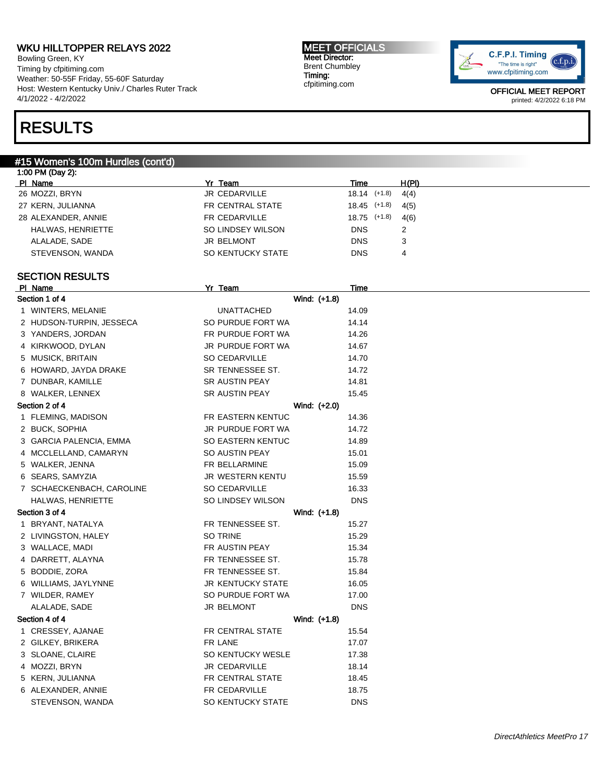Bowling Green, KY Timing by cfpitiming.com Weather: 50-55F Friday, 55-60F Saturday Host: Western Kentucky Univ./ Charles Ruter Track 4/1/2022 - 4/2/2022

#### MEET OFFICIALS Meet Director: Brent Chumbley Timing: cfpitiming.com



OFFICIAL MEET REPORT printed: 4/2/2022 6:18 PM

## RESULTS

### #15 Women's 100m Hurdles (cont'd)

| 1:00 PM (Day 2):    |                   |                  |       |
|---------------------|-------------------|------------------|-------|
| PI Name             | Yr Team           | Time             | H(PI) |
| 26 MOZZI, BRYN      | JR CEDARVILLE     | $18.14$ $(+1.8)$ | 4(4)  |
| 27 KERN, JULIANNA   | FR CENTRAL STATE  | $18.45$ (+1.8)   | 4(5)  |
| 28 ALEXANDER, ANNIE | FR CEDARVILLE     | 18.75 (+1.8)     | 4(6)  |
| HALWAS, HENRIETTE   | SO LINDSEY WILSON | <b>DNS</b>       | 2     |
| ALALADE, SADE       | <b>JR BELMONT</b> | <b>DNS</b>       | 3     |
| STEVENSON, WANDA    | SO KENTUCKY STATE | <b>DNS</b>       | 4     |
|                     |                   |                  |       |

#### SECTION RESULTS

| PI Name                   | Yr Team                  | <b>Time</b> |  |
|---------------------------|--------------------------|-------------|--|
| Section 1 of 4            | Wind: (+1.8)             |             |  |
| 1 WINTERS, MELANIE        | <b>UNATTACHED</b>        | 14.09       |  |
| 2 HUDSON-TURPIN, JESSECA  | SO PURDUE FORT WA        | 14.14       |  |
| 3 YANDERS, JORDAN         | FR PURDUE FORT WA        | 14.26       |  |
| 4 KIRKWOOD, DYLAN         | JR PURDUE FORT WA        | 14.67       |  |
| 5 MUSICK, BRITAIN         | <b>SO CEDARVILLE</b>     | 14.70       |  |
| 6 HOWARD, JAYDA DRAKE     | SR TENNESSEE ST.         | 14.72       |  |
| 7 DUNBAR, KAMILLE         | SR AUSTIN PEAY           | 14.81       |  |
| 8 WALKER, LENNEX          | SR AUSTIN PEAY           | 15.45       |  |
| Section 2 of 4            | Wind: (+2.0)             |             |  |
| 1 FLEMING, MADISON        | FR EASTERN KENTUC        | 14.36       |  |
| 2 BUCK, SOPHIA            | JR PURDUE FORT WA        | 14.72       |  |
| 3 GARCIA PALENCIA, EMMA   | SO EASTERN KENTUC        | 14.89       |  |
| 4 MCCLELLAND, CAMARYN     | SO AUSTIN PEAY           | 15.01       |  |
| 5 WALKER, JENNA           | FR BELLARMINE            | 15.09       |  |
| 6 SEARS, SAMYZIA          | JR WESTERN KENTU         | 15.59       |  |
| 7 SCHAECKENBACH, CAROLINE | SO CEDARVILLE            | 16.33       |  |
| HALWAS, HENRIETTE         | SO LINDSEY WILSON        | <b>DNS</b>  |  |
| Section 3 of 4            | Wind: (+1.8)             |             |  |
| 1 BRYANT, NATALYA         | FR TENNESSEE ST.         | 15.27       |  |
| 2 LIVINGSTON, HALEY       | SO TRINE                 | 15.29       |  |
| 3 WALLACE, MADI           | FR AUSTIN PEAY           | 15.34       |  |
| 4 DARRETT, ALAYNA         | FR TENNESSEE ST.         | 15.78       |  |
| 5 BODDIE, ZORA            | FR TENNESSEE ST.         | 15.84       |  |
| 6 WILLIAMS, JAYLYNNE      | <b>JR KENTUCKY STATE</b> | 16.05       |  |
| 7 WILDER, RAMEY           | SO PURDUE FORT WA        | 17.00       |  |
| ALALADE, SADE             | <b>JR BELMONT</b>        | <b>DNS</b>  |  |
| Section 4 of 4            | Wind: (+1.8)             |             |  |
| 1 CRESSEY, AJANAE         | FR CENTRAL STATE         | 15.54       |  |
| 2 GILKEY, BRIKERA         | FR LANE                  | 17.07       |  |
| 3 SLOANE, CLAIRE          | SO KENTUCKY WESLE        | 17.38       |  |
| 4 MOZZI, BRYN             | JR CEDARVILLE            | 18.14       |  |
| 5 KERN, JULIANNA          | FR CENTRAL STATE         | 18.45       |  |
| 6 ALEXANDER, ANNIE        | FR CEDARVILLE            | 18.75       |  |
| STEVENSON, WANDA          | SO KENTUCKY STATE        | <b>DNS</b>  |  |
|                           |                          |             |  |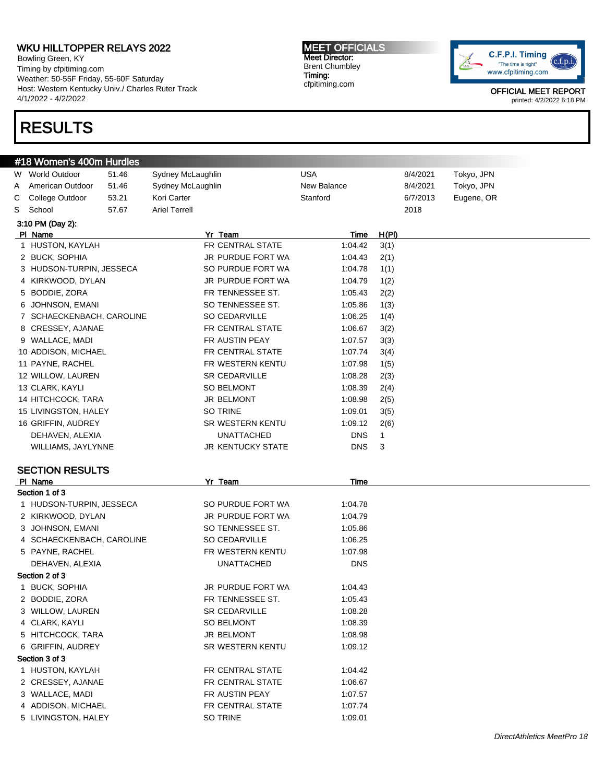Bowling Green, KY Timing by cfpitiming.com Weather: 50-55F Friday, 55-60F Saturday Host: Western Kentucky Univ./ Charles Ruter Track 4/1/2022 - 4/2/2022

# RESULTS

#### MEET OFFICIALS Meet Director: Brent Chumbley Timing: cfpitiming.com



|   | #18 Women's 400m Hurdles          |       |                          |             |       |          |            |
|---|-----------------------------------|-------|--------------------------|-------------|-------|----------|------------|
| W | <b>World Outdoor</b>              | 51.46 | Sydney McLaughlin        | <b>USA</b>  |       | 8/4/2021 | Tokyo, JPN |
| Α | American Outdoor                  | 51.46 | Sydney McLaughlin        | New Balance |       | 8/4/2021 | Tokyo, JPN |
| С | College Outdoor                   | 53.21 | Kori Carter              | Stanford    |       | 6/7/2013 | Eugene, OR |
| S | School                            | 57.67 | <b>Ariel Terrell</b>     |             |       | 2018     |            |
|   | 3:10 PM (Day 2):                  |       |                          |             |       |          |            |
|   | PI Name                           |       | Yr Team                  | Time        | H(PI) |          |            |
|   | 1 HUSTON, KAYLAH                  |       | FR CENTRAL STATE         | 1:04.42     | 3(1)  |          |            |
|   | 2 BUCK, SOPHIA                    |       | JR PURDUE FORT WA        | 1:04.43     | 2(1)  |          |            |
|   | 3 HUDSON-TURPIN, JESSECA          |       | SO PURDUE FORT WA        | 1:04.78     | 1(1)  |          |            |
|   | 4 KIRKWOOD, DYLAN                 |       | JR PURDUE FORT WA        | 1:04.79     | 1(2)  |          |            |
|   | 5 BODDIE, ZORA                    |       | FR TENNESSEE ST.         | 1:05.43     | 2(2)  |          |            |
| 6 | JOHNSON, EMANI                    |       | SO TENNESSEE ST.         | 1:05.86     | 1(3)  |          |            |
|   | 7 SCHAECKENBACH, CAROLINE         |       | SO CEDARVILLE            | 1:06.25     | 1(4)  |          |            |
|   | 8 CRESSEY, AJANAE                 |       | FR CENTRAL STATE         | 1:06.67     | 3(2)  |          |            |
|   | 9 WALLACE, MADI                   |       | FR AUSTIN PEAY           | 1:07.57     | 3(3)  |          |            |
|   | 10 ADDISON, MICHAEL               |       | FR CENTRAL STATE         | 1:07.74     | 3(4)  |          |            |
|   | 11 PAYNE, RACHEL                  |       | FR WESTERN KENTU         | 1:07.98     | 1(5)  |          |            |
|   | 12 WILLOW, LAUREN                 |       | SR CEDARVILLE            | 1:08.28     | 2(3)  |          |            |
|   | 13 CLARK, KAYLI                   |       | <b>SO BELMONT</b>        | 1:08.39     | 2(4)  |          |            |
|   | 14 HITCHCOCK, TARA                |       | <b>JR BELMONT</b>        | 1:08.98     | 2(5)  |          |            |
|   | 15 LIVINGSTON, HALEY              |       | SO TRINE                 | 1:09.01     | 3(5)  |          |            |
|   | 16 GRIFFIN, AUDREY                |       | SR WESTERN KENTU         | 1:09.12     | 2(6)  |          |            |
|   | DEHAVEN, ALEXIA                   |       | <b>UNATTACHED</b>        | <b>DNS</b>  | 1     |          |            |
|   | WILLIAMS, JAYLYNNE                |       | <b>JR KENTUCKY STATE</b> | <b>DNS</b>  | 3     |          |            |
|   |                                   |       |                          |             |       |          |            |
|   | <b>SECTION RESULTS</b><br>PI Name |       | Yr Team                  | Time        |       |          |            |
|   | Section 1 of 3                    |       |                          |             |       |          |            |
|   | 1 HUDSON-TURPIN, JESSECA          |       | SO PURDUE FORT WA        | 1:04.78     |       |          |            |
|   | 2 KIRKWOOD, DYLAN                 |       | JR PURDUE FORT WA        | 1:04.79     |       |          |            |
|   | 3 JOHNSON, EMANI                  |       | SO TENNESSEE ST.         | 1:05.86     |       |          |            |
|   | 4 SCHAECKENBACH, CAROLINE         |       | SO CEDARVILLE            | 1:06.25     |       |          |            |
|   | 5 PAYNE, RACHEL                   |       | FR WESTERN KENTU         | 1:07.98     |       |          |            |
|   | DEHAVEN, ALEXIA                   |       | UNATTACHED               | <b>DNS</b>  |       |          |            |
|   | Section 2 of 3                    |       |                          |             |       |          |            |
|   | 1 BUCK, SOPHIA                    |       | JR PURDUE FORT WA        | 1:04.43     |       |          |            |
|   | 2 BODDIE, ZORA                    |       | FR TENNESSEE ST.         | 1:05.43     |       |          |            |
|   | 3 WILLOW, LAUREN                  |       | <b>SR CEDARVILLE</b>     | 1:08.28     |       |          |            |
|   | 4 CLARK, KAYLI                    |       | SO BELMONT               | 1:08.39     |       |          |            |
|   | 5 HITCHCOCK, TARA                 |       | JR BELMONT               | 1:08.98     |       |          |            |
|   | 6 GRIFFIN, AUDREY                 |       | SR WESTERN KENTU         | 1:09.12     |       |          |            |
|   | Section 3 of 3                    |       |                          |             |       |          |            |
|   | 1 HUSTON, KAYLAH                  |       | FR CENTRAL STATE         | 1:04.42     |       |          |            |
|   | 2 CRESSEY, AJANAE                 |       | FR CENTRAL STATE         | 1:06.67     |       |          |            |
|   | 3 WALLACE, MADI                   |       | FR AUSTIN PEAY           | 1:07.57     |       |          |            |
|   | 4 ADDISON, MICHAEL                |       | FR CENTRAL STATE         | 1:07.74     |       |          |            |
|   | 5 LIVINGSTON, HALEY               |       | SO TRINE                 | 1:09.01     |       |          |            |
|   |                                   |       |                          |             |       |          |            |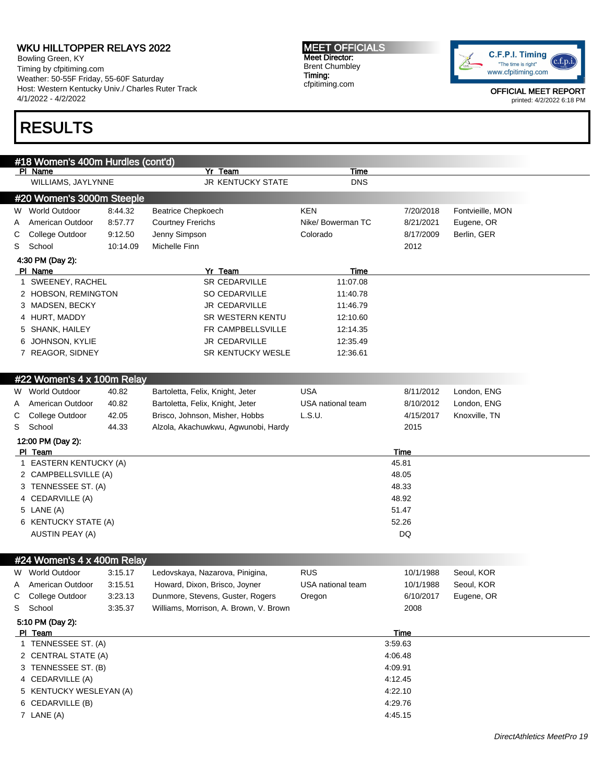Bowling Green, KY Timing by cfpitiming.com Weather: 50-55F Friday, 55-60F Saturday Host: Western Kentucky Univ./ Charles Ruter Track 4/1/2022 - 4/2/2022

# RESULTS

MEET OFFICIALS Meet Director: Brent Chumbley Timing: cfpitiming.com



|    | #18 Women's 400m Hurdles (cont'd) |          |                                        |                   |             |                  |
|----|-----------------------------------|----------|----------------------------------------|-------------------|-------------|------------------|
|    | PI Name                           |          | Yr Team                                | Time              |             |                  |
|    | WILLIAMS, JAYLYNNE                |          | <b>JR KENTUCKY STATE</b>               | <b>DNS</b>        |             |                  |
|    | #20 Women's 3000m Steeple         |          |                                        |                   |             |                  |
|    | W World Outdoor                   | 8:44.32  | <b>Beatrice Chepkoech</b>              | KEN               | 7/20/2018   | Fontvieille, MON |
| A  | American Outdoor                  | 8:57.77  | <b>Courtney Frerichs</b>               | Nike/ Bowerman TC | 8/21/2021   | Eugene, OR       |
| С  | College Outdoor                   | 9:12.50  | Jenny Simpson                          | Colorado          | 8/17/2009   | Berlin, GER      |
| S  | School                            | 10:14.09 | Michelle Finn                          |                   | 2012        |                  |
|    | 4:30 PM (Day 2):                  |          |                                        |                   |             |                  |
|    | PI Name                           |          | Yr Team                                | <b>Time</b>       |             |                  |
|    | 1 SWEENEY, RACHEL                 |          | SR CEDARVILLE                          | 11:07.08          |             |                  |
|    | 2 HOBSON, REMINGTON               |          | SO CEDARVILLE                          | 11:40.78          |             |                  |
|    | 3 MADSEN, BECKY                   |          | JR CEDARVILLE                          | 11:46.79          |             |                  |
|    | 4 HURT, MADDY                     |          | SR WESTERN KENTU                       | 12:10.60          |             |                  |
|    | 5 SHANK, HAILEY                   |          | FR CAMPBELLSVILLE                      | 12:14.35          |             |                  |
| 6. | JOHNSON, KYLIE                    |          | <b>JR CEDARVILLE</b>                   | 12:35.49          |             |                  |
|    | 7 REAGOR, SIDNEY                  |          | SR KENTUCKY WESLE                      | 12:36.61          |             |                  |
|    |                                   |          |                                        |                   |             |                  |
|    | #22 Women's 4 x 100m Relay        |          |                                        |                   |             |                  |
| W  | <b>World Outdoor</b>              | 40.82    | Bartoletta, Felix, Knight, Jeter       | <b>USA</b>        | 8/11/2012   | London, ENG      |
| A  | American Outdoor                  | 40.82    | Bartoletta, Felix, Knight, Jeter       | USA national team | 8/10/2012   | London, ENG      |
| C  | College Outdoor                   | 42.05    | Brisco, Johnson, Misher, Hobbs         | L.S.U.            | 4/15/2017   | Knoxville, TN    |
| S  | School                            | 44.33    | Alzola, Akachuwkwu, Agwunobi, Hardy    |                   | 2015        |                  |
|    | 12:00 PM (Day 2):<br>PI Team      |          |                                        |                   | Time        |                  |
|    | 1 EASTERN KENTUCKY (A)            |          |                                        |                   | 45.81       |                  |
|    | 2 CAMPBELLSVILLE (A)              |          |                                        |                   | 48.05       |                  |
|    | 3 TENNESSEE ST. (A)               |          |                                        |                   | 48.33       |                  |
|    | 4 CEDARVILLE (A)                  |          |                                        |                   | 48.92       |                  |
|    | 5 LANE (A)                        |          |                                        |                   | 51.47       |                  |
|    | 6 KENTUCKY STATE (A)              |          |                                        |                   | 52.26       |                  |
|    | AUSTIN PEAY (A)                   |          |                                        |                   | <b>DQ</b>   |                  |
|    |                                   |          |                                        |                   |             |                  |
|    | #24 Women's 4 x 400m Relay        |          |                                        |                   |             |                  |
|    | W World Outdoor                   | 3:15.17  | Ledovskaya, Nazarova, Pinigina,        | <b>RUS</b>        | 10/1/1988   | Seoul, KOR       |
| A  | American Outdoor                  | 3:15.51  | Howard, Dixon, Brisco, Joyner          | USA national team | 10/1/1988   | Seoul, KOR       |
| С  | College Outdoor                   | 3:23.13  | Dunmore, Stevens, Guster, Rogers       | Oregon            | 6/10/2017   | Eugene, OR       |
| S  | School                            | 3:35.37  | Williams, Morrison, A. Brown, V. Brown |                   | 2008        |                  |
|    | 5:10 PM (Day 2):                  |          |                                        |                   |             |                  |
|    | PI Team                           |          |                                        |                   | <b>Time</b> |                  |
|    | 1 TENNESSEE ST. (A)               |          |                                        |                   | 3:59.63     |                  |
|    | 2 CENTRAL STATE (A)               |          |                                        |                   | 4:06.48     |                  |
|    | 3 TENNESSEE ST. (B)               |          |                                        |                   | 4:09.91     |                  |
|    | 4 CEDARVILLE (A)                  |          |                                        |                   | 4:12.45     |                  |
|    | 5 KENTUCKY WESLEYAN (A)           |          |                                        |                   | 4:22.10     |                  |
|    | 6 CEDARVILLE (B)                  |          |                                        |                   | 4:29.76     |                  |
|    | 7 LANE (A)                        |          |                                        |                   | 4:45.15     |                  |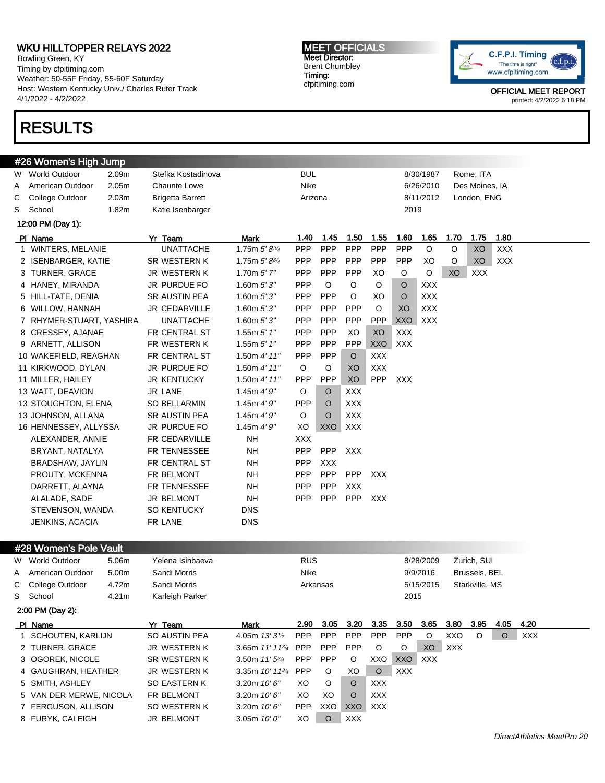Bowling Green, KY Timing by cfpitiming.com Weather: 50-55F Friday, 55-60F Saturday Host: Western Kentucky Univ./ Charles Ruter Track 4/1/2022 - 4/2/2022

# RESULTS

#### MEET OFFICIALS Meet Director: Brent Chumbley Timing: cfpitiming.com



|    | #26 Women's High Jump                   |       |                         |                                         |            |            |            |            |            |            |      |                |              |
|----|-----------------------------------------|-------|-------------------------|-----------------------------------------|------------|------------|------------|------------|------------|------------|------|----------------|--------------|
| W. | <b>World Outdoor</b>                    | 2.09m | Stefka Kostadinova      |                                         | BUL        |            |            |            |            | 8/30/1987  |      | Rome, ITA      |              |
| Α  | American Outdoor                        | 2.05m | <b>Chaunte Lowe</b>     |                                         | Nike       |            |            |            |            | 6/26/2010  |      | Des Moines, IA |              |
| С  | College Outdoor                         | 2.03m | <b>Brigetta Barrett</b> |                                         | Arizona    |            |            |            |            | 8/11/2012  |      | London, ENG    |              |
| S  | School                                  | 1.82m | Katie Isenbarger        |                                         |            |            |            |            | 2019       |            |      |                |              |
|    | 12:00 PM (Day 1):                       |       |                         |                                         |            |            |            |            |            |            |      |                |              |
|    | PI Name                                 |       | Yr Team                 | Mark                                    | 1.40       | 1.45       | 1.50       | 1.55       | 1.60       | 1.65       | 1.70 | 1.75           | 1.80         |
|    | 1 WINTERS, MELANIE                      |       | <b>UNATTACHE</b>        | 1.75m $5' 8^{3/4}$                      | <b>PPP</b> | <b>PPP</b> | PPP        | <b>PPP</b> | PPP        | O          | O    | XO             | <b>XXX</b>   |
|    | 2 ISENBARGER, KATIE                     |       | SR WESTERN K            | 1.75m $5'8^{3/4}$                       | <b>PPP</b> | <b>PPP</b> | <b>PPP</b> | <b>PPP</b> | <b>PPP</b> | XO         | O    | XO             | XXX          |
|    | 3 TURNER, GRACE                         |       | JR WESTERN K            | 1.70 $m$ 5' 7"                          | <b>PPP</b> | <b>PPP</b> | <b>PPP</b> | XO         | O          | O          | XO   | <b>XXX</b>     |              |
|    | 4 HANEY, MIRANDA                        |       | JR PURDUE FO            | 1.60 $m 5'3''$                          | <b>PPP</b> | O          | O          | O          | $\circ$    | <b>XXX</b> |      |                |              |
|    | 5 HILL-TATE, DENIA                      |       | SR AUSTIN PEA           | 1.60 $m 5'3''$                          | PPP        | PPP        | O          | XO         | $\circ$    | <b>XXX</b> |      |                |              |
|    | 6 WILLOW, HANNAH                        |       | JR CEDARVILLE           | 1.60 $m 5'3''$                          | <b>PPP</b> | <b>PPP</b> | PPP        | O          | XO         | <b>XXX</b> |      |                |              |
|    | 7 RHYMER-STUART, YASHIRA                |       | <b>UNATTACHE</b>        | 1.60m $5'3''$                           | <b>PPP</b> | <b>PPP</b> | <b>PPP</b> | PPP        | XXO        | <b>XXX</b> |      |                |              |
|    | 8 CRESSEY, AJANAE                       |       | FR CENTRAL ST           | 1.55m $5'$ 1"                           | <b>PPP</b> | PPP        | XO         | XO         | <b>XXX</b> |            |      |                |              |
|    | 9 ARNETT, ALLISON                       |       | FR WESTERN K            | 1.55m $5'$ 1"                           | <b>PPP</b> | <b>PPP</b> | PPP        | XXO        | XXX        |            |      |                |              |
|    | 10 WAKEFIELD, REAGHAN                   |       | FR CENTRAL ST           | 1.50m 4' 11''                           | <b>PPP</b> | <b>PPP</b> | $\circ$    | <b>XXX</b> |            |            |      |                |              |
|    | 11 KIRKWOOD, DYLAN                      |       | JR PURDUE FO            | 1.50m 4' 11''                           | $\circ$    | O          | XO         | <b>XXX</b> |            |            |      |                |              |
|    | 11 MILLER, HAILEY                       |       | <b>JR KENTUCKY</b>      | 1.50m 4' 11''                           | <b>PPP</b> | PPP        | XO         | <b>PPP</b> | <b>XXX</b> |            |      |                |              |
|    | 13 WATT, DEAVION                        |       | JR LANE                 | 1.45m $4'9''$                           | O          | O          | <b>XXX</b> |            |            |            |      |                |              |
|    | 13 STOUGHTON, ELENA                     |       | <b>SO BELLARMIN</b>     | 1.45m $4'9''$                           | <b>PPP</b> | O          | <b>XXX</b> |            |            |            |      |                |              |
|    | 13 JOHNSON, ALLANA                      |       | SR AUSTIN PEA           | 1.45m $4'9''$                           | O          | O          | <b>XXX</b> |            |            |            |      |                |              |
|    | 16 HENNESSEY, ALLYSSA                   |       | JR PURDUE FO            | 1.45m $4'9''$                           | XO         | XXO        | XXX        |            |            |            |      |                |              |
|    | ALEXANDER, ANNIE                        |       | FR CEDARVILLE           | <b>NH</b>                               | <b>XXX</b> |            |            |            |            |            |      |                |              |
|    | BRYANT, NATALYA                         |       | FR TENNESSEE            | <b>NH</b>                               | <b>PPP</b> | PPP        | XXX        |            |            |            |      |                |              |
|    | BRADSHAW, JAYLIN                        |       | FR CENTRAL ST           | ΝH                                      | <b>PPP</b> | <b>XXX</b> |            |            |            |            |      |                |              |
|    | PROUTY, MCKENNA                         |       | FR BELMONT              | ΝH                                      | PPP        | <b>PPP</b> | <b>PPP</b> | XXX        |            |            |      |                |              |
|    | DARRETT, ALAYNA                         |       | FR TENNESSEE            | ΝH                                      | <b>PPP</b> | <b>PPP</b> | <b>XXX</b> |            |            |            |      |                |              |
|    | ALALADE, SADE                           |       | JR BELMONT              | ΝH                                      | PPP        | <b>PPP</b> | PPP        | XXX        |            |            |      |                |              |
|    | STEVENSON, WANDA                        |       | SO KENTUCKY             | <b>DNS</b>                              |            |            |            |            |            |            |      |                |              |
|    | <b>JENKINS, ACACIA</b>                  |       | FR LANE                 | <b>DNS</b>                              |            |            |            |            |            |            |      |                |              |
|    |                                         |       |                         |                                         |            |            |            |            |            |            |      |                |              |
|    |                                         |       |                         |                                         |            |            |            |            |            |            |      |                |              |
|    | #28 Women's Pole Vault                  |       |                         |                                         |            |            |            |            |            |            |      |                |              |
|    | W World Outdoor                         | 5.06m | Yelena Isinbaeva        |                                         | <b>RUS</b> |            |            |            |            | 8/28/2009  |      | Zurich, SUI    |              |
| A  | American Outdoor                        | 5.00m | Sandi Morris            |                                         | Nike       |            |            |            |            | 9/9/2016   |      | Brussels, BEL  |              |
| С  | College Outdoor                         | 4.72m | Sandi Morris            |                                         |            | Arkansas   |            |            |            | 5/15/2015  |      | Starkville, MS |              |
| S  | School                                  | 4.21m | Karleigh Parker         |                                         |            |            |            |            | 2015       |            |      |                |              |
|    | 2:00 PM (Day 2):                        |       |                         |                                         |            |            |            |            |            |            |      |                |              |
|    | PI Name                                 |       | Yr Team                 | <b>Mark</b>                             | 2.90       | 3.05       | 3.20       | 3.35       | 3.50       | 3.65       | 3.80 | 3.95           | 4.05<br>4.20 |
|    | 1 SCHOUTEN, KARLIJN                     |       | SO AUSTIN PEA           | 4.05m 13' 3 <sup>1</sup> / <sub>2</sub> | <b>PPP</b> | PPP        | PPP        | <b>PPP</b> | PPP        | $\circ$    | XXO  | O              | XXX<br>O     |
|    | 2 TURNER, GRACE                         |       | JR WESTERN K            | 3.65m 11' 11 <sup>3/4</sup>             | <b>PPP</b> | <b>PPP</b> | <b>PPP</b> | O          | O          | XO         | XXX  |                |              |
|    | 3 OGOREK, NICOLE                        |       | SR WESTERN K            | 3.50m $11'5^{3/4}$                      | <b>PPP</b> | <b>PPP</b> | O          | XXO        | XXO        | <b>XXX</b> |      |                |              |
| 4  | GAUGHRAN, HEATHER                       |       | JR WESTERN K            | 3.35m $10'$ 11 $\frac{3}{4}$            | <b>PPP</b> | $\circ$    | XO         | $\circ$    | <b>XXX</b> |            |      |                |              |
| 5  | SMITH, ASHLEY                           |       | <b>SO EASTERN K</b>     | 3.20m 10'6"                             | XO         | O          | $\circ$    | XXX        |            |            |      |                |              |
|    | 5 VAN DER MERWE, NICOLA                 |       | FR BELMONT              | 3.20m 10'6"                             | XO         | XO         | $\circ$    | XXX        |            |            |      |                |              |
|    | 7 FERGUSON, ALLISON<br>8 FURYK, CALEIGH |       | SO WESTERN K            | 3.20m 10'6"<br>3.05m $10'0''$           | <b>PPP</b> | XXO        | XXO        | XXX        |            |            |      |                |              |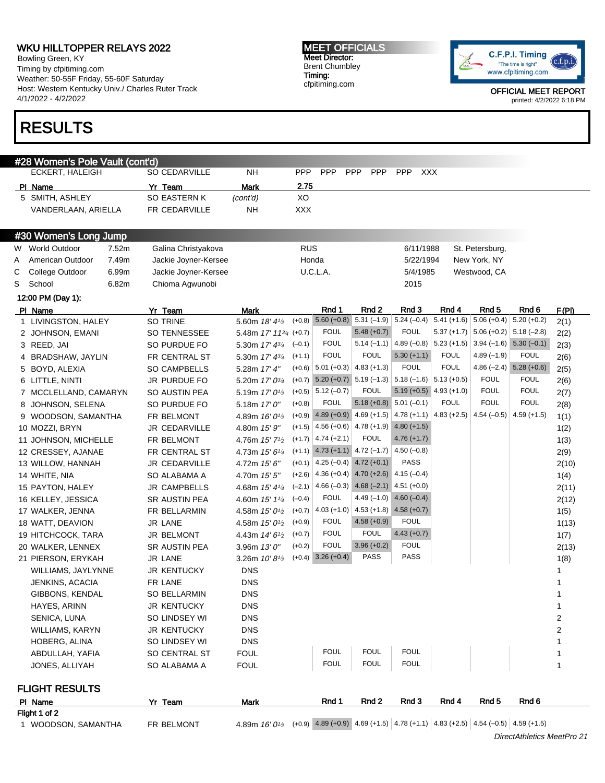Bowling Green, KY Timing by cfpitiming.com Weather: 50-55F Friday, 55-60F Saturday Host: Western Kentucky Univ./ Charles Ruter Track 4/1/2022 - 4/2/2022

## RESULTS

#### MEET OFFICIALS Meet Director: Brent Chumbley Timing: cfpitiming.com



OFFICIAL MEET REPORT printed: 4/2/2022 6:18 PM

| ECKERT, HALEIGH<br>SO CEDARVILLE<br><b>PPP</b><br><b>PPP</b><br>NΗ<br><b>PPP</b><br><b>PPP</b><br><b>PPP</b><br>XXX<br>2.75<br>Yr_Team<br>PI Name<br>Mark<br>5 SMITH, ASHLEY<br><b>SO EASTERN K</b><br>XO<br>(cont'd)<br>FR CEDARVILLE<br>NΗ<br><b>XXX</b><br>VANDERLAAN, ARIELLA<br>#30 Women's Long Jump<br>World Outdoor<br><b>RUS</b><br>6/11/1988<br>St. Petersburg,<br>7.52m<br>Galina Christyakova<br>W<br>American Outdoor<br>7.49m<br>Jackie Joyner-Kersee<br>Honda<br>New York, NY<br>5/22/1994<br>A<br>College Outdoor<br>6.99m<br>Jackie Joyner-Kersee<br>U.C.L.A.<br>Westwood, CA<br>С<br>5/4/1985<br>School<br>6.82m<br>Chioma Agwunobi<br>2015<br>S |               |
|--------------------------------------------------------------------------------------------------------------------------------------------------------------------------------------------------------------------------------------------------------------------------------------------------------------------------------------------------------------------------------------------------------------------------------------------------------------------------------------------------------------------------------------------------------------------------------------------------------------------------------------------------------------------|---------------|
|                                                                                                                                                                                                                                                                                                                                                                                                                                                                                                                                                                                                                                                                    |               |
|                                                                                                                                                                                                                                                                                                                                                                                                                                                                                                                                                                                                                                                                    |               |
|                                                                                                                                                                                                                                                                                                                                                                                                                                                                                                                                                                                                                                                                    |               |
|                                                                                                                                                                                                                                                                                                                                                                                                                                                                                                                                                                                                                                                                    |               |
|                                                                                                                                                                                                                                                                                                                                                                                                                                                                                                                                                                                                                                                                    |               |
|                                                                                                                                                                                                                                                                                                                                                                                                                                                                                                                                                                                                                                                                    |               |
|                                                                                                                                                                                                                                                                                                                                                                                                                                                                                                                                                                                                                                                                    |               |
|                                                                                                                                                                                                                                                                                                                                                                                                                                                                                                                                                                                                                                                                    |               |
|                                                                                                                                                                                                                                                                                                                                                                                                                                                                                                                                                                                                                                                                    |               |
| 12:00 PM (Day 1):                                                                                                                                                                                                                                                                                                                                                                                                                                                                                                                                                                                                                                                  |               |
| Rnd 1<br>Rnd 2<br>Rnd 3<br>Rnd 4<br>Rnd 5<br>Rnd 6<br>PI Name<br>Yr Team<br>Mark                                                                                                                                                                                                                                                                                                                                                                                                                                                                                                                                                                                   | <u>F(PI)</u>  |
| $5.60 (+0.8)$<br>$5.24 (-0.4) 5.41 (+1.6) 5.06 (+0.4)$<br>$5.20 (+0.2)$<br>$  5.31 (-1.9)  $<br>SO TRINE<br>5.60m 18' 41/2<br>$(+0.8)$<br>1 LIVINGSTON, HALEY                                                                                                                                                                                                                                                                                                                                                                                                                                                                                                      | 2(1)          |
| $5.48 (+0.7)$<br><b>FOUL</b><br>$5.37 (+1.7)$<br>$5.18(-2.8)$<br><b>FOUL</b><br>$5.06 (+0.2)$<br><b>SO TENNESSEE</b><br>5.48m $17'$ $11^{3/4}$ $(+0.7)$<br>2 JOHNSON, EMANI                                                                                                                                                                                                                                                                                                                                                                                                                                                                                        | 2(2)          |
| <b>FOUL</b><br>$5.14 (-1.1) 4.89 (-0.8) 5.23 (+1.5)$<br>$3.94 (-1.6) 5.30 (-0.1)$<br>3 REED, JAI<br>SO PURDUE FO<br>5.30m 17' 4 <sup>3/4</sup><br>$(-0.1)$                                                                                                                                                                                                                                                                                                                                                                                                                                                                                                         | 2(3)          |
| <b>FOUL</b><br><b>FOUL</b><br>$5.30 (+1.1)$<br><b>FOUL</b><br>$4.89(-1.9)$<br><b>FOUL</b><br>$(+1.1)$<br>4 BRADSHAW, JAYLIN<br>FR CENTRAL ST<br>5.30m 17' 43/4                                                                                                                                                                                                                                                                                                                                                                                                                                                                                                     | 2(6)          |
| <b>FOUL</b><br>$(+0.6)$ 5.01 $(+0.3)$ 4.83 $(+1.3)$<br><b>FOUL</b><br>4.86 $(-2.4)$ 5.28 $(+0.6)$<br>5 BOYD, ALEXIA<br>SO CAMPBELLS<br>5.28m 17' 4"                                                                                                                                                                                                                                                                                                                                                                                                                                                                                                                | 2(5)          |
| <b>FOUL</b><br><b>FOUL</b><br>$(+0.7)$<br>6 LITTLE, NINTI<br>JR PURDUE FO<br>5.20m 17' 0 <sup>3/4</sup>                                                                                                                                                                                                                                                                                                                                                                                                                                                                                                                                                            | 2(6)          |
| <b>FOUL</b><br>$5.19 (+0.5)$ 4.93 (+1.0)<br><b>FOUL</b><br><b>FOUL</b><br>$5.12(-0.7)$<br>$(+0.5)$<br>SO AUSTIN PEA<br>7 MCCLELLAND, CAMARYN<br>5.19m $17'0\frac{1}{2}$                                                                                                                                                                                                                                                                                                                                                                                                                                                                                            | 2(7)          |
| <b>FOUL</b><br>$5.18 (+0.8)$ $5.01 (-0.1)$<br><b>FOUL</b><br><b>FOUL</b><br><b>FOUL</b><br>$(+0.8)$<br>8 JOHNSON, SELENA<br>SO PURDUE FO<br>5.18m $17'0''$                                                                                                                                                                                                                                                                                                                                                                                                                                                                                                         | 2(8)          |
| 4.89 (+0.9) 4.69 (+1.5) 4.78 (+1.1) 4.83 (+2.5)<br>4.54 $(-0.5)$<br>$4.59 (+1.5)$<br>$(+0.9)$<br>9 WOODSON, SAMANTHA<br>FR BELMONT<br>4.89m 16' 0 <sup>1</sup> /2                                                                                                                                                                                                                                                                                                                                                                                                                                                                                                  | 1(1)          |
| $4.56 (+0.6)$ $4.78 (+1.9)$ $4.80 (+1.5)$<br>$(+1.5)$<br>10 MOZZI, BRYN<br><b>JR CEDARVILLE</b><br>4.80m 15' 9"                                                                                                                                                                                                                                                                                                                                                                                                                                                                                                                                                    | 1(2)          |
| <b>FOUL</b><br>$4.76 (+1.7)$<br>$4.74 (+2.1)$<br>$(+1.7)$<br>FR BELMONT<br>4.76m 15' 7 <sup>1</sup> / <sub>2</sub><br>11 JOHNSON, MICHELLE                                                                                                                                                                                                                                                                                                                                                                                                                                                                                                                         | 1(3)          |
| $4.73 (+1.1) 4.72 (-1.7) 4.50 (-0.8)$<br>$(+1.1)$<br>FR CENTRAL ST<br>4.73m 15' 61/4<br>12 CRESSEY, AJANAE                                                                                                                                                                                                                                                                                                                                                                                                                                                                                                                                                         | 2(9)          |
| $4.25(-0.4)$ $4.72(+0.1)$<br><b>PASS</b><br>$(+0.1)$<br><b>JR CEDARVILLE</b><br>13 WILLOW, HANNAH<br>4.72m 15' 6"                                                                                                                                                                                                                                                                                                                                                                                                                                                                                                                                                  | 2(10)         |
| 4.36 (+0.4) $4.70 (+2.6)$ 4.15 (-0.4)<br>$(+2.6)$<br>SO ALABAMA A<br>14 WHITE, NIA<br>4.70m <i>15' 5"</i>                                                                                                                                                                                                                                                                                                                                                                                                                                                                                                                                                          | 1(4)          |
| 4.66 $(-0.3)$ 4.68 $(-2.1)$ 4.51 $(+0.0)$<br>$(-2.1)$<br><b>JR CAMPBELLS</b><br>4.68m 15' 41/4<br>15 PAYTON, HALEY<br><b>FOUL</b><br>4.49 $(-1.0)$ 4.60 $(-0.4)$                                                                                                                                                                                                                                                                                                                                                                                                                                                                                                   | 2(11)         |
| <b>SR AUSTIN PEA</b><br>$(-0.4)$<br>16 KELLEY, JESSICA<br>4.60m $15'$ $1\frac{1}{4}$<br>4.03 (+1.0) $ 4.53 + 1.8 $ 4.58 (+0.7)                                                                                                                                                                                                                                                                                                                                                                                                                                                                                                                                     | 2(12)         |
| $(+0.7)$<br>FR BELLARMIN<br>4.58m 15' 0 <sup>1</sup> / <sub>2</sub><br>17 WALKER, JENNA<br><b>FOUL</b><br>$4.58 (+0.9)$<br><b>FOUL</b>                                                                                                                                                                                                                                                                                                                                                                                                                                                                                                                             | 1(5)          |
| $(+0.9)$<br><b>JR LANE</b><br>4.58m 15' 0 <sup>1</sup> / <sub>2</sub><br>18 WATT, DEAVION<br><b>FOUL</b><br><b>FOUL</b><br>$4.43 (+0.7)$<br>$(+0.7)$                                                                                                                                                                                                                                                                                                                                                                                                                                                                                                               | 1(13)         |
| <b>JR BELMONT</b><br>19 HITCHCOCK, TARA<br>4.43m <i>14' 61⁄2</i><br><b>FOUL</b><br>$3.96 (+0.2)$<br><b>FOUL</b><br>$(+0.2)$<br>SR AUSTIN PEA<br>3.96m 13' 0"                                                                                                                                                                                                                                                                                                                                                                                                                                                                                                       | 1(7)          |
| 20 WALKER, LENNEX<br>$(+0.4)$ 3.26 $(+0.4)$<br><b>PASS</b><br><b>PASS</b><br>JR LANE<br>3.26m 10'8 <sup>1/2</sup><br>21 PIERSON, ERYKAH                                                                                                                                                                                                                                                                                                                                                                                                                                                                                                                            | 2(13)<br>1(8) |
| <b>JR KENTUCKY</b><br><b>DNS</b><br>WILLIAMS, JAYLYNNE                                                                                                                                                                                                                                                                                                                                                                                                                                                                                                                                                                                                             | 1             |
| FR LANE<br>DNS<br>JENKINS, ACACIA                                                                                                                                                                                                                                                                                                                                                                                                                                                                                                                                                                                                                                  | 1             |
| DNS<br>GIBBONS, KENDAL<br><b>SO BELLARMIN</b>                                                                                                                                                                                                                                                                                                                                                                                                                                                                                                                                                                                                                      | 1             |
| HAYES, ARINN<br><b>JR KENTUCKY</b><br><b>DNS</b>                                                                                                                                                                                                                                                                                                                                                                                                                                                                                                                                                                                                                   | 1             |
| SENICA, LUNA<br>SO LINDSEY WI<br><b>DNS</b>                                                                                                                                                                                                                                                                                                                                                                                                                                                                                                                                                                                                                        | 2             |
| WILLIAMS, KARYN<br><b>JR KENTUCKY</b><br><b>DNS</b>                                                                                                                                                                                                                                                                                                                                                                                                                                                                                                                                                                                                                | 2             |
| HOBERG, ALINA<br>SO LINDSEY WI<br><b>DNS</b>                                                                                                                                                                                                                                                                                                                                                                                                                                                                                                                                                                                                                       |               |
| <b>FOUL</b><br><b>FOUL</b><br><b>FOUL</b><br><b>FOUL</b><br>ABDULLAH, YAFIA<br>SO CENTRAL ST                                                                                                                                                                                                                                                                                                                                                                                                                                                                                                                                                                       | 1             |
| <b>FOUL</b><br><b>FOUL</b><br><b>FOUL</b><br><b>FOUL</b><br>JONES, ALLIYAH<br>SO ALABAMA A                                                                                                                                                                                                                                                                                                                                                                                                                                                                                                                                                                         |               |
| <b>FLIGHT RESULTS</b>                                                                                                                                                                                                                                                                                                                                                                                                                                                                                                                                                                                                                                              |               |
| Rnd 1<br>Rnd 2<br>Rnd 3<br>Rnd 4<br><b>Rnd 5</b><br>Rnd 6<br>Yr Team<br>PI Name<br><b>Mark</b>                                                                                                                                                                                                                                                                                                                                                                                                                                                                                                                                                                     |               |
| Flight 1 of 2                                                                                                                                                                                                                                                                                                                                                                                                                                                                                                                                                                                                                                                      |               |

1 WOODSON, SAMANTHA FR BELMONT

4.89  $\pi$  16'  $0^{1/2}$  (+0.9)  $|4.89$  (+0.9) 4.69 (+1.5) 4.78 (+1.1) 4.83 (+2.5) 4.54 (-0.5) 4.59 (+1.5)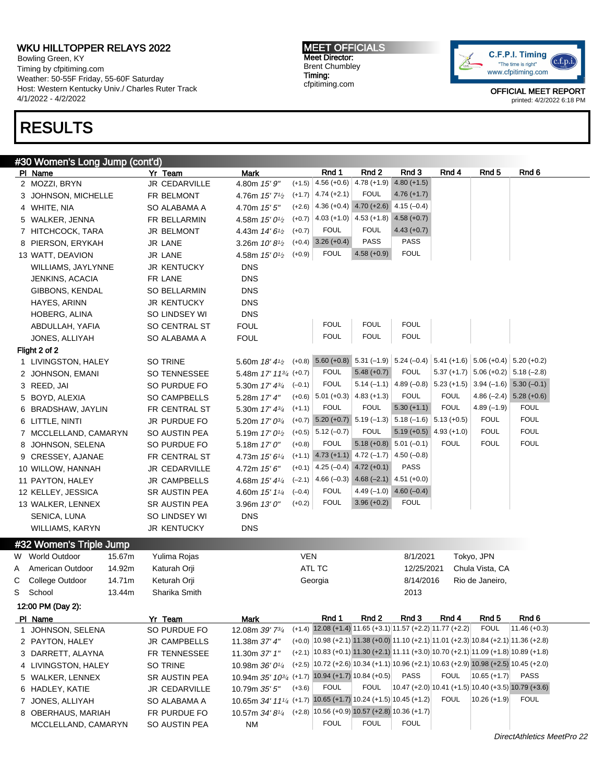Bowling Green, KY Timing by cfpitiming.com Weather: 50-55F Friday, 55-60F Saturday Host: Western Kentucky Univ./ Charles Ruter Track 4/1/2022 - 4/2/2022

## RESULTS

MEET OFFICIALS Meet Director: Brent Chumbley Timing: cfpitiming.com



|              | #30 Women's Long Jump (cont'd)    |                                |                                                                            |            |                                                                                  |                                           |                                       |                            |                                           |                                                                                        |
|--------------|-----------------------------------|--------------------------------|----------------------------------------------------------------------------|------------|----------------------------------------------------------------------------------|-------------------------------------------|---------------------------------------|----------------------------|-------------------------------------------|----------------------------------------------------------------------------------------|
|              | PI Name                           | Yr Team                        | <b>Mark</b>                                                                |            | Rnd 1                                                                            | Rnd 2                                     | Rnd 3                                 | Rnd 4                      | Rnd <sub>5</sub>                          | Rnd 6                                                                                  |
|              | 2 MOZZI, BRYN                     | JR CEDARVILLE                  | 4.80m 15' 9"                                                               | $(+1.5)$   | $4.56 (+0.6)$                                                                    | $4.78(+1.9)$                              | $4.80 (+1.5)$                         |                            |                                           |                                                                                        |
|              | 3 JOHNSON, MICHELLE               | FR BELMONT                     | 4.76m $15'$ 7 <sup>1</sup> / <sub>2</sub>                                  | $(+1.7)$   | $4.74 (+2.1)$                                                                    | <b>FOUL</b>                               | $4.76 (+1.7)$                         |                            |                                           |                                                                                        |
|              | 4 WHITE, NIA                      | SO ALABAMA A                   | 4.70m 15' 5"                                                               | $(+2.6)$   |                                                                                  | $4.36 (+0.4)$ $4.70 (+2.6)$               | $4.15(-0.4)$                          |                            |                                           |                                                                                        |
|              | 5 WALKER, JENNA                   | FR BELLARMIN                   | 4.58m $15'0\frac{1}{2}$                                                    | $(+0.7)$   | $4.03 (+1.0)$                                                                    | $4.53 (+1.8)$                             | $4.58(+0.7)$                          |                            |                                           |                                                                                        |
|              | 7 HITCHCOCK, TARA                 | <b>JR BELMONT</b>              | 4.43m $14'6\frac{1}{2}$                                                    | $(+0.7)$   | <b>FOUL</b>                                                                      | <b>FOUL</b>                               | $4.43 (+0.7)$                         |                            |                                           |                                                                                        |
|              | 8 PIERSON, ERYKAH                 | JR LANE                        | 3.26m $10'8\frac{1}{2}$                                                    |            | $(+0.4)$ 3.26 $(+0.4)$                                                           | <b>PASS</b>                               | PASS                                  |                            |                                           |                                                                                        |
|              | 13 WATT, DEAVION                  | JR LANE                        | 4.58m 15' 0 <sup>1</sup> / <sub>2</sub>                                    | $(+0.9)$   | <b>FOUL</b>                                                                      | $4.58 (+0.9)$                             | <b>FOUL</b>                           |                            |                                           |                                                                                        |
|              | WILLIAMS, JAYLYNNE                | <b>JR KENTUCKY</b>             | <b>DNS</b>                                                                 |            |                                                                                  |                                           |                                       |                            |                                           |                                                                                        |
|              | JENKINS, ACACIA                   | FR LANE                        | <b>DNS</b>                                                                 |            |                                                                                  |                                           |                                       |                            |                                           |                                                                                        |
|              | GIBBONS, KENDAL                   | <b>SO BELLARMIN</b>            | <b>DNS</b>                                                                 |            |                                                                                  |                                           |                                       |                            |                                           |                                                                                        |
|              | HAYES, ARINN                      | <b>JR KENTUCKY</b>             | <b>DNS</b>                                                                 |            |                                                                                  |                                           |                                       |                            |                                           |                                                                                        |
|              | HOBERG, ALINA                     | SO LINDSEY WI                  | <b>DNS</b>                                                                 |            |                                                                                  |                                           |                                       |                            |                                           |                                                                                        |
|              | ABDULLAH, YAFIA                   | SO CENTRAL ST                  | <b>FOUL</b>                                                                |            | <b>FOUL</b>                                                                      | <b>FOUL</b>                               | <b>FOUL</b>                           |                            |                                           |                                                                                        |
|              | JONES, ALLIYAH                    | SO ALABAMA A                   | <b>FOUL</b>                                                                |            | <b>FOUL</b>                                                                      | <b>FOUL</b>                               | <b>FOUL</b>                           |                            |                                           |                                                                                        |
|              | Flight 2 of 2                     |                                |                                                                            |            |                                                                                  |                                           |                                       |                            |                                           |                                                                                        |
|              | 1 LIVINGSTON, HALEY               | SO TRINE                       | 5.60m 18' 41/2                                                             |            | $(+0.8)$ 5.60 $(+0.8)$ 5.31 $(-1.9)$ 5.24 $(-0.4)$                               |                                           |                                       |                            | $5.41 (+1.6)$ 5.06 (+0.4) 5.20 (+0.2)     |                                                                                        |
|              | 2 JOHNSON, EMANI                  | <b>SO TENNESSEE</b>            | 5.48m 17' 113/4 (+0.7)                                                     |            | <b>FOUL</b>                                                                      | $5.48 (+0.7)$                             | <b>FOUL</b>                           |                            | $5.37 (+1.7)$ $5.06 (+0.2)$ $5.18 (-2.8)$ |                                                                                        |
|              | 3 REED, JAI                       | SO PURDUE FO                   | 5.30m 17' 43/4                                                             | $(-0.1)$   | <b>FOUL</b>                                                                      |                                           | $5.14 (-1.1)$ 4.89 (-0.8) 5.23 (+1.5) |                            |                                           | $3.94 (-1.6) 5.30 (-0.1)$<br>$4.86 (-2.4) 5.28 (+0.6)$                                 |
|              | 5 BOYD, ALEXIA                    | SO CAMPBELLS                   | 5.28m 17' 4"                                                               | $(+0.6)$   | $5.01 (+0.3)$                                                                    | $4.83 (+1.3)$<br><b>FOUL</b>              | <b>FOUL</b>                           | <b>FOUL</b><br><b>FOUL</b> |                                           | <b>FOUL</b>                                                                            |
|              | 6 BRADSHAW, JAYLIN                | FR CENTRAL ST                  | 5.30m 17' 43/4                                                             | $(+1.1)$   | <b>FOUL</b>                                                                      |                                           | $5.30 (+1.1)$                         |                            | $4.89(-1.9)$<br><b>FOUL</b>               | <b>FOUL</b>                                                                            |
|              | 6 LITTLE, NINTI                   | JR PURDUE FO                   | 5.20m 17' 03/4                                                             |            | $(+0.7)$ 5.20 $(+0.7)$ 5.19 $(-1.3)$ 5.18 $(-1.6)$ 5.13 $(+0.5)$<br>$5.12(-0.7)$ | <b>FOUL</b>                               | $5.19 (+0.5)$ 4.93 (+1.0)             |                            | <b>FOUL</b>                               | <b>FOUL</b>                                                                            |
|              | 7 MCCLELLAND, CAMARYN             | SO AUSTIN PEA                  | 5.19m $17'0\frac{1}{2}$                                                    | $(+0.5)$   | <b>FOUL</b>                                                                      |                                           | $5.18 (+0.8)$ $5.01 (-0.1)$           | <b>FOUL</b>                | <b>FOUL</b>                               | <b>FOUL</b>                                                                            |
|              | 8 JOHNSON, SELENA                 | SO PURDUE FO                   | 5.18m 17' 0"                                                               | $(+0.8)$   | $(+1.1)$ 4.73 $(+1.1)$ 4.72 $(-1.7)$ 4.50 $(-0.8)$                               |                                           |                                       |                            |                                           |                                                                                        |
|              | 9 CRESSEY, AJANAE                 | FR CENTRAL ST                  | 4.73m 15' 61/4                                                             | $(+0.1)$   |                                                                                  | $4.25 (-0.4)$ $4.72 (+0.1)$               | <b>PASS</b>                           |                            |                                           |                                                                                        |
|              | 10 WILLOW, HANNAH                 | JR CEDARVILLE                  | 4.72m 15' 6"                                                               | $(-2.1)$   |                                                                                  | 4.66 $(-0.3)$ 4.68 $(-2.1)$ 4.51 $(+0.0)$ |                                       |                            |                                           |                                                                                        |
|              | 11 PAYTON, HALEY                  | <b>JR CAMPBELLS</b>            | 4.68m 15' 41/4                                                             | $(-0.4)$   | <b>FOUL</b>                                                                      |                                           | $4.49(-1.0)$ $4.60(-0.4)$             |                            |                                           |                                                                                        |
|              | 12 KELLEY, JESSICA                | SR AUSTIN PEA                  | 4.60m 15' 11/4                                                             | $(+0.2)$   | <b>FOUL</b>                                                                      | $3.96 (+0.2)$                             | <b>FOUL</b>                           |                            |                                           |                                                                                        |
|              | 13 WALKER, LENNEX<br>SENICA, LUNA | SR AUSTIN PEA<br>SO LINDSEY WI | 3.96m 13'0''<br><b>DNS</b>                                                 |            |                                                                                  |                                           |                                       |                            |                                           |                                                                                        |
|              | WILLIAMS, KARYN                   | <b>JR KENTUCKY</b>             | <b>DNS</b>                                                                 |            |                                                                                  |                                           |                                       |                            |                                           |                                                                                        |
|              |                                   |                                |                                                                            |            |                                                                                  |                                           |                                       |                            |                                           |                                                                                        |
|              | #32 Women's Triple Jump           |                                |                                                                            |            |                                                                                  |                                           |                                       |                            |                                           |                                                                                        |
|              | W World Outdoor<br>15.67m         | Yulima Rojas                   |                                                                            | <b>VEN</b> |                                                                                  |                                           | 8/1/2021                              |                            | Tokyo, JPN                                |                                                                                        |
| A            | American Outdoor<br>14.92m        | Katurah Orji                   |                                                                            |            | ATL TC                                                                           |                                           | 12/25/2021                            |                            | Chula Vista, CA                           |                                                                                        |
| С            | College Outdoor<br>14.71m         | Keturah Orji                   |                                                                            |            | Georgia                                                                          |                                           | 8/14/2016                             |                            | Rio de Janeiro,                           |                                                                                        |
| S            | School<br>13.44m                  | Sharika Smith                  |                                                                            |            |                                                                                  |                                           | 2013                                  |                            |                                           |                                                                                        |
|              | 12:00 PM (Day 2):                 |                                |                                                                            |            |                                                                                  |                                           |                                       |                            |                                           |                                                                                        |
|              | PI Name                           | Yr Team                        | <b>Mark</b>                                                                |            | Rnd 1                                                                            | Rnd 2                                     | Rnd 3                                 | Rnd 4                      | Rnd <sub>5</sub>                          | Rnd 6                                                                                  |
| $\mathbf{1}$ | JOHNSON, SELENA                   | SO PURDUE FO                   | 12.08m 39' 73/4                                                            |            | $(+1.4)$ 12.08 $(+1.4)$ 11.65 $(+3.1)$ 11.57 $(+2.2)$ 11.77 $(+2.2)$             |                                           |                                       |                            | <b>FOUL</b>                               | $11.46 (+0.3)$                                                                         |
|              | 2 PAYTON, HALEY                   | <b>JR CAMPBELLS</b>            | 11.38m 37' 4"                                                              |            |                                                                                  |                                           |                                       |                            |                                           | $(+0.0)$ 10.98 (+2.1) 11.38 (+0.0) 11.10 (+2.1) 11.01 (+2.3) 10.84 (+2.1) 11.36 (+2.8) |
|              | 3 DARRETT, ALAYNA                 | FR TENNESSEE                   | 11.30m 37' 1"                                                              |            |                                                                                  |                                           |                                       |                            |                                           | $(+2.1)$ 10.83 (+0.1) 11.30 (+2.1) 11.11 (+3.0) 10.70 (+2.1) 11.09 (+1.8) 10.89 (+1.8) |
|              | 4 LIVINGSTON, HALEY               | SO TRINE                       | 10.98m $36'0'4$                                                            |            |                                                                                  |                                           |                                       |                            |                                           | $(+2.5)$ 10.72 (+2.6) 10.34 (+1.1) 10.96 (+2.1) 10.63 (+2.9) 10.98 (+2.5) 10.45 (+2.0) |
|              | 5 WALKER, LENNEX                  | SR AUSTIN PEA                  | 10.94m 35' 10 <sup>3</sup> / <sub>4</sub> (+1.7) 10.94 (+1.7) 10.84 (+0.5) |            |                                                                                  |                                           | PASS                                  | <b>FOUL</b>                | $10.65 (+1.7)$                            | <b>PASS</b>                                                                            |
|              | 6 HADLEY, KATIE                   | JR CEDARVILLE                  | 10.79m $35'5''$                                                            | $(+3.6)$   | <b>FOUL</b>                                                                      | <b>FOUL</b>                               |                                       |                            |                                           | 10.47 (+2.0) 10.41 (+1.5) 10.40 (+3.5) 10.79 (+3.6)                                    |
|              | 7 JONES, ALLIYAH                  | SO ALABAMA A                   | 10.65m 34' 111/4 (+1.7) 10.65 (+1.7) 10.24 (+1.5) 10.45 (+1.2)             |            |                                                                                  |                                           |                                       | <b>FOUL</b>                | $10.26 (+1.9)$                            | <b>FOUL</b>                                                                            |
|              | 8 OBERHAUS, MARIAH                | FR PURDUE FO                   | 10.57m <i>34' 81⁄4</i>                                                     |            | $(+2.8)$ 10.56 (+0.9) 10.57 (+2.8) 10.36 (+1.7)                                  |                                           |                                       |                            |                                           |                                                                                        |
|              | MCCLELLAND, CAMARYN               | SO AUSTIN PEA                  | ΝM                                                                         |            | <b>FOUL</b>                                                                      | <b>FOUL</b>                               | <b>FOUL</b>                           |                            |                                           |                                                                                        |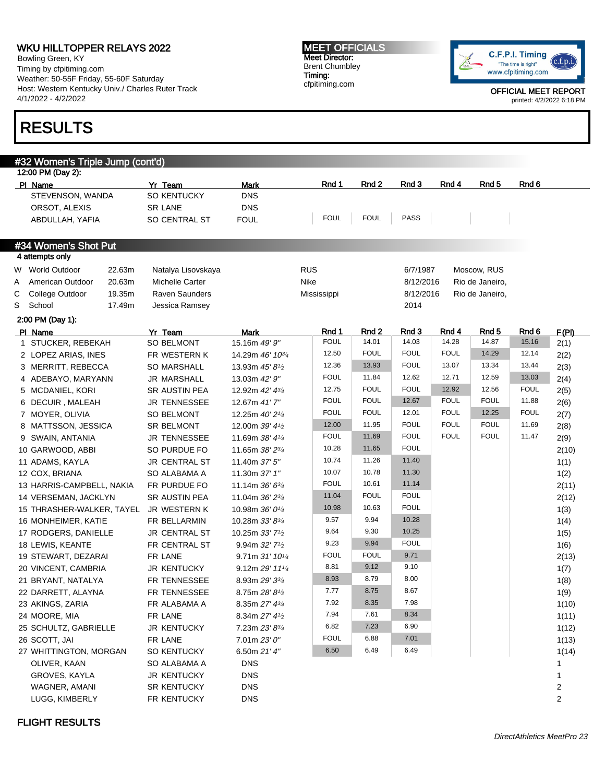Bowling Green, KY Timing by cfpitiming.com Weather: 50-55F Friday, 55-60F Saturday Host: Western Kentucky Univ./ Charles Ruter Track 4/1/2022 - 4/2/2022

## RESULTS

MEET OFFICIALS Meet Director: Brent Chumbley Timing: cfpitiming.com



|   | #32 Women's Triple Jump (cont'd)<br>12:00 PM (Day 2): |        |                      |                                           |             |             |             |             |                  |             |                         |
|---|-------------------------------------------------------|--------|----------------------|-------------------------------------------|-------------|-------------|-------------|-------------|------------------|-------------|-------------------------|
|   | PI Name                                               |        | Yr Team              | <b>Mark</b>                               | Rnd 1       | Rnd 2       | Rnd 3       | Rnd 4       | Rnd <sub>5</sub> | Rnd 6       |                         |
|   | STEVENSON, WANDA                                      |        | SO KENTUCKY          | <b>DNS</b>                                |             |             |             |             |                  |             |                         |
|   | ORSOT, ALEXIS                                         |        | <b>SR LANE</b>       | <b>DNS</b>                                |             |             |             |             |                  |             |                         |
|   | ABDULLAH, YAFIA                                       |        | SO CENTRAL ST        | <b>FOUL</b>                               | <b>FOUL</b> | <b>FOUL</b> | PASS        |             |                  |             |                         |
|   |                                                       |        |                      |                                           |             |             |             |             |                  |             |                         |
|   | #34 Women's Shot Put                                  |        |                      |                                           |             |             |             |             |                  |             |                         |
|   | 4 attempts only                                       |        |                      |                                           |             |             |             |             |                  |             |                         |
|   | W World Outdoor                                       | 22.63m | Natalya Lisovskaya   |                                           | <b>RUS</b>  |             | 6/7/1987    |             | Moscow, RUS      |             |                         |
| Α | American Outdoor                                      | 20.63m | Michelle Carter      |                                           | Nike        |             | 8/12/2016   |             | Rio de Janeiro,  |             |                         |
| С | College Outdoor                                       | 19.35m | Raven Saunders       |                                           | Mississippi |             | 8/12/2016   |             | Rio de Janeiro,  |             |                         |
|   | S School                                              | 17.49m | Jessica Ramsey       |                                           |             |             | 2014        |             |                  |             |                         |
|   | 2:00 PM (Day 1):                                      |        |                      |                                           |             |             |             |             |                  |             |                         |
|   | PI Name                                               |        | Yr Team              | <b>Mark</b>                               | Rnd 1       | Rnd 2       | Rnd 3       | Rnd 4       | Rnd 5            | Rnd 6       | F(PI)                   |
|   | 1 STUCKER, REBEKAH                                    |        | <b>SO BELMONT</b>    | 15.16m 49' 9"                             | <b>FOUL</b> | 14.01       | 14.03       | 14.28       | 14.87            | 15.16       | 2(1)                    |
|   | 2 LOPEZ ARIAS, INES                                   |        | FR WESTERN K         | 14.29m 46' 10 <sup>3/4</sup>              | 12.50       | <b>FOUL</b> | <b>FOUL</b> | <b>FOUL</b> | 14.29            | 12.14       | 2(2)                    |
|   | 3 MERRITT, REBECCA                                    |        | <b>SO MARSHALL</b>   | 13.93m 45' 81/2                           | 12.36       | 13.93       | <b>FOUL</b> | 13.07       | 13.34            | 13.44       | 2(3)                    |
|   | 4 ADEBAYO, MARYANN                                    |        | <b>JR MARSHALL</b>   | 13.03m 42' 9"                             | <b>FOUL</b> | 11.84       | 12.62       | 12.71       | 12.59            | 13.03       | 2(4)                    |
|   | 5 MCDANIEL, KORI                                      |        | <b>SR AUSTIN PEA</b> | 12.92m 42' 43/4                           | 12.75       | <b>FOUL</b> | <b>FOUL</b> | 12.92       | 12.56            | <b>FOUL</b> | 2(5)                    |
|   | 6 DECUIR, MALEAH                                      |        | <b>JR TENNESSEE</b>  | 12.67m 41'7"                              | <b>FOUL</b> | <b>FOUL</b> | 12.67       | <b>FOUL</b> | <b>FOUL</b>      | 11.88       | 2(6)                    |
|   | 7 MOYER, OLIVIA                                       |        | <b>SO BELMONT</b>    | 12.25m 40' 21/4                           | <b>FOUL</b> | <b>FOUL</b> | 12.01       | <b>FOUL</b> | 12.25            | <b>FOUL</b> | 2(7)                    |
|   | 8 MATTSSON, JESSICA                                   |        | <b>SR BELMONT</b>    | 12.00m 39' 41/2                           | 12.00       | 11.95       | <b>FOUL</b> | <b>FOUL</b> | <b>FOUL</b>      | 11.69       | 2(8)                    |
|   | 9 SWAIN, ANTANIA                                      |        | JR TENNESSEE         | 11.69m 38' 41/4                           | <b>FOUL</b> | 11.69       | <b>FOUL</b> | <b>FOUL</b> | <b>FOUL</b>      | 11.47       | 2(9)                    |
|   | 10 GARWOOD, ABBI                                      |        | SO PURDUE FO         | 11.65m 38' 23/4                           | 10.28       | 11.65       | <b>FOUL</b> |             |                  |             | 2(10)                   |
|   | 11 ADAMS, KAYLA                                       |        | JR CENTRAL ST        | 11.40m 37' 5"                             | 10.74       | 11.26       | 11.40       |             |                  |             | 1(1)                    |
|   | 12 COX, BRIANA                                        |        | SO ALABAMA A         | 11.30m 37' 1"                             | 10.07       | 10.78       | 11.30       |             |                  |             | 1(2)                    |
|   | 13 HARRIS-CAMPBELL, NAKIA                             |        | FR PURDUE FO         | 11.14m $36'6^{3}/4$                       | <b>FOUL</b> | 10.61       | 11.14       |             |                  |             | 2(11)                   |
|   | 14 VERSEMAN, JACKLYN                                  |        | <b>SR AUSTIN PEA</b> | 11.04m 36' 23/4                           | 11.04       | <b>FOUL</b> | <b>FOUL</b> |             |                  |             | 2(12)                   |
|   | 15 THRASHER-WALKER, TAYEL                             |        | JR WESTERN K         | 10.98m 36' 01/4                           | 10.98       | 10.63       | <b>FOUL</b> |             |                  |             | 1(3)                    |
|   | 16 MONHEIMER, KATIE                                   |        | FR BELLARMIN         | 10.28m 33' 83/4                           | 9.57        | 9.94        | 10.28       |             |                  |             | 1(4)                    |
|   | 17 RODGERS, DANIELLE                                  |        | JR CENTRAL ST        | 10.25m 33' 7 <sup>1</sup> / <sub>2</sub>  | 9.64        | 9.30        | 10.25       |             |                  |             | 1(5)                    |
|   | 18 LEWIS, KEANTE                                      |        | FR CENTRAL ST        | 9.94m $32'$ 7 <sup>1</sup> / <sub>2</sub> | 9.23        | 9.94        | <b>FOUL</b> |             |                  |             | 1(6)                    |
|   | 19 STEWART, DEZARAI                                   |        | FR LANE              | 9.71m 31' 101/4                           | <b>FOUL</b> | <b>FOUL</b> | 9.71        |             |                  |             | 2(13)                   |
|   | 20 VINCENT, CAMBRIA                                   |        | <b>JR KENTUCKY</b>   | 9.12m 29' 111/4                           | 8.81        | 9.12        | 9.10        |             |                  |             | 1(7)                    |
|   | 21 BRYANT, NATALYA                                    |        | FR TENNESSEE         | 8.93m 29' 33/4                            | 8.93        | 8.79        | 8.00        |             |                  |             | 1(8)                    |
|   | 22 DARRETT, ALAYNA                                    |        | FR TENNESSEE         | 8.75m $28'8\frac{1}{2}$                   | 7.77        | 8.75        | 8.67        |             |                  |             | 1(9)                    |
|   | 23 AKINGS, ZARIA                                      |        | FR ALABAMA A         | 8.35m 27' 43/4                            | 7.92        | 8.35        | 7.98        |             |                  |             | 1(10)                   |
|   | 24 MOORE, MIA                                         |        | FR LANE              | 8.34m 27' 41/2                            | 7.94        | 7.61        | 8.34        |             |                  |             | 1(11)                   |
|   | 25 SCHULTZ, GABRIELLE                                 |        | <b>JR KENTUCKY</b>   | 7.23m 23' 83/4                            | 6.82        | 7.23        | 6.90        |             |                  |             | 1(12)                   |
|   | 26 SCOTT, JAI                                         |        | FR LANE              | 7.01m 23'0''                              | <b>FOUL</b> | 6.88        | 7.01        |             |                  |             | 1(13)                   |
|   | 27 WHITTINGTON, MORGAN                                |        | SO KENTUCKY          | 6.50m 21' 4"                              | 6.50        | 6.49        | 6.49        |             |                  |             | 1(14)                   |
|   | OLIVER, KAAN                                          |        | SO ALABAMA A         | <b>DNS</b>                                |             |             |             |             |                  |             | $\mathbf{1}$            |
|   | GROVES, KAYLA                                         |        | <b>JR KENTUCKY</b>   | <b>DNS</b>                                |             |             |             |             |                  |             | $\mathbf{1}$            |
|   | WAGNER, AMANI                                         |        | SR KENTUCKY          | <b>DNS</b>                                |             |             |             |             |                  |             | $\overline{\mathbf{c}}$ |
|   | LUGG, KIMBERLY                                        |        | FR KENTUCKY          | <b>DNS</b>                                |             |             |             |             |                  |             | $\overline{c}$          |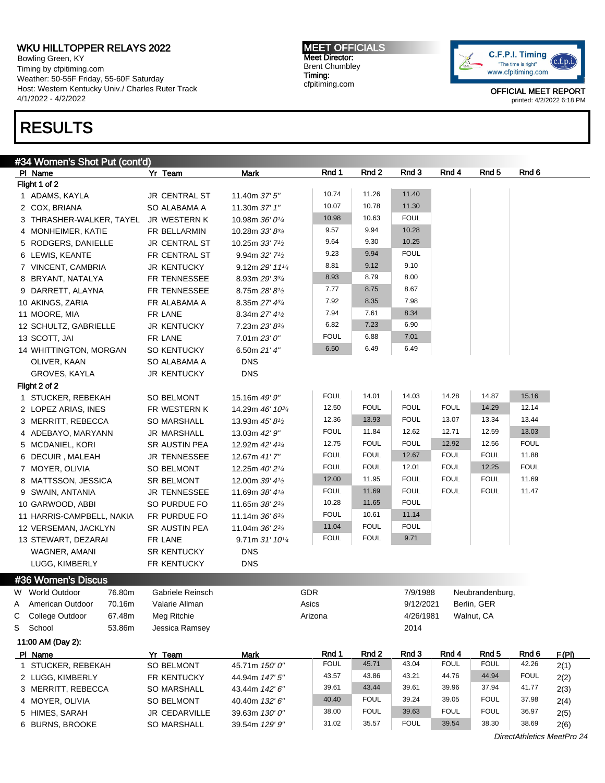Bowling Green, KY Timing by cfpitiming.com Weather: 50-55F Friday, 55-60F Saturday Host: Western Kentucky Univ./ Charles Ruter Track 4/1/2022 - 4/2/2022

## RESULTS

MEET OFFICIALS Meet Director: Brent Chumbley Timing: cfpitiming.com



|   | #34 Women's Shot Put (cont'd)         |                      |                                          |             |             |             |             |                  |             |       |  |
|---|---------------------------------------|----------------------|------------------------------------------|-------------|-------------|-------------|-------------|------------------|-------------|-------|--|
|   | PI Name                               | Yr Team              | <b>Mark</b>                              | Rnd 1       | Rnd 2       | Rnd 3       | Rnd 4       | Rnd <sub>5</sub> | Rnd 6       |       |  |
|   | Flight 1 of 2                         |                      |                                          |             |             |             |             |                  |             |       |  |
|   | 1 ADAMS, KAYLA                        | JR CENTRAL ST        | 11.40m 37' 5"                            | 10.74       | 11.26       | 11.40       |             |                  |             |       |  |
|   | 2 COX, BRIANA                         | SO ALABAMA A         | 11.30m 37' 1"                            | 10.07       | 10.78       | 11.30       |             |                  |             |       |  |
|   | 3 THRASHER-WALKER, TAYEL JR WESTERN K |                      | 10.98m 36' 01/4                          | 10.98       | 10.63       | <b>FOUL</b> |             |                  |             |       |  |
|   | 4 MONHEIMER, KATIE                    | FR BELLARMIN         | 10.28m 33' 83/4                          | 9.57        | 9.94        | 10.28       |             |                  |             |       |  |
|   | 5 RODGERS, DANIELLE                   | <b>JR CENTRAL ST</b> | 10.25m 33' 7 <sup>1</sup> / <sub>2</sub> | 9.64        | 9.30        | 10.25       |             |                  |             |       |  |
|   | 6 LEWIS, KEANTE                       | FR CENTRAL ST        | 9.94m 32' 7 <sup>1/2</sup>               | 9.23        | 9.94        | <b>FOUL</b> |             |                  |             |       |  |
|   | 7 VINCENT, CAMBRIA                    | <b>JR KENTUCKY</b>   | 9.12m 29' 111/4                          | 8.81        | 9.12        | 9.10        |             |                  |             |       |  |
|   | 8 BRYANT, NATALYA                     | FR TENNESSEE         | 8.93m 29' 33/4                           | 8.93        | 8.79        | 8.00        |             |                  |             |       |  |
|   | 9 DARRETT, ALAYNA                     | FR TENNESSEE         | 8.75m 28' 81/2                           | 7.77        | 8.75        | 8.67        |             |                  |             |       |  |
|   | 10 AKINGS, ZARIA                      | FR ALABAMA A         | 8.35m 27' 43/4                           | 7.92        | 8.35        | 7.98        |             |                  |             |       |  |
|   | 11 MOORE, MIA                         | FR LANE              | 8.34m 27' 41/2                           | 7.94        | 7.61        | 8.34        |             |                  |             |       |  |
|   | 12 SCHULTZ, GABRIELLE                 | <b>JR KENTUCKY</b>   | 7.23m 23' 83/4                           | 6.82        | 7.23        | 6.90        |             |                  |             |       |  |
|   | 13 SCOTT, JAI                         | FR LANE              | 7.01m 23' 0"                             | <b>FOUL</b> | 6.88        | 7.01        |             |                  |             |       |  |
|   | 14 WHITTINGTON, MORGAN                | SO KENTUCKY          | 6.50m 21' 4"                             | 6.50        | 6.49        | 6.49        |             |                  |             |       |  |
|   | OLIVER, KAAN                          | SO ALABAMA A         | <b>DNS</b>                               |             |             |             |             |                  |             |       |  |
|   | GROVES, KAYLA                         | <b>JR KENTUCKY</b>   | <b>DNS</b>                               |             |             |             |             |                  |             |       |  |
|   | Flight 2 of 2                         |                      |                                          |             |             |             |             |                  |             |       |  |
|   | 1 STUCKER, REBEKAH                    | SO BELMONT           | 15.16m 49' 9"                            | <b>FOUL</b> | 14.01       | 14.03       | 14.28       | 14.87            | 15.16       |       |  |
|   | 2 LOPEZ ARIAS, INES                   | FR WESTERN K         | 14.29m 46' 10 <sup>3/4</sup>             | 12.50       | <b>FOUL</b> | <b>FOUL</b> | <b>FOUL</b> | 14.29            | 12.14       |       |  |
|   | 3 MERRITT, REBECCA                    | <b>SO MARSHALL</b>   | 13.93m 45' 81/2                          | 12.36       | 13.93       | <b>FOUL</b> | 13.07       | 13.34            | 13.44       |       |  |
|   | 4 ADEBAYO, MARYANN                    | <b>JR MARSHALL</b>   | 13.03m 42' 9"                            | <b>FOUL</b> | 11.84       | 12.62       | 12.71       | 12.59            | 13.03       |       |  |
|   | 5 MCDANIEL, KORI                      | SR AUSTIN PEA        | 12.92m 42' 43/4                          | 12.75       | <b>FOUL</b> | <b>FOUL</b> | 12.92       | 12.56            | <b>FOUL</b> |       |  |
|   | 6 DECUIR, MALEAH                      | JR TENNESSEE         | 12.67m 41'7"                             | <b>FOUL</b> | <b>FOUL</b> | 12.67       | <b>FOUL</b> | <b>FOUL</b>      | 11.88       |       |  |
|   | 7 MOYER, OLIVIA                       | SO BELMONT           | 12.25m 40' 21/4                          | <b>FOUL</b> | <b>FOUL</b> | 12.01       | <b>FOUL</b> | 12.25            | <b>FOUL</b> |       |  |
|   | 8 MATTSSON, JESSICA                   | SR BELMONT           | 12.00m 39' 41/2                          | 12.00       | 11.95       | <b>FOUL</b> | <b>FOUL</b> | <b>FOUL</b>      | 11.69       |       |  |
|   | 9 SWAIN, ANTANIA                      | JR TENNESSEE         | 11.69m 38' 41/4                          | <b>FOUL</b> | 11.69       | <b>FOUL</b> | <b>FOUL</b> | <b>FOUL</b>      | 11.47       |       |  |
|   | 10 GARWOOD, ABBI                      | SO PURDUE FO         | 11.65m 38' 23/4                          | 10.28       | 11.65       | <b>FOUL</b> |             |                  |             |       |  |
|   | 11 HARRIS-CAMPBELL, NAKIA             | FR PURDUE FO         | 11.14m 36' 63/4                          | <b>FOUL</b> | 10.61       | 11.14       |             |                  |             |       |  |
|   | 12 VERSEMAN, JACKLYN                  | SR AUSTIN PEA        | 11.04m 36' 23/4                          | 11.04       | <b>FOUL</b> | <b>FOUL</b> |             |                  |             |       |  |
|   | 13 STEWART, DEZARAI                   | FR LANE              | 9.71m 31' 101/4                          | <b>FOUL</b> | <b>FOUL</b> | 9.71        |             |                  |             |       |  |
|   | WAGNER, AMANI                         | <b>SR KENTUCKY</b>   | <b>DNS</b>                               |             |             |             |             |                  |             |       |  |
|   | LUGG, KIMBERLY                        | FR KENTUCKY          | <b>DNS</b>                               |             |             |             |             |                  |             |       |  |
|   |                                       |                      |                                          |             |             |             |             |                  |             |       |  |
|   | #36 Women's Discus                    |                      |                                          |             |             |             |             |                  |             |       |  |
|   | 76.80m<br>W World Outdoor             | Gabriele Reinsch     |                                          | GDR         |             | 7/9/1988    |             | Neubrandenburg,  |             |       |  |
| A | American Outdoor<br>70.16m            | Valarie Allman       |                                          | Asics       |             | 9/12/2021   |             | Berlin, GER      |             |       |  |
| С | College Outdoor<br>67.48m             | Meg Ritchie          |                                          | Arizona     |             | 4/26/1981   |             | Walnut, CA       |             |       |  |
| S | School<br>53.86m                      | Jessica Ramsey       |                                          |             |             | 2014        |             |                  |             |       |  |
|   | 11:00 AM (Day 2):                     |                      |                                          |             |             |             |             |                  |             |       |  |
|   | PI Name                               | Yr Team              | <b>Mark</b>                              | Rnd 1       | Rnd 2       | Rnd 3       | Rnd 4       | Rnd <sub>5</sub> | Rnd 6       | F(PI) |  |
|   | 1 STUCKER, REBEKAH                    | SO BELMONT           | 45.71m 150' 0"                           | <b>FOUL</b> | 45.71       | 43.04       | <b>FOUL</b> | <b>FOUL</b>      | 42.26       | 2(1)  |  |
|   | 2 LUGG, KIMBERLY                      | FR KENTUCKY          | 44.94m 147' 5"                           | 43.57       | 43.86       | 43.21       | 44.76       | 44.94            | <b>FOUL</b> | 2(2)  |  |
|   | 3 MERRITT, REBECCA                    | SO MARSHALL          | 43.44m 142' 6"                           | 39.61       | 43.44       | 39.61       | 39.96       | 37.94            | 41.77       | 2(3)  |  |
|   | 4 MOYER, OLIVIA                       | SO BELMONT           | 40.40m 132' 6"                           | 40.40       | <b>FOUL</b> | 39.24       | 39.05       | <b>FOUL</b>      | 37.98       | 2(4)  |  |
|   | 5 HIMES, SARAH                        | JR CEDARVILLE        | 39.63m 130' 0"                           | 38.00       | <b>FOUL</b> | 39.63       | <b>FOUL</b> | <b>FOUL</b>      | 36.97       | 2(5)  |  |
|   | 6 BURNS, BROOKE                       | SO MARSHALL          | 39.54m 129' 9"                           | 31.02       | 35.57       | <b>FOUL</b> | 39.54       | 38.30            | 38.69       | 2(6)  |  |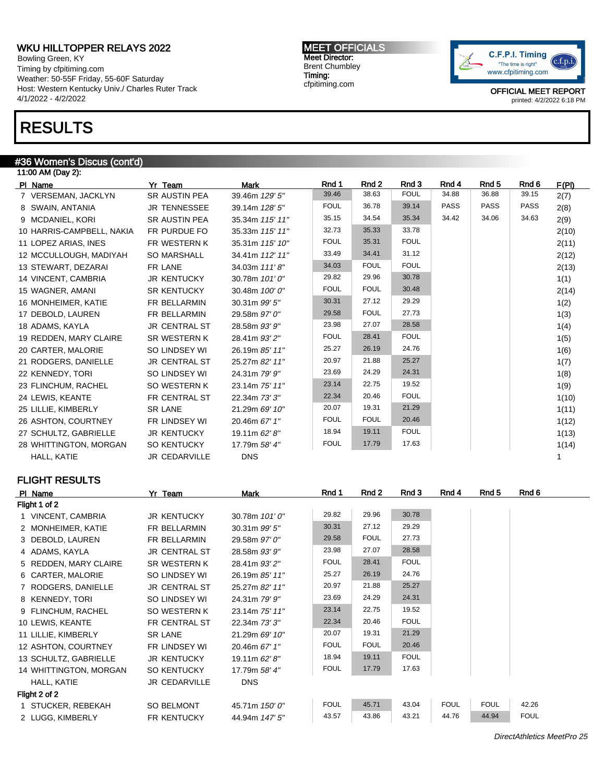Bowling Green, KY Timing by cfpitiming.com Weather: 50-55F Friday, 55-60F Saturday Host: Western Kentucky Univ./ Charles Ruter Track 4/1/2022 - 4/2/2022

## RESULTS

#### #36 Women's Discus (cont'd)

| 11:00 AM (Day 2):         |                      |                 |             |             |             |             |                  |             |       |  |
|---------------------------|----------------------|-----------------|-------------|-------------|-------------|-------------|------------------|-------------|-------|--|
| PI Name                   | Yr Team              | <b>Mark</b>     | Rnd 1       | Rnd 2       | Rnd 3       | Rnd 4       | Rnd <sub>5</sub> | Rnd 6       | F(PI) |  |
| 7 VERSEMAN, JACKLYN       | <b>SR AUSTIN PEA</b> | 39.46m 129' 5"  | 39.46       | 38.63       | <b>FOUL</b> | 34.88       | 36.88            | 39.15       | 2(7)  |  |
| 8 SWAIN, ANTANIA          | <b>JR TENNESSEE</b>  | 39.14m 128' 5"  | <b>FOUL</b> | 36.78       | 39.14       | <b>PASS</b> | <b>PASS</b>      | <b>PASS</b> | 2(8)  |  |
| 9 MCDANIEL, KORI          | <b>SR AUSTIN PEA</b> | 35.34m 115' 11" | 35.15       | 34.54       | 35.34       | 34.42       | 34.06            | 34.63       | 2(9)  |  |
| 10 HARRIS-CAMPBELL, NAKIA | FR PURDUE FO         | 35.33m 115' 11" | 32.73       | 35.33       | 33.78       |             |                  |             | 2(10) |  |
| 11 LOPEZ ARIAS, INES      | FR WESTERN K         | 35.31m 115' 10" | <b>FOUL</b> | 35.31       | <b>FOUL</b> |             |                  |             | 2(11) |  |
| 12 MCCULLOUGH, MADIYAH    | <b>SO MARSHALL</b>   | 34.41m 112' 11" | 33.49       | 34.41       | 31.12       |             |                  |             | 2(12) |  |
| 13 STEWART, DEZARAI       | FR LANE              | 34.03m 111'8"   | 34.03       | <b>FOUL</b> | <b>FOUL</b> |             |                  |             | 2(13) |  |
| 14 VINCENT, CAMBRIA       | <b>JR KENTUCKY</b>   | 30.78m 101'0"   | 29.82       | 29.96       | 30.78       |             |                  |             | 1(1)  |  |
| 15 WAGNER, AMANI          | <b>SR KENTUCKY</b>   | 30.48m 100'0"   | <b>FOUL</b> | <b>FOUL</b> | 30.48       |             |                  |             | 2(14) |  |
| 16 MONHEIMER, KATIE       | FR BELLARMIN         | 30.31m 99' 5"   | 30.31       | 27.12       | 29.29       |             |                  |             | 1(2)  |  |
| 17 DEBOLD, LAUREN         | FR BELLARMIN         | 29.58m 97' 0"   | 29.58       | <b>FOUL</b> | 27.73       |             |                  |             | 1(3)  |  |
| 18 ADAMS, KAYLA           | <b>JR CENTRAL ST</b> | 28.58m 93' 9"   | 23.98       | 27.07       | 28.58       |             |                  |             | 1(4)  |  |
| 19 REDDEN, MARY CLAIRE    | <b>SR WESTERN K</b>  | 28.41m 93' 2"   | <b>FOUL</b> | 28.41       | <b>FOUL</b> |             |                  |             | 1(5)  |  |
| 20 CARTER, MALORIE        | SO LINDSEY WI        | 26.19m 85' 11"  | 25.27       | 26.19       | 24.76       |             |                  |             | 1(6)  |  |
| 21 RODGERS, DANIELLE      | <b>JR CENTRAL ST</b> | 25.27m 82' 11"  | 20.97       | 21.88       | 25.27       |             |                  |             | 1(7)  |  |
| 22 KENNEDY, TORI          | SO LINDSEY WI        | 24.31m 79' 9"   | 23.69       | 24.29       | 24.31       |             |                  |             | 1(8)  |  |
| 23 FLINCHUM, RACHEL       | SO WESTERN K         | 23.14m 75' 11"  | 23.14       | 22.75       | 19.52       |             |                  |             | 1(9)  |  |
| 24 LEWIS, KEANTE          | FR CENTRAL ST        | 22.34m 73' 3"   | 22.34       | 20.46       | <b>FOUL</b> |             |                  |             | 1(10) |  |
| 25 LILLIE, KIMBERLY       | <b>SR LANE</b>       | 21.29m 69' 10"  | 20.07       | 19.31       | 21.29       |             |                  |             | 1(11) |  |
| 26 ASHTON, COURTNEY       | FR LINDSEY WI        | 20.46m 67' 1"   | <b>FOUL</b> | <b>FOUL</b> | 20.46       |             |                  |             | 1(12) |  |
| 27 SCHULTZ, GABRIELLE     | <b>JR KENTUCKY</b>   | 19.11m 62' 8"   | 18.94       | 19.11       | <b>FOUL</b> |             |                  |             | 1(13) |  |
| 28 WHITTINGTON, MORGAN    | <b>SO KENTUCKY</b>   | 17.79m 58' 4"   | <b>FOUL</b> | 17.79       | 17.63       |             |                  |             | 1(14) |  |
| HALL, KATIE               | <b>JR CEDARVILLE</b> | <b>DNS</b>      |             |             |             |             |                  |             |       |  |

## FLIGHT RESULTS

| PI Name                | Yr Team              | Mark           | Rnd 1       | Rnd 2       | Rnd 3       | Rnd 4       | Rnd 5       | Rnd 6       |
|------------------------|----------------------|----------------|-------------|-------------|-------------|-------------|-------------|-------------|
| Flight 1 of 2          |                      |                |             |             |             |             |             |             |
| 1 VINCENT, CAMBRIA     | <b>JR KENTUCKY</b>   | 30.78m 101'0"  | 29.82       | 29.96       | 30.78       |             |             |             |
| 2 MONHEIMER, KATIE     | FR BELLARMIN         | 30.31m 99' 5"  | 30.31       | 27.12       | 29.29       |             |             |             |
| 3 DEBOLD, LAUREN       | FR BELLARMIN         | 29.58m 97' 0"  | 29.58       | <b>FOUL</b> | 27.73       |             |             |             |
| 4 ADAMS, KAYLA         | <b>JR CENTRAL ST</b> | 28.58m 93' 9"  | 23.98       | 27.07       | 28.58       |             |             |             |
| 5 REDDEN, MARY CLAIRE  | SR WESTERN K         | 28.41m 93' 2"  | <b>FOUL</b> | 28.41       | <b>FOUL</b> |             |             |             |
| 6 CARTER, MALORIE      | SO LINDSEY WI        | 26.19m 85' 11" | 25.27       | 26.19       | 24.76       |             |             |             |
| 7 RODGERS, DANIELLE    | JR CENTRAL ST        | 25.27m 82' 11" | 20.97       | 21.88       | 25.27       |             |             |             |
| 8 KENNEDY, TORI        | SO LINDSEY WI        | 24.31m 79' 9"  | 23.69       | 24.29       | 24.31       |             |             |             |
| 9 FLINCHUM, RACHEL     | SO WESTERN K         | 23.14m 75' 11" | 23.14       | 22.75       | 19.52       |             |             |             |
| 10 LEWIS, KEANTE       | FR CENTRAL ST        | 22.34m 73' 3"  | 22.34       | 20.46       | <b>FOUL</b> |             |             |             |
| 11 LILLIE, KIMBERLY    | <b>SR LANE</b>       | 21.29m 69' 10" | 20.07       | 19.31       | 21.29       |             |             |             |
| 12 ASHTON, COURTNEY    | FR LINDSEY WI        | 20.46m 67' 1"  | <b>FOUL</b> | <b>FOUL</b> | 20.46       |             |             |             |
| 13 SCHULTZ, GABRIELLE  | <b>JR KENTUCKY</b>   | 19.11m 62' 8"  | 18.94       | 19.11       | <b>FOUL</b> |             |             |             |
| 14 WHITTINGTON, MORGAN | <b>SO KENTUCKY</b>   | 17.79m 58' 4"  | <b>FOUL</b> | 17.79       | 17.63       |             |             |             |
| HALL, KATIE            | JR CEDARVILLE        | <b>DNS</b>     |             |             |             |             |             |             |
| Flight 2 of 2          |                      |                |             |             |             |             |             |             |
| 1 STUCKER, REBEKAH     | SO BELMONT           | 45.71m 150' 0" | <b>FOUL</b> | 45.71       | 43.04       | <b>FOUL</b> | <b>FOUL</b> | 42.26       |
| 2 LUGG, KIMBERLY       | FR KENTUCKY          | 44.94m 147' 5" | 43.57       | 43.86       | 43.21       | 44.76       | 44.94       | <b>FOUL</b> |

MEET OFFICIALS Meet Director: Brent Chumbley Timing: cfpitiming.com



OFFICIAL MEET REPORT printed: 4/2/2022 6:18 PM

DirectAthletics MeetPro 25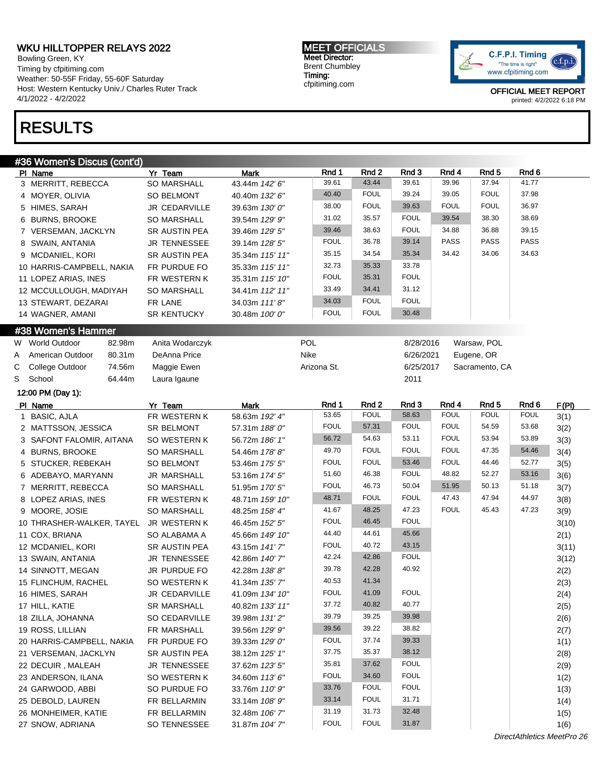Bowling Green, KY Timing by cfpitiming.com Weather: 50-55F Friday, 55-60F Saturday Host: Western Kentucky Univ./ Charles Ruter Track 4/1/2022 - 4/2/2022

## RESULTS

MEET OFFICIALS Meet Director: Brent Chumbley Timing: cfpitiming.com



|   | #36 Women's Discus (cont'd) |                     |                 |             |             |             |             |                  |             |                            |
|---|-----------------------------|---------------------|-----------------|-------------|-------------|-------------|-------------|------------------|-------------|----------------------------|
|   | PI Name                     | Yr Team             | <b>Mark</b>     | Rnd 1       | Rnd 2       | Rnd 3       | Rnd 4       | Rnd <sub>5</sub> | Rnd 6       |                            |
|   | 3 MERRITT, REBECCA          | <b>SO MARSHALL</b>  | 43.44m 142' 6"  | 39.61       | 43.44       | 39.61       | 39.96       | 37.94            | 41.77       |                            |
|   | 4 MOYER, OLIVIA             | SO BELMONT          | 40.40m 132' 6"  | 40.40       | <b>FOUL</b> | 39.24       | 39.05       | <b>FOUL</b>      | 37.98       |                            |
|   | 5 HIMES, SARAH              | JR CEDARVILLE       | 39.63m 130' 0"  | 38.00       | <b>FOUL</b> | 39.63       | <b>FOUL</b> | <b>FOUL</b>      | 36.97       |                            |
|   | 6 BURNS, BROOKE             | <b>SO MARSHALL</b>  | 39.54m 129' 9"  | 31.02       | 35.57       | <b>FOUL</b> | 39.54       | 38.30            | 38.69       |                            |
|   | 7 VERSEMAN, JACKLYN         | SR AUSTIN PEA       | 39.46m 129' 5"  | 39.46       | 38.63       | <b>FOUL</b> | 34.88       | 36.88            | 39.15       |                            |
|   | 8 SWAIN, ANTANIA            | JR TENNESSEE        | 39.14m 128' 5"  | <b>FOUL</b> | 36.78       | 39.14       | <b>PASS</b> | <b>PASS</b>      | PASS        |                            |
|   | 9 MCDANIEL, KORI            | SR AUSTIN PEA       | 35.34m 115' 11" | 35.15       | 34.54       | 35.34       | 34.42       | 34.06            | 34.63       |                            |
|   | 10 HARRIS-CAMPBELL, NAKIA   | FR PURDUE FO        | 35.33m 115' 11" | 32.73       | 35.33       | 33.78       |             |                  |             |                            |
|   | 11 LOPEZ ARIAS, INES        | FR WESTERN K        | 35.31m 115' 10" | <b>FOUL</b> | 35.31       | <b>FOUL</b> |             |                  |             |                            |
|   | 12 MCCULLOUGH, MADIYAH      | SO MARSHALL         | 34.41m 112' 11" | 33.49       | 34.41       | 31.12       |             |                  |             |                            |
|   | 13 STEWART, DEZARAI         | FR LANE             | 34.03m 111'8"   | 34.03       | <b>FOUL</b> | <b>FOUL</b> |             |                  |             |                            |
|   | 14 WAGNER, AMANI            | <b>SR KENTUCKY</b>  | 30.48m 100' 0"  | <b>FOUL</b> | <b>FOUL</b> | 30.48       |             |                  |             |                            |
|   | #38 Women's Hammer          |                     |                 |             |             |             |             |                  |             |                            |
|   | W World Outdoor<br>82.98m   | Anita Wodarczyk     |                 | POL         |             | 8/28/2016   |             | Warsaw, POL      |             |                            |
| Α | American Outdoor<br>80.31m  | DeAnna Price        |                 | Nike        |             | 6/26/2021   |             | Eugene, OR       |             |                            |
| С | College Outdoor<br>74.56m   | Maggie Ewen         |                 | Arizona St. |             | 6/25/2017   |             | Sacramento, CA   |             |                            |
| S | School<br>64.44m            | Laura Igaune        |                 |             |             | 2011        |             |                  |             |                            |
|   | 12:00 PM (Day 1):           |                     |                 |             |             |             |             |                  |             |                            |
|   | PI Name                     | Yr Team             | <b>Mark</b>     | Rnd 1       | Rnd 2       | Rnd 3       | Rnd 4       | Rnd <sub>5</sub> | Rnd 6       | F(PI)                      |
|   | 1 BASIC, AJLA               | FR WESTERN K        | 58.63m 192' 4"  | 53.65       | <b>FOUL</b> | 58.63       | <b>FOUL</b> | <b>FOUL</b>      | <b>FOUL</b> | 3(1)                       |
|   | 2 MATTSSON, JESSICA         | <b>SR BELMONT</b>   | 57.31m 188' 0"  | <b>FOUL</b> | 57.31       | <b>FOUL</b> | <b>FOUL</b> | 54.59            | 53.68       | 3(2)                       |
|   | 3 SAFONT FALOMIR, AITANA    | SO WESTERN K        | 56.72m 186' 1"  | 56.72       | 54.63       | 53.11       | <b>FOUL</b> | 53.94            | 53.89       | 3(3)                       |
|   | 4 BURNS, BROOKE             | <b>SO MARSHALL</b>  | 54.46m 178'8"   | 49.70       | <b>FOUL</b> | <b>FOUL</b> | <b>FOUL</b> | 47.35            | 54.46       | 3(4)                       |
|   | 5 STUCKER, REBEKAH          | <b>SO BELMONT</b>   | 53.46m 175' 5"  | <b>FOUL</b> | <b>FOUL</b> | 53.46       | <b>FOUL</b> | 44.46            | 52.77       | 3(5)                       |
|   | 6 ADEBAYO, MARYANN          | <b>JR MARSHALL</b>  | 53.16m 174' 5"  | 51.60       | 46.38       | <b>FOUL</b> | 48.82       | 52.27            | 53.16       | 3(6)                       |
|   | 7 MERRITT, REBECCA          | <b>SO MARSHALL</b>  | 51.95m 170' 5"  | <b>FOUL</b> | 46.73       | 50.04       | 51.95       | 50.13            | 51.18       | 3(7)                       |
|   | 8 LOPEZ ARIAS, INES         | FR WESTERN K        | 48.71m 159' 10" | 48.71       | <b>FOUL</b> | <b>FOUL</b> | 47.43       | 47.94            | 44.97       | 3(8)                       |
|   | 9 MOORE, JOSIE              | <b>SO MARSHALL</b>  | 48.25m 158' 4"  | 41.67       | 48.25       | 47.23       | <b>FOUL</b> | 45.43            | 47.23       | 3(9)                       |
|   | 10 THRASHER-WALKER, TAYEL   | JR WESTERN K        | 46.45m 152' 5"  | <b>FOUL</b> | 46.45       | <b>FOUL</b> |             |                  |             | 3(10)                      |
|   | 11 COX, BRIANA              | SO ALABAMA A        | 45.66m 149' 10" | 44.40       | 44.61       | 45.66       |             |                  |             | 2(1)                       |
|   | 12 MCDANIEL, KORI           | SR AUSTIN PEA       | 43.15m 141'7"   | <b>FOUL</b> | 40.72       | 43.15       |             |                  |             | 3(11)                      |
|   | 13 SWAIN, ANTANIA           | <b>JR TENNESSEE</b> | 42.86m 140' 7"  | 42.24       | 42.86       | <b>FOUL</b> |             |                  |             | 3(12)                      |
|   | 14 SINNOTT, MEGAN           | JR PURDUE FO        | 42.28m 138'8"   | 39.78       | 42.28       | 40.92       |             |                  |             | 2(2)                       |
|   | 15 FLINCHUM, RACHEL         | SO WESTERN K        | 41.34m 135' 7"  | 40.53       | 41.34       |             |             |                  |             | 2(3)                       |
|   | 16 HIMES, SARAH             | JR CEDARVILLE       | 41.09m 134' 10" | <b>FOUL</b> | 41.09       | <b>FOUL</b> |             |                  |             | 2(4)                       |
|   | 17 HILL, KATIE              | SR MARSHALL         | 40.82m 133' 11" | 37.72       | 40.82       | 40.77       |             |                  |             | 2(5)                       |
|   | 18 ZILLA, JOHANNA           | SO CEDARVILLE       | 39.98m 131'2"   | 39.79       | 39.25       | 39.98       |             |                  |             | 2(6)                       |
|   | 19 ROSS, LILLIAN            | FR MARSHALL         | 39.56m 129' 9"  | 39.56       | 39.22       | 38.82       |             |                  |             | 2(7)                       |
|   | 20 HARRIS-CAMPBELL, NAKIA   | FR PURDUE FO        | 39.33m 129' 0"  | <b>FOUL</b> | 37.74       | 39.33       |             |                  |             | 1(1)                       |
|   | 21 VERSEMAN, JACKLYN        | SR AUSTIN PEA       | 38.12m 125' 1"  | 37.75       | 35.37       | 38.12       |             |                  |             | 2(8)                       |
|   | 22 DECUIR, MALEAH           | JR TENNESSEE        | 37.62m 123' 5"  | 35.81       | 37.62       | <b>FOUL</b> |             |                  |             | 2(9)                       |
|   | 23 ANDERSON, ILANA          | SO WESTERN K        | 34.60m 113' 6"  | <b>FOUL</b> | 34.60       | <b>FOUL</b> |             |                  |             | 1(2)                       |
|   | 24 GARWOOD, ABBI            | SO PURDUE FO        | 33.76m 110' 9"  | 33.76       | <b>FOUL</b> | <b>FOUL</b> |             |                  |             | 1(3)                       |
|   | 25 DEBOLD, LAUREN           | FR BELLARMIN        | 33.14m 108' 9"  | 33.14       | <b>FOUL</b> | 31.71       |             |                  |             | 1(4)                       |
|   | 26 MONHEIMER, KATIE         | FR BELLARMIN        | 32.48m 106' 7"  | 31.19       | 31.73       | 32.48       |             |                  |             | 1(5)                       |
|   | 27 SNOW, ADRIANA            | SO TENNESSEE        | 31.87m 104' 7"  | <b>FOUL</b> | <b>FOUL</b> | 31.87       |             |                  |             | 1(6)                       |
|   |                             |                     |                 |             |             |             |             |                  |             | DirectAthletics MeetPro 26 |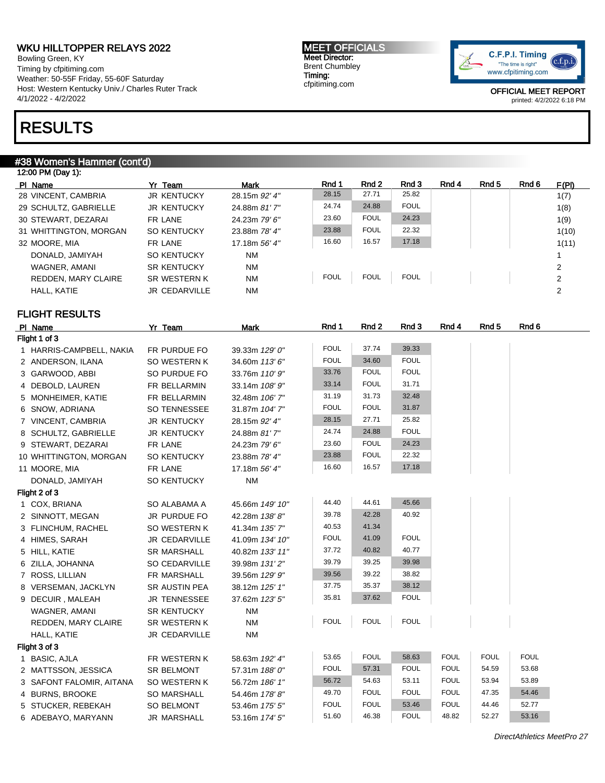Bowling Green, KY Timing by cfpitiming.com Weather: 50-55F Friday, 55-60F Saturday Host: Western Kentucky Univ./ Charles Ruter Track 4/1/2022 - 4/2/2022

## RESULTS

### #38 Women's Hammer (cont'd)

12:00 PM (Day 1): Pl Name **Yr Team Mark Rnd 1 Rnd 2 Rnd 3 Rnd 4 Rnd 5** Rnd 6 F(PI) 28 VINCENT, CAMBRIA JR KENTUCKY 28.15m 92' 4" 28.15 27.71 25.82 1(7) 29 SCHULTZ, GABRIELLE JR KENTUCKY 24.88m 81' 7" 24.74 24.88 FOUL 1(8) 30 STEWART, DEZARAI FR LANE 24.23m 79' 6" 23.60 FOUL 24.23 1(9) 31 WHITTINGTON, MORGAN SO KENTUCKY 23.88m 78' 4" 23.88 FOUL 22.32 1(10) 32 MOORE, MIA FR LANE 17.18m 56' 4" 16.60 16.57 17.18 1(11) DONALD, JAMIYAH SO KENTUCKY NM 1 WAGNER, AMANI SR KENTUCKY NM<br>REDDEN MARY CLAIRE SR WESTERN KNM STERING TOUL FOUL FOUL TOUL I REDDEN, MARY CLAIRE SR WESTERN K NM FOUL FOUL FOUL FOUL TOUL CLAIRE 2 HALL, KATIE JR CEDARVILLE NM 2

## FLIGHT RESULTS

| PI Name                  | Yr Team            | <b>Mark</b>     | Rnd 1       | Rnd 2       | Rnd 3       | Rnd 4       | Rnd 5       | Rnd 6       |
|--------------------------|--------------------|-----------------|-------------|-------------|-------------|-------------|-------------|-------------|
| Flight 1 of 3            |                    |                 |             |             |             |             |             |             |
| 1 HARRIS-CAMPBELL, NAKIA | FR PURDUE FO       | 39.33m 129' 0"  | <b>FOUL</b> | 37.74       | 39.33       |             |             |             |
| 2 ANDERSON, ILANA        | SO WESTERN K       | 34.60m 113' 6"  | <b>FOUL</b> | 34.60       | <b>FOUL</b> |             |             |             |
| 3 GARWOOD, ABBI          | SO PURDUE FO       | 33.76m 110' 9"  | 33.76       | <b>FOUL</b> | <b>FOUL</b> |             |             |             |
| 4 DEBOLD, LAUREN         | FR BELLARMIN       | 33.14m 108' 9"  | 33.14       | <b>FOUL</b> | 31.71       |             |             |             |
| 5 MONHEIMER, KATIE       | FR BELLARMIN       | 32.48m 106' 7"  | 31.19       | 31.73       | 32.48       |             |             |             |
| 6 SNOW, ADRIANA          | SO TENNESSEE       | 31.87m 104' 7"  | <b>FOUL</b> | <b>FOUL</b> | 31.87       |             |             |             |
| 7 VINCENT, CAMBRIA       | <b>JR KENTUCKY</b> | 28.15m 92' 4"   | 28.15       | 27.71       | 25.82       |             |             |             |
| 8 SCHULTZ, GABRIELLE     | <b>JR KENTUCKY</b> | 24.88m 81'7"    | 24.74       | 24.88       | <b>FOUL</b> |             |             |             |
| 9 STEWART, DEZARAI       | FR LANE            | 24.23m 79' 6"   | 23.60       | <b>FOUL</b> | 24.23       |             |             |             |
| 10 WHITTINGTON, MORGAN   | SO KENTUCKY        | 23.88m 78' 4"   | 23.88       | <b>FOUL</b> | 22.32       |             |             |             |
| 11 MOORE, MIA            | FR LANE            | 17.18m 56' 4"   | 16.60       | 16.57       | 17.18       |             |             |             |
| DONALD, JAMIYAH          | SO KENTUCKY        | <b>NM</b>       |             |             |             |             |             |             |
| Flight 2 of 3            |                    |                 |             |             |             |             |             |             |
| 1 COX, BRIANA            | SO ALABAMA A       | 45.66m 149' 10" | 44.40       | 44.61       | 45.66       |             |             |             |
| 2 SINNOTT, MEGAN         | JR PURDUE FO       | 42.28m 138'8"   | 39.78       | 42.28       | 40.92       |             |             |             |
| 3 FLINCHUM, RACHEL       | SO WESTERN K       | 41.34m 135' 7"  | 40.53       | 41.34       |             |             |             |             |
| 4 HIMES, SARAH           | JR CEDARVILLE      | 41.09m 134' 10" | <b>FOUL</b> | 41.09       | <b>FOUL</b> |             |             |             |
| 5 HILL, KATIE            | <b>SR MARSHALL</b> | 40.82m 133' 11" | 37.72       | 40.82       | 40.77       |             |             |             |
| 6 ZILLA, JOHANNA         | SO CEDARVILLE      | 39.98m 131' 2"  | 39.79       | 39.25       | 39.98       |             |             |             |
| 7 ROSS, LILLIAN          | FR MARSHALL        | 39.56m 129' 9"  | 39.56       | 39.22       | 38.82       |             |             |             |
| 8 VERSEMAN, JACKLYN      | SR AUSTIN PEA      | 38.12m 125' 1"  | 37.75       | 35.37       | 38.12       |             |             |             |
| 9 DECUIR, MALEAH         | JR TENNESSEE       | 37.62m 123' 5"  | 35.81       | 37.62       | <b>FOUL</b> |             |             |             |
| WAGNER, AMANI            | SR KENTUCKY        | <b>NM</b>       |             |             |             |             |             |             |
| REDDEN, MARY CLAIRE      | SR WESTERN K       | <b>NM</b>       | <b>FOUL</b> | <b>FOUL</b> | <b>FOUL</b> |             |             |             |
| HALL, KATIE              | JR CEDARVILLE      | <b>NM</b>       |             |             |             |             |             |             |
| Flight 3 of 3            |                    |                 |             |             |             |             |             |             |
| 1 BASIC, AJLA            | FR WESTERN K       | 58.63m 192' 4"  | 53.65       | <b>FOUL</b> | 58.63       | <b>FOUL</b> | <b>FOUL</b> | <b>FOUL</b> |
| 2 MATTSSON, JESSICA      | <b>SR BELMONT</b>  | 57.31m 188' 0"  | <b>FOUL</b> | 57.31       | <b>FOUL</b> | <b>FOUL</b> | 54.59       | 53.68       |
| 3 SAFONT FALOMIR, AITANA | SO WESTERN K       | 56.72m 186' 1"  | 56.72       | 54.63       | 53.11       | <b>FOUL</b> | 53.94       | 53.89       |
| 4 BURNS, BROOKE          | SO MARSHALL        | 54.46m 178'8"   | 49.70       | <b>FOUL</b> | <b>FOUL</b> | <b>FOUL</b> | 47.35       | 54.46       |
| 5 STUCKER, REBEKAH       | SO BELMONT         | 53.46m 175' 5"  | <b>FOUL</b> | <b>FOUL</b> | 53.46       | <b>FOUL</b> | 44.46       | 52.77       |
| 6 ADEBAYO, MARYANN       | <b>JR MARSHALL</b> | 53.16m 174' 5"  | 51.60       | 46.38       | <b>FOUL</b> | 48.82       | 52.27       | 53.16       |

MEET OFFICIALS Meet Director: Brent Chumbley Timing: cfpitiming.com

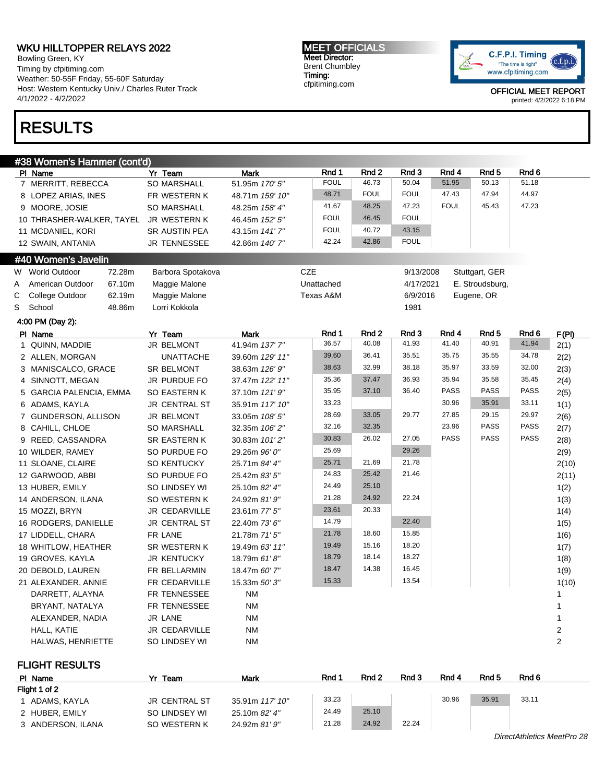Bowling Green, KY Timing by cfpitiming.com Weather: 50-55F Friday, 55-60F Saturday Host: Western Kentucky Univ./ Charles Ruter Track 4/1/2022 - 4/2/2022

# RESULTS

MEET OFFICIALS Meet Director: Brent Chumbley Timing: cfpitiming.com



OFFICIAL MEET REPORT printed: 4/2/2022 6:18 PM

|   | #38 Women's Hammer (cont'd)            |                      |                 |             |             |             |             |                  |             |                  |
|---|----------------------------------------|----------------------|-----------------|-------------|-------------|-------------|-------------|------------------|-------------|------------------|
|   | PI Name                                | Yr Team              | <b>Mark</b>     | Rnd 1       | Rnd 2       | Rnd 3       | Rnd 4       | Rnd 5            | Rnd 6       |                  |
|   | 7 MERRITT, REBECCA                     | <b>SO MARSHALL</b>   | 51.95m 170' 5"  | <b>FOUL</b> | 46.73       | 50.04       | 51.95       | 50.13            | 51.18       |                  |
|   | 8 LOPEZ ARIAS, INES                    | FR WESTERN K         | 48.71m 159' 10" | 48.71       | <b>FOUL</b> | <b>FOUL</b> | 47.43       | 47.94            | 44.97       |                  |
|   | 9 MOORE, JOSIE                         | <b>SO MARSHALL</b>   | 48.25m 158' 4"  | 41.67       | 48.25       | 47.23       | <b>FOUL</b> | 45.43            | 47.23       |                  |
|   | 10 THRASHER-WALKER, TAYEL JR WESTERN K |                      | 46.45m 152' 5"  | <b>FOUL</b> | 46.45       | <b>FOUL</b> |             |                  |             |                  |
|   | 11 MCDANIEL, KORI                      | SR AUSTIN PEA        | 43.15m 141'7"   | <b>FOUL</b> | 40.72       | 43.15       |             |                  |             |                  |
|   | 12 SWAIN, ANTANIA                      | <b>JR TENNESSEE</b>  | 42.86m 140' 7"  | 42.24       | 42.86       | <b>FOUL</b> |             |                  |             |                  |
|   | #40 Women's Javelin                    |                      |                 |             |             |             |             |                  |             |                  |
|   | W World Outdoor<br>72.28m              | Barbora Spotakova    |                 | <b>CZE</b>  |             | 9/13/2008   |             | Stuttgart, GER   |             |                  |
| A | 67.10m<br>American Outdoor             | Maggie Malone        |                 | Unattached  |             | 4/17/2021   |             | E. Stroudsburg,  |             |                  |
| С | College Outdoor<br>62.19m              | Maggie Malone        |                 | Texas A&M   |             | 6/9/2016    |             | Eugene, OR       |             |                  |
| S | School<br>48.86m                       | Lorri Kokkola        |                 |             |             | 1981        |             |                  |             |                  |
|   | 4:00 PM (Day 2):                       |                      |                 |             |             |             |             |                  |             |                  |
|   | PI Name                                | Yr Team              | <b>Mark</b>     | Rnd 1       | Rnd 2       | Rnd 3       | Rnd 4       | Rnd <sub>5</sub> | Rnd 6       | F(PI)            |
|   | 1 QUINN, MADDIE                        | <b>JR BELMONT</b>    | 41.94m 137' 7"  | 36.57       | 40.08       | 41.93       | 41.40       | 40.91            | 41.94       | 2(1)             |
|   | 2 ALLEN, MORGAN                        | <b>UNATTACHE</b>     | 39.60m 129' 11" | 39.60       | 36.41       | 35.51       | 35.75       | 35.55            | 34.78       | 2(2)             |
|   | 3 MANISCALCO, GRACE                    | <b>SR BELMONT</b>    | 38.63m 126' 9"  | 38.63       | 32.99       | 38.18       | 35.97       | 33.59            | 32.00       | 2(3)             |
|   | 4 SINNOTT, MEGAN                       | JR PURDUE FO         | 37.47m 122' 11" | 35.36       | 37.47       | 36.93       | 35.94       | 35.58            | 35.45       | 2(4)             |
|   | 5 GARCIA PALENCIA, EMMA                | SO EASTERN K         | 37.10m 121' 9"  | 35.95       | 37.10       | 36.40       | <b>PASS</b> | <b>PASS</b>      | PASS        | 2(5)             |
|   | 6 ADAMS, KAYLA                         | JR CENTRAL ST        | 35.91m 117' 10" | 33.23       |             |             | 30.96       | 35.91            | 33.11       | 1(1)             |
|   | 7 GUNDERSON, ALLISON                   | JR BELMONT           | 33.05m 108' 5"  | 28.69       | 33.05       | 29.77       | 27.85       | 29.15            | 29.97       | 2(6)             |
|   | 8 CAHILL, CHLOE                        | <b>SO MARSHALL</b>   | 32.35m 106' 2"  | 32.16       | 32.35       |             | 23.96       | <b>PASS</b>      | <b>PASS</b> | 2(7)             |
|   | 9 REED, CASSANDRA                      | <b>SR EASTERN K</b>  | 30.83m 101'2"   | 30.83       | 26.02       | 27.05       | <b>PASS</b> | <b>PASS</b>      | PASS        | 2(8)             |
|   | 10 WILDER, RAMEY                       | SO PURDUE FO         | 29.26m 96' 0"   | 25.69       |             | 29.26       |             |                  |             | 2(9)             |
|   | 11 SLOANE, CLAIRE                      | SO KENTUCKY          | 25.71m 84' 4"   | 25.71       | 21.69       | 21.78       |             |                  |             | 2(10)            |
|   | 12 GARWOOD, ABBI                       | SO PURDUE FO         | 25.42m 83' 5"   | 24.83       | 25.42       | 21.46       |             |                  |             | 2(11)            |
|   | 13 HUBER, EMILY                        | SO LINDSEY WI        | 25.10m 82' 4"   | 24.49       | 25.10       |             |             |                  |             | 1(2)             |
|   | 14 ANDERSON, ILANA                     | SO WESTERN K         | 24.92m 81' 9"   | 21.28       | 24.92       | 22.24       |             |                  |             | 1(3)             |
|   | 15 MOZZI, BRYN                         | JR CEDARVILLE        | 23.61m 77' 5"   | 23.61       | 20.33       |             |             |                  |             | 1(4)             |
|   | 16 RODGERS, DANIELLE                   | <b>JR CENTRAL ST</b> | 22.40m 73' 6"   | 14.79       |             | 22.40       |             |                  |             | 1(5)             |
|   | 17 LIDDELL, CHARA                      | FR LANE              | 21.78m 71' 5"   | 21.78       | 18.60       | 15.85       |             |                  |             | 1(6)             |
|   | 18 WHITLOW, HEATHER                    | SR WESTERN K         | 19.49m 63' 11"  | 19.49       | 15.16       | 18.20       |             |                  |             | 1(7)             |
|   | 19 GROVES, KAYLA                       | <b>JR KENTUCKY</b>   | 18.79m 61'8"    | 18.79       | 18.14       | 18.27       |             |                  |             | 1(8)             |
|   | 20 DEBOLD, LAUREN                      | FR BELLARMIN         | 18.47m 60' 7"   | 18.47       | 14.38       | 16.45       |             |                  |             | 1(9)             |
|   | 21 ALEXANDER, ANNIE                    | FR CEDARVILLE        | 15.33m 50'3"    | 15.33       |             | 13.54       |             |                  |             | 1(10)            |
|   | DARRETT, ALAYNA                        | FR TENNESSEE         | <b>NM</b>       |             |             |             |             |                  |             | 1                |
|   | BRYANT, NATALYA                        | FR TENNESSEE         | <b>NM</b>       |             |             |             |             |                  |             | 1                |
|   | ALEXANDER, NADIA                       | <b>JR LANE</b>       | <b>NM</b>       |             |             |             |             |                  |             | 1                |
|   | HALL, KATIE                            | <b>JR CEDARVILLE</b> | <b>NM</b>       |             |             |             |             |                  |             | $\boldsymbol{2}$ |
|   | HALWAS, HENRIETTE                      | SO LINDSEY WI        | <b>NM</b>       |             |             |             |             |                  |             | $\overline{c}$   |
|   |                                        |                      |                 |             |             |             |             |                  |             |                  |

FLIGHT RESULTS

| PI Name           | Yr Team       | <b>Mark</b>     | Rnd 1 | Rnd 2 | Rnd 3 | Rnd 4 | Rnd 5 | Rnd 6                      |
|-------------------|---------------|-----------------|-------|-------|-------|-------|-------|----------------------------|
| Flight 1 of 2     |               |                 |       |       |       |       |       |                            |
| ADAMS. KAYLA      | JR CENTRAL ST | 35.91m 117' 10" | 33.23 |       |       | 30.96 | 35.91 | 33.11                      |
| 2 HUBER, EMILY    | SO LINDSEY WI | 25.10m 82' 4"   | 24.49 | 25.10 |       |       |       |                            |
| 3 ANDERSON, ILANA | SO WESTERN K  | 24.92m 81' 9"   | 21.28 | 24.92 | 22.24 |       |       |                            |
|                   |               |                 |       |       |       |       |       | DirectAthletics MeetPro 28 |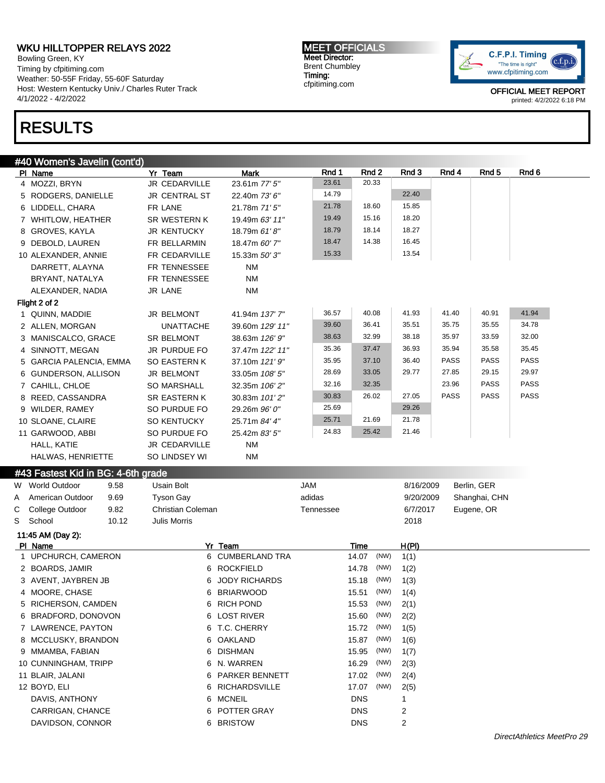Bowling Green, KY Timing by cfpitiming.com Weather: 50-55F Friday, 55-60F Saturday Host: Western Kentucky Univ./ Charles Ruter Track 4/1/2022 - 4/2/2022

## RESULTS

### #40 Women's Javelin (cont'd)

PIName Notice Yr Team Mark Rnd 1 Rnd 2 Rnd 3 Rnd 4 Rnd 5 Rnd 6 Rnd 6 Rnd 5 Rnd 6 Rnd 6 Rnd 6 Rnd 6 Rnd 6 Rnd 6 4 MOZZI, BRYN JR CEDARVILLE 23.61m 77' 5" 23.61 20.33 5 RODGERS, DANIELLE JR CENTRAL ST 22.40m 73' 6" 14.79 22.40 6 LIDDELL, CHARA FR LANE 21.78m 71' 5" 21.78 18.60 15.85 7 WHITLOW, HEATHER SR WESTERN K 19.49m 63' 11" 19.49 15.16 18.20 8 GROVES, KAYLA JR KENTUCKY 18.79m 61'8" 18.79 18.14 18.27 9 DEBOLD, LAUREN FR BELLARMIN 18.47m 60' 7" 18.47 14.38 16.45 10 ALEXANDER, ANNIE FR CEDARVILLE 15.33m 50' 3" 15.33 13.54 DARRETT, ALAYNA FR TENNESSEE NM BRYANT, NATALYA FR TENNESSEE NM ALEXANDER, NADIA JR LANE NM Flight 2 of 2 1 QUINN, MADDIE JR BELMONT 41.94m 137' 7" 36.57 40.08 41.93 41.40 40.91 41.94 2 ALLEN, MORGAN UNATTACHE 39.60m 129' 11" 39.60 36.41 35.51 35.75 35.55 34.78 3 MANISCALCO, GRACE SR BELMONT 38.63m 126' 9" 38.63 32.99 38.18 35.97 33.59 32.00 4 SINNOTT, MEGAN JR PURDUE FO 37.47m 122' 11" 35.36 37.47 36.93 35.94 35.58 35.45 5 GARCIA PALENCIA, EMMA SO EASTERN K 37.10m 121' 9" 35.95 37.10 36.40 PASS PASS PASS 6 GUNDERSON, ALLISON JR BELMONT 33.05m 108' 5" 28.69 33.05 29.77 27.85 29.15 29.97 7 CAHILL, CHLOE SO MARSHALL 32.35m 106' 2" 32.16 32.35 23.96 PASS PASS 8 REED, CASSANDRA SR EASTERN K 30.83m 101'2" 30.83 26.02 27.05 PASS PASS PASS 9 WILDER, RAMEY SO PURDUE FO 29.26m 96' 0" 25.69 29.26 10 SLOANE, CLAIRE SO KENTUCKY 25.71m 84' 4" 25.71 21.69 21.78 11 GARWOOD, ABBI SO PURDUE FO 25.42m 83' 5" 24.83 25.42 21.46 HALL, KATIE JR CEDARVILLE NM HALWAS, HENRIETTE SO LINDSEY WI NM #43 Fastest Kid in BG: 4-6th grade W World Outdoor 9.58 Usain Bolt JAM 8/16/2009 Berlin, GER A American Outdoor 9.69 Tyson Gay and the same adidas the studio of 9/20/2009 Shanghai, CHN C College Outdoor 9.82 Christian Coleman Tennessee 6/7/2017 Eugene, OR S School 10.12 Julis Morris 2018 11:45 AM (Day 2): Pl Name Yr Team Time H(Pl) 1 UPCHURCH, CAMERON 6 CUMBERLAND TRA 14.07 (NW) 1(1) 2 BOARDS, JAMIR 6 ROCKFIELD 14.78 (NW) 1(2) 3 AVENT, JAYBREN JB 6 JODY RICHARDS 15.18 (NW) 1(3) 4 MOORE, CHASE 6 BRIARWOOD 15.51 (NW) 1(4) 5 RICHERSON, CAMDEN 6 RICH POND 15.53 (NW) 2(1) 6 BRADFORD, DONOVON 6 LOST RIVER 15.60 (NW) 2(2) 7 LAWRENCE, PAYTON 6 T.C. CHERRY 15.72 (NW) 1(5) 8 MCCLUSKY, BRANDON 6 OAKLAND 15.87 (NW) 1(6) 9 MMAMBA, FABIAN 6 DISHMAN 15.95 (NW) 1(7) 10 CUNNINGHAM, TRIPP 6 N. WARREN 16.29 (NW) 2(3) 11 BLAIR, JALANI 6 PARKER BENNETT 17.02 (NW) 2(4) 12 BOYD, ELI 6 RICHARDSVILLE 17.07 (NW) 2(5) DAVIS, ANTHONY **6 MCNEIL** 6 MCNEIL **DNS** 1 CARRIGAN, CHANCE **6 POTTER GRAY** DNS 2 DAVIDSON, CONNOR 6 BRISTOW DNS 2

MEET OFFICIALS Meet Director: Brent Chumbley Timing: cfpitiming.com

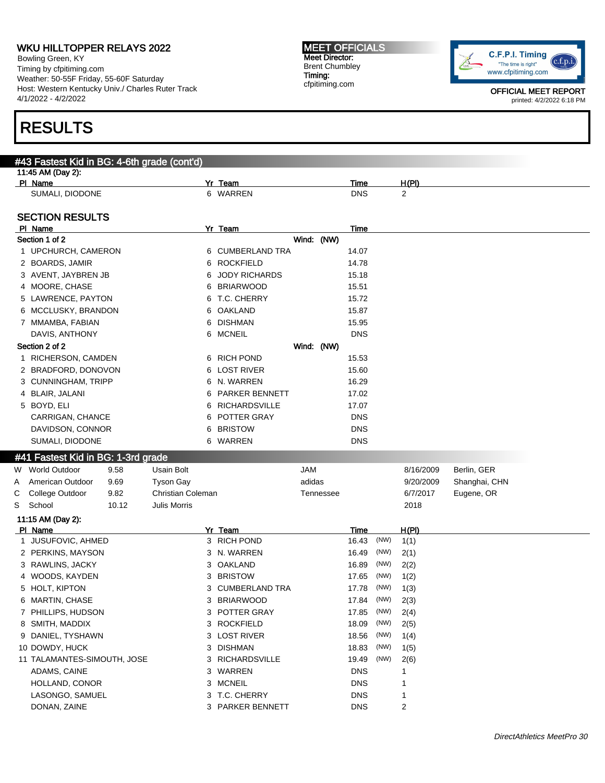Bowling Green, KY Timing by cfpitiming.com Weather: 50-55F Friday, 55-60F Saturday Host: Western Kentucky Univ./ Charles Ruter Track 4/1/2022 - 4/2/2022

## RESULTS

## #43 Fastest Kid in BG: 4-6th grade (cont'd) 11:45 AM (Day 2): Pl Name Yr Team Time H(Pl) SUMALI, DIODONE 6 WARREN DNS 2 SECTION RESULTS Pl Name Yr Team Time Section 1 of 2 Wind: (NW) 1 UPCHURCH, CAMERON 6 CUMBERLAND TRA 14.07 2 BOARDS, JAMIR 6 ROCKFIELD 14.78 3 AVENT, JAYBREN JB 6 JODY RICHARDS 15.18 4 MOORE, CHASE 6 BRIARWOOD 15.51 5 LAWRENCE, PAYTON 6 T.C. CHERRY 15.72 6 MCCLUSKY, BRANDON 6 OAKLAND 15.87 7 MMAMBA, FABIAN 6 DISHMAN 15.95 DAVIS, ANTHONY CHARGE ON SALE OF SALE OF SALE OF SALE ON SALE ON SALE OF SALE OF SALE OF SALE OF SALE OF SALE O Section 2 of 2 Wind: (NW) 1 RICHERSON, CAMDEN 6 RICH POND 15.53 2 BRADFORD, DONOVON 6 LOST RIVER 15.60 3 CUNNINGHAM, TRIPP 6 N. WARREN 16.29 4 BLAIR, JALANI 6 PARKER BENNETT 17.02 5 BOYD, ELI 6 RICHARDSVILLE 17.07 CARRIGAN, CHANCE 6 POTTER GRAY DNS DAVIDSON, CONNOR 6 BRISTOW 6 BRISTOW DNS SUMALI, DIODONE 6 WARREN DNS #41 Fastest Kid in BG: 1-3rd grade W World Outdoor 9.58 Usain Bolt JAM 8/16/2009 Berlin, GER A American Outdoor 9.69 Tyson Gay and the Sadidas and the State of 9/20/2009 Shanghai, CHN C College Outdoor 9.82 Christian Coleman Tennessee 6/7/2017 Eugene, OR S School 10.12 Julis Morris 2018 11:15 AM (Day 2): Pl Name Yr Team Time H(Pl) 1 JUSUFOVIC, AHMED 2000 1 2 3 RICH POND 3 2 2 16.43 (NW) 1(1) 2 PERKINS, MAYSON 3 N. WARREN 16.49 (NW) 2(1) 3 RAWLINS, JACKY 16.89 (NW) 2(2) 4 WOODS, KAYDEN 3 BRISTOW 17.65 (NW) 1(2) 5 HOLT, KIPTON 6 (NW) 1(3) 3 CUMBERLAND TRA 17.78 (NW) 1(3) 6 MARTIN, CHASE 3 BRIARWOOD 17.84 (NW) 2(3) 7 PHILLIPS, HUDSON 3 POTTER GRAY 17.85 (NW) 2(4) 8 SMITH, MADDIX 3 ROCKFIELD 18.09 (NW) 2(5) 9 DANIEL, TYSHAWN 14) 3 LOST RIVER 18.56 (NW) 1(4) 10 DOWDY, HUCK 18.83 (NW) 1(5) 11 TALAMANTES-SIMOUTH, JOSE 3 RICHARDSVILLE 19.49 (NW) 2(6) ADAMS, CAINE 3 WARREN DNS 1 HOLLAND, CONOR **3 MCNEIL** 3 MCNEIL **DNS** 1

LASONGO, SAMUEL 3 T.C. CHERRY DNS 1 DONAN, ZAINE 2 2 3 PARKER BENNETT 2 DNS 2

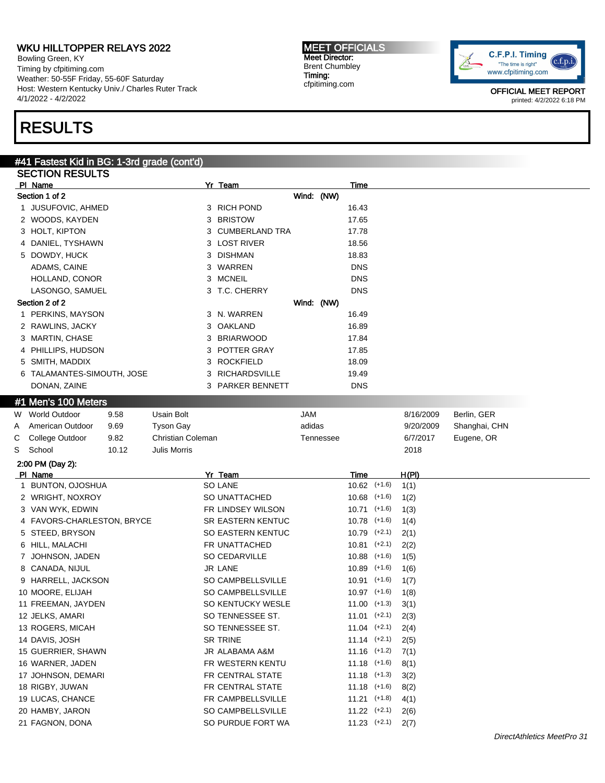Bowling Green, KY Timing by cfpitiming.com Weather: 50-55F Friday, 55-60F Saturday Host: Western Kentucky Univ./ Charles Ruter Track 4/1/2022 - 4/2/2022

# RESULTS

#### MEET OFFICIALS Meet Director: Brent Chumbley Timing: cfpitiming.com



|   | #41 Fastest Kid in BG: 1-3rd grade (cont'd) |       |                   |   |                    |            |           |                  |           |               |  |
|---|---------------------------------------------|-------|-------------------|---|--------------------|------------|-----------|------------------|-----------|---------------|--|
|   | <b>SECTION RESULTS</b>                      |       |                   |   |                    |            |           |                  |           |               |  |
|   | PI Name                                     |       |                   |   | Yr Team            |            |           | Time             |           |               |  |
|   | Section 1 of 2                              |       |                   |   |                    | Wind: (NW) |           |                  |           |               |  |
|   | 1 JUSUFOVIC, AHMED                          |       |                   |   | 3 RICH POND        |            |           | 16.43            |           |               |  |
|   | 2 WOODS, KAYDEN                             |       |                   |   | 3 BRISTOW          |            |           | 17.65            |           |               |  |
|   | 3 HOLT, KIPTON                              |       |                   |   | 3 CUMBERLAND TRA   |            |           | 17.78            |           |               |  |
|   | 4 DANIEL, TYSHAWN                           |       |                   |   | 3 LOST RIVER       |            |           | 18.56            |           |               |  |
|   | 5 DOWDY, HUCK                               |       |                   |   | 3 DISHMAN          |            |           | 18.83            |           |               |  |
|   | ADAMS, CAINE                                |       |                   |   | 3 WARREN           |            |           | <b>DNS</b>       |           |               |  |
|   | HOLLAND, CONOR                              |       |                   |   | 3 MCNEIL           |            |           | <b>DNS</b>       |           |               |  |
|   | LASONGO, SAMUEL                             |       |                   |   | 3 T.C. CHERRY      |            |           | <b>DNS</b>       |           |               |  |
|   | Section 2 of 2                              |       |                   |   |                    | Wind: (NW) |           |                  |           |               |  |
|   | 1 PERKINS, MAYSON                           |       |                   |   | 3 N. WARREN        |            |           | 16.49            |           |               |  |
|   | 2 RAWLINS, JACKY                            |       |                   |   | 3 OAKLAND          |            |           | 16.89            |           |               |  |
|   | 3 MARTIN, CHASE                             |       |                   | 3 | <b>BRIARWOOD</b>   |            |           | 17.84            |           |               |  |
|   | 4 PHILLIPS, HUDSON                          |       |                   | 3 | <b>POTTER GRAY</b> |            |           | 17.85            |           |               |  |
|   | 5 SMITH, MADDIX                             |       |                   | 3 | <b>ROCKFIELD</b>   |            |           | 18.09            |           |               |  |
|   | 6 TALAMANTES-SIMOUTH, JOSE                  |       |                   |   | 3 RICHARDSVILLE    |            |           | 19.49            |           |               |  |
|   | DONAN, ZAINE                                |       |                   |   | 3 PARKER BENNETT   |            |           | DNS              |           |               |  |
|   | #1 Men's 100 Meters                         |       |                   |   |                    |            |           |                  |           |               |  |
| W | World Outdoor                               | 9.58  | <b>Usain Bolt</b> |   |                    | JAM        |           |                  | 8/16/2009 | Berlin, GER   |  |
| Α | American Outdoor                            | 9.69  | <b>Tyson Gay</b>  |   |                    | adidas     |           |                  | 9/20/2009 | Shanghai, CHN |  |
| С | College Outdoor                             | 9.82  | Christian Coleman |   |                    |            | Tennessee |                  | 6/7/2017  | Eugene, OR    |  |
| S | School                                      | 10.12 | Julis Morris      |   |                    |            |           |                  | 2018      |               |  |
|   | 2:00 PM (Day 2):                            |       |                   |   |                    |            |           |                  |           |               |  |
|   | PI Name                                     |       |                   |   | Yr Team            |            |           | Time             | H(PI)     |               |  |
|   | 1 BUNTON, OJOSHUA                           |       |                   |   | <b>SO LANE</b>     |            |           | $10.62$ (+1.6)   | 1(1)      |               |  |
|   | 2 WRIGHT, NOXROY                            |       |                   |   | SO UNATTACHED      |            |           | $10.68$ (+1.6)   | 1(2)      |               |  |
|   | 3 VAN WYK, EDWIN                            |       |                   |   | FR LINDSEY WILSON  |            |           | $10.71$ (+1.6)   | 1(3)      |               |  |
|   | 4 FAVORS-CHARLESTON, BRYCE                  |       |                   |   | SR EASTERN KENTUC  |            |           | $10.78$ (+1.6)   | 1(4)      |               |  |
|   | 5 STEED, BRYSON                             |       |                   |   | SO EASTERN KENTUC  |            |           | $10.79$ $(+2.1)$ | 2(1)      |               |  |
|   | 6 HILL, MALACHI                             |       |                   |   | FR UNATTACHED      |            |           | $10.81$ $(+2.1)$ | 2(2)      |               |  |
|   | 7 JOHNSON, JADEN                            |       |                   |   | SO CEDARVILLE      |            |           | $10.88$ (+1.6)   | 1(5)      |               |  |
|   | 8 CANADA, NIJUL                             |       |                   |   | JR LANE            |            |           | $10.89$ $(+1.6)$ | 1(6)      |               |  |
|   | 9 HARRELL, JACKSON                          |       |                   |   | SO CAMPBELLSVILLE  |            |           | $10.91$ (+1.6)   | 1(7)      |               |  |
|   | 10 MOORE, ELIJAH                            |       |                   |   | SO CAMPBELLSVILLE  |            |           | $10.97$ (+1.6)   | 1(8)      |               |  |
|   | 11 FREEMAN, JAYDEN                          |       |                   |   | SO KENTUCKY WESLE  |            |           | $11.00$ (+1.3)   | 3(1)      |               |  |
|   | 12 JELKS, AMARI                             |       |                   |   | SO TENNESSEE ST.   |            |           | $11.01$ $(+2.1)$ | 2(3)      |               |  |
|   | 13 ROGERS, MICAH                            |       |                   |   | SO TENNESSEE ST.   |            |           | $11.04$ $(+2.1)$ | 2(4)      |               |  |
|   | 14 DAVIS, JOSH                              |       |                   |   | <b>SR TRINE</b>    |            |           | $11.14$ $(+2.1)$ | 2(5)      |               |  |
|   | 15 GUERRIER, SHAWN                          |       |                   |   | JR ALABAMA A&M     |            |           | $11.16$ $(+1.2)$ | 7(1)      |               |  |
|   | 16 WARNER, JADEN                            |       |                   |   | FR WESTERN KENTU   |            |           | $11.18$ (+1.6)   | 8(1)      |               |  |
|   | 17 JOHNSON, DEMARI                          |       |                   |   | FR CENTRAL STATE   |            |           | $11.18$ (+1.3)   | 3(2)      |               |  |
|   | 18 RIGBY, JUWAN                             |       |                   |   | FR CENTRAL STATE   |            |           | $11.18$ (+1.6)   | 8(2)      |               |  |
|   | 19 LUCAS, CHANCE                            |       |                   |   | FR CAMPBELLSVILLE  |            |           | $11.21$ (+1.8)   | 4(1)      |               |  |
|   | 20 HAMBY, JARON                             |       |                   |   | SO CAMPBELLSVILLE  |            |           | $11.22$ $(+2.1)$ | 2(6)      |               |  |
|   | 21 FAGNON, DONA                             |       |                   |   | SO PURDUE FORT WA  |            |           | $11.23$ $(+2.1)$ | 2(7)      |               |  |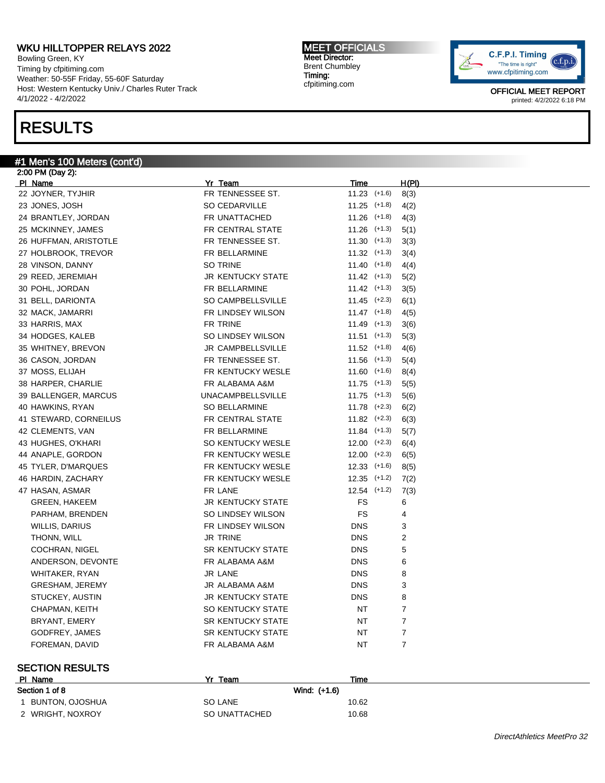Bowling Green, KY Timing by cfpitiming.com Weather: 50-55F Friday, 55-60F Saturday Host: Western Kentucky Univ./ Charles Ruter Track 4/1/2022 - 4/2/2022

## RESULTS

#### #1 Men's 100 Meters (cont'd)

2:00 PM (Day 2): Pl Name Yr Team Time H(Pl) 22 JOYNER, TYJHIR FR TENNESSEE ST. 11.23 (+1.6) 8(3) 23 JONES, JOSH SO CEDARVILLE 11.25 (+1.8) 4(2) 24 BRANTLEY, JORDAN **FR UNATTACHED** 11.26 (+1.8) 4(3) 25 MCKINNEY, JAMES FR CENTRAL STATE 11.26 (+1.3) 5(1) 26 HUFFMAN, ARISTOTLE FR TENNESSEE ST. 11.30 (+1.3) 3(3) 27 HOLBROOK, TREVOR **FR BELLARMINE** 11.32 (+1.3) 3(4) 28 VINSON, DANNY SO TRINE 11.40 (+1.8) 4(4) 29 REED, JEREMIAH **JR KENTUCKY STATE** 11.42 (+1.3) 5(2) 30 POHL, JORDAN **FR BELLARMINE** 11.42 (+1.3) 3(5) 31 BELL, DARIONTA SO CAMPBELLSVILLE 11.45 (+2.3) 6(1) 32 MACK, JAMARRI FR LINDSEY WILSON 11.47 (+1.8) 4(5) 33 HARRIS, MAX FR TRINE 11.49 (+1.3) 3(6) 34 HODGES, KALEB SO LINDSEY WILSON 11.51 (+1.3) 5(3) 35 WHITNEY, BREVON **11.52** (+1.8) 4(6) JR CAMPBELLSVILLE 11.52 (+1.8) 4(6) 36 CASON, JORDAN **FR TENNESSEE ST.** 11.56 (+1.3) 5(4) 37 MOSS, ELIJAH **FR KENTUCKY WESLE** 11.60 (+1.6) 8(4) 38 HARPER, CHARLIE **FR ALABAMA A&M** 11.75 (+1.3) 5(5) 39 BALLENGER, MARCUS UNACAMPBELLSVILLE 11.75 (+1.3) 5(6) 40 HAWKINS, RYAN SO BELLARMINE 11.78 (+2.3) 6(2) 41 STEWARD, CORNEILUS FR CENTRAL STATE 11.82 (+2.3) 6(3) 42 CLEMENTS, VAN 11.84 (+1.3) 5(7) 43 HUGHES, O'KHARI SO KENTUCKY WESLE 12.00 (+2.3) 6(4) 44 ANAPLE, GORDON FR KENTUCKY WESLE 12.00 (+2.3) 6(5) 45 TYLER, D'MARQUES FR KENTUCKY WESLE 12.33 (+1.6) 8(5) 46 HARDIN, ZACHARY **FR KENTUCKY WESLE** 12.35 (+1.2) 7(2) 47 HASAN, ASMAR **FR LANE** FR LANE 12.54 (+1.2) 7(3) GREEN, HAKEEM GREEN, GREEN, HAKEEM STATE GREEN, HAKEEM 6 PARHAM, BRENDEN SO LINDSEY WILSON FS 4 WILLIS, DARIUS **FR LINDSEY WILSON** DNS 3 THONN, WILL **CONNECTED A SET ISSUED ASSESSED ASSESS** ON TRINE 2 COCHRAN, NIGEL **SR KENTUCKY STATE** DNS 5 ANDERSON, DEVONTE FR ALABAMA A&M DNS 6 WHITAKER, RYAN JR LANE DNS 8 GRESHAM, JEREMY **JR ALABAMA A&M** DNS 3 STUCKEY, AUSTIN GENERAL BROWN STATE STUCKEY, AUSTING AND THE SERVICE OF STATE STATE STATE STATE STATE STATE ST CHAPMAN, KEITH SO KENTUCKY STATE NT 7 BRYANT, EMERY GROUP SR KENTUCKY STATE NT THE 7 GODFREY, JAMES GODFREY, JAMES FOREMAN, DAVID GALLARIES FRALABAMA A&M NT THAT THAT THE RALABAMA A&M

#### SECTION RESULTS

| PI Name                | Yr Team        | Time  |
|------------------------|----------------|-------|
| Section 1 of 8         | Wind: (+1.6)   |       |
| <b>BUNTON, OJOSHUA</b> | <b>SO LANE</b> | 10.62 |
| 2 WRIGHT, NOXROY       | SO UNATTACHED  | 10.68 |

MEET OFFICIALS Meet Director: Brent Chumbley Timing: cfpitiming.com

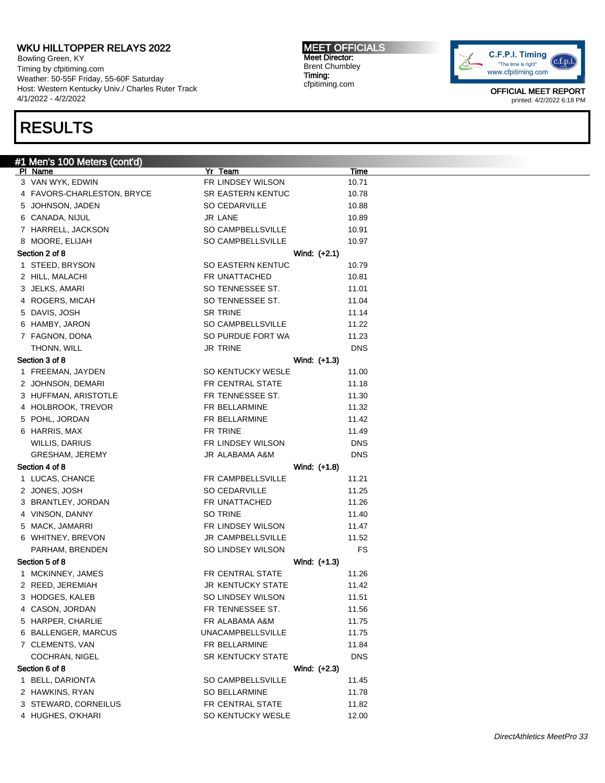Bowling Green, KY Timing by cfpitiming.com Weather: 50-55F Friday, 55-60F Saturday Host: Western Kentucky Univ./ Charles Ruter Track 4/1/2022 - 4/2/2022

## RESULTS

#1 Men's 100 Meters (cont'd)

### 3 VAN WYK, EDWIN FR LINDSEY WILSON 10.71 4 FAVORS-CHARLESTON, BRYCE SR EASTERN KENTUC 10.78 5 JOHNSON, JADEN SO CEDARVILLE 10.88 6 CANADA, NIJUL JR LANE 10.89 7 HARRELL, JACKSON SO CAMPBELLSVILLE 10.91 8 MOORE, ELIJAH SO CAMPBELLSVILLE 10.97 Section 2 of 8 Wind: (+2.1) 1 STEED, BRYSON SO EASTERN KENTUC 10.79 2 HILL, MALACHI **10.81** FR UNATTACHED 10.81 3 JELKS, AMARI SO TENNESSEE ST. 11.01 4 ROGERS, MICAH SO TENNESSEE ST. 11.04 5 DAVIS, JOSH SR TRINE 11.14 6 HAMBY, JARON SO CAMPBELLSVILLE 11.22 7 FAGNON, DONA SO PURDUE FORT WA 11.23 THONN, WILL **THONN, WILL DNS** Section 3 of 8 Wind: (+1.3) 1 FREEMAN, JAYDEN SO KENTUCKY WESLE 11.00 2 JOHNSON, DEMARI **FR CENTRAL STATE** 11.18 3 HUFFMAN, ARISTOTLE FR TENNESSEE ST. 21.30 4 HOLBROOK, TREVOR FR BELLARMINE 11.32 5 POHL, JORDAN 11.42 6 HARRIS, MAX FR TRINE 11.49 WILLIS, DARIUS FR LINDSEY WILSON DNS GRESHAM, JEREMY JR ALABAMA A&M DNS Section 4 of 8 Wind: (+1.8) 1 LUCAS, CHANCE **FR CAMPBELLSVILLE** 11.21 2 JONES, JOSH SO CEDARVILLE 11.25 3 BRANTLEY, JORDAN FR UNATTACHED 11.26 4 VINSON, DANNY SO TRINE 11.40 5 MACK, JAMARRI **FR LINDSEY WILSON** 11.47 6 WHITNEY, BREVON **Fig. 11.52** JR CAMPBELLSVILLE 11.52 PARHAM, BRENDEN SO LINDSEY WILSON FS Section 5 of 8 Wind: (+1.3) 1 MCKINNEY, JAMES **FR CENTRAL STATE** 11.26 2 REED, JEREMIAH JR KENTUCKY STATE 11.42 3 HODGES, KALEB SO LINDSEY WILSON 11.51 4 CASON, JORDAN **FR TENNESSEE ST.** 11.56 5 HARPER, CHARLIE **FR ALABAMA A&M** 11.75 6 BALLENGER, MARCUS UNACAMPBELLSVILLE 11.75 7 CLEMENTS, VAN FR BELLARMINE 11.84 COCHRAN, NIGEL DISCOCHRAN, NIGEL COCHRAN, NIGEL Section 6 of 8 Wind: (+2.3) 1 BELL, DARIONTA **SO CAMPBELLSVILLE** 11.45 2 HAWKINS, RYAN SO BELLARMINE 11.78

3 STEWARD, CORNEILUS FR CENTRAL STATE 11.82 4 HUGHES, O'KHARI SO KENTUCKY WESLE 12.00

Pl Name Yr Team Time

MEET OFFICIALS Meet Director: Brent Chumbley Timing: cfpitiming.com

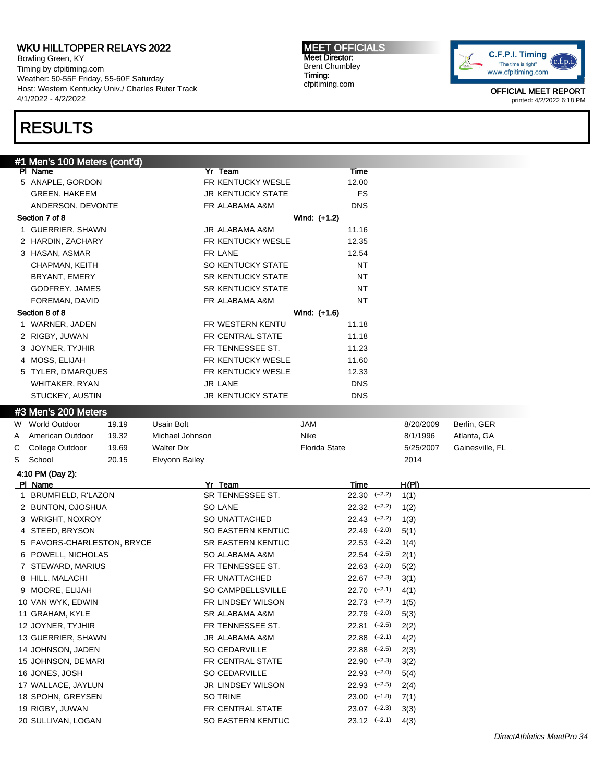Bowling Green, KY Timing by cfpitiming.com Weather: 50-55F Friday, 55-60F Saturday Host: Western Kentucky Univ./ Charles Ruter Track 4/1/2022 - 4/2/2022

# RESULTS

MEET OFFICIALS Meet Director: Brent Chumbley Timing: cfpitiming.com



|   | #1 Men's 100 Meters (cont'd) |       |                   |                          |                      |                  |                           |           |                 |
|---|------------------------------|-------|-------------------|--------------------------|----------------------|------------------|---------------------------|-----------|-----------------|
|   | PI Name                      |       |                   | Yr Team                  |                      | Time             |                           |           |                 |
|   | 5 ANAPLE, GORDON             |       |                   | FR KENTUCKY WESLE        |                      | 12.00            |                           |           |                 |
|   | <b>GREEN, HAKEEM</b>         |       |                   | <b>JR KENTUCKY STATE</b> |                      | <b>FS</b>        |                           |           |                 |
|   | ANDERSON, DEVONTE            |       |                   | FR ALABAMA A&M           |                      | <b>DNS</b>       |                           |           |                 |
|   | Section 7 of 8               |       |                   |                          | Wind: (+1.2)         |                  |                           |           |                 |
|   | 1 GUERRIER, SHAWN            |       |                   | JR ALABAMA A&M           |                      | 11.16            |                           |           |                 |
|   | 2 HARDIN, ZACHARY            |       |                   | FR KENTUCKY WESLE        |                      | 12.35            |                           |           |                 |
|   | 3 HASAN, ASMAR               |       |                   | FR LANE                  |                      | 12.54            |                           |           |                 |
|   | CHAPMAN, KEITH               |       |                   | SO KENTUCKY STATE        |                      | NT               |                           |           |                 |
|   | BRYANT, EMERY                |       |                   | <b>SR KENTUCKY STATE</b> |                      | NT               |                           |           |                 |
|   | GODFREY, JAMES               |       |                   | <b>SR KENTUCKY STATE</b> |                      | NT               |                           |           |                 |
|   | FOREMAN, DAVID               |       |                   | FR ALABAMA A&M           |                      | NT               |                           |           |                 |
|   | Section 8 of 8               |       |                   |                          | Wind: (+1.6)         |                  |                           |           |                 |
|   | 1 WARNER, JADEN              |       |                   | FR WESTERN KENTU         |                      | 11.18            |                           |           |                 |
|   | 2 RIGBY, JUWAN               |       |                   | FR CENTRAL STATE         |                      | 11.18            |                           |           |                 |
|   | 3 JOYNER, TYJHIR             |       |                   | FR TENNESSEE ST.         |                      | 11.23            |                           |           |                 |
|   | 4 MOSS, ELIJAH               |       |                   | FR KENTUCKY WESLE        |                      | 11.60            |                           |           |                 |
|   | 5 TYLER, D'MARQUES           |       |                   | FR KENTUCKY WESLE        |                      | 12.33            |                           |           |                 |
|   | WHITAKER, RYAN               |       |                   | JR LANE                  |                      | <b>DNS</b>       |                           |           |                 |
|   | STUCKEY, AUSTIN              |       |                   | <b>JR KENTUCKY STATE</b> |                      | <b>DNS</b>       |                           |           |                 |
|   | #3 Men's 200 Meters          |       |                   |                          |                      |                  |                           |           |                 |
|   | W World Outdoor              | 19.19 | Usain Bolt        |                          | JAM                  |                  |                           | 8/20/2009 | Berlin, GER     |
| A | American Outdoor             | 19.32 | Michael Johnson   |                          | Nike                 |                  |                           | 8/1/1996  | Atlanta, GA     |
| С | College Outdoor              | 19.69 | <b>Walter Dix</b> |                          | <b>Florida State</b> |                  |                           | 5/25/2007 | Gainesville, FL |
| S | School                       | 20.15 | Elvyonn Bailey    |                          |                      |                  |                           | 2014      |                 |
|   | 4:10 PM (Day 2):             |       |                   |                          |                      |                  |                           |           |                 |
|   | PI Name                      |       |                   | Yr Team                  |                      | Time             |                           | H(PI)     |                 |
|   | 1 BRUMFIELD, R'LAZON         |       |                   | SR TENNESSEE ST.         |                      | $22.30$ $(-2.2)$ |                           | 1(1)      |                 |
|   | 2 BUNTON, OJOSHUA            |       |                   | SO LANE                  |                      |                  | $22.32$ $(-2.2)$          | 1(2)      |                 |
|   | 3 WRIGHT, NOXROY             |       |                   | SO UNATTACHED            |                      | $22.43$ $(-2.2)$ |                           | 1(3)      |                 |
|   | 4 STEED, BRYSON              |       |                   | SO EASTERN KENTUC        |                      |                  | $22.49$ $(-2.0)$          | 5(1)      |                 |
|   | 5 FAVORS-CHARLESTON, BRYCE   |       |                   | <b>SR EASTERN KENTUC</b> |                      |                  | $22.53$ $(-2.2)$          | 1(4)      |                 |
|   | 6 POWELL, NICHOLAS           |       |                   | SO ALABAMA A&M           |                      |                  | $22.54$ $(-2.5)$          | 2(1)      |                 |
|   | 7 STEWARD, MARIUS            |       |                   | FR TENNESSEE ST.         |                      |                  | $22.63$ $(-2.0)$          | 5(2)      |                 |
|   | 8 HILL, MALACHI              |       |                   | FR UNATTACHED            |                      |                  | $22.67$ $(-2.3)$          | 3(1)      |                 |
|   | 9 MOORE, ELIJAH              |       |                   | SO CAMPBELLSVILLE        |                      |                  | $22.70$ $(-2.1)$          | 4(1)      |                 |
|   | 10 VAN WYK, EDWIN            |       |                   | FR LINDSEY WILSON        |                      |                  | $22.73$ $(-2.2)$          | 1(5)      |                 |
|   | 11 GRAHAM, KYLE              |       |                   | SR ALABAMA A&M           |                      |                  | 22.79 (-2.0)              | 5(3)      |                 |
|   | 12 JOYNER, TYJHIR            |       |                   | FR TENNESSEE ST.         |                      |                  | $22.81$ $(-2.5)$          | 2(2)      |                 |
|   | 13 GUERRIER, SHAWN           |       |                   | JR ALABAMA A&M           |                      |                  | $22.88$ $(-2.1)$          | 4(2)      |                 |
|   | 14 JOHNSON, JADEN            |       |                   | SO CEDARVILLE            |                      |                  | $22.88$ $(-2.5)$          | 2(3)      |                 |
|   | 15 JOHNSON, DEMARI           |       |                   | FR CENTRAL STATE         |                      |                  | $22.90$ $(-2.3)$          | 3(2)      |                 |
|   | 16 JONES, JOSH               |       |                   | SO CEDARVILLE            |                      | $22.93$ $(-2.0)$ |                           | 5(4)      |                 |
|   | 17 WALLACE, JAYLUN           |       |                   | JR LINDSEY WILSON        |                      |                  | $22.93$ $(-2.5)$          | 2(4)      |                 |
|   | 18 SPOHN, GREYSEN            |       |                   | SO TRINE                 |                      |                  | $23.00$ $(-1.8)$          | 7(1)      |                 |
|   | 19 RIGBY, JUWAN              |       |                   | FR CENTRAL STATE         |                      |                  | $23.07$ $(-2.3)$          | 3(3)      |                 |
|   | 20 SULLIVAN, LOGAN           |       |                   | SO EASTERN KENTUC        |                      |                  | $23.12 \left(-2.1\right)$ | 4(3)      |                 |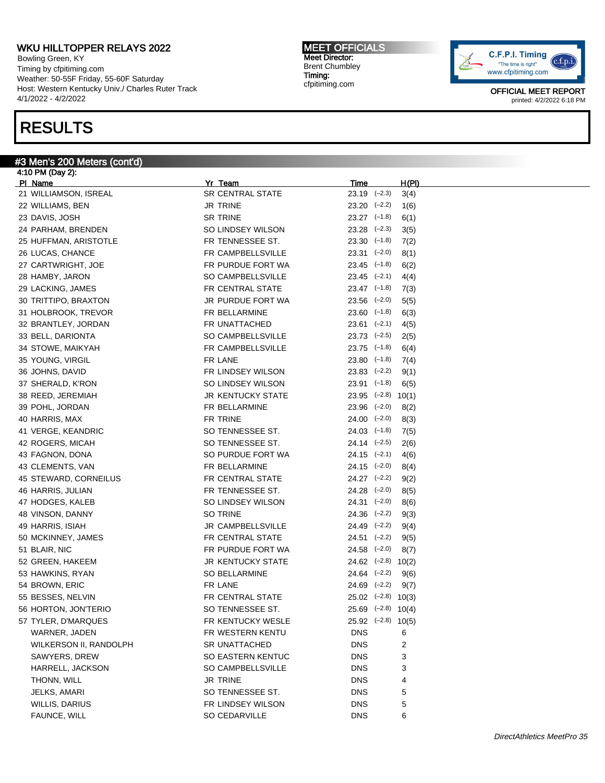Bowling Green, KY Timing by cfpitiming.com Weather: 50-55F Friday, 55-60F Saturday Host: Western Kentucky Univ./ Charles Ruter Track 4/1/2022 - 4/2/2022

## RESULTS

#### #3 Men's 200 Meters (cont'd)

4:10 PM (Day 2): Pl Name Yr Team Time H(Pl) 21 WILLIAMSON, ISREAL SR CENTRAL STATE 23.19 (–2.3) 3(4) 22 WILLIAMS, BEN JR TRINE 23.20 (–2.2) 1(6) 23 DAVIS, JOSH SR TRINE 23.27 (–1.8) 6(1) 24 PARHAM, BRENDEN SO LINDSEY WILSON 23.28 (–2.3) 3(5) 25 HUFFMAN, ARISTOTLE FR TENNESSEE ST. 23.30 (-1.8) 7(2) 26 LUCAS, CHANCE **FR CAMPBELLSVILLE** 23.31 (-2.0) 8(1) 27 CARTWRIGHT, JOE **FR PURDUE FORT WA** 23.45 (-1.8) 6(2) 28 HAMBY, JARON SO CAMPBELLSVILLE 23.45 (–2.1) 4(4) 29 LACKING, JAMES FR CENTRAL STATE 23.47 (-1.8) 7(3) 30 TRITTIPO, BRAXTON JR PURDUE FORT WA 23.56 (–2.0) 5(5) 31 HOLBROOK, TREVOR FR BELLARMINE 23.60 (–1.8) 6(3) 32 BRANTLEY, JORDAN FR UNATTACHED 23.61 (–2.1) 4(5) 33 BELL, DARIONTA **SO CAMPBELLSVILLE** 23.73 (-2.5) 2(5) 34 STOWE, MAIKYAH FR CAMPBELLSVILLE 23.75 (-1.8) 6(4) 35 YOUNG, VIRGIL **FR LANE** FR LANE 23.80 (–1.8) 7(4) 36 JOHNS, DAVID FR LINDSEY WILSON 23.83 (–2.2) 9(1) 37 SHERALD, K'RON **SO LINDSEY WILSON** 23.91 (-1.8) 6(5) 38 REED, JEREMIAH JR KENTUCKY STATE 23.95 (-2.8) 10(1) 39 POHL, JORDAN FR BELLARMINE 23.96 (–2.0) 8(2) 40 HARRIS, MAX FR TRINE 24.00 (–2.0) 8(3) 41 VERGE, KEANDRIC SO TENNESSEE ST. 24.03 (–1.8) 7(5) 42 ROGERS, MICAH SO TENNESSEE ST. 24.14 (-2.5) 2(6) 43 FAGNON, DONA SO PURDUE FORT WA 24.15 (–2.1) 4(6) 43 CLEMENTS, VAN 6(4) CLEMENTS, VAN FR BELLARMINE 24.15 (-2.0) 8(4) 45 STEWARD, CORNEILUS FR CENTRAL STATE 24.27 (-2.2) 9(2) 46 HARRIS, JULIAN FR TENNESSEE ST. 24.28 (–2.0) 8(5) 47 HODGES, KALEB SO LINDSEY WILSON 24.31 (-2.0) 8(6) 48 VINSON, DANNY SO TRINE 24.36 (–2.2) 9(3) 49 HARRIS, ISIAH JR CAMPBELLSVILLE 24.49 (–2.2) 9(4) 50 MCKINNEY, JAMES FR CENTRAL STATE 24.51 (–2.2) 9(5) 51 BLAIR, NIC FR PURDUE FORT WA 24.58 (–2.0) 8(7) 52 GREEN, HAKEEM JR KENTUCKY STATE 24.62 (–2.8) 10(2) 53 HAWKINS, RYAN SO BELLARMINE 24.64 (–2.2) 9(6) 54 BROWN, ERIC FR LANE 24.69 (–2.2) 9(7) 55 BESSES, NELVIN FR CENTRAL STATE 25.02 (–2.8) 10(3) 56 HORTON, JON'TERIO SO TENNESSEE ST. 25.69 (–2.8) 10(4) 57 TYLER, D'MARQUES FR KENTUCKY WESLE 25.92 (-2.8) 10(5) WARNER, JADEN FR WESTERN KENTU DNS 6 WILKERSON II, RANDOLPH SR UNATTACHED DNS 2 SAWYERS, DREW **SO EASTERN KENTUC** DNS 3 HARRELL, JACKSON SO CAMPBELLSVILLE DNS 3 THONN, WILL **THONN, AND SEXUAL CONSUMPTER SEXUAL PROPERTY OF A SEXUAL PROPERTY OF A SEXUAL PROPERTY OF A SEXUAL PROPERTY OF A SEXUAL PROPERTY OF A SEXUAL PROPERTY OF A SEXUAL PROPERTY OF A SEXUAL PROPERTY OF A SEXUAL PROPE** JELKS, AMARI SO TENNESSEE ST. DNS 5 WILLIS, DARIUS **FR LINDSEY WILSON** DNS 5 FAUNCE, WILL **SO CEDARVILLE** DNS 6

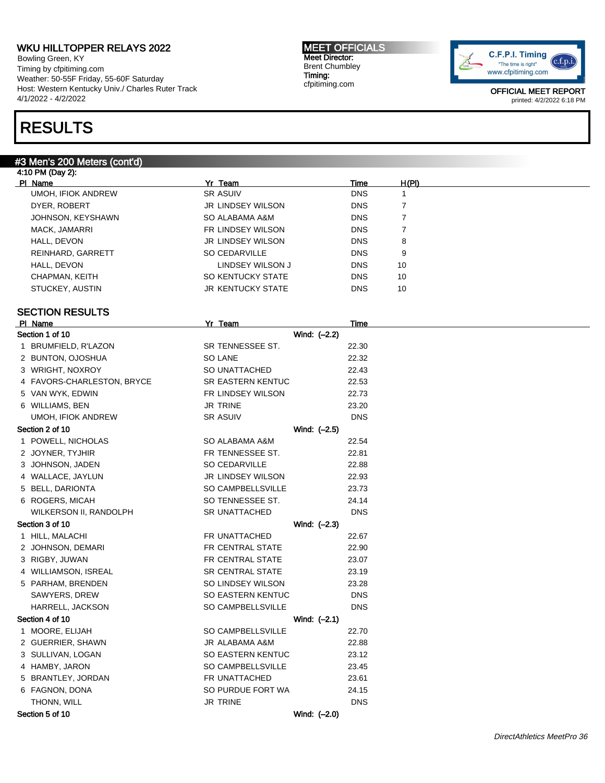Bowling Green, KY Timing by cfpitiming.com Weather: 50-55F Friday, 55-60F Saturday Host: Western Kentucky Univ./ Charles Ruter Track 4/1/2022 - 4/2/2022

## RESULTS

#### #3 Men's 200 Meters (cont'd)

4:10 PM (Day 2): Pl Name Yr Team Time H(Pl) UMOH, IFIOK ANDREW SR ASUIV DISCUSSED AND THE SALE OF STATE OF SALE OF SALE OF STATE OF STATE OF STATE OF STATE OF STATE OF STATE OF STATE OF STATE OF STATE OF STATE OF STATE OF STATE OF STATE OF STATE OF STATE OF STATE OF DYER, ROBERT **DESIGNATION CONSTRUSS OF A SET ASSESS** ON THE RESERVIES ON THE RESERVIES ON THE RESERVIES ON THE R JOHNSON, KEYSHAWN SO ALABAMA A&M DNS 7 MACK, JAMARRI FR LINDSEY WILSON DNS 7 HALL, DEVON JR LINDSEY WILSON DNS 8 REINHARD, GARRETT SO CEDARVILLE SO CEDARVILLE DNS 9 HALL, DEVON **EXAMPLE 20 INDIST AND A LINDSEY WILSON J** DNS 10 CHAPMAN, KEITH **SO KENTUCKY STATE** DNS 10 STUCKEY, AUSTIN GENERAL BROWN STATE DISCOVERSITY OF THE RESERVE AND THE RESERVE OF STUCKEY, AND THE RESERVE OF STUCKEY STATE AND THE RESERVE OF STUCKEY STATE AND THE RESERVE OF STUCKEY STATE OF STUCKEY STATE AND THE RESERV SECTION RESULTS Pl Name Yr Team Time Section 1 of 10 Wind: (-2.2) 1 BRUMFIELD, R'LAZON SR TENNESSEE ST. 22.30 2 BUNTON, OJOSHUA SO LANE 22.32 3 WRIGHT, NOXROY SO UNATTACHED 22.43 4 FAVORS-CHARLESTON, BRYCE SR EASTERN KENTUC 22.53 5 VAN WYK, EDWIN FR LINDSEY WILSON 22.73 6 WILLIAMS, BEN JR TRINE 23.20 UMOH, IFIOK ANDREW SR ASUIV SR ASUIV DNS Section 2 of 10 Wind:  $(-2.5)$ 1 POWELL, NICHOLAS SO ALABAMA A&M 22.54 2 JOYNER, TYJHIR **FR TENNESSEE ST.** 22.81 3 JOHNSON, JADEN SO CEDARVILLE 22.88 4 WALLACE, JAYLUN JR LINDSEY WILSON 22.93 5 BELL, DARIONTA SO CAMPBELLSVILLE 23.73 6 ROGERS, MICAH SO TENNESSEE ST. 24.14 WILKERSON II, RANDOLPH SR UNATTACHED DNS Section 3 of 10 Nine Section 3 of 10 Nine Section 3 of 10 Nine Section 3 of 10 Nine Section 3 of 10 Nine Section 3 of 10 Nine Section 3 of 10 Nine Section 3 of 10 Nine Section 3 of 10 Nine Section 3 of 10 Nine Section 3 of 1 HILL, MALACHI FR UNATTACHED 22.67 2 JOHNSON, DEMARI **FR CENTRAL STATE** 22.90 3 RIGBY, JUWAN FR CENTRAL STATE 23.07 4 WILLIAMSON, ISREAL SR CENTRAL STATE 23.19 5 PARHAM, BRENDEN SO LINDSEY WILSON 23.28 SAWYERS, DREW SO EASTERN KENTUC DNS HARRELL, JACKSON SO CAMPBELLSVILLE DNS Section 4 of 10 Wind:  $(-2.1)$ 1 MOORE, ELIJAH SO CAMPBELLSVILLE 22.70 2 GUERRIER, SHAWN JR ALABAMA A&M 22.88 3 SULLIVAN, LOGAN SO EASTERN KENTUC 23.12 4 HAMBY, JARON SO CAMPBELLSVILLE 23.45 5 BRANTLEY, JORDAN FR UNATTACHED 23.61 6 FAGNON, DONA SO PURDUE FORT WA 24.15 THONN, WILL **DISCOLL CONSUMING THE SET OF STATE OF A SET OF STATE** DISCOVER AND THE DISCOVER OF STATE OF STATE OF STATE OF STATE OF STATE OF STATE OF STATE OF STATE OF STATE OF STATE OF STATE OF STATE OF STATE OF STATE OF Section 5 of 10 Wind: (–2.0)

MEET OFFICIALS Meet Director: Brent Chumbley Timing: cfpitiming.com

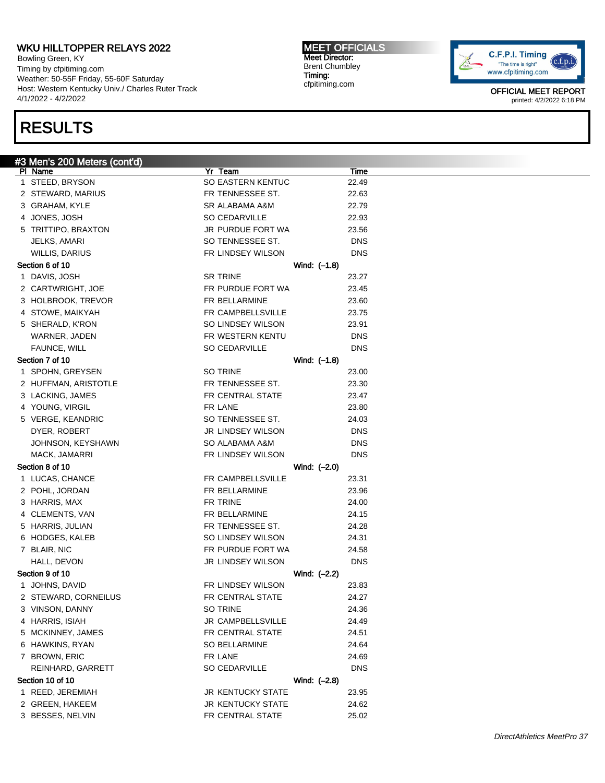Bowling Green, KY Timing by cfpitiming.com Weather: 50-55F Friday, 55-60F Saturday Host: Western Kentucky Univ./ Charles Ruter Track 4/1/2022 - 4/2/2022

# RESULTS

MEET OFFICIALS Meet Director: Brent Chumbley Timing: cfpitiming.com



| #3 Men's 200 Meters (cont'd) |                          |             |
|------------------------------|--------------------------|-------------|
| <u>PI Name</u>               | Yr Team                  | <b>Time</b> |
| 1 STEED, BRYSON              | <b>SO EASTERN KENTUC</b> | 22.49       |
| 2 STEWARD, MARIUS            | FR TENNESSEE ST.         | 22.63       |
| 3 GRAHAM, KYLE               | SR ALABAMA A&M           | 22.79       |
| 4 JONES, JOSH                | SO CEDARVILLE            | 22.93       |
| 5 TRITTIPO, BRAXTON          | JR PURDUE FORT WA        | 23.56       |
| JELKS, AMARI                 | SO TENNESSEE ST.         | <b>DNS</b>  |
| <b>WILLIS, DARIUS</b>        | FR LINDSEY WILSON        | <b>DNS</b>  |
| Section 6 of 10              | Wind: (-1.8)             |             |
| 1 DAVIS, JOSH                | <b>SR TRINE</b>          | 23.27       |
| 2 CARTWRIGHT, JOE            | FR PURDUE FORT WA        | 23.45       |
| 3 HOLBROOK, TREVOR           | FR BELLARMINE            | 23.60       |
| 4 STOWE, MAIKYAH             | FR CAMPBELLSVILLE        | 23.75       |
| 5 SHERALD, K'RON             | SO LINDSEY WILSON        | 23.91       |
| WARNER, JADEN                | FR WESTERN KENTU         | <b>DNS</b>  |
| FAUNCE, WILL                 | SO CEDARVILLE            | <b>DNS</b>  |
| Section 7 of 10              | Wind: (-1.8)             |             |
| 1 SPOHN, GREYSEN             | SO TRINE                 | 23.00       |
| 2 HUFFMAN, ARISTOTLE         | FR TENNESSEE ST.         | 23.30       |
| 3 LACKING, JAMES             | FR CENTRAL STATE         | 23.47       |
| 4 YOUNG, VIRGIL              | FR LANE                  | 23.80       |
| 5 VERGE, KEANDRIC            | SO TENNESSEE ST.         | 24.03       |
| DYER, ROBERT                 | <b>JR LINDSEY WILSON</b> | <b>DNS</b>  |
| JOHNSON, KEYSHAWN            | SO ALABAMA A&M           | <b>DNS</b>  |
| MACK, JAMARRI                | FR LINDSEY WILSON        | <b>DNS</b>  |
| Section 8 of 10              | Wind: (-2.0)             |             |
| 1 LUCAS, CHANCE              | FR CAMPBELLSVILLE        | 23.31       |
| 2 POHL, JORDAN               | <b>FR BELLARMINE</b>     | 23.96       |
| 3 HARRIS, MAX                | FR TRINE                 | 24.00       |
| 4 CLEMENTS, VAN              | FR BELLARMINE            | 24.15       |
| 5 HARRIS, JULIAN             | FR TENNESSEE ST.         | 24.28       |
| 6 HODGES, KALEB              | SO LINDSEY WILSON        | 24.31       |
| 7 BLAIR, NIC                 | FR PURDUE FORT WA        | 24.58       |
| HALL, DEVON                  | <b>JR LINDSEY WILSON</b> | <b>DNS</b>  |
| Section 9 of 10              | Wind: (-2.2)             |             |
| 1 JOHNS, DAVID               | FR LINDSEY WILSON        | 23.83       |
| 2 STEWARD, CORNEILUS         | FR CENTRAL STATE         | 24.27       |
| 3 VINSON, DANNY              | SO TRINE                 | 24.36       |
| 4 HARRIS, ISIAH              | <b>JR CAMPBELLSVILLE</b> | 24.49       |
| 5 MCKINNEY, JAMES            | FR CENTRAL STATE         | 24.51       |
| 6 HAWKINS, RYAN              | <b>SO BELLARMINE</b>     | 24.64       |
| 7 BROWN, ERIC                | FR LANE                  | 24.69       |
| REINHARD, GARRETT            | <b>SO CEDARVILLE</b>     | <b>DNS</b>  |
| Section 10 of 10             | Wind: (-2.8)             |             |
| 1 REED, JEREMIAH             | <b>JR KENTUCKY STATE</b> | 23.95       |
| 2 GREEN, HAKEEM              | <b>JR KENTUCKY STATE</b> | 24.62       |
| 3 BESSES, NELVIN             | FR CENTRAL STATE         | 25.02       |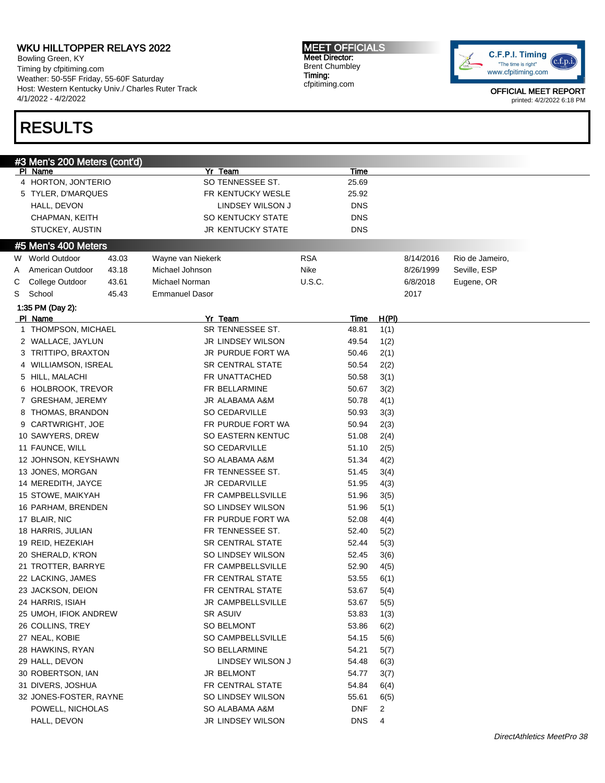Bowling Green, KY Timing by cfpitiming.com Weather: 50-55F Friday, 55-60F Saturday Host: Western Kentucky Univ./ Charles Ruter Track 4/1/2022 - 4/2/2022

# RESULTS

MEET OFFICIALS Meet Director: Brent Chumbley Timing: cfpitiming.com



|   | #3 Men's 200 Meters (cont'd)           |       |                       |                          |               |             |              |           |                 |
|---|----------------------------------------|-------|-----------------------|--------------------------|---------------|-------------|--------------|-----------|-----------------|
|   | PI Name                                |       |                       | Yr Team                  |               | Time        |              |           |                 |
|   | 4 HORTON, JON'TERIO                    |       |                       | SO TENNESSEE ST.         |               | 25.69       |              |           |                 |
|   | 5 TYLER, D'MARQUES                     |       |                       | FR KENTUCKY WESLE        |               | 25.92       |              |           |                 |
|   | HALL, DEVON                            |       |                       | LINDSEY WILSON J         |               | <b>DNS</b>  |              |           |                 |
|   | CHAPMAN, KEITH                         |       |                       | SO KENTUCKY STATE        |               | <b>DNS</b>  |              |           |                 |
|   | STUCKEY, AUSTIN                        |       |                       | <b>JR KENTUCKY STATE</b> |               | <b>DNS</b>  |              |           |                 |
|   |                                        |       |                       |                          |               |             |              |           |                 |
|   | #5 Men's 400 Meters                    |       |                       |                          |               |             |              |           |                 |
|   | W World Outdoor                        | 43.03 | Wayne van Niekerk     |                          | <b>RSA</b>    |             |              | 8/14/2016 | Rio de Jameiro, |
| A | American Outdoor                       | 43.18 | Michael Johnson       |                          | Nike          |             |              | 8/26/1999 | Seville, ESP    |
| С | College Outdoor                        | 43.61 | Michael Norman        |                          | <b>U.S.C.</b> |             |              | 6/8/2018  | Eugene, OR      |
| S | School                                 | 45.43 | <b>Emmanuel Dasor</b> |                          |               |             |              | 2017      |                 |
|   | 1:35 PM (Day 2):                       |       |                       |                          |               |             |              |           |                 |
|   | PI Name                                |       |                       | Yr_Team                  |               | <u>Time</u> | <u>H(PI)</u> |           |                 |
|   | 1 THOMPSON, MICHAEL                    |       |                       | SR TENNESSEE ST.         |               | 48.81       | 1(1)         |           |                 |
|   | 2 WALLACE, JAYLUN                      |       |                       | JR LINDSEY WILSON        |               | 49.54       | 1(2)         |           |                 |
|   | 3 TRITTIPO, BRAXTON                    |       |                       | JR PURDUE FORT WA        |               | 50.46       | 2(1)         |           |                 |
|   | 4 WILLIAMSON, ISREAL                   |       |                       | <b>SR CENTRAL STATE</b>  |               | 50.54       | 2(2)         |           |                 |
|   | 5 HILL, MALACHI                        |       |                       | FR UNATTACHED            |               | 50.58       | 3(1)         |           |                 |
|   | 6 HOLBROOK, TREVOR                     |       |                       | FR BELLARMINE            |               | 50.67       | 3(2)         |           |                 |
|   | 7 GRESHAM, JEREMY                      |       |                       | JR ALABAMA A&M           |               | 50.78       | 4(1)         |           |                 |
|   | 8 THOMAS, BRANDON                      |       |                       | SO CEDARVILLE            |               | 50.93       | 3(3)         |           |                 |
|   | 9 CARTWRIGHT, JOE                      |       |                       | FR PURDUE FORT WA        |               | 50.94       | 2(3)         |           |                 |
|   | 10 SAWYERS, DREW                       |       |                       | SO EASTERN KENTUC        |               | 51.08       | 2(4)         |           |                 |
|   | 11 FAUNCE, WILL                        |       |                       | SO CEDARVILLE            |               | 51.10       | 2(5)         |           |                 |
|   | 12 JOHNSON, KEYSHAWN                   |       |                       | SO ALABAMA A&M           |               | 51.34       | 4(2)         |           |                 |
|   | 13 JONES, MORGAN                       |       |                       | FR TENNESSEE ST.         |               | 51.45       | 3(4)         |           |                 |
|   | 14 MEREDITH, JAYCE                     |       |                       | JR CEDARVILLE            |               | 51.95       | 4(3)         |           |                 |
|   | 15 STOWE, MAIKYAH                      |       |                       | FR CAMPBELLSVILLE        |               | 51.96       | 3(5)         |           |                 |
|   | 16 PARHAM, BRENDEN                     |       |                       | SO LINDSEY WILSON        |               | 51.96       | 5(1)         |           |                 |
|   | 17 BLAIR, NIC                          |       |                       | FR PURDUE FORT WA        |               | 52.08       | 4(4)         |           |                 |
|   | 18 HARRIS, JULIAN                      |       |                       | FR TENNESSEE ST.         |               | 52.40       | 5(2)         |           |                 |
|   |                                        |       |                       | <b>SR CENTRAL STATE</b>  |               | 52.44       |              |           |                 |
|   | 19 REID, HEZEKIAH<br>20 SHERALD, K'RON |       |                       | SO LINDSEY WILSON        |               | 52.45       | 5(3)         |           |                 |
|   |                                        |       |                       |                          |               | 52.90       | 3(6)         |           |                 |
|   | 21 TROTTER, BARRYE                     |       |                       | FR CAMPBELLSVILLE        |               |             | 4(5)         |           |                 |
|   | 22 LACKING, JAMES                      |       |                       | FR CENTRAL STATE         |               | 53.55       | 6(1)         |           |                 |
|   | 23 JACKSON, DEION                      |       |                       | FR CENTRAL STATE         |               | 53.67       | 5(4)         |           |                 |
|   | 24 HARRIS, ISIAH                       |       |                       | JR CAMPBELLSVILLE        |               | 53.67       | 5(5)         |           |                 |
|   | 25 UMOH, IFIOK ANDREW                  |       |                       | SR ASUIV                 |               | 53.83       | 1(3)         |           |                 |
|   | 26 COLLINS, TREY                       |       |                       | SO BELMONT               |               | 53.86       | 6(2)         |           |                 |
|   | 27 NEAL, KOBIE                         |       |                       | SO CAMPBELLSVILLE        |               | 54.15       | 5(6)         |           |                 |
|   | 28 HAWKINS, RYAN                       |       |                       | SO BELLARMINE            |               | 54.21       | 5(7)         |           |                 |
|   | 29 HALL, DEVON                         |       |                       | LINDSEY WILSON J         |               | 54.48       | 6(3)         |           |                 |
|   | 30 ROBERTSON, IAN                      |       |                       | JR BELMONT               |               | 54.77       | 3(7)         |           |                 |
|   | 31 DIVERS, JOSHUA                      |       |                       | FR CENTRAL STATE         |               | 54.84       | 6(4)         |           |                 |
|   | 32 JONES-FOSTER, RAYNE                 |       |                       | SO LINDSEY WILSON        |               | 55.61       | 6(5)         |           |                 |
|   | POWELL, NICHOLAS                       |       |                       | SO ALABAMA A&M           |               | <b>DNF</b>  | 2            |           |                 |
|   | HALL, DEVON                            |       |                       | JR LINDSEY WILSON        |               | <b>DNS</b>  | 4            |           |                 |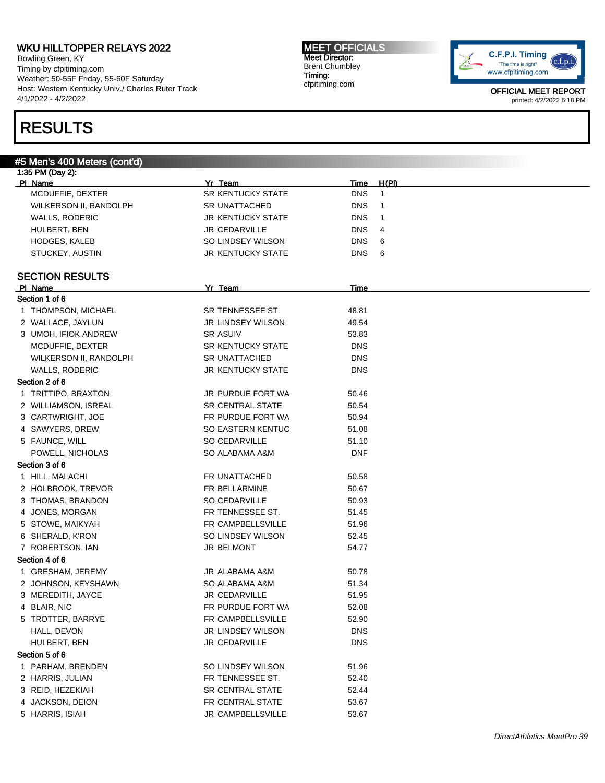Bowling Green, KY Timing by cfpitiming.com Weather: 50-55F Friday, 55-60F Saturday Host: Western Kentucky Univ./ Charles Ruter Track 4/1/2022 - 4/2/2022

# RESULTS

MEET OFFICIALS Meet Director: Brent Chumbley Timing: cfpitiming.com



| #5 Men's 400 Meters (cont'd) |                          |             |              |
|------------------------------|--------------------------|-------------|--------------|
| 1:35 PM (Day 2):             |                          |             |              |
| PI Name                      | Yr Team                  | <b>Time</b> | H(PI)        |
| MCDUFFIE, DEXTER             | SR KENTUCKY STATE        | <b>DNS</b>  | $\mathbf{1}$ |
| WILKERSON II, RANDOLPH       | <b>SR UNATTACHED</b>     | <b>DNS</b>  | $\mathbf{1}$ |
| <b>WALLS, RODERIC</b>        | <b>JR KENTUCKY STATE</b> | <b>DNS</b>  | $\mathbf{1}$ |
| HULBERT, BEN                 | <b>JR CEDARVILLE</b>     | <b>DNS</b>  | 4            |
| <b>HODGES, KALEB</b>         | SO LINDSEY WILSON        | <b>DNS</b>  | 6            |
| STUCKEY, AUSTIN              | <b>JR KENTUCKY STATE</b> | DNS.        | 6            |
| <b>SECTION RESULTS</b>       |                          |             |              |
| PI Name                      | Yr Team                  | Time        |              |
| Section 1 of 6               |                          |             |              |
| 1 THOMPSON, MICHAEL          | SR TENNESSEE ST.         | 48.81       |              |
| 2 WALLACE, JAYLUN            | <b>JR LINDSEY WILSON</b> | 49.54       |              |
|                              | <b>SR ASUIV</b>          |             |              |
| 3 UMOH, IFIOK ANDREW         |                          | 53.83       |              |
| MCDUFFIE, DEXTER             | <b>SR KENTUCKY STATE</b> | <b>DNS</b>  |              |
| WILKERSON II, RANDOLPH       | <b>SR UNATTACHED</b>     | <b>DNS</b>  |              |
| <b>WALLS, RODERIC</b>        | <b>JR KENTUCKY STATE</b> | <b>DNS</b>  |              |
| Section 2 of 6               |                          |             |              |
| 1 TRITTIPO, BRAXTON          | JR PURDUE FORT WA        | 50.46       |              |
| 2 WILLIAMSON, ISREAL         | <b>SR CENTRAL STATE</b>  | 50.54       |              |
| 3 CARTWRIGHT, JOE            | FR PURDUE FORT WA        | 50.94       |              |
| 4 SAWYERS, DREW              | <b>SO EASTERN KENTUC</b> | 51.08       |              |
| 5 FAUNCE, WILL               | SO CEDARVILLE            | 51.10       |              |
| POWELL, NICHOLAS             | SO ALABAMA A&M           | <b>DNF</b>  |              |
| Section 3 of 6               |                          |             |              |
| 1 HILL, MALACHI              | FR UNATTACHED            | 50.58       |              |
| 2 HOLBROOK, TREVOR           | FR BELLARMINE            | 50.67       |              |
| 3 THOMAS, BRANDON            | SO CEDARVILLE            | 50.93       |              |
| 4 JONES, MORGAN              | FR TENNESSEE ST.         | 51.45       |              |
| 5 STOWE, MAIKYAH             | FR CAMPBELLSVILLE        | 51.96       |              |
| 6 SHERALD, K'RON             | SO LINDSEY WILSON        | 52.45       |              |
| 7 ROBERTSON, IAN             | JR BELMONT               | 54.77       |              |
| Section 4 of 6               |                          |             |              |
| 1 GRESHAM, JEREMY            | JR ALABAMA A&M           | 50.78       |              |
| 2 JOHNSON, KEYSHAWN          | SO ALABAMA A&M           | 51.34       |              |
| 3 MEREDITH, JAYCE            | JR CEDARVILLE            | 51.95       |              |
| 4 BLAIR, NIC                 | FR PURDUE FORT WA        | 52.08       |              |
| 5 TROTTER, BARRYE            | FR CAMPBELLSVILLE        | 52.90       |              |
| HALL, DEVON                  | <b>JR LINDSEY WILSON</b> | <b>DNS</b>  |              |
|                              |                          | <b>DNS</b>  |              |
| HULBERT, BEN                 | JR CEDARVILLE            |             |              |
| Section 5 of 6               |                          |             |              |
| 1 PARHAM, BRENDEN            | SO LINDSEY WILSON        | 51.96       |              |
| 2 HARRIS, JULIAN             | FR TENNESSEE ST.         | 52.40       |              |
| 3 REID, HEZEKIAH             | SR CENTRAL STATE         | 52.44       |              |
| 4 JACKSON, DEION             | FR CENTRAL STATE         | 53.67       |              |
| 5 HARRIS, ISIAH              | JR CAMPBELLSVILLE        | 53.67       |              |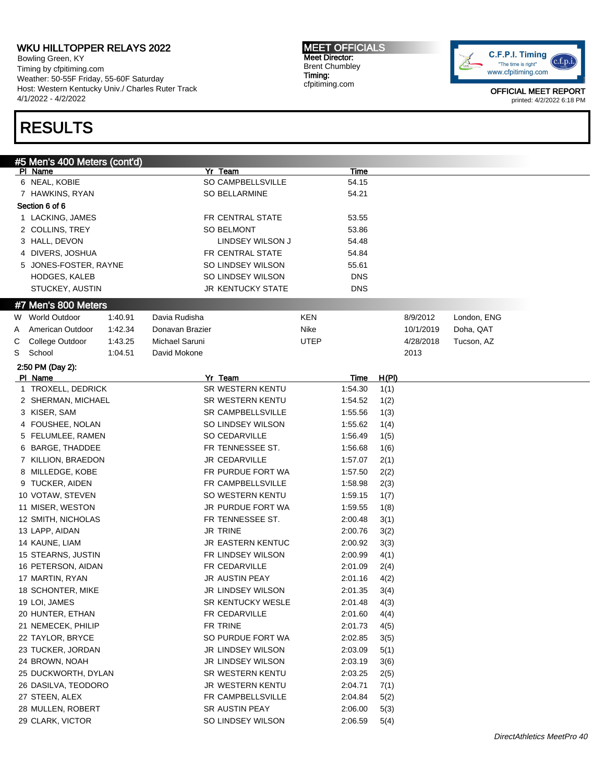Bowling Green, KY Timing by cfpitiming.com Weather: 50-55F Friday, 55-60F Saturday Host: Western Kentucky Univ./ Charles Ruter Track 4/1/2022 - 4/2/2022

## RESULTS

MEET OFFICIALS Meet Director: Brent Chumbley Timing: cfpitiming.com



| #5 Men's 400 Meters (cont'd)<br>Yr Team<br>PI Name<br>Time<br>6 NEAL, KOBIE<br>SO CAMPBELLSVILLE<br>54.15<br>SO BELLARMINE<br>54.21<br>7 HAWKINS, RYAN<br>Section 6 of 6<br>1 LACKING, JAMES<br>FR CENTRAL STATE<br>53.55<br>2 COLLINS, TREY<br><b>SO BELMONT</b><br>53.86<br>3 HALL, DEVON<br>LINDSEY WILSON J<br>54.48<br>4 DIVERS, JOSHUA<br>FR CENTRAL STATE<br>54.84<br>5 JONES-FOSTER, RAYNE<br>SO LINDSEY WILSON<br>55.61<br>SO LINDSEY WILSON<br>HODGES, KALEB<br><b>DNS</b><br>STUCKEY, AUSTIN<br><b>JR KENTUCKY STATE</b><br><b>DNS</b><br>#7 Men's 800 Meters<br>Davia Rudisha<br><b>KEN</b><br>8/9/2012<br>London, ENG<br>W World Outdoor<br>1:40.91<br>American Outdoor<br>Nike<br>Doha, QAT<br>1:42.34<br>Donavan Brazier<br>10/1/2019<br>Michael Saruni<br><b>UTEP</b><br>Tucson, AZ<br>College Outdoor<br>1:43.25<br>4/28/2018<br>School<br>1:04.51<br>David Mokone<br>2013<br>2:50 PM (Day 2):<br>Yr Team<br>PI Name<br><u>H(PI)</u><br><u>Time</u><br>SR WESTERN KENTU<br>1 TROXELL, DEDRICK<br>1:54.30<br>1(1)<br>SR WESTERN KENTU<br>2 SHERMAN, MICHAEL<br>1:54.52<br>1(2)<br>3 KISER, SAM<br>SR CAMPBELLSVILLE<br>1:55.56<br>1(3)<br>4 FOUSHEE, NOLAN<br>SO LINDSEY WILSON<br>1:55.62<br>1(4)<br>SO CEDARVILLE<br>1:56.49<br>5 FELUMLEE, RAMEN<br>1(5)<br>6 BARGE, THADDEE<br>FR TENNESSEE ST.<br>1:56.68<br>1(6)<br>JR CEDARVILLE<br>1:57.07<br>7 KILLION, BRAEDON<br>2(1)<br>8 MILLEDGE, KOBE<br>FR PURDUE FORT WA<br>1:57.50<br>2(2)<br>9 TUCKER, AIDEN<br>FR CAMPBELLSVILLE<br>1:58.98<br>2(3)<br>SO WESTERN KENTU<br>1:59.15<br>10 VOTAW, STEVEN<br>1(7)<br>JR PURDUE FORT WA<br>1:59.55<br>11 MISER, WESTON<br>1(8)<br>FR TENNESSEE ST.<br>12 SMITH, NICHOLAS<br>2:00.48<br>3(1)<br>13 LAPP, AIDAN<br>JR TRINE<br>2:00.76<br>3(2)<br><b>JR EASTERN KENTUC</b><br>14 KAUNE, LIAM<br>2:00.92<br>3(3)<br>FR LINDSEY WILSON<br>15 STEARNS, JUSTIN<br>2:00.99<br>4(1)<br>FR CEDARVILLE<br>16 PETERSON, AIDAN<br>2:01.09<br>2(4)<br>JR AUSTIN PEAY<br>17 MARTIN, RYAN<br>2:01.16<br>4(2)<br>18 SCHONTER, MIKE<br>JR LINDSEY WILSON<br>3(4)<br>2:01.35<br>19 LOI, JAMES<br><b>SR KENTUCKY WESLE</b><br>2:01.48<br>4(3)<br>20 HUNTER, ETHAN<br>FR CEDARVILLE<br>2:01.60<br>4(4)<br>FR TRINE<br>21 NEMECEK, PHILIP<br>2:01.73<br>4(5)<br>SO PURDUE FORT WA<br>22 TAYLOR, BRYCE<br>2:02.85<br>3(5)<br>23 TUCKER, JORDAN<br>JR LINDSEY WILSON<br>2:03.09<br>5(1)<br>24 BROWN, NOAH<br>JR LINDSEY WILSON<br>2:03.19<br>3(6)<br>25 DUCKWORTH, DYLAN<br>SR WESTERN KENTU<br>2:03.25<br>2(5)<br>JR WESTERN KENTU<br>26 DASILVA, TEODORO<br>2:04.71<br>7(1)<br>FR CAMPBELLSVILLE<br>27 STEEN, ALEX<br>2:04.84<br>5(2)<br>SR AUSTIN PEAY<br>28 MULLEN, ROBERT<br>2:06.00<br>5(3)<br>29 CLARK, VICTOR<br>SO LINDSEY WILSON |   |  |  |  |  |  |         |      |  |
|-------------------------------------------------------------------------------------------------------------------------------------------------------------------------------------------------------------------------------------------------------------------------------------------------------------------------------------------------------------------------------------------------------------------------------------------------------------------------------------------------------------------------------------------------------------------------------------------------------------------------------------------------------------------------------------------------------------------------------------------------------------------------------------------------------------------------------------------------------------------------------------------------------------------------------------------------------------------------------------------------------------------------------------------------------------------------------------------------------------------------------------------------------------------------------------------------------------------------------------------------------------------------------------------------------------------------------------------------------------------------------------------------------------------------------------------------------------------------------------------------------------------------------------------------------------------------------------------------------------------------------------------------------------------------------------------------------------------------------------------------------------------------------------------------------------------------------------------------------------------------------------------------------------------------------------------------------------------------------------------------------------------------------------------------------------------------------------------------------------------------------------------------------------------------------------------------------------------------------------------------------------------------------------------------------------------------------------------------------------------------------------------------------------------------------------------------------------------------------------------------------------------------------------------------------------------------------------------------------------------------------------------------------------------------------------------------------------------------------------|---|--|--|--|--|--|---------|------|--|
|                                                                                                                                                                                                                                                                                                                                                                                                                                                                                                                                                                                                                                                                                                                                                                                                                                                                                                                                                                                                                                                                                                                                                                                                                                                                                                                                                                                                                                                                                                                                                                                                                                                                                                                                                                                                                                                                                                                                                                                                                                                                                                                                                                                                                                                                                                                                                                                                                                                                                                                                                                                                                                                                                                                                     |   |  |  |  |  |  |         |      |  |
|                                                                                                                                                                                                                                                                                                                                                                                                                                                                                                                                                                                                                                                                                                                                                                                                                                                                                                                                                                                                                                                                                                                                                                                                                                                                                                                                                                                                                                                                                                                                                                                                                                                                                                                                                                                                                                                                                                                                                                                                                                                                                                                                                                                                                                                                                                                                                                                                                                                                                                                                                                                                                                                                                                                                     |   |  |  |  |  |  |         |      |  |
|                                                                                                                                                                                                                                                                                                                                                                                                                                                                                                                                                                                                                                                                                                                                                                                                                                                                                                                                                                                                                                                                                                                                                                                                                                                                                                                                                                                                                                                                                                                                                                                                                                                                                                                                                                                                                                                                                                                                                                                                                                                                                                                                                                                                                                                                                                                                                                                                                                                                                                                                                                                                                                                                                                                                     |   |  |  |  |  |  |         |      |  |
|                                                                                                                                                                                                                                                                                                                                                                                                                                                                                                                                                                                                                                                                                                                                                                                                                                                                                                                                                                                                                                                                                                                                                                                                                                                                                                                                                                                                                                                                                                                                                                                                                                                                                                                                                                                                                                                                                                                                                                                                                                                                                                                                                                                                                                                                                                                                                                                                                                                                                                                                                                                                                                                                                                                                     |   |  |  |  |  |  |         |      |  |
|                                                                                                                                                                                                                                                                                                                                                                                                                                                                                                                                                                                                                                                                                                                                                                                                                                                                                                                                                                                                                                                                                                                                                                                                                                                                                                                                                                                                                                                                                                                                                                                                                                                                                                                                                                                                                                                                                                                                                                                                                                                                                                                                                                                                                                                                                                                                                                                                                                                                                                                                                                                                                                                                                                                                     |   |  |  |  |  |  |         |      |  |
|                                                                                                                                                                                                                                                                                                                                                                                                                                                                                                                                                                                                                                                                                                                                                                                                                                                                                                                                                                                                                                                                                                                                                                                                                                                                                                                                                                                                                                                                                                                                                                                                                                                                                                                                                                                                                                                                                                                                                                                                                                                                                                                                                                                                                                                                                                                                                                                                                                                                                                                                                                                                                                                                                                                                     |   |  |  |  |  |  |         |      |  |
|                                                                                                                                                                                                                                                                                                                                                                                                                                                                                                                                                                                                                                                                                                                                                                                                                                                                                                                                                                                                                                                                                                                                                                                                                                                                                                                                                                                                                                                                                                                                                                                                                                                                                                                                                                                                                                                                                                                                                                                                                                                                                                                                                                                                                                                                                                                                                                                                                                                                                                                                                                                                                                                                                                                                     |   |  |  |  |  |  |         |      |  |
|                                                                                                                                                                                                                                                                                                                                                                                                                                                                                                                                                                                                                                                                                                                                                                                                                                                                                                                                                                                                                                                                                                                                                                                                                                                                                                                                                                                                                                                                                                                                                                                                                                                                                                                                                                                                                                                                                                                                                                                                                                                                                                                                                                                                                                                                                                                                                                                                                                                                                                                                                                                                                                                                                                                                     |   |  |  |  |  |  |         |      |  |
|                                                                                                                                                                                                                                                                                                                                                                                                                                                                                                                                                                                                                                                                                                                                                                                                                                                                                                                                                                                                                                                                                                                                                                                                                                                                                                                                                                                                                                                                                                                                                                                                                                                                                                                                                                                                                                                                                                                                                                                                                                                                                                                                                                                                                                                                                                                                                                                                                                                                                                                                                                                                                                                                                                                                     |   |  |  |  |  |  |         |      |  |
|                                                                                                                                                                                                                                                                                                                                                                                                                                                                                                                                                                                                                                                                                                                                                                                                                                                                                                                                                                                                                                                                                                                                                                                                                                                                                                                                                                                                                                                                                                                                                                                                                                                                                                                                                                                                                                                                                                                                                                                                                                                                                                                                                                                                                                                                                                                                                                                                                                                                                                                                                                                                                                                                                                                                     |   |  |  |  |  |  |         |      |  |
|                                                                                                                                                                                                                                                                                                                                                                                                                                                                                                                                                                                                                                                                                                                                                                                                                                                                                                                                                                                                                                                                                                                                                                                                                                                                                                                                                                                                                                                                                                                                                                                                                                                                                                                                                                                                                                                                                                                                                                                                                                                                                                                                                                                                                                                                                                                                                                                                                                                                                                                                                                                                                                                                                                                                     |   |  |  |  |  |  |         |      |  |
|                                                                                                                                                                                                                                                                                                                                                                                                                                                                                                                                                                                                                                                                                                                                                                                                                                                                                                                                                                                                                                                                                                                                                                                                                                                                                                                                                                                                                                                                                                                                                                                                                                                                                                                                                                                                                                                                                                                                                                                                                                                                                                                                                                                                                                                                                                                                                                                                                                                                                                                                                                                                                                                                                                                                     |   |  |  |  |  |  |         |      |  |
|                                                                                                                                                                                                                                                                                                                                                                                                                                                                                                                                                                                                                                                                                                                                                                                                                                                                                                                                                                                                                                                                                                                                                                                                                                                                                                                                                                                                                                                                                                                                                                                                                                                                                                                                                                                                                                                                                                                                                                                                                                                                                                                                                                                                                                                                                                                                                                                                                                                                                                                                                                                                                                                                                                                                     |   |  |  |  |  |  |         |      |  |
|                                                                                                                                                                                                                                                                                                                                                                                                                                                                                                                                                                                                                                                                                                                                                                                                                                                                                                                                                                                                                                                                                                                                                                                                                                                                                                                                                                                                                                                                                                                                                                                                                                                                                                                                                                                                                                                                                                                                                                                                                                                                                                                                                                                                                                                                                                                                                                                                                                                                                                                                                                                                                                                                                                                                     |   |  |  |  |  |  |         |      |  |
|                                                                                                                                                                                                                                                                                                                                                                                                                                                                                                                                                                                                                                                                                                                                                                                                                                                                                                                                                                                                                                                                                                                                                                                                                                                                                                                                                                                                                                                                                                                                                                                                                                                                                                                                                                                                                                                                                                                                                                                                                                                                                                                                                                                                                                                                                                                                                                                                                                                                                                                                                                                                                                                                                                                                     | A |  |  |  |  |  |         |      |  |
|                                                                                                                                                                                                                                                                                                                                                                                                                                                                                                                                                                                                                                                                                                                                                                                                                                                                                                                                                                                                                                                                                                                                                                                                                                                                                                                                                                                                                                                                                                                                                                                                                                                                                                                                                                                                                                                                                                                                                                                                                                                                                                                                                                                                                                                                                                                                                                                                                                                                                                                                                                                                                                                                                                                                     | С |  |  |  |  |  |         |      |  |
|                                                                                                                                                                                                                                                                                                                                                                                                                                                                                                                                                                                                                                                                                                                                                                                                                                                                                                                                                                                                                                                                                                                                                                                                                                                                                                                                                                                                                                                                                                                                                                                                                                                                                                                                                                                                                                                                                                                                                                                                                                                                                                                                                                                                                                                                                                                                                                                                                                                                                                                                                                                                                                                                                                                                     | S |  |  |  |  |  |         |      |  |
|                                                                                                                                                                                                                                                                                                                                                                                                                                                                                                                                                                                                                                                                                                                                                                                                                                                                                                                                                                                                                                                                                                                                                                                                                                                                                                                                                                                                                                                                                                                                                                                                                                                                                                                                                                                                                                                                                                                                                                                                                                                                                                                                                                                                                                                                                                                                                                                                                                                                                                                                                                                                                                                                                                                                     |   |  |  |  |  |  |         |      |  |
|                                                                                                                                                                                                                                                                                                                                                                                                                                                                                                                                                                                                                                                                                                                                                                                                                                                                                                                                                                                                                                                                                                                                                                                                                                                                                                                                                                                                                                                                                                                                                                                                                                                                                                                                                                                                                                                                                                                                                                                                                                                                                                                                                                                                                                                                                                                                                                                                                                                                                                                                                                                                                                                                                                                                     |   |  |  |  |  |  |         |      |  |
|                                                                                                                                                                                                                                                                                                                                                                                                                                                                                                                                                                                                                                                                                                                                                                                                                                                                                                                                                                                                                                                                                                                                                                                                                                                                                                                                                                                                                                                                                                                                                                                                                                                                                                                                                                                                                                                                                                                                                                                                                                                                                                                                                                                                                                                                                                                                                                                                                                                                                                                                                                                                                                                                                                                                     |   |  |  |  |  |  |         |      |  |
|                                                                                                                                                                                                                                                                                                                                                                                                                                                                                                                                                                                                                                                                                                                                                                                                                                                                                                                                                                                                                                                                                                                                                                                                                                                                                                                                                                                                                                                                                                                                                                                                                                                                                                                                                                                                                                                                                                                                                                                                                                                                                                                                                                                                                                                                                                                                                                                                                                                                                                                                                                                                                                                                                                                                     |   |  |  |  |  |  |         |      |  |
|                                                                                                                                                                                                                                                                                                                                                                                                                                                                                                                                                                                                                                                                                                                                                                                                                                                                                                                                                                                                                                                                                                                                                                                                                                                                                                                                                                                                                                                                                                                                                                                                                                                                                                                                                                                                                                                                                                                                                                                                                                                                                                                                                                                                                                                                                                                                                                                                                                                                                                                                                                                                                                                                                                                                     |   |  |  |  |  |  |         |      |  |
|                                                                                                                                                                                                                                                                                                                                                                                                                                                                                                                                                                                                                                                                                                                                                                                                                                                                                                                                                                                                                                                                                                                                                                                                                                                                                                                                                                                                                                                                                                                                                                                                                                                                                                                                                                                                                                                                                                                                                                                                                                                                                                                                                                                                                                                                                                                                                                                                                                                                                                                                                                                                                                                                                                                                     |   |  |  |  |  |  |         |      |  |
|                                                                                                                                                                                                                                                                                                                                                                                                                                                                                                                                                                                                                                                                                                                                                                                                                                                                                                                                                                                                                                                                                                                                                                                                                                                                                                                                                                                                                                                                                                                                                                                                                                                                                                                                                                                                                                                                                                                                                                                                                                                                                                                                                                                                                                                                                                                                                                                                                                                                                                                                                                                                                                                                                                                                     |   |  |  |  |  |  |         |      |  |
|                                                                                                                                                                                                                                                                                                                                                                                                                                                                                                                                                                                                                                                                                                                                                                                                                                                                                                                                                                                                                                                                                                                                                                                                                                                                                                                                                                                                                                                                                                                                                                                                                                                                                                                                                                                                                                                                                                                                                                                                                                                                                                                                                                                                                                                                                                                                                                                                                                                                                                                                                                                                                                                                                                                                     |   |  |  |  |  |  |         |      |  |
|                                                                                                                                                                                                                                                                                                                                                                                                                                                                                                                                                                                                                                                                                                                                                                                                                                                                                                                                                                                                                                                                                                                                                                                                                                                                                                                                                                                                                                                                                                                                                                                                                                                                                                                                                                                                                                                                                                                                                                                                                                                                                                                                                                                                                                                                                                                                                                                                                                                                                                                                                                                                                                                                                                                                     |   |  |  |  |  |  |         |      |  |
|                                                                                                                                                                                                                                                                                                                                                                                                                                                                                                                                                                                                                                                                                                                                                                                                                                                                                                                                                                                                                                                                                                                                                                                                                                                                                                                                                                                                                                                                                                                                                                                                                                                                                                                                                                                                                                                                                                                                                                                                                                                                                                                                                                                                                                                                                                                                                                                                                                                                                                                                                                                                                                                                                                                                     |   |  |  |  |  |  |         |      |  |
|                                                                                                                                                                                                                                                                                                                                                                                                                                                                                                                                                                                                                                                                                                                                                                                                                                                                                                                                                                                                                                                                                                                                                                                                                                                                                                                                                                                                                                                                                                                                                                                                                                                                                                                                                                                                                                                                                                                                                                                                                                                                                                                                                                                                                                                                                                                                                                                                                                                                                                                                                                                                                                                                                                                                     |   |  |  |  |  |  |         |      |  |
|                                                                                                                                                                                                                                                                                                                                                                                                                                                                                                                                                                                                                                                                                                                                                                                                                                                                                                                                                                                                                                                                                                                                                                                                                                                                                                                                                                                                                                                                                                                                                                                                                                                                                                                                                                                                                                                                                                                                                                                                                                                                                                                                                                                                                                                                                                                                                                                                                                                                                                                                                                                                                                                                                                                                     |   |  |  |  |  |  |         |      |  |
|                                                                                                                                                                                                                                                                                                                                                                                                                                                                                                                                                                                                                                                                                                                                                                                                                                                                                                                                                                                                                                                                                                                                                                                                                                                                                                                                                                                                                                                                                                                                                                                                                                                                                                                                                                                                                                                                                                                                                                                                                                                                                                                                                                                                                                                                                                                                                                                                                                                                                                                                                                                                                                                                                                                                     |   |  |  |  |  |  |         |      |  |
|                                                                                                                                                                                                                                                                                                                                                                                                                                                                                                                                                                                                                                                                                                                                                                                                                                                                                                                                                                                                                                                                                                                                                                                                                                                                                                                                                                                                                                                                                                                                                                                                                                                                                                                                                                                                                                                                                                                                                                                                                                                                                                                                                                                                                                                                                                                                                                                                                                                                                                                                                                                                                                                                                                                                     |   |  |  |  |  |  |         |      |  |
|                                                                                                                                                                                                                                                                                                                                                                                                                                                                                                                                                                                                                                                                                                                                                                                                                                                                                                                                                                                                                                                                                                                                                                                                                                                                                                                                                                                                                                                                                                                                                                                                                                                                                                                                                                                                                                                                                                                                                                                                                                                                                                                                                                                                                                                                                                                                                                                                                                                                                                                                                                                                                                                                                                                                     |   |  |  |  |  |  |         |      |  |
|                                                                                                                                                                                                                                                                                                                                                                                                                                                                                                                                                                                                                                                                                                                                                                                                                                                                                                                                                                                                                                                                                                                                                                                                                                                                                                                                                                                                                                                                                                                                                                                                                                                                                                                                                                                                                                                                                                                                                                                                                                                                                                                                                                                                                                                                                                                                                                                                                                                                                                                                                                                                                                                                                                                                     |   |  |  |  |  |  |         |      |  |
|                                                                                                                                                                                                                                                                                                                                                                                                                                                                                                                                                                                                                                                                                                                                                                                                                                                                                                                                                                                                                                                                                                                                                                                                                                                                                                                                                                                                                                                                                                                                                                                                                                                                                                                                                                                                                                                                                                                                                                                                                                                                                                                                                                                                                                                                                                                                                                                                                                                                                                                                                                                                                                                                                                                                     |   |  |  |  |  |  |         |      |  |
|                                                                                                                                                                                                                                                                                                                                                                                                                                                                                                                                                                                                                                                                                                                                                                                                                                                                                                                                                                                                                                                                                                                                                                                                                                                                                                                                                                                                                                                                                                                                                                                                                                                                                                                                                                                                                                                                                                                                                                                                                                                                                                                                                                                                                                                                                                                                                                                                                                                                                                                                                                                                                                                                                                                                     |   |  |  |  |  |  |         |      |  |
|                                                                                                                                                                                                                                                                                                                                                                                                                                                                                                                                                                                                                                                                                                                                                                                                                                                                                                                                                                                                                                                                                                                                                                                                                                                                                                                                                                                                                                                                                                                                                                                                                                                                                                                                                                                                                                                                                                                                                                                                                                                                                                                                                                                                                                                                                                                                                                                                                                                                                                                                                                                                                                                                                                                                     |   |  |  |  |  |  |         |      |  |
|                                                                                                                                                                                                                                                                                                                                                                                                                                                                                                                                                                                                                                                                                                                                                                                                                                                                                                                                                                                                                                                                                                                                                                                                                                                                                                                                                                                                                                                                                                                                                                                                                                                                                                                                                                                                                                                                                                                                                                                                                                                                                                                                                                                                                                                                                                                                                                                                                                                                                                                                                                                                                                                                                                                                     |   |  |  |  |  |  |         |      |  |
|                                                                                                                                                                                                                                                                                                                                                                                                                                                                                                                                                                                                                                                                                                                                                                                                                                                                                                                                                                                                                                                                                                                                                                                                                                                                                                                                                                                                                                                                                                                                                                                                                                                                                                                                                                                                                                                                                                                                                                                                                                                                                                                                                                                                                                                                                                                                                                                                                                                                                                                                                                                                                                                                                                                                     |   |  |  |  |  |  |         |      |  |
|                                                                                                                                                                                                                                                                                                                                                                                                                                                                                                                                                                                                                                                                                                                                                                                                                                                                                                                                                                                                                                                                                                                                                                                                                                                                                                                                                                                                                                                                                                                                                                                                                                                                                                                                                                                                                                                                                                                                                                                                                                                                                                                                                                                                                                                                                                                                                                                                                                                                                                                                                                                                                                                                                                                                     |   |  |  |  |  |  |         |      |  |
|                                                                                                                                                                                                                                                                                                                                                                                                                                                                                                                                                                                                                                                                                                                                                                                                                                                                                                                                                                                                                                                                                                                                                                                                                                                                                                                                                                                                                                                                                                                                                                                                                                                                                                                                                                                                                                                                                                                                                                                                                                                                                                                                                                                                                                                                                                                                                                                                                                                                                                                                                                                                                                                                                                                                     |   |  |  |  |  |  |         |      |  |
|                                                                                                                                                                                                                                                                                                                                                                                                                                                                                                                                                                                                                                                                                                                                                                                                                                                                                                                                                                                                                                                                                                                                                                                                                                                                                                                                                                                                                                                                                                                                                                                                                                                                                                                                                                                                                                                                                                                                                                                                                                                                                                                                                                                                                                                                                                                                                                                                                                                                                                                                                                                                                                                                                                                                     |   |  |  |  |  |  |         |      |  |
|                                                                                                                                                                                                                                                                                                                                                                                                                                                                                                                                                                                                                                                                                                                                                                                                                                                                                                                                                                                                                                                                                                                                                                                                                                                                                                                                                                                                                                                                                                                                                                                                                                                                                                                                                                                                                                                                                                                                                                                                                                                                                                                                                                                                                                                                                                                                                                                                                                                                                                                                                                                                                                                                                                                                     |   |  |  |  |  |  |         |      |  |
|                                                                                                                                                                                                                                                                                                                                                                                                                                                                                                                                                                                                                                                                                                                                                                                                                                                                                                                                                                                                                                                                                                                                                                                                                                                                                                                                                                                                                                                                                                                                                                                                                                                                                                                                                                                                                                                                                                                                                                                                                                                                                                                                                                                                                                                                                                                                                                                                                                                                                                                                                                                                                                                                                                                                     |   |  |  |  |  |  |         |      |  |
|                                                                                                                                                                                                                                                                                                                                                                                                                                                                                                                                                                                                                                                                                                                                                                                                                                                                                                                                                                                                                                                                                                                                                                                                                                                                                                                                                                                                                                                                                                                                                                                                                                                                                                                                                                                                                                                                                                                                                                                                                                                                                                                                                                                                                                                                                                                                                                                                                                                                                                                                                                                                                                                                                                                                     |   |  |  |  |  |  |         |      |  |
|                                                                                                                                                                                                                                                                                                                                                                                                                                                                                                                                                                                                                                                                                                                                                                                                                                                                                                                                                                                                                                                                                                                                                                                                                                                                                                                                                                                                                                                                                                                                                                                                                                                                                                                                                                                                                                                                                                                                                                                                                                                                                                                                                                                                                                                                                                                                                                                                                                                                                                                                                                                                                                                                                                                                     |   |  |  |  |  |  |         |      |  |
|                                                                                                                                                                                                                                                                                                                                                                                                                                                                                                                                                                                                                                                                                                                                                                                                                                                                                                                                                                                                                                                                                                                                                                                                                                                                                                                                                                                                                                                                                                                                                                                                                                                                                                                                                                                                                                                                                                                                                                                                                                                                                                                                                                                                                                                                                                                                                                                                                                                                                                                                                                                                                                                                                                                                     |   |  |  |  |  |  |         |      |  |
|                                                                                                                                                                                                                                                                                                                                                                                                                                                                                                                                                                                                                                                                                                                                                                                                                                                                                                                                                                                                                                                                                                                                                                                                                                                                                                                                                                                                                                                                                                                                                                                                                                                                                                                                                                                                                                                                                                                                                                                                                                                                                                                                                                                                                                                                                                                                                                                                                                                                                                                                                                                                                                                                                                                                     |   |  |  |  |  |  |         |      |  |
|                                                                                                                                                                                                                                                                                                                                                                                                                                                                                                                                                                                                                                                                                                                                                                                                                                                                                                                                                                                                                                                                                                                                                                                                                                                                                                                                                                                                                                                                                                                                                                                                                                                                                                                                                                                                                                                                                                                                                                                                                                                                                                                                                                                                                                                                                                                                                                                                                                                                                                                                                                                                                                                                                                                                     |   |  |  |  |  |  | 2:06.59 | 5(4) |  |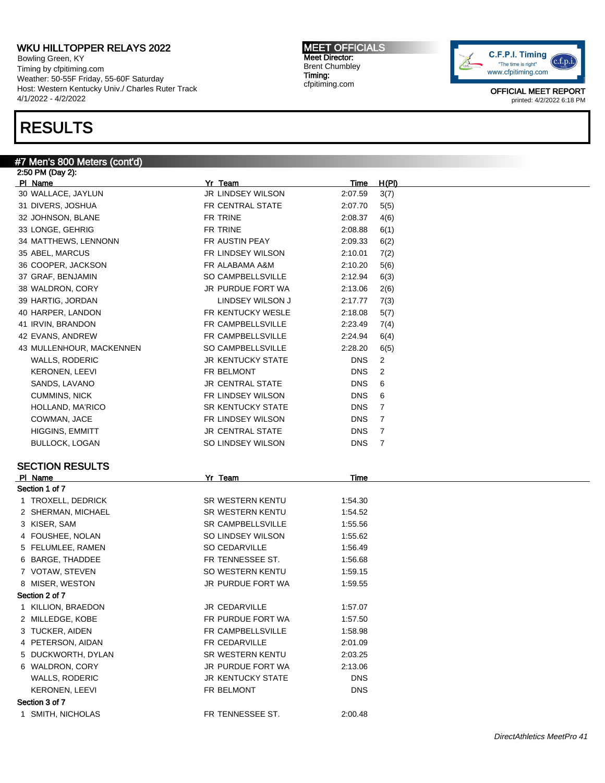Bowling Green, KY Timing by cfpitiming.com Weather: 50-55F Friday, 55-60F Saturday Host: Western Kentucky Univ./ Charles Ruter Track 4/1/2022 - 4/2/2022

## RESULTS

#### #7 Men's 800 Meters (cont'd) 2:50 PM (Day 2):

Pl Name Yr Team Time H(Pl) 30 WALLACE, JAYLUN JR LINDSEY WILSON 2:07.59 3(7) 31 DIVERS, JOSHUA FR CENTRAL STATE 2:07.70 5(5) 32 JOHNSON, BLANE FR TRINE 2:08.37 4(6) 33 LONGE, GEHRIG FR TRINE 2:08.88 6(1) 34 MATTHEWS, LENNONN FR AUSTIN PEAY 2:09.33 6(2) 35 ABEL, MARCUS FR LINDSEY WILSON 2:10.01 7(2) 36 COOPER, JACKSON FR ALABAMA A&M 2:10.20 5(6) 37 GRAF, BENJAMIN SO CAMPBELLSVILLE 2:12.94 6(3) 38 WALDRON, CORY JR PURDUE FORT WA 2:13.06 2(6) 39 HARTIG, JORDAN LINDSEY WILSON J 2:17.77 7(3) 40 HARPER, LANDON FR KENTUCKY WESLE 2:18.08 5(7) 41 IRVIN, BRANDON FR CAMPBELLSVILLE 2:23.49 7(4) 42 EVANS, ANDREW FR CAMPBELLSVILLE 2:24.94 6(4) 43 MULLENHOUR, MACKENNEN SO CAMPBELLSVILLE 2:28.20 6(5) WALLS, RODERIC GENERAL BROW BROWN STATE DISCHILLS, RODERIC GENERAL BROWN STATE DISC 2 KERONEN, LEEVI FR BELMONT FR BELMONT DNS 2 SANDS, LAVANO GOVERNMENT ON SANDS, LAVANO GOVERNMENT ON SAND SERVICE AND SAND SERVICE ON SAND SERVICE AND SAND CUMMINS, NICK **FR LINDSEY WILSON** DNS 6 HOLLAND, MA'RICO **SR KENTUCKY STATE** DNS 7 COWMAN, JACE **FR LINDSEY WILSON** DNS 7 HIGGINS, EMMITT **A CENTRAL STATE** DNS 7 BULLOCK, LOGAN SO LINDSEY WILSON DNS 7 SECTION RESULTS Pl Name Yr Team Time Section 1 of 7 1 TROXELL, DEDRICK SR WESTERN KENTU 1:54.30 2 SHERMAN, MICHAEL SR WESTERN KENTU 1:54.52 3 KISER, SAM SR CAMPBELLSVILLE 1:55.56 4 FOUSHEE, NOLAN SO LINDSEY WILSON 1:55.62 5 FELUMLEE, RAMEN SO CEDARVILLE 1:56.49 6 BARGE, THADDEE FR TENNESSEE ST. 1:56.68 7 VOTAW, STEVEN SO WESTERN KENTU 1:59.15 8 MISER, WESTON **1:59.55** JR PURDUE FORT WA 1:59.55 Section 2 of 7 1 KILLION, BRAEDON JR CEDARVILLE 1:57.07 2 MILLEDGE, KOBE THE RESERVE FR PURDUE FORT WA 1:57.50 3 TUCKER, AIDEN FR CAMPBELLSVILLE 1:58.98 4 PETERSON, AIDAN FR CEDARVILLE 2:01.09 5 DUCKWORTH, DYLAN SR WESTERN KENTU 2:03.25 6 WALDRON, CORY JR PURDUE FORT WA 2:13.06 WALLS, RODERIC GENERAL BROW UR KENTUCKY STATE THIS ISSUED DNS KERONEN, LEEVI DISTRIKT ON THE BELMONT THE POST OF THE BELMONT Section 3 of 7 1 SMITH, NICHOLAS FR TENNESSEE ST. 2:00.48

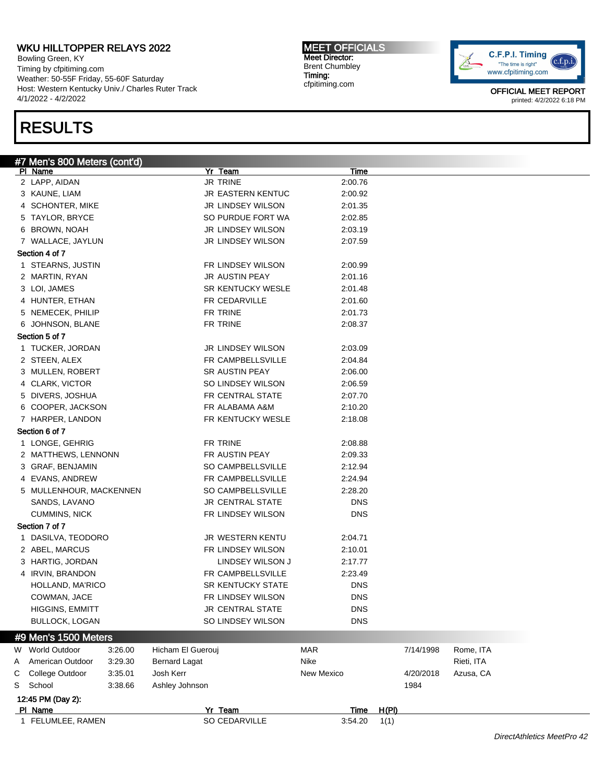Bowling Green, KY Timing by cfpitiming.com Weather: 50-55F Friday, 55-60F Saturday Host: Western Kentucky Univ./ Charles Ruter Track 4/1/2022 - 4/2/2022

# RESULTS

MEET OFFICIALS Meet Director: Brent Chumbley Timing: cfpitiming.com



|   | #7 Men's 800 Meters (cont'd) |                      |                          |             |       |           |            |  |
|---|------------------------------|----------------------|--------------------------|-------------|-------|-----------|------------|--|
|   | PI Name                      |                      | Yr Team                  | <b>Time</b> |       |           |            |  |
|   | 2 LAPP, AIDAN                |                      | <b>JR TRINE</b>          | 2:00.76     |       |           |            |  |
|   | 3 KAUNE, LIAM                |                      | JR EASTERN KENTUC        | 2:00.92     |       |           |            |  |
|   | 4 SCHONTER, MIKE             |                      | JR LINDSEY WILSON        | 2:01.35     |       |           |            |  |
|   | 5 TAYLOR, BRYCE              |                      | SO PURDUE FORT WA        | 2:02.85     |       |           |            |  |
|   | 6 BROWN, NOAH                |                      | JR LINDSEY WILSON        | 2:03.19     |       |           |            |  |
|   | 7 WALLACE, JAYLUN            |                      | JR LINDSEY WILSON        | 2:07.59     |       |           |            |  |
|   | Section 4 of 7               |                      |                          |             |       |           |            |  |
|   | 1 STEARNS, JUSTIN            |                      | FR LINDSEY WILSON        | 2:00.99     |       |           |            |  |
|   | 2 MARTIN, RYAN               |                      | JR AUSTIN PEAY           | 2:01.16     |       |           |            |  |
|   | 3 LOI, JAMES                 |                      | SR KENTUCKY WESLE        | 2:01.48     |       |           |            |  |
|   | 4 HUNTER, ETHAN              |                      | FR CEDARVILLE            | 2:01.60     |       |           |            |  |
|   | 5 NEMECEK, PHILIP            |                      | FR TRINE                 | 2:01.73     |       |           |            |  |
|   | 6 JOHNSON, BLANE             |                      | FR TRINE                 | 2:08.37     |       |           |            |  |
|   | Section 5 of 7               |                      |                          |             |       |           |            |  |
|   |                              |                      |                          |             |       |           |            |  |
|   | 1 TUCKER, JORDAN             |                      | <b>JR LINDSEY WILSON</b> | 2:03.09     |       |           |            |  |
|   | 2 STEEN, ALEX                |                      | FR CAMPBELLSVILLE        | 2:04.84     |       |           |            |  |
|   | 3 MULLEN, ROBERT             |                      | SR AUSTIN PEAY           | 2:06.00     |       |           |            |  |
|   | 4 CLARK, VICTOR              |                      | SO LINDSEY WILSON        | 2:06.59     |       |           |            |  |
|   | 5 DIVERS, JOSHUA             |                      | FR CENTRAL STATE         | 2:07.70     |       |           |            |  |
|   | 6 COOPER, JACKSON            |                      | FR ALABAMA A&M           | 2:10.20     |       |           |            |  |
|   | 7 HARPER, LANDON             |                      | FR KENTUCKY WESLE        | 2:18.08     |       |           |            |  |
|   | Section 6 of 7               |                      |                          |             |       |           |            |  |
|   | 1 LONGE, GEHRIG              |                      | FR TRINE                 | 2:08.88     |       |           |            |  |
|   | 2 MATTHEWS, LENNONN          |                      | FR AUSTIN PEAY           | 2:09.33     |       |           |            |  |
|   | 3 GRAF, BENJAMIN             |                      | SO CAMPBELLSVILLE        | 2:12.94     |       |           |            |  |
|   | 4 EVANS, ANDREW              |                      | FR CAMPBELLSVILLE        | 2:24.94     |       |           |            |  |
|   | 5 MULLENHOUR, MACKENNEN      |                      | SO CAMPBELLSVILLE        | 2:28.20     |       |           |            |  |
|   | SANDS, LAVANO                |                      | <b>JR CENTRAL STATE</b>  | <b>DNS</b>  |       |           |            |  |
|   | <b>CUMMINS, NICK</b>         |                      | FR LINDSEY WILSON        | DNS         |       |           |            |  |
|   | Section 7 of 7               |                      |                          |             |       |           |            |  |
|   | 1 DASILVA, TEODORO           |                      | JR WESTERN KENTU         | 2:04.71     |       |           |            |  |
|   |                              |                      |                          |             |       |           |            |  |
|   | 2 ABEL, MARCUS               |                      | FR LINDSEY WILSON        | 2:10.01     |       |           |            |  |
|   | 3 HARTIG, JORDAN             |                      | LINDSEY WILSON J         | 2:17.77     |       |           |            |  |
|   | 4 IRVIN, BRANDON             |                      | FR CAMPBELLSVILLE        | 2:23.49     |       |           |            |  |
|   | HOLLAND, MA'RICO             |                      | <b>SR KENTUCKY STATE</b> | <b>DNS</b>  |       |           |            |  |
|   | COWMAN, JACE                 |                      | FR LINDSEY WILSON        | <b>DNS</b>  |       |           |            |  |
|   | HIGGINS, EMMITT              |                      | JR CENTRAL STATE         | <b>DNS</b>  |       |           |            |  |
|   | <b>BULLOCK, LOGAN</b>        |                      | SO LINDSEY WILSON        | <b>DNS</b>  |       |           |            |  |
|   | #9 Men's 1500 Meters         |                      |                          |             |       |           |            |  |
|   | W World Outdoor<br>3:26.00   | Hicham El Guerouj    |                          | <b>MAR</b>  |       | 7/14/1998 | Rome, ITA  |  |
| Α | American Outdoor<br>3:29.30  | <b>Bernard Lagat</b> |                          | Nike        |       |           | Rieti, ITA |  |
| С | College Outdoor<br>3:35.01   | Josh Kerr            |                          | New Mexico  |       | 4/20/2018 | Azusa, CA  |  |
|   | 3:38.66<br>School            | Ashley Johnson       |                          |             |       | 1984      |            |  |
| S |                              |                      |                          |             |       |           |            |  |
|   | 12:45 PM (Day 2):            |                      |                          |             |       |           |            |  |
|   | PI Name                      |                      | Yr Team                  | Time        | H(PI) |           |            |  |
|   | 1 FELUMLEE, RAMEN            |                      | SO CEDARVILLE            | 3:54.20     | 1(1)  |           |            |  |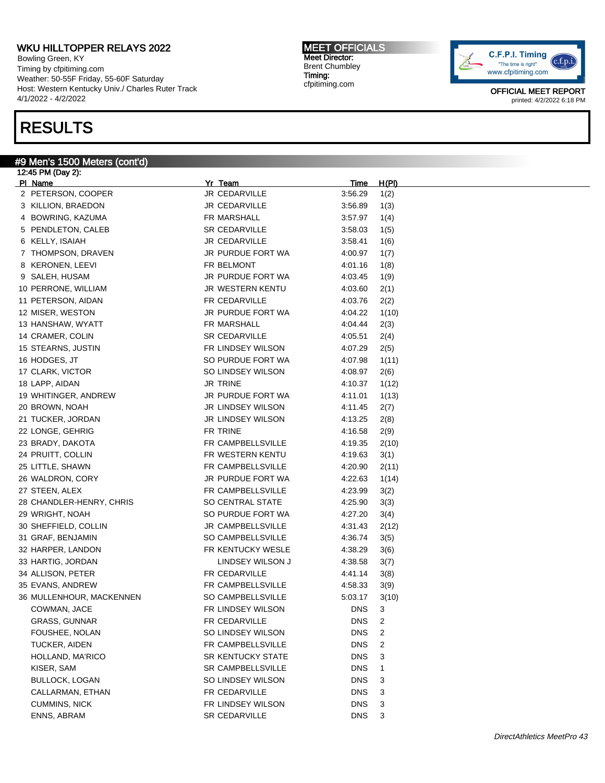Bowling Green, KY Timing by cfpitiming.com Weather: 50-55F Friday, 55-60F Saturday Host: Western Kentucky Univ./ Charles Ruter Track 4/1/2022 - 4/2/2022

## RESULTS

#### #9 Men's 1500 Meters (cont'd)

12:45 PM (Day 2): Pl Name Yr Team Time H(Pl) 2 PETERSON, COOPER JR CEDARVILLE 3:56.29 1(2) 3 KILLION, BRAEDON JR CEDARVILLE 3:56.89 1(3) 4 BOWRING, KAZUMA **FR MARSHALL** 3:57.97 1(4) 5 PENDLETON, CALEB SR CEDARVILLE 3:58.03 1(5) 6 KELLY, ISAIAH 16) 3:58.41 16 7 THOMPSON, DRAVEN JR PURDUE FORT WA 4:00.97 1(7) 8 KERONEN, LEEVI FR BELMONT 4:01.16 1(8) 9 SALEH, HUSAM **JR PURDUE FORT WA** 4:03.45 1(9) 10 PERRONE, WILLIAM JR WESTERN KENTU 4:03.60 2(1) 11 PETERSON, AIDAN FR CEDARVILLE 4:03.76 2(2) 12 MISER, WESTON **JR PURDUE FORT WA** 4:04.22 1(10) 13 HANSHAW, WYATT FR MARSHALL 4:04.44 2(3) 14 CRAMER, COLIN SR CEDARVILLE 4:05.51 2(4) 15 STEARNS, JUSTIN FR LINDSEY WILSON 4:07.29 2(5) 16 HODGES, JT SO PURDUE FORT WA 4:07.98 1(11) 17 CLARK, VICTOR **SO LINDSEY WILSON** 4:08.97 2(6) 18 LAPP, AIDAN JR TRINE 4:10.37 1(12) 19 WHITINGER, ANDREW JR PURDUE FORT WA 4:11.01 1(13) 20 BROWN, NOAH JR LINDSEY WILSON 4:11.45 2(7) 21 TUCKER, JORDAN JR LINDSEY WILSON 4:13.25 2(8) 22 LONGE, GEHRIG FR TRINE 4:16.58 2(9) 23 BRADY, DAKOTA **FR CAMPBELLSVILLE** 4:19.35 2(10) 24 PRUITT, COLLIN FR WESTERN KENTU 4:19.63 3(1) 25 LITTLE, SHAWN **FR CAMPBELLSVILLE** 4:20.90 2(11) 26 WALDRON, CORY JR PURDUE FORT WA 4:22.63 1(14) 27 STEEN, ALEX **FR CAMPBELLSVILLE** 4:23.99 3(2) 28 CHANDLER-HENRY, CHRIS SO CENTRAL STATE 4:25.90 3(3) 29 WRIGHT, NOAH SO PURDUE FORT WA 4:27.20 3(4) 30 SHEFFIELD, COLLIN JR CAMPBELLSVILLE 4:31.43 2(12) 31 GRAF, BENJAMIN SO CAMPBELLSVILLE 4:36.74 3(5) 32 HARPER, LANDON FR KENTUCKY WESLE 4:38.29 3(6) 33 HARTIG, JORDAN LINDSEY WILSON J 4:38.58 3(7) 34 ALLISON, PETER FR CEDARVILLE 4:41.14 3(8) 35 EVANS, ANDREW **FR CAMPBELLSVILLE** 4:58.33 3(9) 36 MULLENHOUR, MACKENNEN SO CAMPBELLSVILLE 5:03.17 3(10) COWMAN, JACE **FR LINDSEY WILSON** DNS 3 GRASS, GUNNAR FR CEDARVILLE DNS 2 FOUSHEE, NOLAN **SO LINDSEY WILSON** DNS 2 TUCKER, AIDEN FR CAMPBELLSVILLE DNS 2 HOLLAND, MA'RICO **SR KENTUCKY STATE** DNS 3 KISER, SAM SR CAMPBELLSVILLE DNS 1 BULLOCK, LOGAN SO LINDSEY WILSON DNS 3 CALLARMAN, ETHAN FR CEDARVILLE CALLARMAN, ETHAN 1999 CUMMINS, NICK GENERAL BRANDISEY WILSON DNS 3 ENNS, ABRAM SR CEDARVILLE DNS 3

MEET OFFICIALS Meet Director: Brent Chumbley Timing: cfpitiming.com

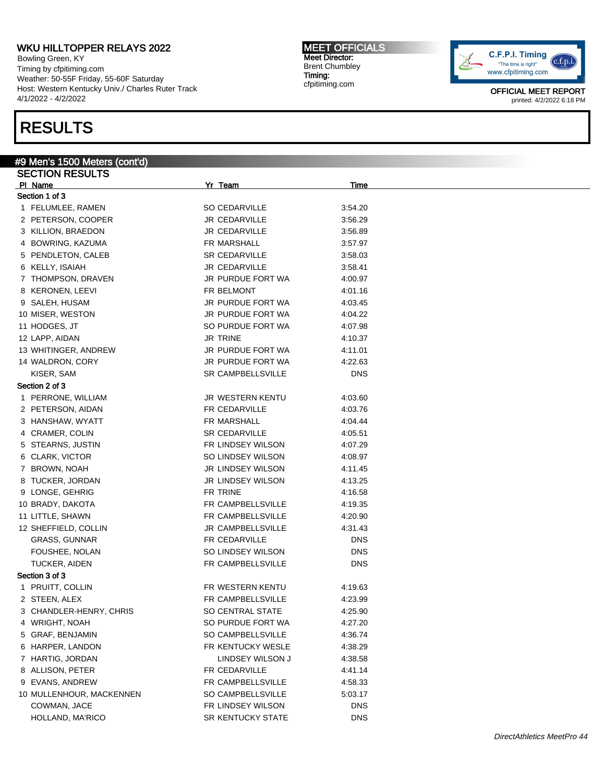Bowling Green, KY Timing by cfpitiming.com Weather: 50-55F Friday, 55-60F Saturday Host: Western Kentucky Univ./ Charles Ruter Track 4/1/2022 - 4/2/2022

## RESULTS

#9 Men's 1500 Meters (cont'd) SECTION RESULTS Pl Name Yr Team Time Section 1 of 3 1 FELUMLEE, RAMEN SO CEDARVILLE 3:54.20 2 PETERSON, COOPER JR CEDARVILLE 3:56.29 3 KILLION, BRAEDON JR CEDARVILLE 3:56.89 4 BOWRING, KAZUMA **FR MARSHALL** 3:57.97 5 PENDLETON, CALEB SR CEDARVILLE 3:58.03 6 KELLY, ISAIAH JR CEDARVILLE 3:58.41 7 THOMPSON, DRAVEN JR PURDUE FORT WA 4:00.97 8 KERONEN, LEEVI FR BELMONT 4:01.16 9 SALEH, HUSAM JR PURDUE FORT WA 4:03.45 10 MISER, WESTON GALL BET A SUIT ON THE SERVICE FORT WA 4:04.22 11 HODGES, JT SO PURDUE FORT WA 4:07.98 12 LAPP, AIDAN 4:10.37 13 WHITINGER, ANDREW JR PURDUE FORT WA 4:11.01 14 WALDRON, CORY **JR PURDUE FORT WA 4:22.63** KISER, SAM SR CAMPBELLSVILLE DNS Section 2 of 3 1 PERRONE, WILLIAM JR WESTERN KENTU 4:03.60 2 PETERSON, AIDAN FR CEDARVILLE 4:03.76 3 HANSHAW, WYATT THE RESERVE STRAIN STRAIN MARSHALL THE 4:04.44 4 CRAMER, COLIN SR CEDARVILLE 4:05.51 5 STEARNS, JUSTIN FR LINDSEY WILSON 4:07.29 6 CLARK, VICTOR SO LINDSEY WILSON 4:08.97 7 BROWN, NOAH JR LINDSEY WILSON 4:11.45 8 TUCKER, JORDAN GENERAL SERVICE OF SALLINDSEY WILSON 4:13.25 9 LONGE, GEHRIG FR TRINE 4:16.58 10 BRADY, DAKOTA **FR CAMPBELLSVILLE** 4:19.35 11 LITTLE, SHAWN **FR CAMPBELLSVILLE** 4:20.90 12 SHEFFIELD, COLLIN JR CAMPBELLSVILLE 4:31.43 GRASS, GUNNAR **FR CEDARVILLE DNS** FOUSHEE, NOLAN DISCONSINGLY SO LINDSEY WILSON DISCONSINGLY TUCKER, AIDEN FR CAMPBELLSVILLE DNS Section 3 of 3 1 PRUITT, COLLIN **FR WESTERN KENTU** 4:19.63 2 STEEN, ALEX FR CAMPBELLSVILLE 4:23.99 3 CHANDLER-HENRY, CHRIS SO CENTRAL STATE 4:25.90 4 WRIGHT, NOAH SO PURDUE FORT WA 4:27.20 5 GRAF, BENJAMIN SO CAMPBELLSVILLE 4:36.74 6 HARPER, LANDON FR KENTUCKY WESLE 4:38.29 7 HARTIG, JORDAN **DESITY ASSESS** LINDSEY WILSON J 4:38.58 8 ALLISON, PETER FR CEDARVILLE 4:41.14 9 EVANS, ANDREW **FR CAMPBELLSVILLE** 4:58.33 10 MULLENHOUR, MACKENNEN SO CAMPBELLSVILLE 5:03.17 COWMAN, JACE FR LINDSEY WILSON DNS HOLLAND, MA'RICO **SR KENTUCKY STATE** DNS

MEET OFFICIALS Meet Director: Brent Chumbley Timing: cfpitiming.com

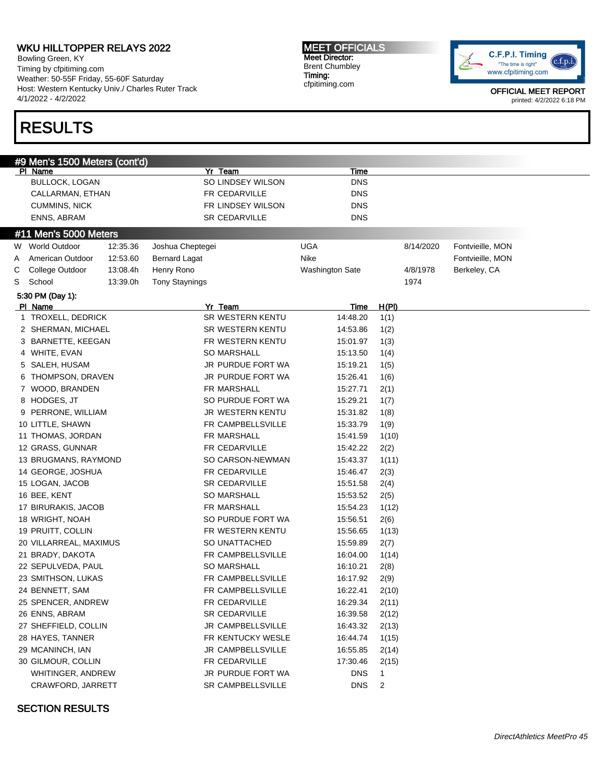Bowling Green, KY Timing by cfpitiming.com Weather: 50-55F Friday, 55-60F Saturday Host: Western Kentucky Univ./ Charles Ruter Track 4/1/2022 - 4/2/2022

# RESULTS

MEET OFFICIALS Meet Director: Brent Chumbley Timing: cfpitiming.com



OFFICIAL MEET REPORT printed: 4/2/2022 6:18 PM

| #9 Men's 1500 Meters (cont'd)<br>Yr Team<br>PI Name<br><u>Time</u><br>SO LINDSEY WILSON<br><b>BULLOCK, LOGAN</b><br><b>DNS</b><br>FR CEDARVILLE<br><b>DNS</b><br>CALLARMAN, ETHAN<br>FR LINDSEY WILSON<br><b>CUMMINS, NICK</b><br><b>DNS</b><br>ENNS, ABRAM<br>SR CEDARVILLE<br><b>DNS</b><br>#11 Men's 5000 Meters<br>W World Outdoor<br>12:35.36<br>UGA<br>Fontvieille, MON<br>Joshua Cheptegei<br>8/14/2020<br><b>Nike</b><br>American Outdoor<br>12:53.60<br><b>Bernard Lagat</b><br>Fontvieille, MON<br>A<br>College Outdoor<br>13:08.4h<br>Henry Rono<br><b>Washington Sate</b><br>4/8/1978<br>Berkeley, CA<br>С<br>13:39.0h<br><b>Tony Staynings</b><br>S<br>School<br>1974<br>5:30 PM (Day 1):<br>Yr Team<br>PI Name<br><u>H(PI)</u><br><u>Time</u><br>1 TROXELL, DEDRICK<br>SR WESTERN KENTU<br>14:48.20<br>1(1)<br>SR WESTERN KENTU<br>14:53.86<br>2 SHERMAN, MICHAEL<br>1(2)<br>3 BARNETTE, KEEGAN<br>FR WESTERN KENTU<br>15:01.97<br>1(3)<br>4 WHITE, EVAN<br><b>SO MARSHALL</b><br>15:13.50<br>1(4)<br>JR PURDUE FORT WA<br>15:19.21<br>5 SALEH, HUSAM<br>1(5)<br>JR PURDUE FORT WA<br>15:26.41<br>6 THOMPSON, DRAVEN<br>1(6)<br>7 WOOD, BRANDEN<br>FR MARSHALL<br>15:27.71<br>2(1)<br>8 HODGES, JT<br>SO PURDUE FORT WA<br>15:29.21<br>1(7)<br>9 PERRONE, WILLIAM<br>JR WESTERN KENTU<br>15:31.82<br>1(8)<br>10 LITTLE, SHAWN<br>FR CAMPBELLSVILLE<br>15:33.79<br>1(9)<br>11 THOMAS, JORDAN<br>FR MARSHALL<br>15:41.59<br>1(10)<br>12 GRASS, GUNNAR<br>FR CEDARVILLE<br>15:42.22<br>2(2)<br>SO CARSON-NEWMAN<br>15:43.37<br>13 BRUGMANS, RAYMOND<br>1(11)<br>14 GEORGE, JOSHUA<br>FR CEDARVILLE<br>15:46.47<br>2(3)<br>15 LOGAN, JACOB<br><b>SR CEDARVILLE</b><br>15:51.58<br>2(4)<br>16 BEE, KENT<br><b>SO MARSHALL</b><br>15:53.52<br>2(5)<br>17 BIRURAKIS, JACOB<br>FR MARSHALL<br>15:54.23<br>1(12)<br>SO PURDUE FORT WA<br>15:56.51<br>18 WRIGHT, NOAH<br>2(6)<br>19 PRUITT, COLLIN<br>FR WESTERN KENTU<br>15:56.65<br>1(13)<br>SO UNATTACHED<br>15:59.89<br>20 VILLARREAL, MAXIMUS<br>2(7)<br>FR CAMPBELLSVILLE<br>16:04.00<br>21 BRADY, DAKOTA<br>1(14) |
|------------------------------------------------------------------------------------------------------------------------------------------------------------------------------------------------------------------------------------------------------------------------------------------------------------------------------------------------------------------------------------------------------------------------------------------------------------------------------------------------------------------------------------------------------------------------------------------------------------------------------------------------------------------------------------------------------------------------------------------------------------------------------------------------------------------------------------------------------------------------------------------------------------------------------------------------------------------------------------------------------------------------------------------------------------------------------------------------------------------------------------------------------------------------------------------------------------------------------------------------------------------------------------------------------------------------------------------------------------------------------------------------------------------------------------------------------------------------------------------------------------------------------------------------------------------------------------------------------------------------------------------------------------------------------------------------------------------------------------------------------------------------------------------------------------------------------------------------------------------------------------------------------------------------------------------------------------------------------------------------------------------------------------------------------------------------------|
|                                                                                                                                                                                                                                                                                                                                                                                                                                                                                                                                                                                                                                                                                                                                                                                                                                                                                                                                                                                                                                                                                                                                                                                                                                                                                                                                                                                                                                                                                                                                                                                                                                                                                                                                                                                                                                                                                                                                                                                                                                                                              |
|                                                                                                                                                                                                                                                                                                                                                                                                                                                                                                                                                                                                                                                                                                                                                                                                                                                                                                                                                                                                                                                                                                                                                                                                                                                                                                                                                                                                                                                                                                                                                                                                                                                                                                                                                                                                                                                                                                                                                                                                                                                                              |
|                                                                                                                                                                                                                                                                                                                                                                                                                                                                                                                                                                                                                                                                                                                                                                                                                                                                                                                                                                                                                                                                                                                                                                                                                                                                                                                                                                                                                                                                                                                                                                                                                                                                                                                                                                                                                                                                                                                                                                                                                                                                              |
|                                                                                                                                                                                                                                                                                                                                                                                                                                                                                                                                                                                                                                                                                                                                                                                                                                                                                                                                                                                                                                                                                                                                                                                                                                                                                                                                                                                                                                                                                                                                                                                                                                                                                                                                                                                                                                                                                                                                                                                                                                                                              |
|                                                                                                                                                                                                                                                                                                                                                                                                                                                                                                                                                                                                                                                                                                                                                                                                                                                                                                                                                                                                                                                                                                                                                                                                                                                                                                                                                                                                                                                                                                                                                                                                                                                                                                                                                                                                                                                                                                                                                                                                                                                                              |
|                                                                                                                                                                                                                                                                                                                                                                                                                                                                                                                                                                                                                                                                                                                                                                                                                                                                                                                                                                                                                                                                                                                                                                                                                                                                                                                                                                                                                                                                                                                                                                                                                                                                                                                                                                                                                                                                                                                                                                                                                                                                              |
|                                                                                                                                                                                                                                                                                                                                                                                                                                                                                                                                                                                                                                                                                                                                                                                                                                                                                                                                                                                                                                                                                                                                                                                                                                                                                                                                                                                                                                                                                                                                                                                                                                                                                                                                                                                                                                                                                                                                                                                                                                                                              |
|                                                                                                                                                                                                                                                                                                                                                                                                                                                                                                                                                                                                                                                                                                                                                                                                                                                                                                                                                                                                                                                                                                                                                                                                                                                                                                                                                                                                                                                                                                                                                                                                                                                                                                                                                                                                                                                                                                                                                                                                                                                                              |
|                                                                                                                                                                                                                                                                                                                                                                                                                                                                                                                                                                                                                                                                                                                                                                                                                                                                                                                                                                                                                                                                                                                                                                                                                                                                                                                                                                                                                                                                                                                                                                                                                                                                                                                                                                                                                                                                                                                                                                                                                                                                              |
|                                                                                                                                                                                                                                                                                                                                                                                                                                                                                                                                                                                                                                                                                                                                                                                                                                                                                                                                                                                                                                                                                                                                                                                                                                                                                                                                                                                                                                                                                                                                                                                                                                                                                                                                                                                                                                                                                                                                                                                                                                                                              |
|                                                                                                                                                                                                                                                                                                                                                                                                                                                                                                                                                                                                                                                                                                                                                                                                                                                                                                                                                                                                                                                                                                                                                                                                                                                                                                                                                                                                                                                                                                                                                                                                                                                                                                                                                                                                                                                                                                                                                                                                                                                                              |
|                                                                                                                                                                                                                                                                                                                                                                                                                                                                                                                                                                                                                                                                                                                                                                                                                                                                                                                                                                                                                                                                                                                                                                                                                                                                                                                                                                                                                                                                                                                                                                                                                                                                                                                                                                                                                                                                                                                                                                                                                                                                              |
|                                                                                                                                                                                                                                                                                                                                                                                                                                                                                                                                                                                                                                                                                                                                                                                                                                                                                                                                                                                                                                                                                                                                                                                                                                                                                                                                                                                                                                                                                                                                                                                                                                                                                                                                                                                                                                                                                                                                                                                                                                                                              |
|                                                                                                                                                                                                                                                                                                                                                                                                                                                                                                                                                                                                                                                                                                                                                                                                                                                                                                                                                                                                                                                                                                                                                                                                                                                                                                                                                                                                                                                                                                                                                                                                                                                                                                                                                                                                                                                                                                                                                                                                                                                                              |
|                                                                                                                                                                                                                                                                                                                                                                                                                                                                                                                                                                                                                                                                                                                                                                                                                                                                                                                                                                                                                                                                                                                                                                                                                                                                                                                                                                                                                                                                                                                                                                                                                                                                                                                                                                                                                                                                                                                                                                                                                                                                              |
|                                                                                                                                                                                                                                                                                                                                                                                                                                                                                                                                                                                                                                                                                                                                                                                                                                                                                                                                                                                                                                                                                                                                                                                                                                                                                                                                                                                                                                                                                                                                                                                                                                                                                                                                                                                                                                                                                                                                                                                                                                                                              |
|                                                                                                                                                                                                                                                                                                                                                                                                                                                                                                                                                                                                                                                                                                                                                                                                                                                                                                                                                                                                                                                                                                                                                                                                                                                                                                                                                                                                                                                                                                                                                                                                                                                                                                                                                                                                                                                                                                                                                                                                                                                                              |
|                                                                                                                                                                                                                                                                                                                                                                                                                                                                                                                                                                                                                                                                                                                                                                                                                                                                                                                                                                                                                                                                                                                                                                                                                                                                                                                                                                                                                                                                                                                                                                                                                                                                                                                                                                                                                                                                                                                                                                                                                                                                              |
|                                                                                                                                                                                                                                                                                                                                                                                                                                                                                                                                                                                                                                                                                                                                                                                                                                                                                                                                                                                                                                                                                                                                                                                                                                                                                                                                                                                                                                                                                                                                                                                                                                                                                                                                                                                                                                                                                                                                                                                                                                                                              |
|                                                                                                                                                                                                                                                                                                                                                                                                                                                                                                                                                                                                                                                                                                                                                                                                                                                                                                                                                                                                                                                                                                                                                                                                                                                                                                                                                                                                                                                                                                                                                                                                                                                                                                                                                                                                                                                                                                                                                                                                                                                                              |
|                                                                                                                                                                                                                                                                                                                                                                                                                                                                                                                                                                                                                                                                                                                                                                                                                                                                                                                                                                                                                                                                                                                                                                                                                                                                                                                                                                                                                                                                                                                                                                                                                                                                                                                                                                                                                                                                                                                                                                                                                                                                              |
|                                                                                                                                                                                                                                                                                                                                                                                                                                                                                                                                                                                                                                                                                                                                                                                                                                                                                                                                                                                                                                                                                                                                                                                                                                                                                                                                                                                                                                                                                                                                                                                                                                                                                                                                                                                                                                                                                                                                                                                                                                                                              |
|                                                                                                                                                                                                                                                                                                                                                                                                                                                                                                                                                                                                                                                                                                                                                                                                                                                                                                                                                                                                                                                                                                                                                                                                                                                                                                                                                                                                                                                                                                                                                                                                                                                                                                                                                                                                                                                                                                                                                                                                                                                                              |
|                                                                                                                                                                                                                                                                                                                                                                                                                                                                                                                                                                                                                                                                                                                                                                                                                                                                                                                                                                                                                                                                                                                                                                                                                                                                                                                                                                                                                                                                                                                                                                                                                                                                                                                                                                                                                                                                                                                                                                                                                                                                              |
|                                                                                                                                                                                                                                                                                                                                                                                                                                                                                                                                                                                                                                                                                                                                                                                                                                                                                                                                                                                                                                                                                                                                                                                                                                                                                                                                                                                                                                                                                                                                                                                                                                                                                                                                                                                                                                                                                                                                                                                                                                                                              |
|                                                                                                                                                                                                                                                                                                                                                                                                                                                                                                                                                                                                                                                                                                                                                                                                                                                                                                                                                                                                                                                                                                                                                                                                                                                                                                                                                                                                                                                                                                                                                                                                                                                                                                                                                                                                                                                                                                                                                                                                                                                                              |
|                                                                                                                                                                                                                                                                                                                                                                                                                                                                                                                                                                                                                                                                                                                                                                                                                                                                                                                                                                                                                                                                                                                                                                                                                                                                                                                                                                                                                                                                                                                                                                                                                                                                                                                                                                                                                                                                                                                                                                                                                                                                              |
|                                                                                                                                                                                                                                                                                                                                                                                                                                                                                                                                                                                                                                                                                                                                                                                                                                                                                                                                                                                                                                                                                                                                                                                                                                                                                                                                                                                                                                                                                                                                                                                                                                                                                                                                                                                                                                                                                                                                                                                                                                                                              |
|                                                                                                                                                                                                                                                                                                                                                                                                                                                                                                                                                                                                                                                                                                                                                                                                                                                                                                                                                                                                                                                                                                                                                                                                                                                                                                                                                                                                                                                                                                                                                                                                                                                                                                                                                                                                                                                                                                                                                                                                                                                                              |
|                                                                                                                                                                                                                                                                                                                                                                                                                                                                                                                                                                                                                                                                                                                                                                                                                                                                                                                                                                                                                                                                                                                                                                                                                                                                                                                                                                                                                                                                                                                                                                                                                                                                                                                                                                                                                                                                                                                                                                                                                                                                              |
|                                                                                                                                                                                                                                                                                                                                                                                                                                                                                                                                                                                                                                                                                                                                                                                                                                                                                                                                                                                                                                                                                                                                                                                                                                                                                                                                                                                                                                                                                                                                                                                                                                                                                                                                                                                                                                                                                                                                                                                                                                                                              |
|                                                                                                                                                                                                                                                                                                                                                                                                                                                                                                                                                                                                                                                                                                                                                                                                                                                                                                                                                                                                                                                                                                                                                                                                                                                                                                                                                                                                                                                                                                                                                                                                                                                                                                                                                                                                                                                                                                                                                                                                                                                                              |
|                                                                                                                                                                                                                                                                                                                                                                                                                                                                                                                                                                                                                                                                                                                                                                                                                                                                                                                                                                                                                                                                                                                                                                                                                                                                                                                                                                                                                                                                                                                                                                                                                                                                                                                                                                                                                                                                                                                                                                                                                                                                              |
|                                                                                                                                                                                                                                                                                                                                                                                                                                                                                                                                                                                                                                                                                                                                                                                                                                                                                                                                                                                                                                                                                                                                                                                                                                                                                                                                                                                                                                                                                                                                                                                                                                                                                                                                                                                                                                                                                                                                                                                                                                                                              |
| <b>SO MARSHALL</b><br>22 SEPULVEDA, PAUL<br>16:10.21<br>2(8)                                                                                                                                                                                                                                                                                                                                                                                                                                                                                                                                                                                                                                                                                                                                                                                                                                                                                                                                                                                                                                                                                                                                                                                                                                                                                                                                                                                                                                                                                                                                                                                                                                                                                                                                                                                                                                                                                                                                                                                                                 |
| 23 SMITHSON, LUKAS<br>FR CAMPBELLSVILLE<br>16:17.92<br>2(9)                                                                                                                                                                                                                                                                                                                                                                                                                                                                                                                                                                                                                                                                                                                                                                                                                                                                                                                                                                                                                                                                                                                                                                                                                                                                                                                                                                                                                                                                                                                                                                                                                                                                                                                                                                                                                                                                                                                                                                                                                  |
| 2(10)<br>24 BENNETT, SAM<br>FR CAMPBELLSVILLE<br>16:22.41                                                                                                                                                                                                                                                                                                                                                                                                                                                                                                                                                                                                                                                                                                                                                                                                                                                                                                                                                                                                                                                                                                                                                                                                                                                                                                                                                                                                                                                                                                                                                                                                                                                                                                                                                                                                                                                                                                                                                                                                                    |
| 25 SPENCER, ANDREW<br>FR CEDARVILLE<br>16:29.34<br>2(11)                                                                                                                                                                                                                                                                                                                                                                                                                                                                                                                                                                                                                                                                                                                                                                                                                                                                                                                                                                                                                                                                                                                                                                                                                                                                                                                                                                                                                                                                                                                                                                                                                                                                                                                                                                                                                                                                                                                                                                                                                     |
| 2(12)<br>26 ENNS, ABRAM<br>SR CEDARVILLE<br>16:39.58                                                                                                                                                                                                                                                                                                                                                                                                                                                                                                                                                                                                                                                                                                                                                                                                                                                                                                                                                                                                                                                                                                                                                                                                                                                                                                                                                                                                                                                                                                                                                                                                                                                                                                                                                                                                                                                                                                                                                                                                                         |
| 27 SHEFFIELD, COLLIN<br>JR CAMPBELLSVILLE<br>16:43.32<br>2(13)                                                                                                                                                                                                                                                                                                                                                                                                                                                                                                                                                                                                                                                                                                                                                                                                                                                                                                                                                                                                                                                                                                                                                                                                                                                                                                                                                                                                                                                                                                                                                                                                                                                                                                                                                                                                                                                                                                                                                                                                               |
| 28 HAYES, TANNER<br>FR KENTUCKY WESLE<br>16:44.74<br>1(15)                                                                                                                                                                                                                                                                                                                                                                                                                                                                                                                                                                                                                                                                                                                                                                                                                                                                                                                                                                                                                                                                                                                                                                                                                                                                                                                                                                                                                                                                                                                                                                                                                                                                                                                                                                                                                                                                                                                                                                                                                   |
| 29 MCANINCH, IAN<br>JR CAMPBELLSVILLE<br>2(14)<br>16:55.85                                                                                                                                                                                                                                                                                                                                                                                                                                                                                                                                                                                                                                                                                                                                                                                                                                                                                                                                                                                                                                                                                                                                                                                                                                                                                                                                                                                                                                                                                                                                                                                                                                                                                                                                                                                                                                                                                                                                                                                                                   |
| 30 GILMOUR, COLLIN<br>FR CEDARVILLE<br>17:30.46<br>2(15)                                                                                                                                                                                                                                                                                                                                                                                                                                                                                                                                                                                                                                                                                                                                                                                                                                                                                                                                                                                                                                                                                                                                                                                                                                                                                                                                                                                                                                                                                                                                                                                                                                                                                                                                                                                                                                                                                                                                                                                                                     |
| JR PURDUE FORT WA<br>WHITINGER, ANDREW<br><b>DNS</b><br>$\mathbf 1$                                                                                                                                                                                                                                                                                                                                                                                                                                                                                                                                                                                                                                                                                                                                                                                                                                                                                                                                                                                                                                                                                                                                                                                                                                                                                                                                                                                                                                                                                                                                                                                                                                                                                                                                                                                                                                                                                                                                                                                                          |
| CRAWFORD, JARRETT<br>SR CAMPBELLSVILLE<br><b>DNS</b><br>2                                                                                                                                                                                                                                                                                                                                                                                                                                                                                                                                                                                                                                                                                                                                                                                                                                                                                                                                                                                                                                                                                                                                                                                                                                                                                                                                                                                                                                                                                                                                                                                                                                                                                                                                                                                                                                                                                                                                                                                                                    |

## SECTION RESULTS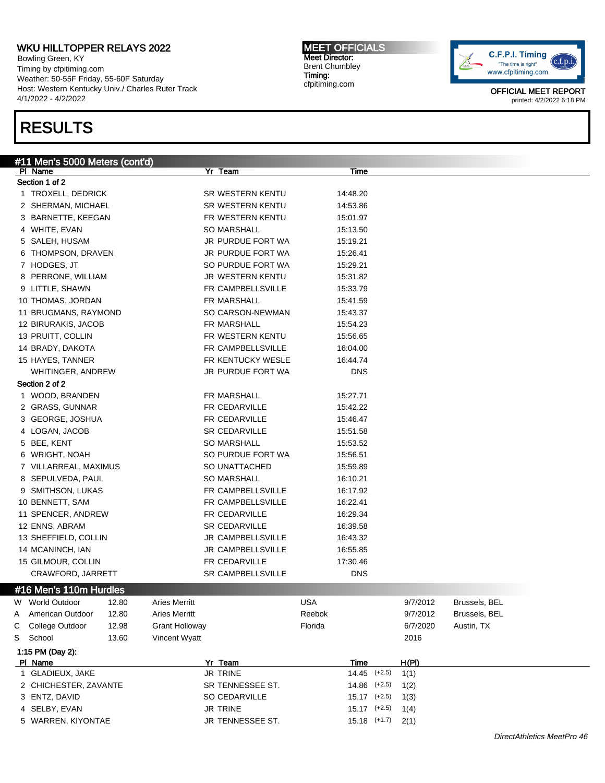Bowling Green, KY Timing by cfpitiming.com Weather: 50-55F Friday, 55-60F Saturday Host: Western Kentucky Univ./ Charles Ruter Track 4/1/2022 - 4/2/2022

## RESULTS

MEET OFFICIALS Meet Director: Brent Chumbley Timing: cfpitiming.com



|   | #11 Men's 5000 Meters (cont'd)<br>PI Name |       |                       | Yr Team                               |            | <u>Time</u>      |          |               |  |
|---|-------------------------------------------|-------|-----------------------|---------------------------------------|------------|------------------|----------|---------------|--|
|   | Section 1 of 2                            |       |                       |                                       |            |                  |          |               |  |
|   | 1 TROXELL, DEDRICK                        |       |                       | SR WESTERN KENTU                      |            | 14:48.20         |          |               |  |
|   | 2 SHERMAN, MICHAEL                        |       |                       | SR WESTERN KENTU                      |            | 14:53.86         |          |               |  |
|   | 3 BARNETTE, KEEGAN                        |       |                       | FR WESTERN KENTU                      |            | 15:01.97         |          |               |  |
|   | 4 WHITE, EVAN                             |       |                       | <b>SO MARSHALL</b>                    |            | 15:13.50         |          |               |  |
|   | 5 SALEH, HUSAM                            |       |                       | JR PURDUE FORT WA                     |            | 15:19.21         |          |               |  |
|   | 6 THOMPSON, DRAVEN                        |       |                       | JR PURDUE FORT WA                     |            | 15:26.41         |          |               |  |
|   | 7 HODGES, JT                              |       |                       | SO PURDUE FORT WA                     |            | 15:29.21         |          |               |  |
|   | 8 PERRONE, WILLIAM                        |       |                       | JR WESTERN KENTU                      |            | 15:31.82         |          |               |  |
|   | 9 LITTLE, SHAWN                           |       |                       | FR CAMPBELLSVILLE                     |            | 15:33.79         |          |               |  |
|   | 10 THOMAS, JORDAN                         |       |                       | FR MARSHALL                           |            | 15:41.59         |          |               |  |
|   | 11 BRUGMANS, RAYMOND                      |       |                       | SO CARSON-NEWMAN                      |            | 15:43.37         |          |               |  |
|   | 12 BIRURAKIS, JACOB                       |       |                       | FR MARSHALL                           |            | 15:54.23         |          |               |  |
|   |                                           |       |                       | FR WESTERN KENTU                      |            |                  |          |               |  |
|   | 13 PRUITT, COLLIN                         |       |                       | FR CAMPBELLSVILLE                     |            | 15:56.65         |          |               |  |
|   | 14 BRADY, DAKOTA                          |       |                       |                                       |            | 16:04.00         |          |               |  |
|   | 15 HAYES, TANNER                          |       |                       | FR KENTUCKY WESLE                     |            | 16:44.74         |          |               |  |
|   | WHITINGER, ANDREW<br>Section 2 of 2       |       |                       | JR PURDUE FORT WA                     |            | <b>DNS</b>       |          |               |  |
|   |                                           |       |                       | FR MARSHALL                           |            |                  |          |               |  |
|   | 1 WOOD, BRANDEN                           |       |                       | FR CEDARVILLE                         |            | 15:27.71         |          |               |  |
|   | 2 GRASS, GUNNAR                           |       |                       |                                       |            | 15:42.22         |          |               |  |
|   | 3 GEORGE, JOSHUA                          |       |                       | FR CEDARVILLE<br><b>SR CEDARVILLE</b> |            | 15:46.47         |          |               |  |
|   | 4 LOGAN, JACOB                            |       |                       |                                       |            | 15:51.58         |          |               |  |
|   | 5 BEE, KENT                               |       |                       | <b>SO MARSHALL</b>                    |            | 15:53.52         |          |               |  |
|   | 6 WRIGHT, NOAH                            |       |                       | SO PURDUE FORT WA                     |            | 15:56.51         |          |               |  |
|   | 7 VILLARREAL, MAXIMUS                     |       |                       | SO UNATTACHED                         |            | 15:59.89         |          |               |  |
|   | 8 SEPULVEDA, PAUL                         |       |                       | <b>SO MARSHALL</b>                    |            | 16:10.21         |          |               |  |
|   | 9 SMITHSON, LUKAS                         |       |                       | FR CAMPBELLSVILLE                     |            | 16:17.92         |          |               |  |
|   | 10 BENNETT, SAM                           |       |                       | FR CAMPBELLSVILLE                     |            | 16:22.41         |          |               |  |
|   | 11 SPENCER, ANDREW                        |       |                       | FR CEDARVILLE                         |            | 16:29.34         |          |               |  |
|   | 12 ENNS, ABRAM                            |       |                       | <b>SR CEDARVILLE</b>                  |            | 16:39.58         |          |               |  |
|   | 13 SHEFFIELD, COLLIN                      |       |                       | JR CAMPBELLSVILLE                     |            | 16:43.32         |          |               |  |
|   | 14 MCANINCH, IAN                          |       |                       | JR CAMPBELLSVILLE                     |            | 16:55.85         |          |               |  |
|   | 15 GILMOUR, COLLIN                        |       |                       | FR CEDARVILLE                         |            | 17:30.46         |          |               |  |
|   | CRAWFORD, JARRETT                         |       |                       | <b>SR CAMPBELLSVILLE</b>              |            | <b>DNS</b>       |          |               |  |
|   | #16 Men's 110m Hurdles                    |       |                       |                                       |            |                  |          |               |  |
| W | <b>World Outdoor</b>                      | 12.80 | <b>Aries Merritt</b>  |                                       | <b>USA</b> |                  | 9/7/2012 | Brussels, BEL |  |
| Α | American Outdoor                          | 12.80 | <b>Aries Merritt</b>  |                                       | Reebok     |                  | 9/7/2012 | Brussels, BEL |  |
| С | College Outdoor                           | 12.98 | <b>Grant Holloway</b> |                                       | Florida    |                  | 6/7/2020 | Austin, TX    |  |
| S | School                                    | 13.60 | Vincent Wyatt         |                                       |            |                  | 2016     |               |  |
|   | 1:15 PM (Day 2):                          |       |                       |                                       |            |                  |          |               |  |
|   | PI Name                                   |       |                       | Yr Team                               |            | <b>Time</b>      | H(PI)    |               |  |
|   | 1 GLADIEUX, JAKE                          |       |                       | JR TRINE                              |            | $14.45$ (+2.5)   | 1(1)     |               |  |
|   | 2 CHICHESTER, ZAVANTE                     |       |                       | SR TENNESSEE ST.                      |            | $14.86$ $(+2.5)$ | 1(2)     |               |  |
|   | 3 ENTZ, DAVID                             |       |                       | SO CEDARVILLE                         |            | $15.17$ $(+2.5)$ | 1(3)     |               |  |
|   | 4 SELBY, EVAN                             |       |                       | JR TRINE                              |            | $15.17$ $(+2.5)$ | 1(4)     |               |  |
|   | 5 WARREN, KIYONTAE                        |       |                       | JR TENNESSEE ST.                      |            | $15.18$ $(+1.7)$ | 2(1)     |               |  |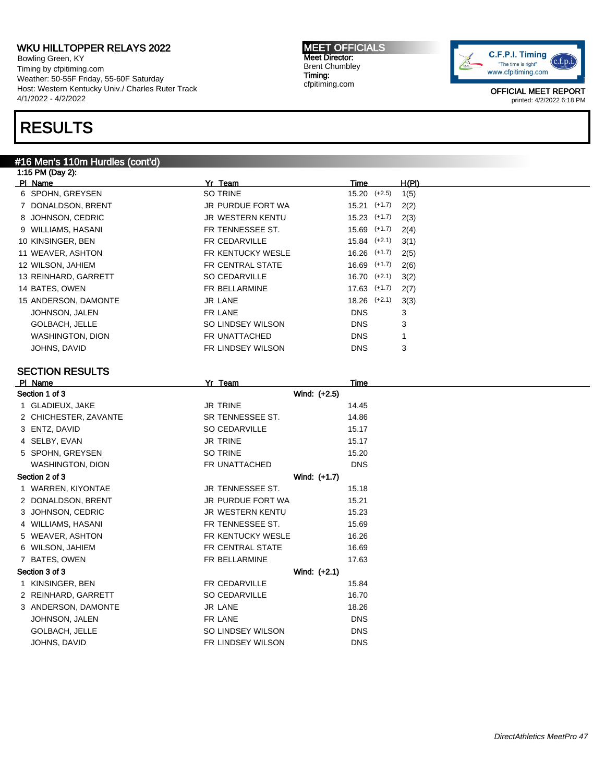Bowling Green, KY Timing by cfpitiming.com Weather: 50-55F Friday, 55-60F Saturday Host: Western Kentucky Univ./ Charles Ruter Track 4/1/2022 - 4/2/2022

## RESULTS

### #16 Men's 110m Hurdles (cont'd)

1:15 PM (Day 2): Pl Name Yr Team Time H(Pl) 6 SPOHN, GREYSEN SO TRINE 15.20 (+2.5) 1(5) 7 DONALDSON, BRENT JR PURDUE FORT WA 15.21 (+1.7) 2(2) 8 JOHNSON, CEDRIC **JR WESTERN KENTU** 15.23 (+1.7) 2(3) 9 WILLIAMS, HASANI **FR TENNESSEE ST.** 15.69 (+1.7) 2(4) 10 KINSINGER, BEN FR CEDARVILLE 15.84 (+2.1) 3(1) 11 WEAVER, ASHTON **FR KENTUCKY WESLE** 16.26 (+1.7) 2(5) 12 WILSON, JAHIEM **FR CENTRAL STATE** 16.69 (+1.7) 2(6) 13 REINHARD, GARRETT SO CEDARVILLE 16.70 (+2.1) 3(2) 14 BATES, OWEN **FR BELLARMINE** 17.63 (+1.7) 2(7) 15 ANDERSON, DAMONTE JR LANE JR LANE 18.26 (+2.1) 3(3) JOHNSON, JALEN FR LANE DNS 3 GOLBACH, JELLE SO LINDSEY WILSON DNS 3 WASHINGTON, DION **FR UNATTACHED** DNS 1 JOHNS, DAVID **FR LINDSEY WILSON** DNS 3 SECTION RESULTS Pl Name Yr Team Time Section 1 of 3 Wind: (+2.5) 1 GLADIEUX, JAKE 14.45 2 CHICHESTER, ZAVANTE SR TENNESSEE ST. 14.86 3 ENTZ, DAVID SO CEDARVILLE 15.17 4 SELBY, EVAN 15.17 5 SPOHN, GREYSEN SO TRINE 15.20 WASHINGTON, DION **FR** UNATTACHED **DNS** Section 2 of 3 Wind: (+1.7) 1 WARREN, KIYONTAE **JR TENNESSEE ST.** 15.18 2 DONALDSON, BRENT JR PURDUE FORT WA 15.21 3 JOHNSON, CEDRIC **GEORIC SERVICE SERVICES** JR WESTERN KENTU 15.23 4 WILLIAMS, HASANI FR TENNESSEE ST. 15.69 5 WEAVER, ASHTON FR KENTUCKY WESLE 16.26 6 WILSON, JAHIEM FR CENTRAL STATE 16.69 7 BATES, OWEN **FR BELLARMINE** 17.63 Section 3 of 3 Wind: (+2.1) 1 KINSINGER, BEN FR CEDARVILLE 15.84 2 REINHARD, GARRETT SO CEDARVILLE 16.70 3 ANDERSON, DAMONTE JR LANE JR LANE 18.26 JOHNSON, JALEN DISCHARGE FRIEGHT EINE DISCHARGE EINER DISCHARGE DISCHARGE EINER DISCHARGE DISCHARGE GOLBACH, JELLE SO LINDSEY WILSON DNS JOHNS, DAVID FR LINDSEY WILSON DNS

MEET OFFICIALS Meet Director: Brent Chumbley Timing: cfpitiming.com

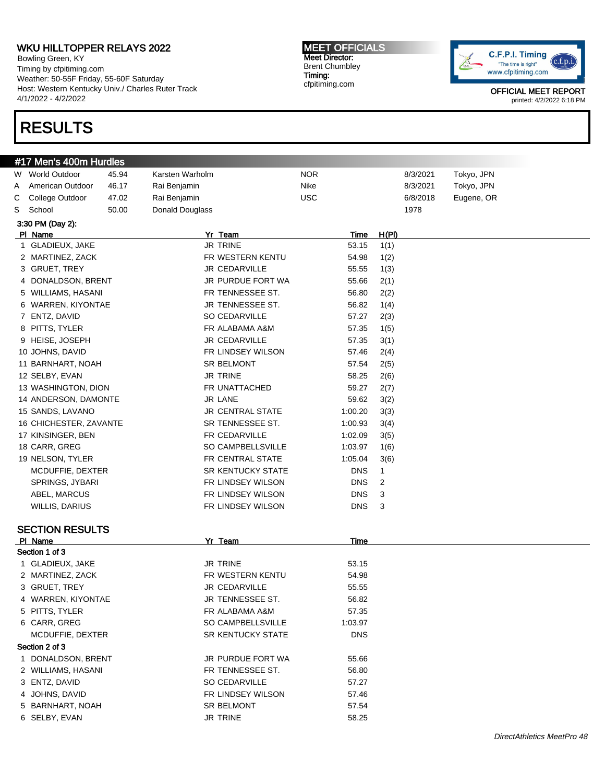Bowling Green, KY Timing by cfpitiming.com Weather: 50-55F Friday, 55-60F Saturday Host: Western Kentucky Univ./ Charles Ruter Track 4/1/2022 - 4/2/2022

# RESULTS

#### MEET OFFICIALS Meet Director: Brent Chumbley Timing: cfpitiming.com



| #17 Men's 400m Hurdles            |       |                 |                          |            |            |                |          |            |
|-----------------------------------|-------|-----------------|--------------------------|------------|------------|----------------|----------|------------|
| W World Outdoor                   | 45.94 | Karsten Warholm |                          | <b>NOR</b> |            |                | 8/3/2021 | Tokyo, JPN |
| American Outdoor<br>A             | 46.17 | Rai Benjamin    |                          | Nike       |            |                | 8/3/2021 | Tokyo, JPN |
| College Outdoor<br>С              | 47.02 | Rai Benjamin    |                          | <b>USC</b> |            |                | 6/8/2018 | Eugene, OR |
| S<br>School                       | 50.00 | Donald Douglass |                          |            |            |                | 1978     |            |
| 3:30 PM (Day 2):                  |       |                 |                          |            |            |                |          |            |
| PI Name                           |       |                 | Yr Team                  |            | Time       | H(PI)          |          |            |
| 1 GLADIEUX, JAKE                  |       |                 | <b>JR TRINE</b>          |            | 53.15      | 1(1)           |          |            |
| 2 MARTINEZ, ZACK                  |       |                 | FR WESTERN KENTU         |            | 54.98      | 1(2)           |          |            |
| 3 GRUET, TREY                     |       |                 | <b>JR CEDARVILLE</b>     |            | 55.55      | 1(3)           |          |            |
| 4 DONALDSON, BRENT                |       |                 | JR PURDUE FORT WA        |            | 55.66      | 2(1)           |          |            |
| 5 WILLIAMS, HASANI                |       |                 | FR TENNESSEE ST.         |            | 56.80      | 2(2)           |          |            |
| 6 WARREN, KIYONTAE                |       |                 | JR TENNESSEE ST.         |            | 56.82      | 1(4)           |          |            |
| 7 ENTZ, DAVID                     |       |                 | <b>SO CEDARVILLE</b>     |            | 57.27      | 2(3)           |          |            |
| 8 PITTS, TYLER                    |       |                 | FR ALABAMA A&M           |            | 57.35      | 1(5)           |          |            |
| 9 HEISE, JOSEPH                   |       |                 | <b>JR CEDARVILLE</b>     |            | 57.35      | 3(1)           |          |            |
| 10 JOHNS, DAVID                   |       |                 | FR LINDSEY WILSON        |            | 57.46      | 2(4)           |          |            |
| 11 BARNHART, NOAH                 |       |                 | <b>SR BELMONT</b>        |            | 57.54      | 2(5)           |          |            |
| 12 SELBY, EVAN                    |       |                 | <b>JR TRINE</b>          |            | 58.25      | 2(6)           |          |            |
| 13 WASHINGTON, DION               |       |                 | FR UNATTACHED            |            | 59.27      | 2(7)           |          |            |
| 14 ANDERSON, DAMONTE              |       |                 | JR LANE                  |            | 59.62      | 3(2)           |          |            |
| 15 SANDS, LAVANO                  |       |                 | <b>JR CENTRAL STATE</b>  |            | 1:00.20    | 3(3)           |          |            |
| 16 CHICHESTER, ZAVANTE            |       |                 | SR TENNESSEE ST.         |            | 1:00.93    | 3(4)           |          |            |
| 17 KINSINGER, BEN                 |       |                 | FR CEDARVILLE            |            | 1:02.09    | 3(5)           |          |            |
| 18 CARR, GREG                     |       |                 | SO CAMPBELLSVILLE        |            | 1:03.97    | 1(6)           |          |            |
| 19 NELSON, TYLER                  |       |                 | FR CENTRAL STATE         |            | 1:05.04    | 3(6)           |          |            |
| MCDUFFIE, DEXTER                  |       |                 | <b>SR KENTUCKY STATE</b> |            | <b>DNS</b> | 1              |          |            |
| SPRINGS, JYBARI                   |       |                 | FR LINDSEY WILSON        |            | <b>DNS</b> | $\overline{c}$ |          |            |
| ABEL, MARCUS                      |       |                 | FR LINDSEY WILSON        |            | <b>DNS</b> | 3              |          |            |
| WILLIS, DARIUS                    |       |                 | FR LINDSEY WILSON        |            | <b>DNS</b> | 3              |          |            |
|                                   |       |                 |                          |            |            |                |          |            |
| <b>SECTION RESULTS</b><br>PI Name |       |                 | Yr Team                  |            | Time       |                |          |            |
| Section 1 of 3                    |       |                 |                          |            |            |                |          |            |
| 1 GLADIEUX, JAKE                  |       |                 | <b>JR TRINE</b>          |            | 53.15      |                |          |            |
| 2 MARTINEZ, ZACK                  |       |                 | FR WESTERN KENTU         |            | 54.98      |                |          |            |
| 3 GRUET, TREY                     |       |                 | <b>JR CEDARVILLE</b>     |            | 55.55      |                |          |            |
| 4 WARREN, KIYONTAE                |       |                 | JR TENNESSEE ST.         |            | 56.82      |                |          |            |
| 5 PITTS, TYLER                    |       |                 | FR ALABAMA A&M           |            | 57.35      |                |          |            |
| 6 CARR, GREG                      |       |                 | SO CAMPBELLSVILLE        |            | 1:03.97    |                |          |            |
| MCDUFFIE, DEXTER                  |       |                 | SR KENTUCKY STATE        |            | <b>DNS</b> |                |          |            |
| Section 2 of 3                    |       |                 |                          |            |            |                |          |            |
| 1 DONALDSON, BRENT                |       |                 | JR PURDUE FORT WA        |            | 55.66      |                |          |            |
| 2 WILLIAMS, HASANI                |       |                 | FR TENNESSEE ST.         |            | 56.80      |                |          |            |
| 3 ENTZ, DAVID                     |       |                 | SO CEDARVILLE            |            | 57.27      |                |          |            |
| 4 JOHNS, DAVID                    |       |                 | FR LINDSEY WILSON        |            | 57.46      |                |          |            |
| 5 BARNHART, NOAH                  |       |                 | SR BELMONT               |            | 57.54      |                |          |            |
| 6 SELBY, EVAN                     |       |                 | JR TRINE                 |            | 58.25      |                |          |            |
|                                   |       |                 |                          |            |            |                |          |            |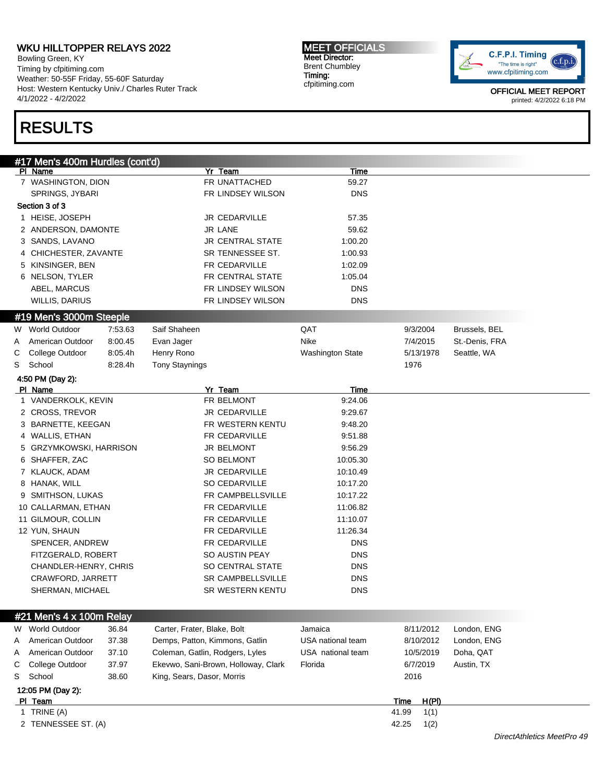Bowling Green, KY Timing by cfpitiming.com Weather: 50-55F Friday, 55-60F Saturday Host: Western Kentucky Univ./ Charles Ruter Track 4/1/2022 - 4/2/2022

# RESULTS

MEET OFFICIALS Meet Director: Brent Chumbley Timing: cfpitiming.com



OFFICIAL MEET REPORT printed: 4/2/2022 6:18 PM

| #17 Men's 400m Hurdles (cont'd) |         |                                     |                   |               |                |
|---------------------------------|---------|-------------------------------------|-------------------|---------------|----------------|
| PI Name                         |         | Yr Team                             | Time              |               |                |
| 7 WASHINGTON, DION              |         | FR UNATTACHED                       | 59.27             |               |                |
| SPRINGS, JYBARI                 |         | FR LINDSEY WILSON                   | <b>DNS</b>        |               |                |
| Section 3 of 3                  |         |                                     |                   |               |                |
| 1 HEISE, JOSEPH                 |         | <b>JR CEDARVILLE</b>                | 57.35             |               |                |
| 2 ANDERSON, DAMONTE             |         | <b>JR LANE</b>                      | 59.62             |               |                |
| 3 SANDS, LAVANO                 |         | <b>JR CENTRAL STATE</b>             | 1:00.20           |               |                |
| 4 CHICHESTER, ZAVANTE           |         | SR TENNESSEE ST.                    | 1:00.93           |               |                |
| 5 KINSINGER, BEN                |         | FR CEDARVILLE                       | 1:02.09           |               |                |
| 6 NELSON, TYLER                 |         | FR CENTRAL STATE                    | 1:05.04           |               |                |
| ABEL, MARCUS                    |         | FR LINDSEY WILSON                   | <b>DNS</b>        |               |                |
| WILLIS, DARIUS                  |         | FR LINDSEY WILSON                   | <b>DNS</b>        |               |                |
| #19 Men's 3000m Steeple         |         |                                     |                   |               |                |
| W World Outdoor                 | 7:53.63 | Saif Shaheen                        | QAT               | 9/3/2004      | Brussels, BEL  |
| American Outdoor<br>A           | 8:00.45 | Evan Jager                          | Nike              | 7/4/2015      | St.-Denis, FRA |
| College Outdoor<br>С            | 8:05.4h | Henry Rono                          | Washington State  | 5/13/1978     | Seattle, WA    |
| S<br>School                     | 8:28.4h | <b>Tony Staynings</b>               |                   | 1976          |                |
| 4:50 PM (Day 2):                |         |                                     |                   |               |                |
| PI Name                         |         | Yr_Team                             | <b>Time</b>       |               |                |
| 1 VANDERKOLK, KEVIN             |         | FR BELMONT                          | 9:24.06           |               |                |
| 2 CROSS, TREVOR                 |         | JR CEDARVILLE                       | 9:29.67           |               |                |
| 3 BARNETTE, KEEGAN              |         | FR WESTERN KENTU                    | 9:48.20           |               |                |
| 4 WALLIS, ETHAN                 |         | FR CEDARVILLE                       | 9:51.88           |               |                |
| 5 GRZYMKOWSKI, HARRISON         |         | <b>JR BELMONT</b>                   | 9:56.29           |               |                |
| 6 SHAFFER, ZAC                  |         | <b>SO BELMONT</b>                   | 10:05.30          |               |                |
| 7 KLAUCK, ADAM                  |         | <b>JR CEDARVILLE</b>                | 10:10.49          |               |                |
| 8 HANAK, WILL                   |         | SO CEDARVILLE                       | 10:17.20          |               |                |
| 9 SMITHSON, LUKAS               |         | FR CAMPBELLSVILLE                   | 10:17.22          |               |                |
| 10 CALLARMAN, ETHAN             |         | FR CEDARVILLE                       | 11:06.82          |               |                |
| 11 GILMOUR, COLLIN              |         | <b>FR CEDARVILLE</b>                | 11:10.07          |               |                |
| 12 YUN, SHAUN                   |         | FR CEDARVILLE                       | 11:26.34          |               |                |
| SPENCER, ANDREW                 |         | FR CEDARVILLE                       | <b>DNS</b>        |               |                |
| FITZGERALD, ROBERT              |         | SO AUSTIN PEAY                      | <b>DNS</b>        |               |                |
| CHANDLER-HENRY, CHRIS           |         | SO CENTRAL STATE                    | <b>DNS</b>        |               |                |
| CRAWFORD, JARRETT               |         | <b>SR CAMPBELLSVILLE</b>            | <b>DNS</b>        |               |                |
| SHERMAN, MICHAEL                |         | SR WESTERN KENTU                    | <b>DNS</b>        |               |                |
|                                 |         |                                     |                   |               |                |
| #21 Men's 4 x 100m Relay        |         |                                     |                   |               |                |
| W World Outdoor                 | 36.84   | Carter, Frater, Blake, Bolt         | Jamaica           | 8/11/2012     | London, ENG    |
| American Outdoor<br>A           | 37.38   | Demps, Patton, Kimmons, Gatlin      | USA national team | 8/10/2012     | London, ENG    |
| American Outdoor<br>A           | 37.10   | Coleman, Gatlin, Rodgers, Lyles     | USA national team | 10/5/2019     | Doha, QAT      |
| College Outdoor<br>С            | 37.97   | Ekevwo, Sani-Brown, Holloway, Clark | Florida           | 6/7/2019      | Austin, TX     |
| School<br>S                     | 38.60   | King, Sears, Dasor, Morris          |                   | 2016          |                |
| 12:05 PM (Day 2):               |         |                                     |                   |               |                |
| PI Team                         |         |                                     |                   | H(PI)<br>Time |                |
| 1 TRINE (A)                     |         |                                     |                   | 41.99<br>1(1) |                |
| 2 TENNESSEE ST. (A)             |         |                                     |                   | 42.25<br>1(2) |                |

#### DirectAthletics MeetPro 49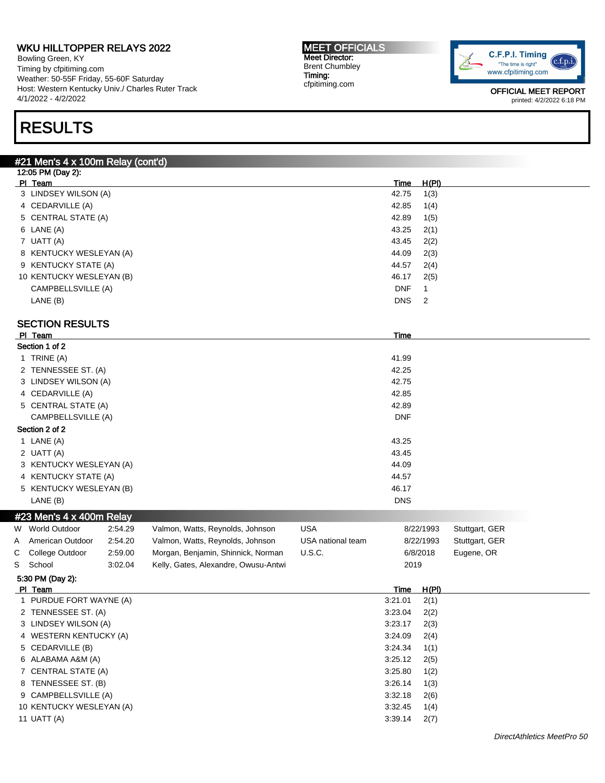Bowling Green, KY Timing by cfpitiming.com Weather: 50-55F Friday, 55-60F Saturday Host: Western Kentucky Univ./ Charles Ruter Track 4/1/2022 - 4/2/2022

# RESULTS

#### MEET OFFICIALS Meet Director: Brent Chumbley Timing: cfpitiming.com



|             | #21 Men's 4 x 100m Relay (cont'd) |         |                                      |                   |                        |                |                |  |
|-------------|-----------------------------------|---------|--------------------------------------|-------------------|------------------------|----------------|----------------|--|
|             | 12:05 PM (Day 2):                 |         |                                      |                   |                        |                |                |  |
| PI Team     | 3 LINDSEY WILSON (A)              |         |                                      |                   | <b>Time</b><br>42.75   | H(PI)          |                |  |
|             | 4 CEDARVILLE (A)                  |         |                                      |                   | 42.85                  | 1(3)<br>1(4)   |                |  |
|             | 5 CENTRAL STATE (A)               |         |                                      |                   | 42.89                  | 1(5)           |                |  |
|             | 6 LANE (A)                        |         |                                      |                   | 43.25                  | 2(1)           |                |  |
|             | 7 UATT (A)                        |         |                                      |                   | 43.45                  | 2(2)           |                |  |
|             | 8 KENTUCKY WESLEYAN (A)           |         |                                      |                   | 44.09                  | 2(3)           |                |  |
|             | 9 KENTUCKY STATE (A)              |         |                                      |                   | 44.57                  | 2(4)           |                |  |
|             | 10 KENTUCKY WESLEYAN (B)          |         |                                      |                   | 46.17                  | 2(5)           |                |  |
|             | CAMPBELLSVILLE (A)                |         |                                      |                   | <b>DNF</b>             | $\mathbf{1}$   |                |  |
|             | LANE (B)                          |         |                                      |                   | <b>DNS</b>             | $\overline{2}$ |                |  |
|             |                                   |         |                                      |                   |                        |                |                |  |
|             | <b>SECTION RESULTS</b>            |         |                                      |                   |                        |                |                |  |
| PI Team     | Section 1 of 2                    |         |                                      |                   | Time                   |                |                |  |
|             | 1 TRINE (A)                       |         |                                      |                   | 41.99                  |                |                |  |
|             | 2 TENNESSEE ST. (A)               |         |                                      |                   | 42.25                  |                |                |  |
|             | 3 LINDSEY WILSON (A)              |         |                                      |                   | 42.75                  |                |                |  |
|             | 4 CEDARVILLE (A)                  |         |                                      |                   | 42.85                  |                |                |  |
|             | 5 CENTRAL STATE (A)               |         |                                      |                   | 42.89                  |                |                |  |
|             | CAMPBELLSVILLE (A)                |         |                                      |                   | <b>DNF</b>             |                |                |  |
|             | Section 2 of 2                    |         |                                      |                   |                        |                |                |  |
|             | 1 LANE (A)                        |         |                                      |                   | 43.25                  |                |                |  |
|             | 2 UATT (A)                        |         |                                      |                   | 43.45                  |                |                |  |
|             | 3 KENTUCKY WESLEYAN (A)           |         |                                      |                   | 44.09                  |                |                |  |
|             | 4 KENTUCKY STATE (A)              |         |                                      |                   | 44.57                  |                |                |  |
|             | 5 KENTUCKY WESLEYAN (B)           |         |                                      |                   | 46.17                  |                |                |  |
|             | LANE (B)                          |         |                                      |                   | <b>DNS</b>             |                |                |  |
|             | #23 Men's $4 \times 400$ m Relay  |         |                                      |                   |                        |                |                |  |
|             | W World Outdoor                   | 2:54.29 | Valmon, Watts, Reynolds, Johnson     | <b>USA</b>        |                        | 8/22/1993      | Stuttgart, GER |  |
| A           | American Outdoor                  | 2:54.20 | Valmon, Watts, Reynolds, Johnson     | USA national team |                        | 8/22/1993      | Stuttgart, GER |  |
| С           | College Outdoor                   | 2:59.00 | Morgan, Benjamin, Shinnick, Norman   | U.S.C.            |                        | 6/8/2018       | Eugene, OR     |  |
| S<br>School |                                   | 3:02.04 | Kelly, Gates, Alexandre, Owusu-Antwi |                   | 2019                   |                |                |  |
| PI Team     | 5:30 PM (Day 2):                  |         |                                      |                   |                        |                |                |  |
|             | 1 PURDUE FORT WAYNE (A)           |         |                                      |                   | <b>Time</b><br>3:21.01 | H(PI)<br>2(1)  |                |  |
|             | 2 TENNESSEE ST. (A)               |         |                                      |                   | 3:23.04                | 2(2)           |                |  |
|             | 3 LINDSEY WILSON (A)              |         |                                      |                   | 3:23.17                | 2(3)           |                |  |
|             | 4 WESTERN KENTUCKY (A)            |         |                                      |                   | 3:24.09                | 2(4)           |                |  |
|             | 5 CEDARVILLE (B)                  |         |                                      |                   | 3:24.34                | 1(1)           |                |  |
|             | 6 ALABAMA A&M (A)                 |         |                                      |                   | 3:25.12                | 2(5)           |                |  |
|             | 7 CENTRAL STATE (A)               |         |                                      |                   | 3:25.80                | 1(2)           |                |  |
|             | 8 TENNESSEE ST. (B)               |         |                                      |                   | 3:26.14                | 1(3)           |                |  |
|             | 9 CAMPBELLSVILLE (A)              |         |                                      |                   | 3:32.18                | 2(6)           |                |  |
|             | 10 KENTUCKY WESLEYAN (A)          |         |                                      |                   | 3:32.45                | 1(4)           |                |  |
|             | 11 UATT (A)                       |         |                                      |                   | 3:39.14                | 2(7)           |                |  |
|             |                                   |         |                                      |                   |                        |                |                |  |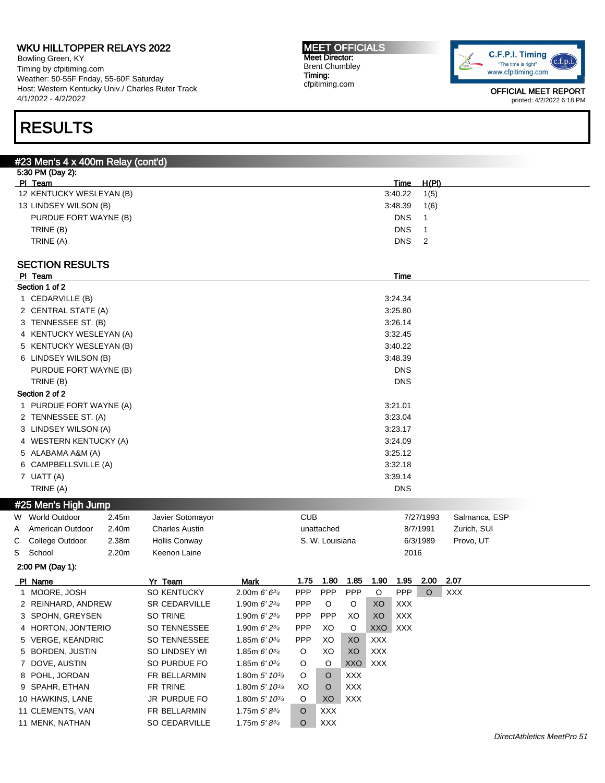Bowling Green, KY Timing by cfpitiming.com Weather: 50-55F Friday, 55-60F Saturday Host: Western Kentucky Univ./ Charles Ruter Track 4/1/2022 - 4/2/2022

#### MEET OFFICIALS Meet Director: Brent Chumbley Timing: cfpitiming.com



OFFICIAL MEET REPORT printed: 4/2/2022 6:18 PM

# RESULTS

### #23 Men's 4 x 400m Relay (cont'd)

| 5:30 PM (Day 2):         |                  |       |  |
|--------------------------|------------------|-------|--|
| PI Team                  | Time             | H(PI) |  |
| 12 KENTUCKY WESLEYAN (B) | 3:40.22          | 1(5)  |  |
| 13 LINDSEY WILSON (B)    | 3:48.39          | 1(6)  |  |
| PURDUE FORT WAYNE (B)    | <b>DNS</b>       |       |  |
| TRINE (B)                | <b>DNS</b>       |       |  |
| TRINE (A)                | DNS <sub>2</sub> |       |  |
|                          |                  |       |  |

### SECTION RESULTS

|   | PI Team                 |       |                       |                             |            |                 |            |            | Time       |           |               |
|---|-------------------------|-------|-----------------------|-----------------------------|------------|-----------------|------------|------------|------------|-----------|---------------|
|   | Section 1 of 2          |       |                       |                             |            |                 |            |            |            |           |               |
|   | 1 CEDARVILLE (B)        |       |                       |                             |            |                 |            |            | 3:24.34    |           |               |
|   | 2 CENTRAL STATE (A)     |       |                       |                             |            |                 |            |            | 3:25.80    |           |               |
|   | 3 TENNESSEE ST. (B)     |       |                       |                             |            |                 |            |            | 3:26.14    |           |               |
|   | 4 KENTUCKY WESLEYAN (A) |       |                       |                             |            |                 |            |            | 3:32.45    |           |               |
|   | 5 KENTUCKY WESLEYAN (B) |       |                       |                             |            |                 |            |            | 3:40.22    |           |               |
|   | 6 LINDSEY WILSON (B)    |       |                       |                             |            |                 |            |            | 3:48.39    |           |               |
|   | PURDUE FORT WAYNE (B)   |       |                       |                             |            |                 |            |            | <b>DNS</b> |           |               |
|   | TRINE (B)               |       |                       |                             |            |                 |            |            | <b>DNS</b> |           |               |
|   | Section 2 of 2          |       |                       |                             |            |                 |            |            |            |           |               |
|   | 1 PURDUE FORT WAYNE (A) |       |                       |                             |            |                 |            |            | 3:21.01    |           |               |
|   | 2 TENNESSEE ST. (A)     |       |                       |                             |            |                 |            |            | 3:23.04    |           |               |
|   | 3 LINDSEY WILSON (A)    |       |                       |                             |            |                 |            |            | 3:23.17    |           |               |
|   | 4 WESTERN KENTUCKY (A)  |       |                       |                             |            |                 |            |            | 3:24.09    |           |               |
|   | 5 ALABAMA A&M (A)       |       |                       |                             |            |                 |            |            | 3:25.12    |           |               |
|   | 6 CAMPBELLSVILLE (A)    |       |                       |                             |            |                 |            |            | 3:32.18    |           |               |
|   | 7 UATT (A)              |       |                       |                             |            |                 |            |            | 3:39.14    |           |               |
|   | TRINE (A)               |       |                       |                             |            |                 |            |            | <b>DNS</b> |           |               |
|   | #25 Men's High Jump     |       |                       |                             |            |                 |            |            |            |           |               |
|   | W World Outdoor         | 2.45m | Javier Sotomayor      |                             | <b>CUB</b> |                 |            |            |            | 7/27/1993 | Salmanca, ESP |
| Α | American Outdoor        | 2.40m | <b>Charles Austin</b> |                             |            | unattached      |            |            |            | 8/7/1991  | Zurich, SUI   |
| С | College Outdoor         | 2.38m | <b>Hollis Conway</b>  |                             |            | S. W. Louisiana |            |            |            | 6/3/1989  | Provo, UT     |
| S | School                  | 2.20m | Keenon Laine          |                             |            |                 |            |            | 2016       |           |               |
|   | 2:00 PM (Day 1):        |       |                       |                             |            |                 |            |            |            |           |               |
|   | PI Name                 |       | Yr Team               | <b>Mark</b>                 | 1.75       | 1.80            | 1.85       | 1.90       | 1.95       | 2.00      | 2.07          |
|   | 1 MOORE, JOSH           |       | <b>SO KENTUCKY</b>    | 2.00m $6'6^{3/4}$           | PPP        | PPP             | PPP        | O          | PPP        | $\circ$   | <b>XXX</b>    |
|   | 2 REINHARD, ANDREW      |       | <b>SR CEDARVILLE</b>  | 1.90m $6'2^{3/4}$           | <b>PPP</b> | O               | O          | XO         | <b>XXX</b> |           |               |
|   | 3 SPOHN, GREYSEN        |       | <b>SO TRINE</b>       | 1.90m $6'2^{3/4}$           | PPP        | <b>PPP</b>      | XO         | XO         | <b>XXX</b> |           |               |
|   | 4 HORTON, JON'TERIO     |       | <b>SO TENNESSEE</b>   | 1.90m $6'2^{3/4}$           | <b>PPP</b> | XO              | O          | XXO        | <b>XXX</b> |           |               |
|   | 5 VERGE, KEANDRIC       |       | <b>SO TENNESSEE</b>   | 1.85m $6'0^{3/4}$           | PPP        | XO              | XO         | <b>XXX</b> |            |           |               |
|   | 5 BORDEN, JUSTIN        |       | SO LINDSEY WI         | 1.85m $6'0^{3/4}$           | O          | XO              | XO         | <b>XXX</b> |            |           |               |
|   | 7 DOVE, AUSTIN          |       | SO PURDUE FO          | 1.85m $6'0^{3/4}$           | O          | O               | <b>XXO</b> | <b>XXX</b> |            |           |               |
|   | 8 POHL, JORDAN          |       | FR BELLARMIN          | 1.80m $5'$ 10 $\frac{3}{4}$ | O          | $\circ$         | <b>XXX</b> |            |            |           |               |
|   | 9 SPAHR, ETHAN          |       | FR TRINE              | 1.80m $5'$ 10 $\frac{3}{4}$ | XO         | $\circ$         | <b>XXX</b> |            |            |           |               |
|   | 10 HAWKINS, LANE        |       | JR PURDUE FO          | 1.80m 5' 10 <sup>3/4</sup>  | O          | XO              | <b>XXX</b> |            |            |           |               |
|   | 11 CLEMENTS, VAN        |       | FR BELLARMIN          | 1.75m $5'8^{3/4}$           | O          | XXX             |            |            |            |           |               |
|   | 11 MENK, NATHAN         |       | SO CEDARVILLE         | 1.75m $5'8^{3/4}$           | $\circ$    | <b>XXX</b>      |            |            |            |           |               |
|   |                         |       |                       |                             |            |                 |            |            |            |           |               |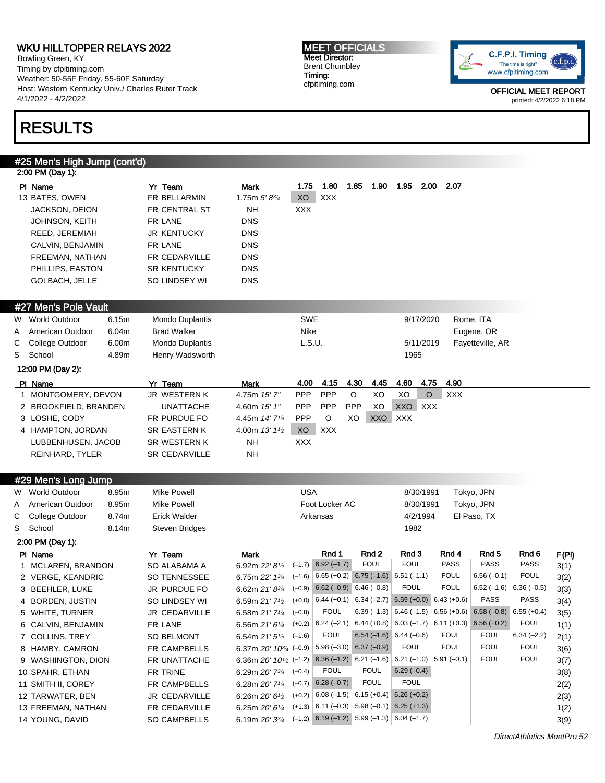Bowling Green, KY Timing by cfpitiming.com Weather: 50-55F Friday, 55-60F Saturday Host: Western Kentucky Univ./ Charles Ruter Track 4/1/2022 - 4/2/2022

## RESULTS

## #25 Men's High Jump (cont'd)

|   | 2:00 PM (Day 1):          |                       |                                                                                                                                 |            |                        |                                              |                                                             |               |                      |                          |       |
|---|---------------------------|-----------------------|---------------------------------------------------------------------------------------------------------------------------------|------------|------------------------|----------------------------------------------|-------------------------------------------------------------|---------------|----------------------|--------------------------|-------|
|   | PI Name                   | Yr Team               | Mark                                                                                                                            | 1.75       | 1.80                   | 1.85<br>1.90                                 | 1.95<br>2.00                                                | 2.07          |                      |                          |       |
|   | 13 BATES, OWEN            | FR BELLARMIN          | 1.75m $5'8^{3/4}$                                                                                                               | XO         | XXX                    |                                              |                                                             |               |                      |                          |       |
|   | JACKSON, DEION            | FR CENTRAL ST         | NΗ                                                                                                                              | XXX        |                        |                                              |                                                             |               |                      |                          |       |
|   | <b>JOHNSON, KEITH</b>     | FR LANE               | <b>DNS</b>                                                                                                                      |            |                        |                                              |                                                             |               |                      |                          |       |
|   | REED, JEREMIAH            | JR KENTUCKY           | <b>DNS</b>                                                                                                                      |            |                        |                                              |                                                             |               |                      |                          |       |
|   | CALVIN, BENJAMIN          | FR LANE               | <b>DNS</b>                                                                                                                      |            |                        |                                              |                                                             |               |                      |                          |       |
|   | FREEMAN, NATHAN           | FR CEDARVILLE         | <b>DNS</b>                                                                                                                      |            |                        |                                              |                                                             |               |                      |                          |       |
|   | PHILLIPS, EASTON          | <b>SR KENTUCKY</b>    | <b>DNS</b>                                                                                                                      |            |                        |                                              |                                                             |               |                      |                          |       |
|   | <b>GOLBACH, JELLE</b>     | SO LINDSEY WI         | <b>DNS</b>                                                                                                                      |            |                        |                                              |                                                             |               |                      |                          |       |
|   |                           |                       |                                                                                                                                 |            |                        |                                              |                                                             |               |                      |                          |       |
|   | #27 Men's Pole Vault      |                       |                                                                                                                                 |            |                        |                                              |                                                             |               |                      |                          |       |
|   | W World Outdoor<br>6.15m  | Mondo Duplantis       |                                                                                                                                 | <b>SWE</b> |                        |                                              | 9/17/2020                                                   |               | Rome, ITA            |                          |       |
| A | 6.04m<br>American Outdoor | <b>Brad Walker</b>    |                                                                                                                                 | Nike       |                        |                                              |                                                             |               | Eugene, OR           |                          |       |
| С | 6.00m<br>College Outdoor  | Mondo Duplantis       |                                                                                                                                 | L.S.U.     |                        |                                              | 5/11/2019                                                   |               | Fayetteville, AR     |                          |       |
| S | School<br>4.89m           | Henry Wadsworth       |                                                                                                                                 |            |                        |                                              | 1965                                                        |               |                      |                          |       |
|   | 12:00 PM (Day 2):         |                       |                                                                                                                                 |            |                        |                                              |                                                             |               |                      |                          |       |
|   | PI Name                   | Yr Team               | Mark                                                                                                                            | 4.00       | 4.15                   | 4.30<br>4.45                                 | 4.60<br>4.75                                                | 4.90          |                      |                          |       |
|   | 1 MONTGOMERY, DEVON       | JR WESTERN K          | 4.75m 15'7"                                                                                                                     | PPP        | PPP                    | O<br>XO                                      | XO<br>O                                                     | <b>XXX</b>    |                      |                          |       |
|   | 2 BROOKFIELD, BRANDEN     | UNATTACHE             | 4.60m 15' 1"                                                                                                                    | PPP        | <b>PPP</b>             | PPP<br>XO                                    | XXO<br>XXX                                                  |               |                      |                          |       |
|   | 3 LOSHE, CODY             | FR PURDUE FO          | 4.45m 14' 71/ <sub>4</sub>                                                                                                      | <b>PPP</b> | O                      | XO<br>XXO                                    | <b>XXX</b>                                                  |               |                      |                          |       |
|   | 4 HAMPTON, JORDAN         | SR EASTERN K          | 4.00m 13' 11/2                                                                                                                  | XO         | <b>XXX</b>             |                                              |                                                             |               |                      |                          |       |
|   | LUBBENHUSEN, JACOB        | SR WESTERN K          | <b>NH</b>                                                                                                                       | XXX        |                        |                                              |                                                             |               |                      |                          |       |
|   | REINHARD, TYLER           | <b>SR CEDARVILLE</b>  | NΗ                                                                                                                              |            |                        |                                              |                                                             |               |                      |                          |       |
|   |                           |                       |                                                                                                                                 |            |                        |                                              |                                                             |               |                      |                          |       |
|   | #29 Men's Long Jump       |                       |                                                                                                                                 |            |                        |                                              |                                                             |               |                      |                          |       |
|   | W World Outdoor<br>8.95m  | <b>Mike Powell</b>    |                                                                                                                                 | <b>USA</b> |                        |                                              | 8/30/1991                                                   |               | Tokyo, JPN           |                          |       |
| A | American Outdoor<br>8.95m | <b>Mike Powell</b>    |                                                                                                                                 |            | Foot Locker AC         |                                              | 8/30/1991                                                   |               | Tokyo, JPN           |                          |       |
| С | 8.74m<br>College Outdoor  | <b>Erick Walder</b>   |                                                                                                                                 |            | Arkansas               |                                              | 4/2/1994                                                    |               | El Paso, TX          |                          |       |
| S | School<br>8.14m           | <b>Steven Bridges</b> |                                                                                                                                 |            |                        |                                              | 1982                                                        |               |                      |                          |       |
|   | 2:00 PM (Day 1):          |                       |                                                                                                                                 |            |                        |                                              |                                                             |               |                      |                          |       |
|   | PI Name                   | Yr Team               | Mark                                                                                                                            |            | Rnd 1                  | Rnd 2<br><b>FOUL</b>                         | Rnd 3<br><b>FOUL</b>                                        | Rnd 4<br>PASS | Rnd 5<br><b>PASS</b> | Rnd 6<br><b>PASS</b>     | F(PI) |
|   | 1 MCLAREN, BRANDON        | SO ALABAMA A          | 6.92m 22' 8 <sup>1/2</sup>                                                                                                      |            | $(-1.7)$ 6.92 $(-1.7)$ | $(-1.6)$ 6.65 (+0.2) 6.75 (-1.6) 6.51 (-1.1) |                                                             | <b>FOUL</b>   | $6.56(-0.1)$         | <b>FOUL</b>              | 3(1)  |
|   | 2 VERGE, KEANDRIC         | <b>SO TENNESSEE</b>   | 6.75m $22'$ 1 $\frac{3}{4}$                                                                                                     |            |                        | $(-0.9)$ 6.62 $(-0.9)$ 6.46 $(-0.8)$         | <b>FOUL</b>                                                 | <b>FOUL</b>   |                      | $6.52(-1.6)$ 6.36 (-0.5) | 3(2)  |
|   | 3 BEEHLER, LUKE           | <b>JR PURDUE FO</b>   | 6.62m $21'8^{3/4}$<br>6.59 $\text{m } 21'$ 7 <sup>1</sup> / <sub>2</sub> (+0.0) 6.44 (+0.1) 6.34 (-2.7) 6.59 (+0.0) 6.43 (+0.6) |            |                        |                                              |                                                             |               | <b>PASS</b>          | <b>PASS</b>              | 3(3)  |
|   | 4 BORDEN, JUSTIN          | SO LINDSEY WI         |                                                                                                                                 |            |                        |                                              |                                                             |               |                      |                          | 3(4)  |
|   | 5 WHITE, TURNER           | JR CEDARVILLE         | 6.58m $21'7'/4$ (-0.8)                                                                                                          |            | <b>FOUL</b>            |                                              | 6.39 (-1.3) 6.46 (-1.5) 6.56 (+0.6) 6.58 (-0.8) 6.55 (+0.4) |               |                      |                          | 3(5)  |
|   | 6 CALVIN, BENJAMIN        | FR LANE               | 6.56m 21' 61/4 (+0.2)   6.24 (-2.1)   6.44 (+0.8)   6.03 (-1.7)   6.11 (+0.3)   6.56 (+0.2)                                     |            |                        |                                              |                                                             |               |                      | <b>FOUL</b>              | 1(1)  |
|   | 7 COLLINS, TREY           | SO BELMONT            | 6.54m $21'5^{1/2}$ (-1.6)                                                                                                       |            | <b>FOUL</b>            |                                              | $6.54(-1.6)$ 6.44 (-0.6)                                    | <b>FOUL</b>   | <b>FOUL</b>          | $6.34 (-2.2)$            | 2(1)  |
|   | 8 HAMBY, CAMRON           | FR CAMPBELLS          | 6.37m 20' 10 <sup>3/4</sup> (-0.9) 5.98 (-3.0) 6.37 (-0.9)                                                                      |            |                        |                                              | <b>FOUL</b>                                                 | <b>FOUL</b>   | <b>FOUL</b>          | <b>FOUL</b>              | 3(6)  |
|   | 9 WASHINGTON, DION        | FR UNATTACHE          | 6.36m 20' $10^{1/2}$ (-1.2) 6.36 (-1.2) 6.21 (-1.6) 6.21 (-1.0) 5.91 (-0.1)                                                     |            |                        |                                              |                                                             |               | <b>FOUL</b>          | <b>FOUL</b>              | 3(7)  |
|   | 10 SPAHR, ETHAN           | FR TRINE              | 6.29m $20'$ $7^{3/4}$ $(-0.4)$                                                                                                  |            | <b>FOUL</b>            | <b>FOUL</b>                                  | $6.29(-0.4)$                                                |               |                      |                          | 3(8)  |
|   | 11 SMITH II, COREY        | FR CAMPBELLS          | 6.28m $20'$ 7 <sup>1</sup> / <sub>4</sub> $(-0.7)$ 6.28 $(-0.7)$                                                                |            |                        | <b>FOUL</b>                                  | <b>FOUL</b>                                                 |               |                      |                          | 2(2)  |
|   | 12 TARWATER, BEN          | JR CEDARVILLE         | 6.26m $20'$ 6 <sup>1</sup> / <sub>2</sub> (+0.2) 6.08 (-1.5) 6.15 (+0.4) 6.26 (+0.2)                                            |            |                        |                                              |                                                             |               |                      |                          | 2(3)  |
|   | 13 FREEMAN, NATHAN        | FR CEDARVILLE         | 6.25m $20'6'$ <sup>4</sup> (+1.3) 6.11 (-0.3) 5.98 (-0.1) 6.25 (+1.3)                                                           |            |                        |                                              |                                                             |               |                      |                          | 1(2)  |
|   | 14 YOUNG, DAVID           | SO CAMPBELLS          | 6.19m $20'3^{3/4}$ (-1.2) 6.19 (-1.2) 5.99 (-1.3) 6.04 (-1.7)                                                                   |            |                        |                                              |                                                             |               |                      |                          | 3(9)  |

MEET OFFICIALS Meet Director: Brent Chumbley Timing: cfpitiming.com

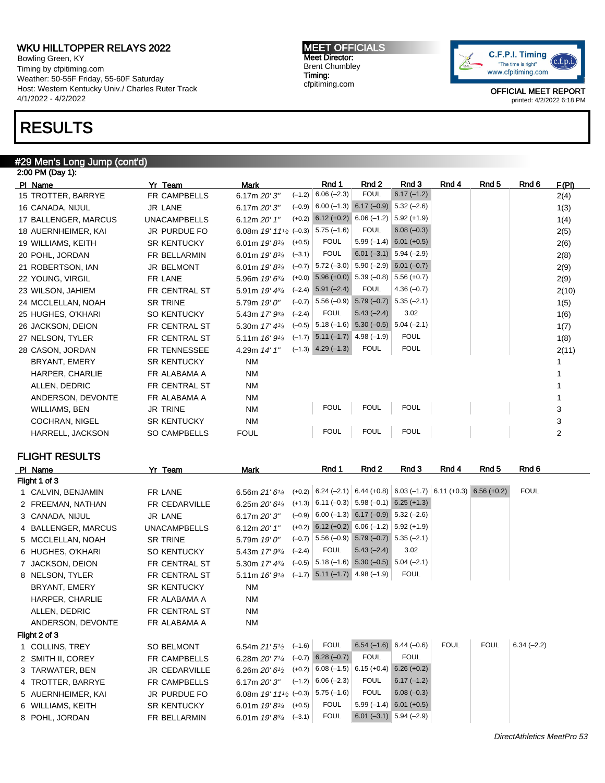Bowling Green, KY Timing by cfpitiming.com Weather: 50-55F Friday, 55-60F Saturday Host: Western Kentucky Univ./ Charles Ruter Track 4/1/2022 - 4/2/2022

## RESULTS

#### #29 Men's Long Jump (cont'd)

| 2:00 PM (Day 1):      |                      |                                    |                                                    |                                           |                           |       |       |       |       |
|-----------------------|----------------------|------------------------------------|----------------------------------------------------|-------------------------------------------|---------------------------|-------|-------|-------|-------|
| PI Name               | Yr Team              | Mark                               | Rnd 1                                              | Rnd 2                                     | Rnd 3                     | Rnd 4 | Rnd 5 | Rnd 6 | F(PI) |
| 15 TROTTER, BARRYE    | <b>FR CAMPBELLS</b>  | $(-1.2)$<br>6.17m $20'3''$         | $6.06(-2.3)$                                       | <b>FOUL</b>                               | $6.17(-1.2)$              |       |       |       | 2(4)  |
| 16 CANADA, NIJUL      | <b>JR LANE</b>       | $(-0.9)$<br>6.17m 20' 3"           |                                                    | $6.00 (-1.3) 6.17 (-0.9) 5.32 (-2.6)$     |                           |       |       |       | 1(3)  |
| 17 BALLENGER, MARCUS  | <b>UNACAMPBELLS</b>  | $(+0.2)$<br>6.12m 20' 1"           | $6.12 (+0.2) 6.06 (-1.2)$                          |                                           | $5.92 (+1.9)$             |       |       |       | 1(4)  |
| 18 AUERNHEIMER, KAI   | JR PURDUE FO         | 6.08m $19'$ $11\frac{1}{2}$ (-0.3) | $5.75(-1.6)$                                       | <b>FOUL</b>                               | $6.08(-0.3)$              |       |       |       | 2(5)  |
| 19 WILLIAMS, KEITH    | <b>SR KENTUCKY</b>   | $(+0.5)$<br>6.01m $19'8^{3/4}$     | <b>FOUL</b>                                        | $5.99(-1.4)$                              | $6.01 (+0.5)$             |       |       |       | 2(6)  |
| 20 POHL, JORDAN       | FR BELLARMIN         | 6.01m $19'8^{3/4}$<br>$(-3.1)$     | <b>FOUL</b>                                        |                                           | $6.01 (-3.1) 5.94 (-2.9)$ |       |       |       | 2(8)  |
| 21 ROBERTSON, IAN     | <b>JR BELMONT</b>    | 6.01m $19'8^{3/4}$                 | $(-0.7)$ 5.72 $(-3.0)$                             | $5.90(-2.9)$                              | $6.01 (-0.7)$             |       |       |       | 2(9)  |
| 22 YOUNG, VIRGIL      | FR LANE              | 5.96m 19' 63/4                     | $(+0.0)$ 5.96 $(+0.0)$ 5.39 $(-0.8)$ 5.56 $(+0.7)$ |                                           |                           |       |       |       | 2(9)  |
| 23 WILSON, JAHIEM     | <b>FR CENTRAL ST</b> | 5.91m 19' 43/4                     | $(-2.4)$ 5.91 $(-2.4)$                             | <b>FOUL</b>                               | $4.36(-0.7)$              |       |       |       | 2(10) |
| 24 MCCLELLAN, NOAH    | <b>SR TRINE</b>      | $(-0.7)$<br>5.79m $19'0''$         |                                                    | $5.56 (-0.9)$ $5.79 (-0.7)$ $5.35 (-2.1)$ |                           |       |       |       | 1(5)  |
| 25 HUGHES, O'KHARI    | <b>SO KENTUCKY</b>   | $(-2.4)$<br>5.43m 17' 93/4         | <b>FOUL</b>                                        | $5.43(-2.4)$                              | 3.02                      |       |       |       | 1(6)  |
| 26 JACKSON, DEION     | FR CENTRAL ST        | 5.30m $17' 4^{3/4}$                | $(-0.5)$ 5.18 $(-1.6)$ 5.30 $(-0.5)$ 5.04 $(-2.1)$ |                                           |                           |       |       |       | 1(7)  |
| 27 NELSON, TYLER      | FR CENTRAL ST        | 5.11m 16' 91/4                     | $(-1.7)$ 5.11 $(-1.7)$ 4.98 $(-1.9)$               |                                           | <b>FOUL</b>               |       |       |       | 1(8)  |
| 28 CASON, JORDAN      | FR TENNESSEE         | 4.29m 14' 1"                       | $(-1.3)$ 4.29 $(-1.3)$                             | <b>FOUL</b>                               | <b>FOUL</b>               |       |       |       | 2(11) |
| BRYANT, EMERY         | <b>SR KENTUCKY</b>   | <b>NM</b>                          |                                                    |                                           |                           |       |       |       |       |
| HARPER, CHARLIE       | FR ALABAMA A         | <b>NM</b>                          |                                                    |                                           |                           |       |       |       |       |
| ALLEN, DEDRIC         | FR CENTRAL ST        | <b>NM</b>                          |                                                    |                                           |                           |       |       |       |       |
| ANDERSON, DEVONTE     | FR ALABAMA A         | <b>NM</b>                          |                                                    |                                           |                           |       |       |       |       |
| WILLIAMS, BEN         | <b>JR TRINE</b>      | <b>NM</b>                          | <b>FOUL</b>                                        | <b>FOUL</b>                               | <b>FOUL</b>               |       |       |       | 3     |
| <b>COCHRAN, NIGEL</b> | <b>SR KENTUCKY</b>   | <b>NM</b>                          |                                                    |                                           |                           |       |       |       | 3     |
| HARRELL, JACKSON      | <b>SO CAMPBELLS</b>  | <b>FOUL</b>                        | <b>FOUL</b>                                        | <b>FOUL</b>                               | <b>FOUL</b>               |       |       |       | 2     |

### FLIGHT RESULTS

| PI Name             | Yr Team              | Mark                                                          |          | Rnd 1                    | Rnd 2                                                                | Rnd 3                     | Rnd 4       | Rnd 5       | Rnd 6        |
|---------------------|----------------------|---------------------------------------------------------------|----------|--------------------------|----------------------------------------------------------------------|---------------------------|-------------|-------------|--------------|
| Flight 1 of 3       |                      |                                                               |          |                          |                                                                      |                           |             |             |              |
| 1 CALVIN, BENJAMIN  | FR LANE              | 6.56m $21'6''$                                                |          |                          | $(+0.2)$ 6.24 (-2.1) 6.44 (+0.8) 6.03 (-1.7) 6.11 (+0.3) 6.56 (+0.2) |                           |             |             | <b>FOUL</b>  |
| 2 FREEMAN, NATHAN   | FR CEDARVILLE        | 6.25m $20'6''$                                                |          |                          | $(+1.3)$ 6.11 (-0.3) 5.98 (-0.1) 6.25 (+1.3)                         |                           |             |             |              |
| 3 CANADA, NIJUL     | JR LANE              | 6.17m 20' 3"                                                  |          |                          | $(-0.9)$ 6.00 $(-1.3)$ 6.17 $(-0.9)$ 5.32 $(-2.6)$                   |                           |             |             |              |
| 4 BALLENGER, MARCUS | <b>UNACAMPBELLS</b>  | 6.12m 20' 1"                                                  |          |                          | $(+0.2)$ 6.12 $(+0.2)$ 6.06 $(-1.2)$ 5.92 $(+1.9)$                   |                           |             |             |              |
| 5 MCCLELLAN, NOAH   | SR TRINE             | 5.79m 19' 0"                                                  |          |                          | $(-0.7)$ 5.56 $(-0.9)$ 5.79 $(-0.7)$ 5.35 $(-2.1)$                   |                           |             |             |              |
| 6 HUGHES, O'KHARI   | <b>SO KENTUCKY</b>   | 5.43m 17' 93/4                                                | $(-2.4)$ | <b>FOUL</b>              | $5.43(-2.4)$                                                         | 3.02                      |             |             |              |
| 7 JACKSON, DEION    | FR CENTRAL ST        | 5.30m 17' 43/4                                                |          |                          | $(-0.5)$ 5.18 $(-1.6)$ 5.30 $(-0.5)$ 5.04 $(-2.1)$                   |                           |             |             |              |
| 8 NELSON, TYLER     | FR CENTRAL ST        | 5.11m 16' 91/4                                                |          |                          | $(-1.7)$ 5.11 $(-1.7)$ 4.98 $(-1.9)$                                 | <b>FOUL</b>               |             |             |              |
| BRYANT, EMERY       | <b>SR KENTUCKY</b>   | <b>NM</b>                                                     |          |                          |                                                                      |                           |             |             |              |
| HARPER, CHARLIE     | FR ALABAMA A         | <b>NM</b>                                                     |          |                          |                                                                      |                           |             |             |              |
| ALLEN, DEDRIC       | FR CENTRAL ST        | <b>NM</b>                                                     |          |                          |                                                                      |                           |             |             |              |
| ANDERSON, DEVONTE   | FR ALABAMA A         | <b>NM</b>                                                     |          |                          |                                                                      |                           |             |             |              |
| Flight 2 of 3       |                      |                                                               |          |                          |                                                                      |                           |             |             |              |
| 1 COLLINS, TREY     | <b>SO BELMONT</b>    | 6.54m $21'5'$                                                 | $(-1.6)$ | <b>FOUL</b>              |                                                                      | $6.54(-1.6)$ 6.44 (-0.6)  | <b>FOUL</b> | <b>FOUL</b> | $6.34(-2.2)$ |
| 2 SMITH II, COREY   | <b>FR CAMPBELLS</b>  | 6.28m 20' 71/4                                                |          | $(-0.7)$ 6.28 $(-0.7)$   | <b>FOUL</b>                                                          | <b>FOUL</b>               |             |             |              |
| 3 TARWATER, BEN     | <b>JR CEDARVILLE</b> | 6.26m $20'61/2$                                               | $(+0.2)$ | $6.08(-1.5)$ 6.15 (+0.4) |                                                                      | $6.26 (+0.2)$             |             |             |              |
| 4 TROTTER, BARRYE   | <b>FR CAMPBELLS</b>  | 6.17m 20' 3"                                                  | $(-1.2)$ | $6.06(-2.3)$             | <b>FOUL</b>                                                          | $6.17(-1.2)$              |             |             |              |
| 5 AUERNHEIMER, KAI  | JR PURDUE FO         | 6.08m 19' 11 <sup>1</sup> / <sub>2</sub> (-0.3)   5.75 (-1.6) |          |                          | <b>FOUL</b>                                                          | $6.08(-0.3)$              |             |             |              |
| 6 WILLIAMS, KEITH   | <b>SR KENTUCKY</b>   | 6.01m $19'8^{3/4}$                                            | $(+0.5)$ | <b>FOUL</b>              | $5.99(-1.4)$                                                         | $6.01 (+0.5)$             |             |             |              |
| 8 POHL, JORDAN      | FR BELLARMIN         | 6.01m $19'8^{3/4}$ (-3.1)                                     |          | <b>FOUL</b>              |                                                                      | $6.01 (-3.1)$ 5.94 (-2.9) |             |             |              |

MEET OFFICIALS Meet Director: Brent Chumbley Timing: cfpitiming.com

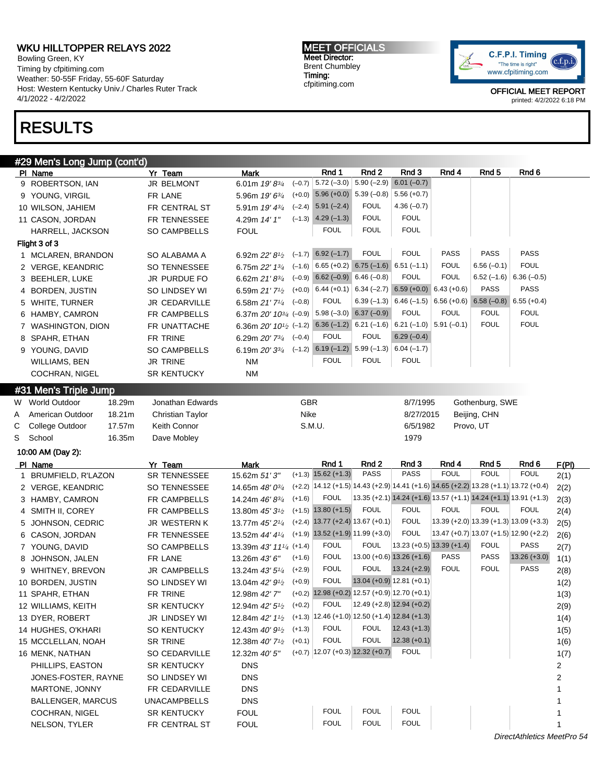Bowling Green, KY Timing by cfpitiming.com Weather: 50-55F Friday, 55-60F Saturday Host: Western Kentucky Univ./ Charles Ruter Track 4/1/2022 - 4/2/2022

# RESULTS

MEET OFFICIALS Meet Director: Brent Chumbley Timing: cfpitiming.com



| Rnd 1<br>Rnd <sub>2</sub><br>Rnd 3<br>Rnd <sub>5</sub><br>Rnd 6<br>Rnd 4<br>PI Name<br><b>Mark</b><br>$5.72$ (-3.0) $ 5.90$ (-2.9)<br>$6.01 (-0.7)$<br>$(-0.7)$<br>9 ROBERTSON, IAN<br>JR BELMONT<br>6.01m 19' 83/4<br>$(+0.0)$ 5.96 $(+0.0)$ 5.39 $(-0.8)$<br>$5.56 (+0.7)$<br>9 YOUNG, VIRGIL<br>FR LANE<br>5.96m $19'6^{3/4}$<br>$(-2.4)$ 5.91 $(-2.4)$<br><b>FOUL</b><br>$4.36(-0.7)$<br>FR CENTRAL ST<br>10 WILSON, JAHIEM<br>5.91m $19'$ $4\frac{3}{4}$<br><b>FOUL</b><br><b>FOUL</b><br>$(-1.3)$ 4.29 $(-1.3)$<br>FR TENNESSEE<br>4.29m 14' 1"<br>11 CASON, JORDAN<br><b>FOUL</b><br><b>FOUL</b><br><b>FOUL</b><br>SO CAMPBELLS<br><b>FOUL</b><br>HARRELL, JACKSON<br>Flight 3 of 3<br>PASS<br>PASS<br>$(-1.7)$ 6.92 $(-1.7)$<br><b>FOUL</b><br><b>FOUL</b><br><b>PASS</b><br>1 MCLAREN, BRANDON<br>SO ALABAMA A<br>6.92m 22' 8 <sup>1/2</sup><br>$6.65 (+0.2)$ $6.75 (-1.6)$ $6.51 (-1.1)$<br><b>FOUL</b><br>$6.56(-0.1)$<br><b>FOUL</b><br>SO TENNESSEE<br>$(-1.6)$<br>2 VERGE, KEANDRIC<br>6.75m 22' 13/4<br>$(-0.9)$ 6.62 $(-0.9)$ 6.46 $(-0.8)$<br><b>FOUL</b><br><b>FOUL</b><br>$6.52(-1.6)$<br>$6.36(-0.5)$<br>3 BEEHLER, LUKE<br>JR PURDUE FO<br>6.62m 21'83/4<br>$6.44 (+0.1)$ 6.34 (-2.7) 6.59 (+0.0) 6.43 (+0.6)<br><b>PASS</b><br><b>PASS</b><br>$(+0.0)$<br>SO LINDSEY WI<br>6.59m 21' 7 <sup>1</sup> / <sub>2</sub><br>BORDEN, JUSTIN<br>4<br><b>FOUL</b><br>$6.39$ (-1.3) $  6.46$ (-1.5) $  6.56$ (+0.6) $  6.58$ (-0.8) $  6.55$ (+0.4)<br>$(-0.8)$<br>5 WHITE, TURNER<br>JR CEDARVILLE<br>6.58m 21' 71/4<br><b>FOUL</b><br>$5.98 (-3.0) 6.37 (-0.9)$<br><b>FOUL</b><br><b>FOUL</b><br><b>FOUL</b><br>6.37m $20'$ 10 $\frac{3}{4}$ (-0.9)<br>6 HAMBY, CAMRON<br>FR CAMPBELLS<br>6.36m $20'$ 10 <sup>1</sup> / <sub>2</sub> (-1.2) 6.36 (-1.2) 6.21 (-1.6)<br>$6.21$ (-1.0) 5.91 (-0.1)<br><b>FOUL</b><br><b>FOUL</b><br>FR UNATTACHE<br>7 WASHINGTON, DION<br><b>FOUL</b><br><b>FOUL</b><br>$6.29(-0.4)$<br>FR TRINE<br>$(-0.4)$<br>8 SPAHR, ETHAN<br>6.29m 20' 73/4<br>$(-1.2)$ 6.19 $(-1.2)$ 5.99 $(-1.3)$<br>$6.04(-1.7)$<br><b>SO CAMPBELLS</b><br>9 YOUNG, DAVID<br>6.19m 20' 33/4<br><b>FOUL</b><br><b>FOUL</b><br><b>FOUL</b><br><b>JR TRINE</b><br><b>NM</b><br>WILLIAMS, BEN<br><b>COCHRAN, NIGEL</b><br><b>SR KENTUCKY</b><br><b>NM</b><br>#31 Men's Triple Jump<br>W World Outdoor<br>18.29m<br>Jonathan Edwards<br><b>GBR</b><br>8/7/1995<br>Gothenburg, SWE<br>Nike<br>American Outdoor<br>18.21m<br><b>Christian Taylor</b><br>8/27/2015<br>Beijing, CHN<br>S.M.U.<br>College Outdoor<br>17.57m<br>Keith Connor<br>Provo, UT<br>6/5/1982<br>School<br>16.35m<br>Dave Mobley<br>1979<br>10:00 AM (Day 2):<br>Rnd 1<br>Rnd 2<br>Rnd 3<br>Rnd 5<br>Rnd 6<br>Rnd 4<br>F(PI)<br>Yr Team<br>Mark<br>PI Name<br><b>FOUL</b><br><b>PASS</b><br><b>PASS</b><br><b>FOUL</b><br><b>FOUL</b><br>$(+1.3)$ 15.62 $(+1.3)$<br>1 BRUMFIELD, R'LAZON<br>SR TENNESSEE<br>15.62m 51'3"<br>2(1)<br>$(+2.2)$ 14.12 (+1.5) 14.43 (+2.9) 14.41 (+1.6) 14.65 (+2.2) 13.28 (+1.1) 13.72 (+0.4)<br>SO TENNESSEE<br>2(2)<br>2 VERGE, KEANDRIC<br>14.65m $48'0^{3/4}$<br><b>FOUL</b><br>13.35 (+2.1) 14.24 (+1.6) 13.57 (+1.1) 14.24 (+1.1) 13.91 (+1.3)<br>$(+1.6)$<br>FR CAMPBELLS<br>2(3)<br>3 HAMBY, CAMRON<br>14.24m 46' 8 <sup>3/4</sup><br>$(+1.5)$ 13.80 $(+1.5)$<br><b>FOUL</b><br><b>FOUL</b><br><b>FOUL</b><br><b>FOUL</b><br><b>FOUL</b><br>FR CAMPBELLS<br>4 SMITH II, COREY<br>13.80m $45'3\frac{1}{2}$<br>2(4)<br><b>FOUL</b><br>13.39 (+2.0) 13.39 (+1.3) 13.09 (+3.3)<br>$(+2.4)$ 13.77 $(+2.4)$ 13.67 $(+0.1)$<br>JR WESTERN K<br>2(5)<br>5 JOHNSON, CEDRIC<br>13.77m 45' 2 <sup>1</sup> / <sub>4</sub><br>$(+1.9)$ 13.52 $(+1.9)$ 11.99 $(+3.0)$<br><b>FOUL</b><br>13.47 (+0.7) 13.07 (+1.5) 12.90 (+2.2)<br>FR TENNESSEE<br>6 CASON, JORDAN<br>13.52m $44'$ $4\frac{1}{4}$<br>2(6)<br><b>FOUL</b><br>$13.23 (+0.5) 13.39 (+1.4)$<br><b>FOUL</b><br><b>PASS</b><br><b>FOUL</b><br>SO CAMPBELLS<br>13.39m 43' 111/4 (+1.4)<br>2(7)<br>7 YOUNG, DAVID<br><b>FOUL</b><br>$13.00 (+0.6) 13.26 (+1.6)$<br><b>PASS</b><br><b>PASS</b><br>$13.26 (+3.0)$<br>$(+1.6)$<br>JOHNSON, JALEN<br>FR LANE<br>13.26m 43' 6"<br>1(1)<br>8<br><b>FOUL</b><br><b>FOUL</b><br><b>FOUL</b><br>$13.24 (+2.9)$<br><b>FOUL</b><br><b>PASS</b><br>$(+2.9)$<br><b>JR CAMPBELLS</b><br>9 WHITNEY, BREVON<br>13.24m $43'5''_4$<br>2(8)<br><b>FOUL</b><br>13.04 (+0.9) 12.81 (+0.1)<br>$(+0.9)$<br>SO LINDSEY WI<br>10 BORDEN, JUSTIN<br>13.04m $42'9'$ <sup>/2</sup><br>1(2)<br>$(+0.2)$ 12.98 $(+0.2)$ 12.57 $(+0.9)$ 12.70 $(+0.1)$<br>FR TRINE<br>12.98m 42'7"<br>11 SPAHR, ETHAN<br>$12.49 (+2.8) 12.94 (+0.2)$<br><b>FOUL</b><br>12 WILLIAMS, KEITH<br>12.94m 42' 5 <sup>1</sup> / <sub>2</sub> (+0.2)<br><b>SR KENTUCKY</b><br>$(+1.3)$ 12.46 (+1.0) 12.50 (+1.4) 12.84 (+1.3)<br>13 DYER, ROBERT<br>JR LINDSEY WI<br>12.84m 42' 1 <sup>1</sup> / <sub>2</sub><br><b>FOUL</b><br><b>FOUL</b><br>$12.43 (+1.3)$<br>14 HUGHES, O'KHARI<br>$(+1.3)$<br><b>SO KENTUCKY</b><br>12.43m $40'9\%$<br><b>FOUL</b><br><b>FOUL</b><br>$12.38 (+0.1)$<br>$(+0.1)$<br><b>SR TRINE</b><br>15 MCCLELLAN, NOAH<br>12.38m $40'$ 7 <sup>1</sup> / <sub>2</sub><br><b>FOUL</b><br>$(+0.7)$ 12.07 $(+0.3)$ 12.32 $(+0.7)$<br>16 MENK, NATHAN<br>SO CEDARVILLE<br>12.32m 40' 5"<br>PHILLIPS, EASTON<br><b>DNS</b><br><b>SR KENTUCKY</b><br>JONES-FOSTER, RAYNE<br>SO LINDSEY WI<br>DNS<br>MARTONE, JONNY<br>FR CEDARVILLE<br><b>DNS</b><br><b>DNS</b><br><b>BALLENGER, MARCUS</b><br><b>UNACAMPBELLS</b><br><b>FOUL</b><br><b>FOUL</b><br><b>FOUL</b><br>COCHRAN, NIGEL<br><b>FOUL</b><br><b>SR KENTUCKY</b><br><b>FOUL</b><br><b>FOUL</b><br><b>FOUL</b><br>NELSON, TYLER<br><b>FOUL</b><br>FR CENTRAL ST<br>DirectAthletics MeetPro 54 |   | #29 Men's Long Jump (cont'd) |         |  |  |  |                |
|----------------------------------------------------------------------------------------------------------------------------------------------------------------------------------------------------------------------------------------------------------------------------------------------------------------------------------------------------------------------------------------------------------------------------------------------------------------------------------------------------------------------------------------------------------------------------------------------------------------------------------------------------------------------------------------------------------------------------------------------------------------------------------------------------------------------------------------------------------------------------------------------------------------------------------------------------------------------------------------------------------------------------------------------------------------------------------------------------------------------------------------------------------------------------------------------------------------------------------------------------------------------------------------------------------------------------------------------------------------------------------------------------------------------------------------------------------------------------------------------------------------------------------------------------------------------------------------------------------------------------------------------------------------------------------------------------------------------------------------------------------------------------------------------------------------------------------------------------------------------------------------------------------------------------------------------------------------------------------------------------------------------------------------------------------------------------------------------------------------------------------------------------------------------------------------------------------------------------------------------------------------------------------------------------------------------------------------------------------------------------------------------------------------------------------------------------------------------------------------------------------------------------------------------------------------------------------------------------------------------------------------------------------------------------------------------------------------------------------------------------------------------------------------------------------------------------------------------------------------------------------------------------------------------------------------------------------------------------------------------------------------------------------------------------------------------------------------------------------------------------------------------------------------------------------------------------------------------------------------------------------------------------------------------------------------------------------------------------------------------------------------------------------------------------------------------------------------------------------------------------------------------------------------------------------------------------------------------------------------------------------------------------------------------------------------------------------------------------------------------------------------------------------------------------------------------------------------------------------------------------------------------------------------------------------------------------------------------------------------------------------------------------------------------------------------------------------------------------------------------------------------------------------------------------------------------------------------------------------------------------------------------------------------------------------------------------------------------------------------------------------------------------------------------------------------------------------------------------------------------------------------------------------------------------------------------------------------------------------------------------------------------------------------------------------------------------------------------------------------------------------------------------------------------------------------------------------------------------------------------------------------------------------------------------------------------------------------------------------------------------------------------------------------------------------------------------------------------------------------------------------------------------------------------------------------------------------------------------------------------------------------------------------------------------------------------------------------------------------------------------------------------------------------------------------------------------------------------------------------------------------------------------------------------------------------------------------------------------------------------------------------------------------------------------------------------------------------------------|---|------------------------------|---------|--|--|--|----------------|
|                                                                                                                                                                                                                                                                                                                                                                                                                                                                                                                                                                                                                                                                                                                                                                                                                                                                                                                                                                                                                                                                                                                                                                                                                                                                                                                                                                                                                                                                                                                                                                                                                                                                                                                                                                                                                                                                                                                                                                                                                                                                                                                                                                                                                                                                                                                                                                                                                                                                                                                                                                                                                                                                                                                                                                                                                                                                                                                                                                                                                                                                                                                                                                                                                                                                                                                                                                                                                                                                                                                                                                                                                                                                                                                                                                                                                                                                                                                                                                                                                                                                                                                                                                                                                                                                                                                                                                                                                                                                                                                                                                                                                                                                                                                                                                                                                                                                                                                                                                                                                                                                                                                                                                                                                                                                                                                                                                                                                                                                                                                                                                                                                                                                                                                            |   |                              | Yr Team |  |  |  |                |
|                                                                                                                                                                                                                                                                                                                                                                                                                                                                                                                                                                                                                                                                                                                                                                                                                                                                                                                                                                                                                                                                                                                                                                                                                                                                                                                                                                                                                                                                                                                                                                                                                                                                                                                                                                                                                                                                                                                                                                                                                                                                                                                                                                                                                                                                                                                                                                                                                                                                                                                                                                                                                                                                                                                                                                                                                                                                                                                                                                                                                                                                                                                                                                                                                                                                                                                                                                                                                                                                                                                                                                                                                                                                                                                                                                                                                                                                                                                                                                                                                                                                                                                                                                                                                                                                                                                                                                                                                                                                                                                                                                                                                                                                                                                                                                                                                                                                                                                                                                                                                                                                                                                                                                                                                                                                                                                                                                                                                                                                                                                                                                                                                                                                                                                            |   |                              |         |  |  |  |                |
|                                                                                                                                                                                                                                                                                                                                                                                                                                                                                                                                                                                                                                                                                                                                                                                                                                                                                                                                                                                                                                                                                                                                                                                                                                                                                                                                                                                                                                                                                                                                                                                                                                                                                                                                                                                                                                                                                                                                                                                                                                                                                                                                                                                                                                                                                                                                                                                                                                                                                                                                                                                                                                                                                                                                                                                                                                                                                                                                                                                                                                                                                                                                                                                                                                                                                                                                                                                                                                                                                                                                                                                                                                                                                                                                                                                                                                                                                                                                                                                                                                                                                                                                                                                                                                                                                                                                                                                                                                                                                                                                                                                                                                                                                                                                                                                                                                                                                                                                                                                                                                                                                                                                                                                                                                                                                                                                                                                                                                                                                                                                                                                                                                                                                                                            |   |                              |         |  |  |  |                |
|                                                                                                                                                                                                                                                                                                                                                                                                                                                                                                                                                                                                                                                                                                                                                                                                                                                                                                                                                                                                                                                                                                                                                                                                                                                                                                                                                                                                                                                                                                                                                                                                                                                                                                                                                                                                                                                                                                                                                                                                                                                                                                                                                                                                                                                                                                                                                                                                                                                                                                                                                                                                                                                                                                                                                                                                                                                                                                                                                                                                                                                                                                                                                                                                                                                                                                                                                                                                                                                                                                                                                                                                                                                                                                                                                                                                                                                                                                                                                                                                                                                                                                                                                                                                                                                                                                                                                                                                                                                                                                                                                                                                                                                                                                                                                                                                                                                                                                                                                                                                                                                                                                                                                                                                                                                                                                                                                                                                                                                                                                                                                                                                                                                                                                                            |   |                              |         |  |  |  |                |
|                                                                                                                                                                                                                                                                                                                                                                                                                                                                                                                                                                                                                                                                                                                                                                                                                                                                                                                                                                                                                                                                                                                                                                                                                                                                                                                                                                                                                                                                                                                                                                                                                                                                                                                                                                                                                                                                                                                                                                                                                                                                                                                                                                                                                                                                                                                                                                                                                                                                                                                                                                                                                                                                                                                                                                                                                                                                                                                                                                                                                                                                                                                                                                                                                                                                                                                                                                                                                                                                                                                                                                                                                                                                                                                                                                                                                                                                                                                                                                                                                                                                                                                                                                                                                                                                                                                                                                                                                                                                                                                                                                                                                                                                                                                                                                                                                                                                                                                                                                                                                                                                                                                                                                                                                                                                                                                                                                                                                                                                                                                                                                                                                                                                                                                            |   |                              |         |  |  |  |                |
|                                                                                                                                                                                                                                                                                                                                                                                                                                                                                                                                                                                                                                                                                                                                                                                                                                                                                                                                                                                                                                                                                                                                                                                                                                                                                                                                                                                                                                                                                                                                                                                                                                                                                                                                                                                                                                                                                                                                                                                                                                                                                                                                                                                                                                                                                                                                                                                                                                                                                                                                                                                                                                                                                                                                                                                                                                                                                                                                                                                                                                                                                                                                                                                                                                                                                                                                                                                                                                                                                                                                                                                                                                                                                                                                                                                                                                                                                                                                                                                                                                                                                                                                                                                                                                                                                                                                                                                                                                                                                                                                                                                                                                                                                                                                                                                                                                                                                                                                                                                                                                                                                                                                                                                                                                                                                                                                                                                                                                                                                                                                                                                                                                                                                                                            |   |                              |         |  |  |  |                |
|                                                                                                                                                                                                                                                                                                                                                                                                                                                                                                                                                                                                                                                                                                                                                                                                                                                                                                                                                                                                                                                                                                                                                                                                                                                                                                                                                                                                                                                                                                                                                                                                                                                                                                                                                                                                                                                                                                                                                                                                                                                                                                                                                                                                                                                                                                                                                                                                                                                                                                                                                                                                                                                                                                                                                                                                                                                                                                                                                                                                                                                                                                                                                                                                                                                                                                                                                                                                                                                                                                                                                                                                                                                                                                                                                                                                                                                                                                                                                                                                                                                                                                                                                                                                                                                                                                                                                                                                                                                                                                                                                                                                                                                                                                                                                                                                                                                                                                                                                                                                                                                                                                                                                                                                                                                                                                                                                                                                                                                                                                                                                                                                                                                                                                                            |   |                              |         |  |  |  |                |
|                                                                                                                                                                                                                                                                                                                                                                                                                                                                                                                                                                                                                                                                                                                                                                                                                                                                                                                                                                                                                                                                                                                                                                                                                                                                                                                                                                                                                                                                                                                                                                                                                                                                                                                                                                                                                                                                                                                                                                                                                                                                                                                                                                                                                                                                                                                                                                                                                                                                                                                                                                                                                                                                                                                                                                                                                                                                                                                                                                                                                                                                                                                                                                                                                                                                                                                                                                                                                                                                                                                                                                                                                                                                                                                                                                                                                                                                                                                                                                                                                                                                                                                                                                                                                                                                                                                                                                                                                                                                                                                                                                                                                                                                                                                                                                                                                                                                                                                                                                                                                                                                                                                                                                                                                                                                                                                                                                                                                                                                                                                                                                                                                                                                                                                            |   |                              |         |  |  |  |                |
|                                                                                                                                                                                                                                                                                                                                                                                                                                                                                                                                                                                                                                                                                                                                                                                                                                                                                                                                                                                                                                                                                                                                                                                                                                                                                                                                                                                                                                                                                                                                                                                                                                                                                                                                                                                                                                                                                                                                                                                                                                                                                                                                                                                                                                                                                                                                                                                                                                                                                                                                                                                                                                                                                                                                                                                                                                                                                                                                                                                                                                                                                                                                                                                                                                                                                                                                                                                                                                                                                                                                                                                                                                                                                                                                                                                                                                                                                                                                                                                                                                                                                                                                                                                                                                                                                                                                                                                                                                                                                                                                                                                                                                                                                                                                                                                                                                                                                                                                                                                                                                                                                                                                                                                                                                                                                                                                                                                                                                                                                                                                                                                                                                                                                                                            |   |                              |         |  |  |  |                |
|                                                                                                                                                                                                                                                                                                                                                                                                                                                                                                                                                                                                                                                                                                                                                                                                                                                                                                                                                                                                                                                                                                                                                                                                                                                                                                                                                                                                                                                                                                                                                                                                                                                                                                                                                                                                                                                                                                                                                                                                                                                                                                                                                                                                                                                                                                                                                                                                                                                                                                                                                                                                                                                                                                                                                                                                                                                                                                                                                                                                                                                                                                                                                                                                                                                                                                                                                                                                                                                                                                                                                                                                                                                                                                                                                                                                                                                                                                                                                                                                                                                                                                                                                                                                                                                                                                                                                                                                                                                                                                                                                                                                                                                                                                                                                                                                                                                                                                                                                                                                                                                                                                                                                                                                                                                                                                                                                                                                                                                                                                                                                                                                                                                                                                                            |   |                              |         |  |  |  |                |
|                                                                                                                                                                                                                                                                                                                                                                                                                                                                                                                                                                                                                                                                                                                                                                                                                                                                                                                                                                                                                                                                                                                                                                                                                                                                                                                                                                                                                                                                                                                                                                                                                                                                                                                                                                                                                                                                                                                                                                                                                                                                                                                                                                                                                                                                                                                                                                                                                                                                                                                                                                                                                                                                                                                                                                                                                                                                                                                                                                                                                                                                                                                                                                                                                                                                                                                                                                                                                                                                                                                                                                                                                                                                                                                                                                                                                                                                                                                                                                                                                                                                                                                                                                                                                                                                                                                                                                                                                                                                                                                                                                                                                                                                                                                                                                                                                                                                                                                                                                                                                                                                                                                                                                                                                                                                                                                                                                                                                                                                                                                                                                                                                                                                                                                            |   |                              |         |  |  |  |                |
|                                                                                                                                                                                                                                                                                                                                                                                                                                                                                                                                                                                                                                                                                                                                                                                                                                                                                                                                                                                                                                                                                                                                                                                                                                                                                                                                                                                                                                                                                                                                                                                                                                                                                                                                                                                                                                                                                                                                                                                                                                                                                                                                                                                                                                                                                                                                                                                                                                                                                                                                                                                                                                                                                                                                                                                                                                                                                                                                                                                                                                                                                                                                                                                                                                                                                                                                                                                                                                                                                                                                                                                                                                                                                                                                                                                                                                                                                                                                                                                                                                                                                                                                                                                                                                                                                                                                                                                                                                                                                                                                                                                                                                                                                                                                                                                                                                                                                                                                                                                                                                                                                                                                                                                                                                                                                                                                                                                                                                                                                                                                                                                                                                                                                                                            |   |                              |         |  |  |  |                |
|                                                                                                                                                                                                                                                                                                                                                                                                                                                                                                                                                                                                                                                                                                                                                                                                                                                                                                                                                                                                                                                                                                                                                                                                                                                                                                                                                                                                                                                                                                                                                                                                                                                                                                                                                                                                                                                                                                                                                                                                                                                                                                                                                                                                                                                                                                                                                                                                                                                                                                                                                                                                                                                                                                                                                                                                                                                                                                                                                                                                                                                                                                                                                                                                                                                                                                                                                                                                                                                                                                                                                                                                                                                                                                                                                                                                                                                                                                                                                                                                                                                                                                                                                                                                                                                                                                                                                                                                                                                                                                                                                                                                                                                                                                                                                                                                                                                                                                                                                                                                                                                                                                                                                                                                                                                                                                                                                                                                                                                                                                                                                                                                                                                                                                                            |   |                              |         |  |  |  |                |
|                                                                                                                                                                                                                                                                                                                                                                                                                                                                                                                                                                                                                                                                                                                                                                                                                                                                                                                                                                                                                                                                                                                                                                                                                                                                                                                                                                                                                                                                                                                                                                                                                                                                                                                                                                                                                                                                                                                                                                                                                                                                                                                                                                                                                                                                                                                                                                                                                                                                                                                                                                                                                                                                                                                                                                                                                                                                                                                                                                                                                                                                                                                                                                                                                                                                                                                                                                                                                                                                                                                                                                                                                                                                                                                                                                                                                                                                                                                                                                                                                                                                                                                                                                                                                                                                                                                                                                                                                                                                                                                                                                                                                                                                                                                                                                                                                                                                                                                                                                                                                                                                                                                                                                                                                                                                                                                                                                                                                                                                                                                                                                                                                                                                                                                            |   |                              |         |  |  |  |                |
|                                                                                                                                                                                                                                                                                                                                                                                                                                                                                                                                                                                                                                                                                                                                                                                                                                                                                                                                                                                                                                                                                                                                                                                                                                                                                                                                                                                                                                                                                                                                                                                                                                                                                                                                                                                                                                                                                                                                                                                                                                                                                                                                                                                                                                                                                                                                                                                                                                                                                                                                                                                                                                                                                                                                                                                                                                                                                                                                                                                                                                                                                                                                                                                                                                                                                                                                                                                                                                                                                                                                                                                                                                                                                                                                                                                                                                                                                                                                                                                                                                                                                                                                                                                                                                                                                                                                                                                                                                                                                                                                                                                                                                                                                                                                                                                                                                                                                                                                                                                                                                                                                                                                                                                                                                                                                                                                                                                                                                                                                                                                                                                                                                                                                                                            |   |                              |         |  |  |  |                |
|                                                                                                                                                                                                                                                                                                                                                                                                                                                                                                                                                                                                                                                                                                                                                                                                                                                                                                                                                                                                                                                                                                                                                                                                                                                                                                                                                                                                                                                                                                                                                                                                                                                                                                                                                                                                                                                                                                                                                                                                                                                                                                                                                                                                                                                                                                                                                                                                                                                                                                                                                                                                                                                                                                                                                                                                                                                                                                                                                                                                                                                                                                                                                                                                                                                                                                                                                                                                                                                                                                                                                                                                                                                                                                                                                                                                                                                                                                                                                                                                                                                                                                                                                                                                                                                                                                                                                                                                                                                                                                                                                                                                                                                                                                                                                                                                                                                                                                                                                                                                                                                                                                                                                                                                                                                                                                                                                                                                                                                                                                                                                                                                                                                                                                                            |   |                              |         |  |  |  |                |
|                                                                                                                                                                                                                                                                                                                                                                                                                                                                                                                                                                                                                                                                                                                                                                                                                                                                                                                                                                                                                                                                                                                                                                                                                                                                                                                                                                                                                                                                                                                                                                                                                                                                                                                                                                                                                                                                                                                                                                                                                                                                                                                                                                                                                                                                                                                                                                                                                                                                                                                                                                                                                                                                                                                                                                                                                                                                                                                                                                                                                                                                                                                                                                                                                                                                                                                                                                                                                                                                                                                                                                                                                                                                                                                                                                                                                                                                                                                                                                                                                                                                                                                                                                                                                                                                                                                                                                                                                                                                                                                                                                                                                                                                                                                                                                                                                                                                                                                                                                                                                                                                                                                                                                                                                                                                                                                                                                                                                                                                                                                                                                                                                                                                                                                            |   |                              |         |  |  |  |                |
|                                                                                                                                                                                                                                                                                                                                                                                                                                                                                                                                                                                                                                                                                                                                                                                                                                                                                                                                                                                                                                                                                                                                                                                                                                                                                                                                                                                                                                                                                                                                                                                                                                                                                                                                                                                                                                                                                                                                                                                                                                                                                                                                                                                                                                                                                                                                                                                                                                                                                                                                                                                                                                                                                                                                                                                                                                                                                                                                                                                                                                                                                                                                                                                                                                                                                                                                                                                                                                                                                                                                                                                                                                                                                                                                                                                                                                                                                                                                                                                                                                                                                                                                                                                                                                                                                                                                                                                                                                                                                                                                                                                                                                                                                                                                                                                                                                                                                                                                                                                                                                                                                                                                                                                                                                                                                                                                                                                                                                                                                                                                                                                                                                                                                                                            |   |                              |         |  |  |  |                |
|                                                                                                                                                                                                                                                                                                                                                                                                                                                                                                                                                                                                                                                                                                                                                                                                                                                                                                                                                                                                                                                                                                                                                                                                                                                                                                                                                                                                                                                                                                                                                                                                                                                                                                                                                                                                                                                                                                                                                                                                                                                                                                                                                                                                                                                                                                                                                                                                                                                                                                                                                                                                                                                                                                                                                                                                                                                                                                                                                                                                                                                                                                                                                                                                                                                                                                                                                                                                                                                                                                                                                                                                                                                                                                                                                                                                                                                                                                                                                                                                                                                                                                                                                                                                                                                                                                                                                                                                                                                                                                                                                                                                                                                                                                                                                                                                                                                                                                                                                                                                                                                                                                                                                                                                                                                                                                                                                                                                                                                                                                                                                                                                                                                                                                                            |   |                              |         |  |  |  |                |
|                                                                                                                                                                                                                                                                                                                                                                                                                                                                                                                                                                                                                                                                                                                                                                                                                                                                                                                                                                                                                                                                                                                                                                                                                                                                                                                                                                                                                                                                                                                                                                                                                                                                                                                                                                                                                                                                                                                                                                                                                                                                                                                                                                                                                                                                                                                                                                                                                                                                                                                                                                                                                                                                                                                                                                                                                                                                                                                                                                                                                                                                                                                                                                                                                                                                                                                                                                                                                                                                                                                                                                                                                                                                                                                                                                                                                                                                                                                                                                                                                                                                                                                                                                                                                                                                                                                                                                                                                                                                                                                                                                                                                                                                                                                                                                                                                                                                                                                                                                                                                                                                                                                                                                                                                                                                                                                                                                                                                                                                                                                                                                                                                                                                                                                            |   |                              |         |  |  |  |                |
|                                                                                                                                                                                                                                                                                                                                                                                                                                                                                                                                                                                                                                                                                                                                                                                                                                                                                                                                                                                                                                                                                                                                                                                                                                                                                                                                                                                                                                                                                                                                                                                                                                                                                                                                                                                                                                                                                                                                                                                                                                                                                                                                                                                                                                                                                                                                                                                                                                                                                                                                                                                                                                                                                                                                                                                                                                                                                                                                                                                                                                                                                                                                                                                                                                                                                                                                                                                                                                                                                                                                                                                                                                                                                                                                                                                                                                                                                                                                                                                                                                                                                                                                                                                                                                                                                                                                                                                                                                                                                                                                                                                                                                                                                                                                                                                                                                                                                                                                                                                                                                                                                                                                                                                                                                                                                                                                                                                                                                                                                                                                                                                                                                                                                                                            |   |                              |         |  |  |  |                |
|                                                                                                                                                                                                                                                                                                                                                                                                                                                                                                                                                                                                                                                                                                                                                                                                                                                                                                                                                                                                                                                                                                                                                                                                                                                                                                                                                                                                                                                                                                                                                                                                                                                                                                                                                                                                                                                                                                                                                                                                                                                                                                                                                                                                                                                                                                                                                                                                                                                                                                                                                                                                                                                                                                                                                                                                                                                                                                                                                                                                                                                                                                                                                                                                                                                                                                                                                                                                                                                                                                                                                                                                                                                                                                                                                                                                                                                                                                                                                                                                                                                                                                                                                                                                                                                                                                                                                                                                                                                                                                                                                                                                                                                                                                                                                                                                                                                                                                                                                                                                                                                                                                                                                                                                                                                                                                                                                                                                                                                                                                                                                                                                                                                                                                                            | Α |                              |         |  |  |  |                |
|                                                                                                                                                                                                                                                                                                                                                                                                                                                                                                                                                                                                                                                                                                                                                                                                                                                                                                                                                                                                                                                                                                                                                                                                                                                                                                                                                                                                                                                                                                                                                                                                                                                                                                                                                                                                                                                                                                                                                                                                                                                                                                                                                                                                                                                                                                                                                                                                                                                                                                                                                                                                                                                                                                                                                                                                                                                                                                                                                                                                                                                                                                                                                                                                                                                                                                                                                                                                                                                                                                                                                                                                                                                                                                                                                                                                                                                                                                                                                                                                                                                                                                                                                                                                                                                                                                                                                                                                                                                                                                                                                                                                                                                                                                                                                                                                                                                                                                                                                                                                                                                                                                                                                                                                                                                                                                                                                                                                                                                                                                                                                                                                                                                                                                                            | С |                              |         |  |  |  |                |
|                                                                                                                                                                                                                                                                                                                                                                                                                                                                                                                                                                                                                                                                                                                                                                                                                                                                                                                                                                                                                                                                                                                                                                                                                                                                                                                                                                                                                                                                                                                                                                                                                                                                                                                                                                                                                                                                                                                                                                                                                                                                                                                                                                                                                                                                                                                                                                                                                                                                                                                                                                                                                                                                                                                                                                                                                                                                                                                                                                                                                                                                                                                                                                                                                                                                                                                                                                                                                                                                                                                                                                                                                                                                                                                                                                                                                                                                                                                                                                                                                                                                                                                                                                                                                                                                                                                                                                                                                                                                                                                                                                                                                                                                                                                                                                                                                                                                                                                                                                                                                                                                                                                                                                                                                                                                                                                                                                                                                                                                                                                                                                                                                                                                                                                            | S |                              |         |  |  |  |                |
|                                                                                                                                                                                                                                                                                                                                                                                                                                                                                                                                                                                                                                                                                                                                                                                                                                                                                                                                                                                                                                                                                                                                                                                                                                                                                                                                                                                                                                                                                                                                                                                                                                                                                                                                                                                                                                                                                                                                                                                                                                                                                                                                                                                                                                                                                                                                                                                                                                                                                                                                                                                                                                                                                                                                                                                                                                                                                                                                                                                                                                                                                                                                                                                                                                                                                                                                                                                                                                                                                                                                                                                                                                                                                                                                                                                                                                                                                                                                                                                                                                                                                                                                                                                                                                                                                                                                                                                                                                                                                                                                                                                                                                                                                                                                                                                                                                                                                                                                                                                                                                                                                                                                                                                                                                                                                                                                                                                                                                                                                                                                                                                                                                                                                                                            |   |                              |         |  |  |  |                |
|                                                                                                                                                                                                                                                                                                                                                                                                                                                                                                                                                                                                                                                                                                                                                                                                                                                                                                                                                                                                                                                                                                                                                                                                                                                                                                                                                                                                                                                                                                                                                                                                                                                                                                                                                                                                                                                                                                                                                                                                                                                                                                                                                                                                                                                                                                                                                                                                                                                                                                                                                                                                                                                                                                                                                                                                                                                                                                                                                                                                                                                                                                                                                                                                                                                                                                                                                                                                                                                                                                                                                                                                                                                                                                                                                                                                                                                                                                                                                                                                                                                                                                                                                                                                                                                                                                                                                                                                                                                                                                                                                                                                                                                                                                                                                                                                                                                                                                                                                                                                                                                                                                                                                                                                                                                                                                                                                                                                                                                                                                                                                                                                                                                                                                                            |   |                              |         |  |  |  |                |
|                                                                                                                                                                                                                                                                                                                                                                                                                                                                                                                                                                                                                                                                                                                                                                                                                                                                                                                                                                                                                                                                                                                                                                                                                                                                                                                                                                                                                                                                                                                                                                                                                                                                                                                                                                                                                                                                                                                                                                                                                                                                                                                                                                                                                                                                                                                                                                                                                                                                                                                                                                                                                                                                                                                                                                                                                                                                                                                                                                                                                                                                                                                                                                                                                                                                                                                                                                                                                                                                                                                                                                                                                                                                                                                                                                                                                                                                                                                                                                                                                                                                                                                                                                                                                                                                                                                                                                                                                                                                                                                                                                                                                                                                                                                                                                                                                                                                                                                                                                                                                                                                                                                                                                                                                                                                                                                                                                                                                                                                                                                                                                                                                                                                                                                            |   |                              |         |  |  |  |                |
|                                                                                                                                                                                                                                                                                                                                                                                                                                                                                                                                                                                                                                                                                                                                                                                                                                                                                                                                                                                                                                                                                                                                                                                                                                                                                                                                                                                                                                                                                                                                                                                                                                                                                                                                                                                                                                                                                                                                                                                                                                                                                                                                                                                                                                                                                                                                                                                                                                                                                                                                                                                                                                                                                                                                                                                                                                                                                                                                                                                                                                                                                                                                                                                                                                                                                                                                                                                                                                                                                                                                                                                                                                                                                                                                                                                                                                                                                                                                                                                                                                                                                                                                                                                                                                                                                                                                                                                                                                                                                                                                                                                                                                                                                                                                                                                                                                                                                                                                                                                                                                                                                                                                                                                                                                                                                                                                                                                                                                                                                                                                                                                                                                                                                                                            |   |                              |         |  |  |  |                |
|                                                                                                                                                                                                                                                                                                                                                                                                                                                                                                                                                                                                                                                                                                                                                                                                                                                                                                                                                                                                                                                                                                                                                                                                                                                                                                                                                                                                                                                                                                                                                                                                                                                                                                                                                                                                                                                                                                                                                                                                                                                                                                                                                                                                                                                                                                                                                                                                                                                                                                                                                                                                                                                                                                                                                                                                                                                                                                                                                                                                                                                                                                                                                                                                                                                                                                                                                                                                                                                                                                                                                                                                                                                                                                                                                                                                                                                                                                                                                                                                                                                                                                                                                                                                                                                                                                                                                                                                                                                                                                                                                                                                                                                                                                                                                                                                                                                                                                                                                                                                                                                                                                                                                                                                                                                                                                                                                                                                                                                                                                                                                                                                                                                                                                                            |   |                              |         |  |  |  |                |
|                                                                                                                                                                                                                                                                                                                                                                                                                                                                                                                                                                                                                                                                                                                                                                                                                                                                                                                                                                                                                                                                                                                                                                                                                                                                                                                                                                                                                                                                                                                                                                                                                                                                                                                                                                                                                                                                                                                                                                                                                                                                                                                                                                                                                                                                                                                                                                                                                                                                                                                                                                                                                                                                                                                                                                                                                                                                                                                                                                                                                                                                                                                                                                                                                                                                                                                                                                                                                                                                                                                                                                                                                                                                                                                                                                                                                                                                                                                                                                                                                                                                                                                                                                                                                                                                                                                                                                                                                                                                                                                                                                                                                                                                                                                                                                                                                                                                                                                                                                                                                                                                                                                                                                                                                                                                                                                                                                                                                                                                                                                                                                                                                                                                                                                            |   |                              |         |  |  |  |                |
|                                                                                                                                                                                                                                                                                                                                                                                                                                                                                                                                                                                                                                                                                                                                                                                                                                                                                                                                                                                                                                                                                                                                                                                                                                                                                                                                                                                                                                                                                                                                                                                                                                                                                                                                                                                                                                                                                                                                                                                                                                                                                                                                                                                                                                                                                                                                                                                                                                                                                                                                                                                                                                                                                                                                                                                                                                                                                                                                                                                                                                                                                                                                                                                                                                                                                                                                                                                                                                                                                                                                                                                                                                                                                                                                                                                                                                                                                                                                                                                                                                                                                                                                                                                                                                                                                                                                                                                                                                                                                                                                                                                                                                                                                                                                                                                                                                                                                                                                                                                                                                                                                                                                                                                                                                                                                                                                                                                                                                                                                                                                                                                                                                                                                                                            |   |                              |         |  |  |  |                |
|                                                                                                                                                                                                                                                                                                                                                                                                                                                                                                                                                                                                                                                                                                                                                                                                                                                                                                                                                                                                                                                                                                                                                                                                                                                                                                                                                                                                                                                                                                                                                                                                                                                                                                                                                                                                                                                                                                                                                                                                                                                                                                                                                                                                                                                                                                                                                                                                                                                                                                                                                                                                                                                                                                                                                                                                                                                                                                                                                                                                                                                                                                                                                                                                                                                                                                                                                                                                                                                                                                                                                                                                                                                                                                                                                                                                                                                                                                                                                                                                                                                                                                                                                                                                                                                                                                                                                                                                                                                                                                                                                                                                                                                                                                                                                                                                                                                                                                                                                                                                                                                                                                                                                                                                                                                                                                                                                                                                                                                                                                                                                                                                                                                                                                                            |   |                              |         |  |  |  |                |
|                                                                                                                                                                                                                                                                                                                                                                                                                                                                                                                                                                                                                                                                                                                                                                                                                                                                                                                                                                                                                                                                                                                                                                                                                                                                                                                                                                                                                                                                                                                                                                                                                                                                                                                                                                                                                                                                                                                                                                                                                                                                                                                                                                                                                                                                                                                                                                                                                                                                                                                                                                                                                                                                                                                                                                                                                                                                                                                                                                                                                                                                                                                                                                                                                                                                                                                                                                                                                                                                                                                                                                                                                                                                                                                                                                                                                                                                                                                                                                                                                                                                                                                                                                                                                                                                                                                                                                                                                                                                                                                                                                                                                                                                                                                                                                                                                                                                                                                                                                                                                                                                                                                                                                                                                                                                                                                                                                                                                                                                                                                                                                                                                                                                                                                            |   |                              |         |  |  |  |                |
|                                                                                                                                                                                                                                                                                                                                                                                                                                                                                                                                                                                                                                                                                                                                                                                                                                                                                                                                                                                                                                                                                                                                                                                                                                                                                                                                                                                                                                                                                                                                                                                                                                                                                                                                                                                                                                                                                                                                                                                                                                                                                                                                                                                                                                                                                                                                                                                                                                                                                                                                                                                                                                                                                                                                                                                                                                                                                                                                                                                                                                                                                                                                                                                                                                                                                                                                                                                                                                                                                                                                                                                                                                                                                                                                                                                                                                                                                                                                                                                                                                                                                                                                                                                                                                                                                                                                                                                                                                                                                                                                                                                                                                                                                                                                                                                                                                                                                                                                                                                                                                                                                                                                                                                                                                                                                                                                                                                                                                                                                                                                                                                                                                                                                                                            |   |                              |         |  |  |  |                |
|                                                                                                                                                                                                                                                                                                                                                                                                                                                                                                                                                                                                                                                                                                                                                                                                                                                                                                                                                                                                                                                                                                                                                                                                                                                                                                                                                                                                                                                                                                                                                                                                                                                                                                                                                                                                                                                                                                                                                                                                                                                                                                                                                                                                                                                                                                                                                                                                                                                                                                                                                                                                                                                                                                                                                                                                                                                                                                                                                                                                                                                                                                                                                                                                                                                                                                                                                                                                                                                                                                                                                                                                                                                                                                                                                                                                                                                                                                                                                                                                                                                                                                                                                                                                                                                                                                                                                                                                                                                                                                                                                                                                                                                                                                                                                                                                                                                                                                                                                                                                                                                                                                                                                                                                                                                                                                                                                                                                                                                                                                                                                                                                                                                                                                                            |   |                              |         |  |  |  |                |
|                                                                                                                                                                                                                                                                                                                                                                                                                                                                                                                                                                                                                                                                                                                                                                                                                                                                                                                                                                                                                                                                                                                                                                                                                                                                                                                                                                                                                                                                                                                                                                                                                                                                                                                                                                                                                                                                                                                                                                                                                                                                                                                                                                                                                                                                                                                                                                                                                                                                                                                                                                                                                                                                                                                                                                                                                                                                                                                                                                                                                                                                                                                                                                                                                                                                                                                                                                                                                                                                                                                                                                                                                                                                                                                                                                                                                                                                                                                                                                                                                                                                                                                                                                                                                                                                                                                                                                                                                                                                                                                                                                                                                                                                                                                                                                                                                                                                                                                                                                                                                                                                                                                                                                                                                                                                                                                                                                                                                                                                                                                                                                                                                                                                                                                            |   |                              |         |  |  |  |                |
|                                                                                                                                                                                                                                                                                                                                                                                                                                                                                                                                                                                                                                                                                                                                                                                                                                                                                                                                                                                                                                                                                                                                                                                                                                                                                                                                                                                                                                                                                                                                                                                                                                                                                                                                                                                                                                                                                                                                                                                                                                                                                                                                                                                                                                                                                                                                                                                                                                                                                                                                                                                                                                                                                                                                                                                                                                                                                                                                                                                                                                                                                                                                                                                                                                                                                                                                                                                                                                                                                                                                                                                                                                                                                                                                                                                                                                                                                                                                                                                                                                                                                                                                                                                                                                                                                                                                                                                                                                                                                                                                                                                                                                                                                                                                                                                                                                                                                                                                                                                                                                                                                                                                                                                                                                                                                                                                                                                                                                                                                                                                                                                                                                                                                                                            |   |                              |         |  |  |  |                |
|                                                                                                                                                                                                                                                                                                                                                                                                                                                                                                                                                                                                                                                                                                                                                                                                                                                                                                                                                                                                                                                                                                                                                                                                                                                                                                                                                                                                                                                                                                                                                                                                                                                                                                                                                                                                                                                                                                                                                                                                                                                                                                                                                                                                                                                                                                                                                                                                                                                                                                                                                                                                                                                                                                                                                                                                                                                                                                                                                                                                                                                                                                                                                                                                                                                                                                                                                                                                                                                                                                                                                                                                                                                                                                                                                                                                                                                                                                                                                                                                                                                                                                                                                                                                                                                                                                                                                                                                                                                                                                                                                                                                                                                                                                                                                                                                                                                                                                                                                                                                                                                                                                                                                                                                                                                                                                                                                                                                                                                                                                                                                                                                                                                                                                                            |   |                              |         |  |  |  | 1(3)           |
|                                                                                                                                                                                                                                                                                                                                                                                                                                                                                                                                                                                                                                                                                                                                                                                                                                                                                                                                                                                                                                                                                                                                                                                                                                                                                                                                                                                                                                                                                                                                                                                                                                                                                                                                                                                                                                                                                                                                                                                                                                                                                                                                                                                                                                                                                                                                                                                                                                                                                                                                                                                                                                                                                                                                                                                                                                                                                                                                                                                                                                                                                                                                                                                                                                                                                                                                                                                                                                                                                                                                                                                                                                                                                                                                                                                                                                                                                                                                                                                                                                                                                                                                                                                                                                                                                                                                                                                                                                                                                                                                                                                                                                                                                                                                                                                                                                                                                                                                                                                                                                                                                                                                                                                                                                                                                                                                                                                                                                                                                                                                                                                                                                                                                                                            |   |                              |         |  |  |  | 2(9)           |
|                                                                                                                                                                                                                                                                                                                                                                                                                                                                                                                                                                                                                                                                                                                                                                                                                                                                                                                                                                                                                                                                                                                                                                                                                                                                                                                                                                                                                                                                                                                                                                                                                                                                                                                                                                                                                                                                                                                                                                                                                                                                                                                                                                                                                                                                                                                                                                                                                                                                                                                                                                                                                                                                                                                                                                                                                                                                                                                                                                                                                                                                                                                                                                                                                                                                                                                                                                                                                                                                                                                                                                                                                                                                                                                                                                                                                                                                                                                                                                                                                                                                                                                                                                                                                                                                                                                                                                                                                                                                                                                                                                                                                                                                                                                                                                                                                                                                                                                                                                                                                                                                                                                                                                                                                                                                                                                                                                                                                                                                                                                                                                                                                                                                                                                            |   |                              |         |  |  |  | 1(4)           |
|                                                                                                                                                                                                                                                                                                                                                                                                                                                                                                                                                                                                                                                                                                                                                                                                                                                                                                                                                                                                                                                                                                                                                                                                                                                                                                                                                                                                                                                                                                                                                                                                                                                                                                                                                                                                                                                                                                                                                                                                                                                                                                                                                                                                                                                                                                                                                                                                                                                                                                                                                                                                                                                                                                                                                                                                                                                                                                                                                                                                                                                                                                                                                                                                                                                                                                                                                                                                                                                                                                                                                                                                                                                                                                                                                                                                                                                                                                                                                                                                                                                                                                                                                                                                                                                                                                                                                                                                                                                                                                                                                                                                                                                                                                                                                                                                                                                                                                                                                                                                                                                                                                                                                                                                                                                                                                                                                                                                                                                                                                                                                                                                                                                                                                                            |   |                              |         |  |  |  | 1(5)           |
|                                                                                                                                                                                                                                                                                                                                                                                                                                                                                                                                                                                                                                                                                                                                                                                                                                                                                                                                                                                                                                                                                                                                                                                                                                                                                                                                                                                                                                                                                                                                                                                                                                                                                                                                                                                                                                                                                                                                                                                                                                                                                                                                                                                                                                                                                                                                                                                                                                                                                                                                                                                                                                                                                                                                                                                                                                                                                                                                                                                                                                                                                                                                                                                                                                                                                                                                                                                                                                                                                                                                                                                                                                                                                                                                                                                                                                                                                                                                                                                                                                                                                                                                                                                                                                                                                                                                                                                                                                                                                                                                                                                                                                                                                                                                                                                                                                                                                                                                                                                                                                                                                                                                                                                                                                                                                                                                                                                                                                                                                                                                                                                                                                                                                                                            |   |                              |         |  |  |  | 1(6)           |
|                                                                                                                                                                                                                                                                                                                                                                                                                                                                                                                                                                                                                                                                                                                                                                                                                                                                                                                                                                                                                                                                                                                                                                                                                                                                                                                                                                                                                                                                                                                                                                                                                                                                                                                                                                                                                                                                                                                                                                                                                                                                                                                                                                                                                                                                                                                                                                                                                                                                                                                                                                                                                                                                                                                                                                                                                                                                                                                                                                                                                                                                                                                                                                                                                                                                                                                                                                                                                                                                                                                                                                                                                                                                                                                                                                                                                                                                                                                                                                                                                                                                                                                                                                                                                                                                                                                                                                                                                                                                                                                                                                                                                                                                                                                                                                                                                                                                                                                                                                                                                                                                                                                                                                                                                                                                                                                                                                                                                                                                                                                                                                                                                                                                                                                            |   |                              |         |  |  |  | 1(7)           |
|                                                                                                                                                                                                                                                                                                                                                                                                                                                                                                                                                                                                                                                                                                                                                                                                                                                                                                                                                                                                                                                                                                                                                                                                                                                                                                                                                                                                                                                                                                                                                                                                                                                                                                                                                                                                                                                                                                                                                                                                                                                                                                                                                                                                                                                                                                                                                                                                                                                                                                                                                                                                                                                                                                                                                                                                                                                                                                                                                                                                                                                                                                                                                                                                                                                                                                                                                                                                                                                                                                                                                                                                                                                                                                                                                                                                                                                                                                                                                                                                                                                                                                                                                                                                                                                                                                                                                                                                                                                                                                                                                                                                                                                                                                                                                                                                                                                                                                                                                                                                                                                                                                                                                                                                                                                                                                                                                                                                                                                                                                                                                                                                                                                                                                                            |   |                              |         |  |  |  | 2              |
|                                                                                                                                                                                                                                                                                                                                                                                                                                                                                                                                                                                                                                                                                                                                                                                                                                                                                                                                                                                                                                                                                                                                                                                                                                                                                                                                                                                                                                                                                                                                                                                                                                                                                                                                                                                                                                                                                                                                                                                                                                                                                                                                                                                                                                                                                                                                                                                                                                                                                                                                                                                                                                                                                                                                                                                                                                                                                                                                                                                                                                                                                                                                                                                                                                                                                                                                                                                                                                                                                                                                                                                                                                                                                                                                                                                                                                                                                                                                                                                                                                                                                                                                                                                                                                                                                                                                                                                                                                                                                                                                                                                                                                                                                                                                                                                                                                                                                                                                                                                                                                                                                                                                                                                                                                                                                                                                                                                                                                                                                                                                                                                                                                                                                                                            |   |                              |         |  |  |  | $\overline{2}$ |
|                                                                                                                                                                                                                                                                                                                                                                                                                                                                                                                                                                                                                                                                                                                                                                                                                                                                                                                                                                                                                                                                                                                                                                                                                                                                                                                                                                                                                                                                                                                                                                                                                                                                                                                                                                                                                                                                                                                                                                                                                                                                                                                                                                                                                                                                                                                                                                                                                                                                                                                                                                                                                                                                                                                                                                                                                                                                                                                                                                                                                                                                                                                                                                                                                                                                                                                                                                                                                                                                                                                                                                                                                                                                                                                                                                                                                                                                                                                                                                                                                                                                                                                                                                                                                                                                                                                                                                                                                                                                                                                                                                                                                                                                                                                                                                                                                                                                                                                                                                                                                                                                                                                                                                                                                                                                                                                                                                                                                                                                                                                                                                                                                                                                                                                            |   |                              |         |  |  |  |                |
|                                                                                                                                                                                                                                                                                                                                                                                                                                                                                                                                                                                                                                                                                                                                                                                                                                                                                                                                                                                                                                                                                                                                                                                                                                                                                                                                                                                                                                                                                                                                                                                                                                                                                                                                                                                                                                                                                                                                                                                                                                                                                                                                                                                                                                                                                                                                                                                                                                                                                                                                                                                                                                                                                                                                                                                                                                                                                                                                                                                                                                                                                                                                                                                                                                                                                                                                                                                                                                                                                                                                                                                                                                                                                                                                                                                                                                                                                                                                                                                                                                                                                                                                                                                                                                                                                                                                                                                                                                                                                                                                                                                                                                                                                                                                                                                                                                                                                                                                                                                                                                                                                                                                                                                                                                                                                                                                                                                                                                                                                                                                                                                                                                                                                                                            |   |                              |         |  |  |  |                |
|                                                                                                                                                                                                                                                                                                                                                                                                                                                                                                                                                                                                                                                                                                                                                                                                                                                                                                                                                                                                                                                                                                                                                                                                                                                                                                                                                                                                                                                                                                                                                                                                                                                                                                                                                                                                                                                                                                                                                                                                                                                                                                                                                                                                                                                                                                                                                                                                                                                                                                                                                                                                                                                                                                                                                                                                                                                                                                                                                                                                                                                                                                                                                                                                                                                                                                                                                                                                                                                                                                                                                                                                                                                                                                                                                                                                                                                                                                                                                                                                                                                                                                                                                                                                                                                                                                                                                                                                                                                                                                                                                                                                                                                                                                                                                                                                                                                                                                                                                                                                                                                                                                                                                                                                                                                                                                                                                                                                                                                                                                                                                                                                                                                                                                                            |   |                              |         |  |  |  |                |
|                                                                                                                                                                                                                                                                                                                                                                                                                                                                                                                                                                                                                                                                                                                                                                                                                                                                                                                                                                                                                                                                                                                                                                                                                                                                                                                                                                                                                                                                                                                                                                                                                                                                                                                                                                                                                                                                                                                                                                                                                                                                                                                                                                                                                                                                                                                                                                                                                                                                                                                                                                                                                                                                                                                                                                                                                                                                                                                                                                                                                                                                                                                                                                                                                                                                                                                                                                                                                                                                                                                                                                                                                                                                                                                                                                                                                                                                                                                                                                                                                                                                                                                                                                                                                                                                                                                                                                                                                                                                                                                                                                                                                                                                                                                                                                                                                                                                                                                                                                                                                                                                                                                                                                                                                                                                                                                                                                                                                                                                                                                                                                                                                                                                                                                            |   |                              |         |  |  |  |                |
|                                                                                                                                                                                                                                                                                                                                                                                                                                                                                                                                                                                                                                                                                                                                                                                                                                                                                                                                                                                                                                                                                                                                                                                                                                                                                                                                                                                                                                                                                                                                                                                                                                                                                                                                                                                                                                                                                                                                                                                                                                                                                                                                                                                                                                                                                                                                                                                                                                                                                                                                                                                                                                                                                                                                                                                                                                                                                                                                                                                                                                                                                                                                                                                                                                                                                                                                                                                                                                                                                                                                                                                                                                                                                                                                                                                                                                                                                                                                                                                                                                                                                                                                                                                                                                                                                                                                                                                                                                                                                                                                                                                                                                                                                                                                                                                                                                                                                                                                                                                                                                                                                                                                                                                                                                                                                                                                                                                                                                                                                                                                                                                                                                                                                                                            |   |                              |         |  |  |  |                |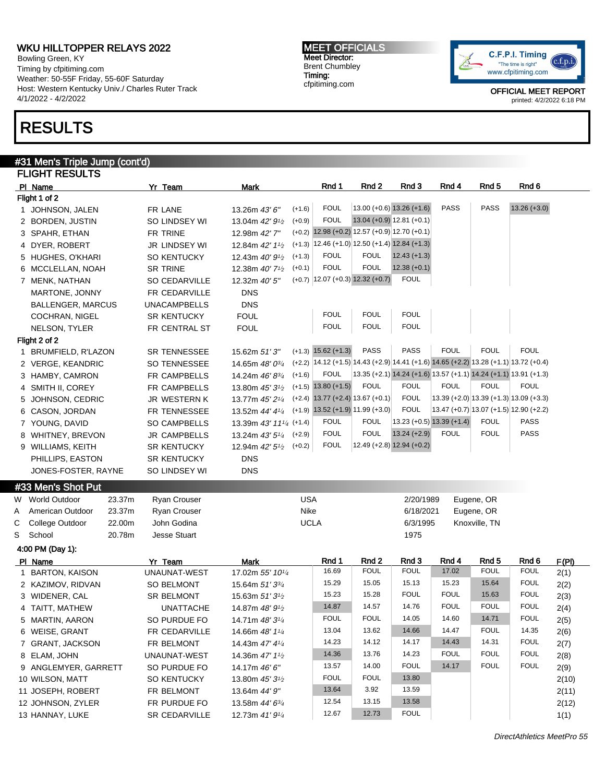Bowling Green, KY Timing by cfpitiming.com Weather: 50-55F Friday, 55-60F Saturday Host: Western Kentucky Univ./ Charles Ruter Track 4/1/2022 - 4/2/2022

## RESULTS

#### #31 Men's Triple Jump (cont'd) FLIGHT RESULTS

|   | ,,,,,,,,,,,,,                         |                         |                                                        |                                                                                        |                  |                             |                             |                  |                                                                  |              |
|---|---------------------------------------|-------------------------|--------------------------------------------------------|----------------------------------------------------------------------------------------|------------------|-----------------------------|-----------------------------|------------------|------------------------------------------------------------------|--------------|
|   | PI Name                               | Yr Team                 | Mark                                                   | Rnd 1                                                                                  | Rnd 2            | Rnd 3                       | Rnd 4                       | Rnd <sub>5</sub> | Rnd 6                                                            |              |
|   | Flight 1 of 2                         |                         |                                                        |                                                                                        |                  |                             |                             |                  |                                                                  |              |
|   | 1 JOHNSON, JALEN                      | FR LANE                 | $(+1.6)$<br>13.26m 43' 6"                              | <b>FOUL</b>                                                                            |                  | $13.00 (+0.6) 13.26 (+1.6)$ | <b>PASS</b>                 | <b>PASS</b>      | $13.26 (+3.0)$                                                   |              |
|   | 2 BORDEN, JUSTIN                      | SO LINDSEY WI           | $(+0.9)$<br>13.04m 42' 9 <sup>1</sup> /2               | <b>FOUL</b>                                                                            |                  | $13.04 (+0.9) 12.81 (+0.1)$ |                             |                  |                                                                  |              |
|   | 3 SPAHR, ETHAN                        | FR TRINE                | 12.98m 42'7"                                           | $(+0.2)$ 12.98 $(+0.2)$ 12.57 $(+0.9)$ 12.70 $(+0.1)$                                  |                  |                             |                             |                  |                                                                  |              |
|   | 4 DYER, ROBERT                        | <b>JR LINDSEY WI</b>    | 12.84m 42' 11/2                                        | $(+1.3)$ 12.46 $(+1.0)$ 12.50 $(+1.4)$ 12.84 $(+1.3)$                                  |                  |                             |                             |                  |                                                                  |              |
|   | 5 HUGHES, O'KHARI                     | SO KENTUCKY             | $(+1.3)$<br>12.43m $40'9\frac{1}{2}$                   | <b>FOUL</b>                                                                            | <b>FOUL</b>      | $12.43 (+1.3)$              |                             |                  |                                                                  |              |
|   | 6 MCCLELLAN, NOAH                     | <b>SR TRINE</b>         | $(+0.1)$<br>12.38m $40'$ 7 <sup>1</sup> / <sub>2</sub> | <b>FOUL</b>                                                                            | <b>FOUL</b>      | $12.38 (+0.1)$              |                             |                  |                                                                  |              |
|   | 7 MENK, NATHAN                        | SO CEDARVILLE           | 12.32m 40' 5"                                          | $(+0.7)$ 12.07 $(+0.3)$ 12.32 $(+0.7)$                                                 |                  | <b>FOUL</b>                 |                             |                  |                                                                  |              |
|   | MARTONE, JONNY                        | FR CEDARVILLE           | <b>DNS</b>                                             |                                                                                        |                  |                             |                             |                  |                                                                  |              |
|   | <b>BALLENGER, MARCUS</b>              | <b>UNACAMPBELLS</b>     | <b>DNS</b>                                             |                                                                                        |                  |                             |                             |                  |                                                                  |              |
|   | <b>COCHRAN, NIGEL</b>                 | <b>SR KENTUCKY</b>      | <b>FOUL</b>                                            | <b>FOUL</b>                                                                            | <b>FOUL</b>      | <b>FOUL</b>                 |                             |                  |                                                                  |              |
|   | NELSON, TYLER                         | FR CENTRAL ST           | <b>FOUL</b>                                            | <b>FOUL</b>                                                                            | <b>FOUL</b>      | <b>FOUL</b>                 |                             |                  |                                                                  |              |
|   | Flight 2 of 2                         |                         |                                                        |                                                                                        |                  |                             |                             |                  |                                                                  |              |
|   | 1 BRUMFIELD, R'LAZON                  | <b>SR TENNESSEE</b>     | 15.62m 51'3"                                           | $(+1.3)$ 15.62 $(+1.3)$                                                                | <b>PASS</b>      | <b>PASS</b>                 | <b>FOUL</b>                 | <b>FOUL</b>      | <b>FOUL</b>                                                      |              |
|   | 2 VERGE, KEANDRIC                     | SO TENNESSEE            | 14.65m $48'0^{3/4}$                                    | $(+2.2)$ 14.12 (+1.5) 14.43 (+2.9) 14.41 (+1.6) 14.65 (+2.2) 13.28 (+1.1) 13.72 (+0.4) |                  |                             |                             |                  |                                                                  |              |
|   | 3 HAMBY, CAMRON                       | <b>FR CAMPBELLS</b>     | $(+1.6)$<br>14.24m 46' 83/4                            | <b>FOUL</b>                                                                            |                  |                             |                             |                  | 13.35 (+2.1) 14.24 (+1.6) 13.57 (+1.1) 14.24 (+1.1) 13.91 (+1.3) |              |
|   | 4 SMITH II, COREY                     | FR CAMPBELLS            | 13.80m $45'3\frac{1}{2}$                               | $(+1.5)$ 13.80 $(+1.5)$                                                                | <b>FOUL</b>      | <b>FOUL</b>                 | <b>FOUL</b>                 | <b>FOUL</b>      | <b>FOUL</b>                                                      |              |
|   | 5 JOHNSON, CEDRIC                     | <b>JR WESTERN K</b>     | 13.77m 45' 21/4                                        | $(+2.4)$ 13.77 $(+2.4)$ 13.67 $(+0.1)$                                                 |                  | <b>FOUL</b>                 |                             |                  | $(13.39 (+2.0) 13.39 (+1.3) 13.09 (+3.3))$                       |              |
|   | 6 CASON, JORDAN                       | FR TENNESSEE            | 13.52m 44' 41/4                                        | $(+1.9)$ 13.52 $(+1.9)$ 11.99 $(+3.0)$                                                 |                  | <b>FOUL</b>                 |                             |                  | $13.47 (+0.7) 13.07 (+1.5) 12.90 (+2.2)$                         |              |
|   | 7 YOUNG, DAVID                        | <b>SO CAMPBELLS</b>     | 13.39m 43' 111/4 (+1.4)                                | <b>FOUL</b>                                                                            | <b>FOUL</b>      |                             | $13.23 (+0.5) 13.39 (+1.4)$ | <b>FOUL</b>      | PASS                                                             |              |
|   | 8 WHITNEY, BREVON                     | <b>JR CAMPBELLS</b>     | $(+2.9)$<br>13.24m 43' 51⁄4                            | <b>FOUL</b>                                                                            | <b>FOUL</b>      | $13.24 (+2.9)$              | <b>FOUL</b>                 | <b>FOUL</b>      | PASS                                                             |              |
|   | 9 WILLIAMS, KEITH                     | <b>SR KENTUCKY</b>      | $(+0.2)$<br>12.94m 42' 5 <sup>1</sup> / <sub>2</sub>   | <b>FOUL</b>                                                                            |                  | $12.49 (+2.8) 12.94 (+0.2)$ |                             |                  |                                                                  |              |
|   | PHILLIPS, EASTON                      | <b>SR KENTUCKY</b>      | <b>DNS</b>                                             |                                                                                        |                  |                             |                             |                  |                                                                  |              |
|   | JONES-FOSTER, RAYNE                   | SO LINDSEY WI           | <b>DNS</b>                                             |                                                                                        |                  |                             |                             |                  |                                                                  |              |
|   | #33 Men's Shot Put                    |                         |                                                        |                                                                                        |                  |                             |                             |                  |                                                                  |              |
| W | <b>World Outdoor</b><br>23.37m        | <b>Ryan Crouser</b>     |                                                        | <b>USA</b>                                                                             |                  | 2/20/1989                   |                             | Eugene, OR       |                                                                  |              |
| Α | American Outdoor<br>23.37m            | <b>Ryan Crouser</b>     |                                                        | Nike                                                                                   |                  | 6/18/2021                   |                             | Eugene, OR       |                                                                  |              |
| С | College Outdoor<br>22.00m             | John Godina             |                                                        | <b>UCLA</b>                                                                            |                  | 6/3/1995                    |                             | Knoxville, TN    |                                                                  |              |
| S | School<br>20.78m                      | <b>Jesse Stuart</b>     |                                                        |                                                                                        |                  | 1975                        |                             |                  |                                                                  |              |
|   |                                       |                         |                                                        |                                                                                        |                  |                             |                             |                  |                                                                  |              |
|   | 4:00 PM (Day 1):                      |                         |                                                        | Rnd 1                                                                                  | Rnd <sub>2</sub> | Rnd 3                       | Rnd 4                       | Rnd <sub>5</sub> |                                                                  |              |
|   | PI Name                               | Yr Team<br>UNAUNAT-WEST | Mark<br>17.02m 55' 101/4                               | 16.69                                                                                  | <b>FOUL</b>      | <b>FOUL</b>                 | 17.02                       | <b>FOUL</b>      | Rnd 6<br><b>FOUL</b>                                             | F(PI)        |
|   | 1 BARTON, KAISON<br>2 KAZIMOV, RIDVAN | <b>SO BELMONT</b>       | 15.64m $51'3^{3/4}$                                    | 15.29                                                                                  | 15.05            | 15.13                       | 15.23                       | 15.64            | <b>FOUL</b>                                                      | 2(1)<br>2(2) |
|   | 3 WIDENER, CAL                        | <b>SR BELMONT</b>       | 15.63m 51' 3 <sup>1</sup> / <sub>2</sub>               | 15.23                                                                                  | 15.28            | <b>FOUL</b>                 | <b>FOUL</b>                 | 15.63            | <b>FOUL</b>                                                      |              |
|   |                                       |                         |                                                        | 14.87                                                                                  | 14.57            | 14.76                       | <b>FOUL</b>                 | <b>FOUL</b>      | <b>FOUL</b>                                                      | 2(3)         |
|   | 4 TAITT, MATHEW                       | UNATTACHE               | 14.87m 48' 91/2                                        | <b>FOUL</b>                                                                            | <b>FOUL</b>      | 14.05                       | 14.60                       | 14.71            | <b>FOUL</b>                                                      | 2(4)         |
|   | 5 MARTIN, AARON                       | SO PURDUE FO            | 14.71m 48' 31/4                                        | 13.04                                                                                  | 13.62            | 14.66                       | 14.47                       | FOUL             | 14.35                                                            | 2(5)         |
|   | 6 WEISE, GRANT                        | FR CEDARVILLE           | 14.66m 48' 11/4                                        | 14.23                                                                                  | 14.12            |                             | 14.43                       |                  | <b>FOUL</b>                                                      | 2(6)         |
|   | 7 GRANT, JACKSON                      | FR BELMONT              | 14.43m 47' 41/4                                        |                                                                                        |                  | 14.17                       |                             | 14.31            |                                                                  | 2(7)         |
|   | 8 ELAM, JOHN                          | UNAUNAT-WEST            | 14.36m 47' 11/2                                        | 14.36                                                                                  | 13.76            | 14.23                       | <b>FOUL</b>                 | <b>FOUL</b>      | FOUL                                                             | 2(8)         |
|   | 9 ANGLEMYER, GARRETT                  | SO PURDUE FO            | 14.17m 46' 6"                                          | 13.57                                                                                  | 14.00            | FOUL                        | 14.17                       | <b>FOUL</b>      | <b>FOUL</b>                                                      | 2(9)         |
|   | 10 WILSON, MATT                       | <b>SO KENTUCKY</b>      | 13.80m 45' 3 <sup>1</sup> / <sub>2</sub>               | <b>FOUL</b>                                                                            | <b>FOUL</b>      | 13.80                       |                             |                  |                                                                  | 2(10)        |
|   | 11 JOSEPH, ROBERT                     | FR BELMONT              | 13.64m 44' 9"                                          | 13.64                                                                                  | 3.92             | 13.59                       |                             |                  |                                                                  | 2(11)        |
|   | 12 JOHNSON, ZYLER                     | FR PURDUE FO            | 13.58m 44' 63/4                                        | 12.54                                                                                  | 13.15            | 13.58                       |                             |                  |                                                                  | 2(12)        |
|   | 13 HANNAY, LUKE                       | SR CEDARVILLE           | 12.73m 41' 91/4                                        | 12.67                                                                                  | 12.73            | <b>FOUL</b>                 |                             |                  |                                                                  | 1(1)         |

MEET OFFICIALS Meet Director: Brent Chumbley Timing: cfpitiming.com

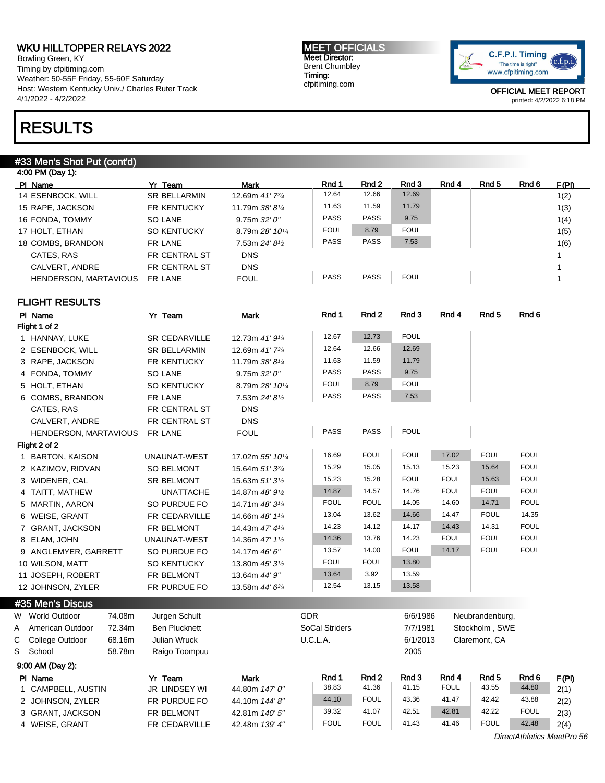Bowling Green, KY Timing by cfpitiming.com Weather: 50-55F Friday, 55-60F Saturday Host: Western Kentucky Univ./ Charles Ruter Track 4/1/2022 - 4/2/2022

## RESULTS

#### #33 Men's Shot Put (cont'd)

| 4:00 PM (Day 1):             |                     |                 |             |             |             |       |       |       |       |
|------------------------------|---------------------|-----------------|-------------|-------------|-------------|-------|-------|-------|-------|
| PI Name                      | Yr Team             | Mark            | Rnd 1       | Rnd 2       | Rnd 3       | Rnd 4 | Rnd 5 | Rnd 6 | F(PI) |
| 14 ESENBOCK, WILL            | <b>SR BELLARMIN</b> | 12.69m 41'73/4  | 12.64       | 12.66       | 12.69       |       |       |       | 1(2)  |
| 15 RAPE, JACKSON             | <b>FR KENTUCKY</b>  | 11.79m 38'81/4  | 11.63       | 11.59       | 11.79       |       |       |       | 1(3)  |
| 16 FONDA, TOMMY              | SO LANE             | 9.75m 32'0''    | <b>PASS</b> | <b>PASS</b> | 9.75        |       |       |       | 1(4)  |
| 17 HOLT, ETHAN               | <b>SO KENTUCKY</b>  | 8.79m 28' 101/4 | <b>FOUL</b> | 8.79        | <b>FOUL</b> |       |       |       | 1(5)  |
| 18 COMBS, BRANDON            | FR LANE             | 7.53m 24' 81/2  | <b>PASS</b> | <b>PASS</b> | 7.53        |       |       |       | 1(6)  |
| CATES, RAS                   | FR CENTRAL ST       | <b>DNS</b>      |             |             |             |       |       |       |       |
| CALVERT, ANDRE               | FR CENTRAL ST       | <b>DNS</b>      |             |             |             |       |       |       |       |
| <b>HENDERSON, MARTAVIOUS</b> | FR LANE             | <b>FOUL</b>     | <b>PASS</b> | <b>PASS</b> | <b>FOUL</b> |       |       |       |       |

### FLIGHT RESULTS

|   | PI Name                        | Yr Team              | <b>Mark</b>                              | Rnd 1          | Rnd 2       | Rnd 3       | Rnd 4       | Rnd <sub>5</sub> | Rnd 6       |
|---|--------------------------------|----------------------|------------------------------------------|----------------|-------------|-------------|-------------|------------------|-------------|
|   | Flight 1 of 2                  |                      |                                          |                |             |             |             |                  |             |
|   | 1 HANNAY, LUKE                 | <b>SR CEDARVILLE</b> | 12.73m 41' 91/4                          | 12.67          | 12.73       | <b>FOUL</b> |             |                  |             |
|   | 2 ESENBOCK, WILL               | <b>SR BELLARMIN</b>  | 12.69m 41'73/4                           | 12.64          | 12.66       | 12.69       |             |                  |             |
|   | 3 RAPE, JACKSON                | FR KENTUCKY          | 11.79m 38' 81/4                          | 11.63          | 11.59       | 11.79       |             |                  |             |
|   | 4 FONDA, TOMMY                 | <b>SO LANE</b>       | 9.75m 32'0''                             | <b>PASS</b>    | PASS        | 9.75        |             |                  |             |
|   | 5 HOLT, ETHAN                  | <b>SO KENTUCKY</b>   | 8.79m 28' 101/4                          | <b>FOUL</b>    | 8.79        | <b>FOUL</b> |             |                  |             |
|   | 6 COMBS, BRANDON               | FR LANE              | 7.53m 24' 8 <sup>1/2</sup>               | <b>PASS</b>    | <b>PASS</b> | 7.53        |             |                  |             |
|   | CATES, RAS                     | FR CENTRAL ST        | <b>DNS</b>                               |                |             |             |             |                  |             |
|   | CALVERT, ANDRE                 | FR CENTRAL ST        | <b>DNS</b>                               |                |             |             |             |                  |             |
|   | HENDERSON, MARTAVIOUS          | FR LANE              | <b>FOUL</b>                              | <b>PASS</b>    | PASS        | <b>FOUL</b> |             |                  |             |
|   | Flight 2 of 2                  |                      |                                          |                |             |             |             |                  |             |
|   | 1 BARTON, KAISON               | UNAUNAT-WEST         | 17.02m 55' 101/4                         | 16.69          | <b>FOUL</b> | <b>FOUL</b> | 17.02       | <b>FOUL</b>      | <b>FOUL</b> |
|   | 2 KAZIMOV, RIDVAN              | <b>SO BELMONT</b>    | 15.64m 51' 33/4                          | 15.29          | 15.05       | 15.13       | 15.23       | 15.64            | <b>FOUL</b> |
|   | 3 WIDENER, CAL                 | <b>SR BELMONT</b>    | 15.63m 51' 3 <sup>1</sup> / <sub>2</sub> | 15.23          | 15.28       | <b>FOUL</b> | <b>FOUL</b> | 15.63            | <b>FOUL</b> |
|   | 4 TAITT, MATHEW                | <b>UNATTACHE</b>     | 14.87m 48' 91/2                          | 14.87          | 14.57       | 14.76       | <b>FOUL</b> | <b>FOUL</b>      | <b>FOUL</b> |
|   | 5 MARTIN, AARON                | SO PURDUE FO         | 14.71m 48' 31/4                          | <b>FOUL</b>    | <b>FOUL</b> | 14.05       | 14.60       | 14.71            | <b>FOUL</b> |
|   | 6 WEISE, GRANT                 | <b>FR CEDARVILLE</b> | 14.66m 48' 11/4                          | 13.04          | 13.62       | 14.66       | 14.47       | <b>FOUL</b>      | 14.35       |
|   | 7 GRANT, JACKSON               | FR BELMONT           | 14.43m 47' 41/4                          | 14.23          | 14.12       | 14.17       | 14.43       | 14.31            | <b>FOUL</b> |
|   | 8 ELAM, JOHN                   | UNAUNAT-WEST         | 14.36m 47' 11/2                          | 14.36          | 13.76       | 14.23       | <b>FOUL</b> | <b>FOUL</b>      | <b>FOUL</b> |
|   | 9 ANGLEMYER, GARRETT           | SO PURDUE FO         | 14.17m 46' 6"                            | 13.57          | 14.00       | <b>FOUL</b> | 14.17       | <b>FOUL</b>      | <b>FOUL</b> |
|   | 10 WILSON, MATT                | <b>SO KENTUCKY</b>   | 13.80m 45' 31/2                          | <b>FOUL</b>    | <b>FOUL</b> | 13.80       |             |                  |             |
|   | 11 JOSEPH, ROBERT              | FR BELMONT           | 13.64m 44' 9"                            | 13.64          | 3.92        | 13.59       |             |                  |             |
|   | 12 JOHNSON, ZYLER              | FR PURDUE FO         | 13.58m 44' 63/4                          | 12.54          | 13.15       | 13.58       |             |                  |             |
|   | #35 Men's Discus               |                      |                                          |                |             |             |             |                  |             |
| W | <b>World Outdoor</b><br>74.08m | Jurgen Schult        |                                          | <b>GDR</b>     |             | 6/6/1986    |             | Neubrandenburg,  |             |
| A | American Outdoor<br>72.34m     | <b>Ben Plucknett</b> |                                          | SoCal Striders |             | 7/7/1981    |             | Stockholm, SWE   |             |
| С | 68.16m<br>College Outdoor      | <b>Julian Wruck</b>  |                                          | U.C.L.A.       |             | 6/1/2013    |             | Claremont, CA    |             |

9:00 AM (Day 2): Pl Name **Yr Team Mark Rnd 1 Rnd 2 Rnd 3 Rnd 4 Rnd 5** Rnd 6 F(PI) 1 CAMPBELL, AUSTIN JR LINDSEY WI 44.80m 147' 0" 38.83 41.36 41.15 FOUL 43.55 44.80 2(1) 2 JOHNSON, ZYLER FR PURDUE FO 44.10m 144' 8" 44.10 FOUL 43.36 41.47 42.42 43.88 2(2) 3 GRANT, JACKSON FR BELMONT 42.81m 140' 5" 39.32 41.07 42.51 42.81 42.22 FOUL 2(3) 4 WEISE, GRANT FR CEDARVILLE 42.48m 139' 4" FOUL FOUL 41.43 41.46 FOUL 42.48 2(4)

S School 58.78m Raigo Toompuu 2005

DirectAthletics MeetPro 56

MEET OFFICIALS Meet Director: Brent Chumbley Timing: cfpitiming.com

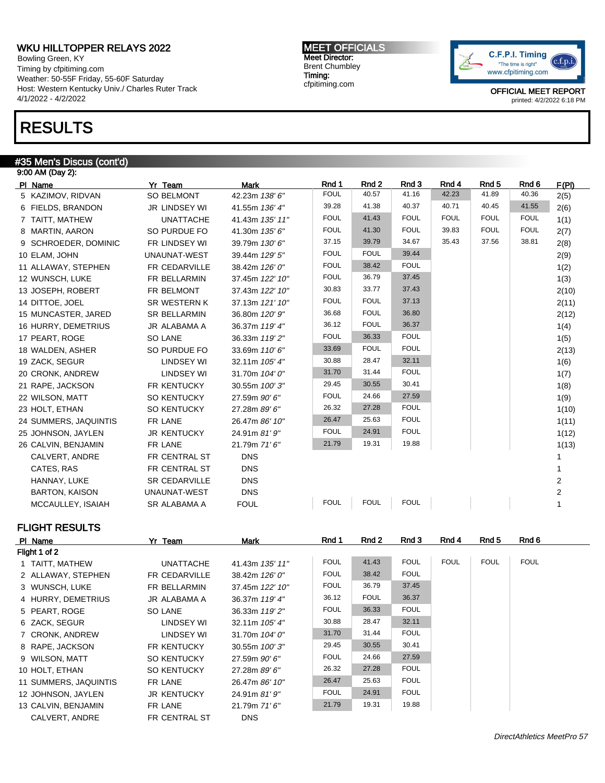Bowling Green, KY Timing by cfpitiming.com Weather: 50-55F Friday, 55-60F Saturday Host: Western Kentucky Univ./ Charles Ruter Track 4/1/2022 - 4/2/2022

## RESULTS

#### #35 Men's Discus (cont'd)

| 9:00 AM (Day 2):      |                      |                 |             |             |             |             |             |             |       |
|-----------------------|----------------------|-----------------|-------------|-------------|-------------|-------------|-------------|-------------|-------|
| PI Name               | Yr Team              | <b>Mark</b>     | Rnd 1       | Rnd 2       | Rnd 3       | Rnd 4       | Rnd 5       | Rnd 6       | F(PI) |
| 5 KAZIMOV, RIDVAN     | <b>SO BELMONT</b>    | 42.23m 138' 6"  | <b>FOUL</b> | 40.57       | 41.16       | 42.23       | 41.89       | 40.36       | 2(5)  |
| 6 FIELDS, BRANDON     | <b>JR LINDSEY WI</b> | 41.55m 136' 4"  | 39.28       | 41.38       | 40.37       | 40.71       | 40.45       | 41.55       | 2(6)  |
| 7 TAITT, MATHEW       | <b>UNATTACHE</b>     | 41.43m 135' 11" | <b>FOUL</b> | 41.43       | <b>FOUL</b> | <b>FOUL</b> | <b>FOUL</b> | <b>FOUL</b> | 1(1)  |
| 8 MARTIN, AARON       | SO PURDUE FO         | 41.30m 135' 6"  | <b>FOUL</b> | 41.30       | <b>FOUL</b> | 39.83       | <b>FOUL</b> | <b>FOUL</b> | 2(7)  |
| 9 SCHROEDER, DOMINIC  | FR LINDSEY WI        | 39.79m 130' 6"  | 37.15       | 39.79       | 34.67       | 35.43       | 37.56       | 38.81       | 2(8)  |
| 10 ELAM, JOHN         | UNAUNAT-WEST         | 39.44m 129' 5"  | <b>FOUL</b> | <b>FOUL</b> | 39.44       |             |             |             | 2(9)  |
| 11 ALLAWAY, STEPHEN   | FR CEDARVILLE        | 38.42m 126' 0"  | <b>FOUL</b> | 38.42       | <b>FOUL</b> |             |             |             | 1(2)  |
| 12 WUNSCH, LUKE       | <b>FR BELLARMIN</b>  | 37.45m 122' 10" | <b>FOUL</b> | 36.79       | 37.45       |             |             |             | 1(3)  |
| 13 JOSEPH, ROBERT     | FR BELMONT           | 37.43m 122' 10" | 30.83       | 33.77       | 37.43       |             |             |             | 2(10) |
| 14 DITTOE, JOEL       | <b>SR WESTERN K</b>  | 37.13m 121' 10" | <b>FOUL</b> | <b>FOUL</b> | 37.13       |             |             |             | 2(11) |
| 15 MUNCASTER, JARED   | <b>SR BELLARMIN</b>  | 36.80m 120' 9"  | 36.68       | <b>FOUL</b> | 36.80       |             |             |             | 2(12) |
| 16 HURRY, DEMETRIUS   | JR ALABAMA A         | 36.37m 119' 4"  | 36.12       | <b>FOUL</b> | 36.37       |             |             |             | 1(4)  |
| 17 PEART, ROGE        | SO LANE              | 36.33m 119' 2"  | <b>FOUL</b> | 36.33       | <b>FOUL</b> |             |             |             | 1(5)  |
| 18 WALDEN, ASHER      | SO PURDUE FO         | 33.69m 110' 6"  | 33.69       | <b>FOUL</b> | <b>FOUL</b> |             |             |             | 2(13) |
| 19 ZACK, SEGUR        | <b>LINDSEY WI</b>    | 32.11m 105' 4"  | 30.88       | 28.47       | 32.11       |             |             |             | 1(6)  |
| 20 CRONK, ANDREW      | <b>LINDSEY WI</b>    | 31.70m 104' 0"  | 31.70       | 31.44       | <b>FOUL</b> |             |             |             | 1(7)  |
| 21 RAPE, JACKSON      | <b>FR KENTUCKY</b>   | 30.55m 100'3"   | 29.45       | 30.55       | 30.41       |             |             |             | 1(8)  |
| 22 WILSON, MATT       | <b>SO KENTUCKY</b>   | 27.59m 90' 6"   | <b>FOUL</b> | 24.66       | 27.59       |             |             |             | 1(9)  |
| 23 HOLT, ETHAN        | <b>SO KENTUCKY</b>   | 27.28m 89' 6"   | 26.32       | 27.28       | <b>FOUL</b> |             |             |             | 1(10) |
| 24 SUMMERS, JAQUINTIS | FR LANE              | 26.47m 86' 10"  | 26.47       | 25.63       | <b>FOUL</b> |             |             |             | 1(11) |
| 25 JOHNSON, JAYLEN    | <b>JR KENTUCKY</b>   | 24.91m 81' 9"   | <b>FOUL</b> | 24.91       | <b>FOUL</b> |             |             |             | 1(12) |
| 26 CALVIN, BENJAMIN   | FR LANE              | 21.79m 71'6"    | 21.79       | 19.31       | 19.88       |             |             |             | 1(13) |
| CALVERT, ANDRE        | FR CENTRAL ST        | <b>DNS</b>      |             |             |             |             |             |             |       |
| CATES, RAS            | FR CENTRAL ST        | <b>DNS</b>      |             |             |             |             |             |             |       |
| HANNAY, LUKE          | <b>SR CEDARVILLE</b> | <b>DNS</b>      |             |             |             |             |             |             | 2     |
| <b>BARTON, KAISON</b> | UNAUNAT-WEST         | <b>DNS</b>      |             |             |             |             |             |             | 2     |
| MCCAULLEY, ISAIAH     | <b>SR ALABAMA A</b>  | <b>FOUL</b>     | <b>FOUL</b> | <b>FOUL</b> | <b>FOUL</b> |             |             |             |       |

### FLIGHT RESULTS

| PI Name               | Yr Team            | Mark             | Rnd 1       | Rnd 2       | Rnd 3       | Rnd 4       | Rnd 5       | Rnd 6       |  |
|-----------------------|--------------------|------------------|-------------|-------------|-------------|-------------|-------------|-------------|--|
| Flight 1 of 2         |                    |                  |             |             |             |             |             |             |  |
| 1 TAITT, MATHEW       | <b>UNATTACHE</b>   | 41.43m 135' 11"  | <b>FOUL</b> | 41.43       | <b>FOUL</b> | <b>FOUL</b> | <b>FOUL</b> | <b>FOUL</b> |  |
| 2 ALLAWAY, STEPHEN    | FR CEDARVILLE      | 38.42m 126' 0"   | <b>FOUL</b> | 38.42       | <b>FOUL</b> |             |             |             |  |
| 3 WUNSCH, LUKE        | FR BELLARMIN       | 37.45m 122' 10"  | <b>FOUL</b> | 36.79       | 37.45       |             |             |             |  |
| 4 HURRY, DEMETRIUS    | JR ALABAMA A       | 36.37m 119' 4"   | 36.12       | <b>FOUL</b> | 36.37       |             |             |             |  |
| 5 PEART, ROGE         | SO LANE            | 36.33m 119'2"    | <b>FOUL</b> | 36.33       | <b>FOUL</b> |             |             |             |  |
| 6 ZACK, SEGUR         | LINDSEY WI         | 32.11m 105' 4"   | 30.88       | 28.47       | 32.11       |             |             |             |  |
| 7 CRONK, ANDREW       | LINDSEY WI         | 31.70m $104'0''$ | 31.70       | 31.44       | <b>FOUL</b> |             |             |             |  |
| 8 RAPE, JACKSON       | FR KENTUCKY        | 30.55m 100'3"    | 29.45       | 30.55       | 30.41       |             |             |             |  |
| 9 WILSON, MATT        | <b>SO KENTUCKY</b> | 27.59m 90' 6"    | <b>FOUL</b> | 24.66       | 27.59       |             |             |             |  |
| 10 HOLT, ETHAN        | <b>SO KENTUCKY</b> | 27.28m 89' 6"    | 26.32       | 27.28       | <b>FOUL</b> |             |             |             |  |
| 11 SUMMERS, JAQUINTIS | FR LANE            | 26.47m 86' 10"   | 26.47       | 25.63       | <b>FOUL</b> |             |             |             |  |
| 12 JOHNSON, JAYLEN    | <b>JR KENTUCKY</b> | 24.91m 81' 9"    | <b>FOUL</b> | 24.91       | <b>FOUL</b> |             |             |             |  |
| 13 CALVIN, BENJAMIN   | FR LANE            | 21.79m 71'6''    | 21.79       | 19.31       | 19.88       |             |             |             |  |
| CALVERT, ANDRE        | FR CENTRAL ST      | <b>DNS</b>       |             |             |             |             |             |             |  |

MEET OFFICIALS Meet Director: Brent Chumbley Timing: cfpitiming.com

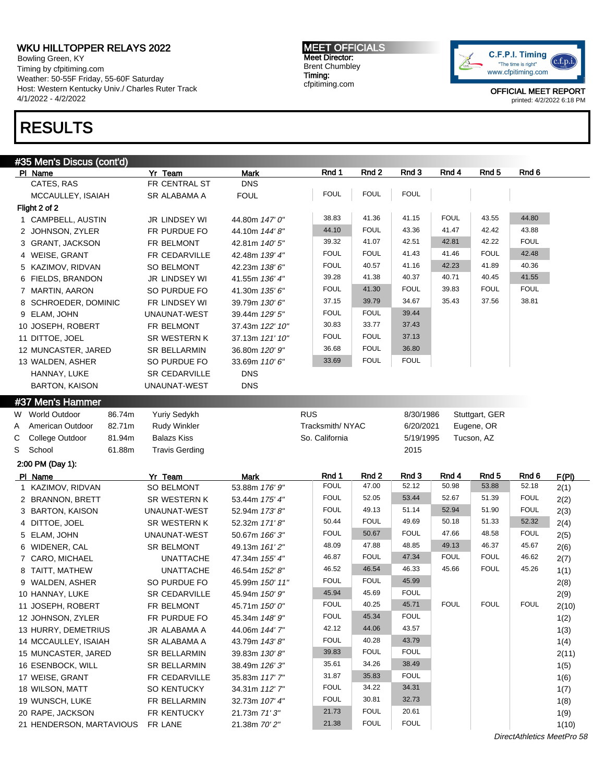Bowling Green, KY Timing by cfpitiming.com Weather: 50-55F Friday, 55-60F Saturday Host: Western Kentucky Univ./ Charles Ruter Track 4/1/2022 - 4/2/2022

# RESULTS

MEET OFFICIALS Meet Director: Brent Chumbley Timing: cfpitiming.com



OFFICIAL MEET REPORT printed: 4/2/2022 6:18 PM

| Rnd 1<br>Rnd <sub>2</sub><br>Rnd 3<br>Rnd 4<br>PI Name<br>Yr Team<br>Mark<br>CATES, RAS<br>FR CENTRAL ST<br><b>DNS</b><br><b>FOUL</b><br><b>FOUL</b><br><b>FOUL</b><br><b>FOUL</b><br>MCCAULLEY, ISAIAH<br>SR ALABAMA A<br>Flight 2 of 2<br><b>FOUL</b><br>38.83<br>41.36<br>41.15<br>43.55<br>44.80<br>1 CAMPBELL, AUSTIN<br>JR LINDSEY WI<br>44.80m 147' 0"<br><b>FOUL</b><br>44.10<br>43.36<br>42.42<br>43.88<br>41.47<br>2 JOHNSON, ZYLER<br>FR PURDUE FO<br>44.10m 144'8"<br><b>FOUL</b><br>39.32<br>41.07<br>42.51<br>42.81<br>42.22<br>FR BELMONT<br>3 GRANT, JACKSON<br>42.81m 140' 5"<br><b>FOUL</b><br><b>FOUL</b><br>42.48<br><b>FOUL</b><br>41.43<br>41.46<br>FR CEDARVILLE<br>4 WEISE, GRANT<br>42.48m 139' 4"<br><b>FOUL</b><br>40.57<br>41.16<br>42.23<br>40.36<br>41.89<br><b>SO BELMONT</b><br>5 KAZIMOV, RIDVAN<br>42.23m 138' 6"<br>41.55<br>39.28<br>41.38<br>40.37<br>40.71<br>40.45<br>6 FIELDS, BRANDON<br>JR LINDSEY WI<br>41.55m 136' 4"<br>41.30<br><b>FOUL</b><br><b>FOUL</b><br><b>FOUL</b><br>39.83<br><b>FOUL</b><br>7 MARTIN, AARON<br>SO PURDUE FO<br>41.30m 135' 6"<br>39.79<br>37.15<br>34.67<br>35.43<br>38.81<br>37.56<br>8 SCHROEDER, DOMINIC<br>FR LINDSEY WI<br>39.79m 130'6"<br><b>FOUL</b><br><b>FOUL</b><br>39.44<br>9 ELAM, JOHN<br>UNAUNAT-WEST<br>39.44m 129' 5"<br>33.77<br>37.43<br>30.83<br>10 JOSEPH, ROBERT<br>FR BELMONT<br>37.43m 122' 10"<br><b>FOUL</b><br><b>FOUL</b><br>37.13<br>11 DITTOE, JOEL<br>SR WESTERN K<br>37.13m 121' 10"<br><b>FOUL</b><br>36.68<br>36.80<br>36.80m 120' 9"<br>12 MUNCASTER, JARED<br><b>SR BELLARMIN</b><br><b>FOUL</b><br><b>FOUL</b><br>33.69<br>SO PURDUE FO<br>13 WALDEN, ASHER<br>33.69m 110'6"<br><b>DNS</b><br>HANNAY, LUKE<br><b>SR CEDARVILLE</b><br><b>DNS</b><br><b>BARTON, KAISON</b><br>UNAUNAT-WEST<br>#37 Men's Hammer<br>W World Outdoor<br><b>RUS</b><br>86.74m<br>Yuriy Sedykh<br>8/30/1986<br>Stuttgart, GER<br>82.71m<br>American Outdoor<br><b>Rudy Winkler</b><br>Tracksmith/NYAC<br>6/20/2021<br>Eugene, OR<br>A<br>81.94m<br>So. California<br>С<br>College Outdoor<br><b>Balazs Kiss</b><br>5/19/1995<br>Tucson, AZ<br>S<br><b>Travis Gerding</b><br>School<br>61.88m<br>2015<br>2:00 PM (Day 1):<br>Rnd 1<br>Rnd <sub>5</sub><br>Rnd 6<br>Rnd 2<br>Rnd 3<br>Rnd 4<br>Yr Team<br>F(PI)<br>PI Name<br><b>Mark</b><br><b>FOUL</b><br>52.12<br>52.18<br>47.00<br>50.98<br>53.88<br>SO BELMONT<br>2(1)<br>1 KAZIMOV, RIDVAN<br>53.88m 176' 9"<br><b>FOUL</b><br>53.44<br><b>FOUL</b><br>52.05<br>52.67<br>51.39<br>2 BRANNON, BRETT<br>SR WESTERN K<br>53.44m 175' 4"<br>2(2)<br><b>FOUL</b><br>49.13<br>51.14<br>52.94<br>51.90<br><b>FOUL</b><br>3 BARTON, KAISON<br>UNAUNAT-WEST<br>52.94m 173' 8"<br>2(3)<br>50.44<br><b>FOUL</b><br>49.69<br>52.32<br>50.18<br>51.33<br>4 DITTOE, JOEL<br>SR WESTERN K<br>52.32m 171'8"<br>2(4)<br><b>FOUL</b><br>50.67<br><b>FOUL</b><br>47.66<br><b>FOUL</b><br>48.58<br>5 ELAM, JOHN<br>UNAUNAT-WEST<br>50.67m 166'3"<br>2(5)<br>48.09<br>47.88<br>48.85<br>49.13<br>45.67<br>46.37<br>6 WIDENER, CAL<br><b>SR BELMONT</b><br>49.13m 161'2"<br>2(6)<br><b>FOUL</b><br>47.34<br><b>FOUL</b><br><b>FOUL</b><br>46.87<br>46.62<br>7 CARO, MICHAEL<br><b>UNATTACHE</b><br>47.34m 155' 4"<br>2(7)<br>46.52<br>46.54<br>46.33<br>45.66<br><b>FOUL</b><br>45.26<br><b>UNATTACHE</b><br>46.54m 152' 8"<br>1(1)<br>8 TAITT, MATHEW<br><b>FOUL</b><br><b>FOUL</b><br>45.99<br>9 WALDEN, ASHER<br>SO PURDUE FO<br>45.99m 150' 11"<br>2(8)<br>45.94<br>45.69<br><b>FOUL</b><br>10 HANNAY, LUKE<br><b>SR CEDARVILLE</b><br>45.94m 150' 9"<br>2(9)<br><b>FOUL</b><br><b>FOUL</b><br><b>FOUL</b><br><b>FOUL</b><br>40.25<br>45.71<br>11 JOSEPH, ROBERT<br>FR BELMONT<br>2(10)<br>45.71m 150' 0"<br><b>FOUL</b><br>45.34<br><b>FOUL</b><br>12 JOHNSON, ZYLER<br>FR PURDUE FO<br>1(2)<br>45.34m 148' 9"<br>43.57<br>42.12<br>44.06<br>13 HURRY, DEMETRIUS<br>JR ALABAMA A<br>44.06m 144'7"<br>1(3)<br>40.28<br><b>FOUL</b><br>43.79<br>14 MCCAULLEY, ISAIAH<br>SR ALABAMA A<br>43.79m 143'8"<br>1(4)<br><b>FOUL</b><br>39.83<br><b>FOUL</b><br>15 MUNCASTER, JARED<br>SR BELLARMIN<br>39.83m 130'8"<br>2(11)<br>35.61<br>34.26<br>38.49<br>16 ESENBOCK, WILL<br>SR BELLARMIN<br>38.49m 126' 3"<br>1(5)<br>31.87<br>35.83<br><b>FOUL</b><br>17 WEISE, GRANT<br>FR CEDARVILLE<br>35.83m 117'7"<br>1(6)<br><b>FOUL</b><br>34.22<br>34.31<br>18 WILSON, MATT<br>SO KENTUCKY<br>34.31m 112'7"<br>1(7) | 30.81<br><b>FOUL</b><br>32.73<br>19 WUNSCH, LUKE<br>FR BELLARMIN<br>32.73m 107' 4"                   | #35 Men's Discus (cont'd) |             |              |  |  |                  |       |              |
|----------------------------------------------------------------------------------------------------------------------------------------------------------------------------------------------------------------------------------------------------------------------------------------------------------------------------------------------------------------------------------------------------------------------------------------------------------------------------------------------------------------------------------------------------------------------------------------------------------------------------------------------------------------------------------------------------------------------------------------------------------------------------------------------------------------------------------------------------------------------------------------------------------------------------------------------------------------------------------------------------------------------------------------------------------------------------------------------------------------------------------------------------------------------------------------------------------------------------------------------------------------------------------------------------------------------------------------------------------------------------------------------------------------------------------------------------------------------------------------------------------------------------------------------------------------------------------------------------------------------------------------------------------------------------------------------------------------------------------------------------------------------------------------------------------------------------------------------------------------------------------------------------------------------------------------------------------------------------------------------------------------------------------------------------------------------------------------------------------------------------------------------------------------------------------------------------------------------------------------------------------------------------------------------------------------------------------------------------------------------------------------------------------------------------------------------------------------------------------------------------------------------------------------------------------------------------------------------------------------------------------------------------------------------------------------------------------------------------------------------------------------------------------------------------------------------------------------------------------------------------------------------------------------------------------------------------------------------------------------------------------------------------------------------------------------------------------------------------------------------------------------------------------------------------------------------------------------------------------------------------------------------------------------------------------------------------------------------------------------------------------------------------------------------------------------------------------------------------------------------------------------------------------------------------------------------------------------------------------------------------------------------------------------------------------------------------------------------------------------------------------------------------------------------------------------------------------------------------------------------------------------------------------------------------------------------------------------------------------------------------------------------------------------------------------------------------------------------------------------------------------------------------------------------------------------------------------------------------------------------------------------------------------------------------------------------------------------------------------------------------------------------------------------------------------|------------------------------------------------------------------------------------------------------|---------------------------|-------------|--------------|--|--|------------------|-------|--------------|
|                                                                                                                                                                                                                                                                                                                                                                                                                                                                                                                                                                                                                                                                                                                                                                                                                                                                                                                                                                                                                                                                                                                                                                                                                                                                                                                                                                                                                                                                                                                                                                                                                                                                                                                                                                                                                                                                                                                                                                                                                                                                                                                                                                                                                                                                                                                                                                                                                                                                                                                                                                                                                                                                                                                                                                                                                                                                                                                                                                                                                                                                                                                                                                                                                                                                                                                                                                                                                                                                                                                                                                                                                                                                                                                                                                                                                                                                                                                                                                                                                                                                                                                                                                                                                                                                                                                                                                                                                                  |                                                                                                      |                           |             |              |  |  | Rnd <sub>5</sub> | Rnd 6 |              |
|                                                                                                                                                                                                                                                                                                                                                                                                                                                                                                                                                                                                                                                                                                                                                                                                                                                                                                                                                                                                                                                                                                                                                                                                                                                                                                                                                                                                                                                                                                                                                                                                                                                                                                                                                                                                                                                                                                                                                                                                                                                                                                                                                                                                                                                                                                                                                                                                                                                                                                                                                                                                                                                                                                                                                                                                                                                                                                                                                                                                                                                                                                                                                                                                                                                                                                                                                                                                                                                                                                                                                                                                                                                                                                                                                                                                                                                                                                                                                                                                                                                                                                                                                                                                                                                                                                                                                                                                                                  |                                                                                                      |                           |             |              |  |  |                  |       |              |
|                                                                                                                                                                                                                                                                                                                                                                                                                                                                                                                                                                                                                                                                                                                                                                                                                                                                                                                                                                                                                                                                                                                                                                                                                                                                                                                                                                                                                                                                                                                                                                                                                                                                                                                                                                                                                                                                                                                                                                                                                                                                                                                                                                                                                                                                                                                                                                                                                                                                                                                                                                                                                                                                                                                                                                                                                                                                                                                                                                                                                                                                                                                                                                                                                                                                                                                                                                                                                                                                                                                                                                                                                                                                                                                                                                                                                                                                                                                                                                                                                                                                                                                                                                                                                                                                                                                                                                                                                                  |                                                                                                      |                           |             |              |  |  |                  |       |              |
|                                                                                                                                                                                                                                                                                                                                                                                                                                                                                                                                                                                                                                                                                                                                                                                                                                                                                                                                                                                                                                                                                                                                                                                                                                                                                                                                                                                                                                                                                                                                                                                                                                                                                                                                                                                                                                                                                                                                                                                                                                                                                                                                                                                                                                                                                                                                                                                                                                                                                                                                                                                                                                                                                                                                                                                                                                                                                                                                                                                                                                                                                                                                                                                                                                                                                                                                                                                                                                                                                                                                                                                                                                                                                                                                                                                                                                                                                                                                                                                                                                                                                                                                                                                                                                                                                                                                                                                                                                  |                                                                                                      |                           |             |              |  |  |                  |       |              |
|                                                                                                                                                                                                                                                                                                                                                                                                                                                                                                                                                                                                                                                                                                                                                                                                                                                                                                                                                                                                                                                                                                                                                                                                                                                                                                                                                                                                                                                                                                                                                                                                                                                                                                                                                                                                                                                                                                                                                                                                                                                                                                                                                                                                                                                                                                                                                                                                                                                                                                                                                                                                                                                                                                                                                                                                                                                                                                                                                                                                                                                                                                                                                                                                                                                                                                                                                                                                                                                                                                                                                                                                                                                                                                                                                                                                                                                                                                                                                                                                                                                                                                                                                                                                                                                                                                                                                                                                                                  |                                                                                                      |                           |             |              |  |  |                  |       |              |
|                                                                                                                                                                                                                                                                                                                                                                                                                                                                                                                                                                                                                                                                                                                                                                                                                                                                                                                                                                                                                                                                                                                                                                                                                                                                                                                                                                                                                                                                                                                                                                                                                                                                                                                                                                                                                                                                                                                                                                                                                                                                                                                                                                                                                                                                                                                                                                                                                                                                                                                                                                                                                                                                                                                                                                                                                                                                                                                                                                                                                                                                                                                                                                                                                                                                                                                                                                                                                                                                                                                                                                                                                                                                                                                                                                                                                                                                                                                                                                                                                                                                                                                                                                                                                                                                                                                                                                                                                                  |                                                                                                      |                           |             |              |  |  |                  |       |              |
|                                                                                                                                                                                                                                                                                                                                                                                                                                                                                                                                                                                                                                                                                                                                                                                                                                                                                                                                                                                                                                                                                                                                                                                                                                                                                                                                                                                                                                                                                                                                                                                                                                                                                                                                                                                                                                                                                                                                                                                                                                                                                                                                                                                                                                                                                                                                                                                                                                                                                                                                                                                                                                                                                                                                                                                                                                                                                                                                                                                                                                                                                                                                                                                                                                                                                                                                                                                                                                                                                                                                                                                                                                                                                                                                                                                                                                                                                                                                                                                                                                                                                                                                                                                                                                                                                                                                                                                                                                  |                                                                                                      |                           |             |              |  |  |                  |       |              |
|                                                                                                                                                                                                                                                                                                                                                                                                                                                                                                                                                                                                                                                                                                                                                                                                                                                                                                                                                                                                                                                                                                                                                                                                                                                                                                                                                                                                                                                                                                                                                                                                                                                                                                                                                                                                                                                                                                                                                                                                                                                                                                                                                                                                                                                                                                                                                                                                                                                                                                                                                                                                                                                                                                                                                                                                                                                                                                                                                                                                                                                                                                                                                                                                                                                                                                                                                                                                                                                                                                                                                                                                                                                                                                                                                                                                                                                                                                                                                                                                                                                                                                                                                                                                                                                                                                                                                                                                                                  |                                                                                                      |                           |             |              |  |  |                  |       |              |
|                                                                                                                                                                                                                                                                                                                                                                                                                                                                                                                                                                                                                                                                                                                                                                                                                                                                                                                                                                                                                                                                                                                                                                                                                                                                                                                                                                                                                                                                                                                                                                                                                                                                                                                                                                                                                                                                                                                                                                                                                                                                                                                                                                                                                                                                                                                                                                                                                                                                                                                                                                                                                                                                                                                                                                                                                                                                                                                                                                                                                                                                                                                                                                                                                                                                                                                                                                                                                                                                                                                                                                                                                                                                                                                                                                                                                                                                                                                                                                                                                                                                                                                                                                                                                                                                                                                                                                                                                                  |                                                                                                      |                           |             |              |  |  |                  |       |              |
|                                                                                                                                                                                                                                                                                                                                                                                                                                                                                                                                                                                                                                                                                                                                                                                                                                                                                                                                                                                                                                                                                                                                                                                                                                                                                                                                                                                                                                                                                                                                                                                                                                                                                                                                                                                                                                                                                                                                                                                                                                                                                                                                                                                                                                                                                                                                                                                                                                                                                                                                                                                                                                                                                                                                                                                                                                                                                                                                                                                                                                                                                                                                                                                                                                                                                                                                                                                                                                                                                                                                                                                                                                                                                                                                                                                                                                                                                                                                                                                                                                                                                                                                                                                                                                                                                                                                                                                                                                  |                                                                                                      |                           |             |              |  |  |                  |       |              |
|                                                                                                                                                                                                                                                                                                                                                                                                                                                                                                                                                                                                                                                                                                                                                                                                                                                                                                                                                                                                                                                                                                                                                                                                                                                                                                                                                                                                                                                                                                                                                                                                                                                                                                                                                                                                                                                                                                                                                                                                                                                                                                                                                                                                                                                                                                                                                                                                                                                                                                                                                                                                                                                                                                                                                                                                                                                                                                                                                                                                                                                                                                                                                                                                                                                                                                                                                                                                                                                                                                                                                                                                                                                                                                                                                                                                                                                                                                                                                                                                                                                                                                                                                                                                                                                                                                                                                                                                                                  |                                                                                                      |                           |             |              |  |  |                  |       |              |
|                                                                                                                                                                                                                                                                                                                                                                                                                                                                                                                                                                                                                                                                                                                                                                                                                                                                                                                                                                                                                                                                                                                                                                                                                                                                                                                                                                                                                                                                                                                                                                                                                                                                                                                                                                                                                                                                                                                                                                                                                                                                                                                                                                                                                                                                                                                                                                                                                                                                                                                                                                                                                                                                                                                                                                                                                                                                                                                                                                                                                                                                                                                                                                                                                                                                                                                                                                                                                                                                                                                                                                                                                                                                                                                                                                                                                                                                                                                                                                                                                                                                                                                                                                                                                                                                                                                                                                                                                                  |                                                                                                      |                           |             |              |  |  |                  |       |              |
|                                                                                                                                                                                                                                                                                                                                                                                                                                                                                                                                                                                                                                                                                                                                                                                                                                                                                                                                                                                                                                                                                                                                                                                                                                                                                                                                                                                                                                                                                                                                                                                                                                                                                                                                                                                                                                                                                                                                                                                                                                                                                                                                                                                                                                                                                                                                                                                                                                                                                                                                                                                                                                                                                                                                                                                                                                                                                                                                                                                                                                                                                                                                                                                                                                                                                                                                                                                                                                                                                                                                                                                                                                                                                                                                                                                                                                                                                                                                                                                                                                                                                                                                                                                                                                                                                                                                                                                                                                  |                                                                                                      |                           |             |              |  |  |                  |       |              |
|                                                                                                                                                                                                                                                                                                                                                                                                                                                                                                                                                                                                                                                                                                                                                                                                                                                                                                                                                                                                                                                                                                                                                                                                                                                                                                                                                                                                                                                                                                                                                                                                                                                                                                                                                                                                                                                                                                                                                                                                                                                                                                                                                                                                                                                                                                                                                                                                                                                                                                                                                                                                                                                                                                                                                                                                                                                                                                                                                                                                                                                                                                                                                                                                                                                                                                                                                                                                                                                                                                                                                                                                                                                                                                                                                                                                                                                                                                                                                                                                                                                                                                                                                                                                                                                                                                                                                                                                                                  |                                                                                                      |                           |             |              |  |  |                  |       |              |
|                                                                                                                                                                                                                                                                                                                                                                                                                                                                                                                                                                                                                                                                                                                                                                                                                                                                                                                                                                                                                                                                                                                                                                                                                                                                                                                                                                                                                                                                                                                                                                                                                                                                                                                                                                                                                                                                                                                                                                                                                                                                                                                                                                                                                                                                                                                                                                                                                                                                                                                                                                                                                                                                                                                                                                                                                                                                                                                                                                                                                                                                                                                                                                                                                                                                                                                                                                                                                                                                                                                                                                                                                                                                                                                                                                                                                                                                                                                                                                                                                                                                                                                                                                                                                                                                                                                                                                                                                                  |                                                                                                      |                           |             |              |  |  |                  |       |              |
|                                                                                                                                                                                                                                                                                                                                                                                                                                                                                                                                                                                                                                                                                                                                                                                                                                                                                                                                                                                                                                                                                                                                                                                                                                                                                                                                                                                                                                                                                                                                                                                                                                                                                                                                                                                                                                                                                                                                                                                                                                                                                                                                                                                                                                                                                                                                                                                                                                                                                                                                                                                                                                                                                                                                                                                                                                                                                                                                                                                                                                                                                                                                                                                                                                                                                                                                                                                                                                                                                                                                                                                                                                                                                                                                                                                                                                                                                                                                                                                                                                                                                                                                                                                                                                                                                                                                                                                                                                  |                                                                                                      |                           |             |              |  |  |                  |       |              |
|                                                                                                                                                                                                                                                                                                                                                                                                                                                                                                                                                                                                                                                                                                                                                                                                                                                                                                                                                                                                                                                                                                                                                                                                                                                                                                                                                                                                                                                                                                                                                                                                                                                                                                                                                                                                                                                                                                                                                                                                                                                                                                                                                                                                                                                                                                                                                                                                                                                                                                                                                                                                                                                                                                                                                                                                                                                                                                                                                                                                                                                                                                                                                                                                                                                                                                                                                                                                                                                                                                                                                                                                                                                                                                                                                                                                                                                                                                                                                                                                                                                                                                                                                                                                                                                                                                                                                                                                                                  |                                                                                                      |                           |             |              |  |  |                  |       |              |
|                                                                                                                                                                                                                                                                                                                                                                                                                                                                                                                                                                                                                                                                                                                                                                                                                                                                                                                                                                                                                                                                                                                                                                                                                                                                                                                                                                                                                                                                                                                                                                                                                                                                                                                                                                                                                                                                                                                                                                                                                                                                                                                                                                                                                                                                                                                                                                                                                                                                                                                                                                                                                                                                                                                                                                                                                                                                                                                                                                                                                                                                                                                                                                                                                                                                                                                                                                                                                                                                                                                                                                                                                                                                                                                                                                                                                                                                                                                                                                                                                                                                                                                                                                                                                                                                                                                                                                                                                                  |                                                                                                      |                           |             |              |  |  |                  |       |              |
|                                                                                                                                                                                                                                                                                                                                                                                                                                                                                                                                                                                                                                                                                                                                                                                                                                                                                                                                                                                                                                                                                                                                                                                                                                                                                                                                                                                                                                                                                                                                                                                                                                                                                                                                                                                                                                                                                                                                                                                                                                                                                                                                                                                                                                                                                                                                                                                                                                                                                                                                                                                                                                                                                                                                                                                                                                                                                                                                                                                                                                                                                                                                                                                                                                                                                                                                                                                                                                                                                                                                                                                                                                                                                                                                                                                                                                                                                                                                                                                                                                                                                                                                                                                                                                                                                                                                                                                                                                  |                                                                                                      |                           |             |              |  |  |                  |       |              |
|                                                                                                                                                                                                                                                                                                                                                                                                                                                                                                                                                                                                                                                                                                                                                                                                                                                                                                                                                                                                                                                                                                                                                                                                                                                                                                                                                                                                                                                                                                                                                                                                                                                                                                                                                                                                                                                                                                                                                                                                                                                                                                                                                                                                                                                                                                                                                                                                                                                                                                                                                                                                                                                                                                                                                                                                                                                                                                                                                                                                                                                                                                                                                                                                                                                                                                                                                                                                                                                                                                                                                                                                                                                                                                                                                                                                                                                                                                                                                                                                                                                                                                                                                                                                                                                                                                                                                                                                                                  |                                                                                                      |                           |             |              |  |  |                  |       |              |
|                                                                                                                                                                                                                                                                                                                                                                                                                                                                                                                                                                                                                                                                                                                                                                                                                                                                                                                                                                                                                                                                                                                                                                                                                                                                                                                                                                                                                                                                                                                                                                                                                                                                                                                                                                                                                                                                                                                                                                                                                                                                                                                                                                                                                                                                                                                                                                                                                                                                                                                                                                                                                                                                                                                                                                                                                                                                                                                                                                                                                                                                                                                                                                                                                                                                                                                                                                                                                                                                                                                                                                                                                                                                                                                                                                                                                                                                                                                                                                                                                                                                                                                                                                                                                                                                                                                                                                                                                                  |                                                                                                      |                           |             |              |  |  |                  |       |              |
|                                                                                                                                                                                                                                                                                                                                                                                                                                                                                                                                                                                                                                                                                                                                                                                                                                                                                                                                                                                                                                                                                                                                                                                                                                                                                                                                                                                                                                                                                                                                                                                                                                                                                                                                                                                                                                                                                                                                                                                                                                                                                                                                                                                                                                                                                                                                                                                                                                                                                                                                                                                                                                                                                                                                                                                                                                                                                                                                                                                                                                                                                                                                                                                                                                                                                                                                                                                                                                                                                                                                                                                                                                                                                                                                                                                                                                                                                                                                                                                                                                                                                                                                                                                                                                                                                                                                                                                                                                  |                                                                                                      |                           |             |              |  |  |                  |       |              |
|                                                                                                                                                                                                                                                                                                                                                                                                                                                                                                                                                                                                                                                                                                                                                                                                                                                                                                                                                                                                                                                                                                                                                                                                                                                                                                                                                                                                                                                                                                                                                                                                                                                                                                                                                                                                                                                                                                                                                                                                                                                                                                                                                                                                                                                                                                                                                                                                                                                                                                                                                                                                                                                                                                                                                                                                                                                                                                                                                                                                                                                                                                                                                                                                                                                                                                                                                                                                                                                                                                                                                                                                                                                                                                                                                                                                                                                                                                                                                                                                                                                                                                                                                                                                                                                                                                                                                                                                                                  |                                                                                                      |                           |             |              |  |  |                  |       |              |
|                                                                                                                                                                                                                                                                                                                                                                                                                                                                                                                                                                                                                                                                                                                                                                                                                                                                                                                                                                                                                                                                                                                                                                                                                                                                                                                                                                                                                                                                                                                                                                                                                                                                                                                                                                                                                                                                                                                                                                                                                                                                                                                                                                                                                                                                                                                                                                                                                                                                                                                                                                                                                                                                                                                                                                                                                                                                                                                                                                                                                                                                                                                                                                                                                                                                                                                                                                                                                                                                                                                                                                                                                                                                                                                                                                                                                                                                                                                                                                                                                                                                                                                                                                                                                                                                                                                                                                                                                                  |                                                                                                      |                           |             |              |  |  |                  |       |              |
|                                                                                                                                                                                                                                                                                                                                                                                                                                                                                                                                                                                                                                                                                                                                                                                                                                                                                                                                                                                                                                                                                                                                                                                                                                                                                                                                                                                                                                                                                                                                                                                                                                                                                                                                                                                                                                                                                                                                                                                                                                                                                                                                                                                                                                                                                                                                                                                                                                                                                                                                                                                                                                                                                                                                                                                                                                                                                                                                                                                                                                                                                                                                                                                                                                                                                                                                                                                                                                                                                                                                                                                                                                                                                                                                                                                                                                                                                                                                                                                                                                                                                                                                                                                                                                                                                                                                                                                                                                  |                                                                                                      |                           |             |              |  |  |                  |       |              |
|                                                                                                                                                                                                                                                                                                                                                                                                                                                                                                                                                                                                                                                                                                                                                                                                                                                                                                                                                                                                                                                                                                                                                                                                                                                                                                                                                                                                                                                                                                                                                                                                                                                                                                                                                                                                                                                                                                                                                                                                                                                                                                                                                                                                                                                                                                                                                                                                                                                                                                                                                                                                                                                                                                                                                                                                                                                                                                                                                                                                                                                                                                                                                                                                                                                                                                                                                                                                                                                                                                                                                                                                                                                                                                                                                                                                                                                                                                                                                                                                                                                                                                                                                                                                                                                                                                                                                                                                                                  |                                                                                                      |                           |             |              |  |  |                  |       |              |
|                                                                                                                                                                                                                                                                                                                                                                                                                                                                                                                                                                                                                                                                                                                                                                                                                                                                                                                                                                                                                                                                                                                                                                                                                                                                                                                                                                                                                                                                                                                                                                                                                                                                                                                                                                                                                                                                                                                                                                                                                                                                                                                                                                                                                                                                                                                                                                                                                                                                                                                                                                                                                                                                                                                                                                                                                                                                                                                                                                                                                                                                                                                                                                                                                                                                                                                                                                                                                                                                                                                                                                                                                                                                                                                                                                                                                                                                                                                                                                                                                                                                                                                                                                                                                                                                                                                                                                                                                                  |                                                                                                      |                           |             |              |  |  |                  |       |              |
|                                                                                                                                                                                                                                                                                                                                                                                                                                                                                                                                                                                                                                                                                                                                                                                                                                                                                                                                                                                                                                                                                                                                                                                                                                                                                                                                                                                                                                                                                                                                                                                                                                                                                                                                                                                                                                                                                                                                                                                                                                                                                                                                                                                                                                                                                                                                                                                                                                                                                                                                                                                                                                                                                                                                                                                                                                                                                                                                                                                                                                                                                                                                                                                                                                                                                                                                                                                                                                                                                                                                                                                                                                                                                                                                                                                                                                                                                                                                                                                                                                                                                                                                                                                                                                                                                                                                                                                                                                  |                                                                                                      |                           |             |              |  |  |                  |       |              |
|                                                                                                                                                                                                                                                                                                                                                                                                                                                                                                                                                                                                                                                                                                                                                                                                                                                                                                                                                                                                                                                                                                                                                                                                                                                                                                                                                                                                                                                                                                                                                                                                                                                                                                                                                                                                                                                                                                                                                                                                                                                                                                                                                                                                                                                                                                                                                                                                                                                                                                                                                                                                                                                                                                                                                                                                                                                                                                                                                                                                                                                                                                                                                                                                                                                                                                                                                                                                                                                                                                                                                                                                                                                                                                                                                                                                                                                                                                                                                                                                                                                                                                                                                                                                                                                                                                                                                                                                                                  |                                                                                                      |                           |             |              |  |  |                  |       |              |
|                                                                                                                                                                                                                                                                                                                                                                                                                                                                                                                                                                                                                                                                                                                                                                                                                                                                                                                                                                                                                                                                                                                                                                                                                                                                                                                                                                                                                                                                                                                                                                                                                                                                                                                                                                                                                                                                                                                                                                                                                                                                                                                                                                                                                                                                                                                                                                                                                                                                                                                                                                                                                                                                                                                                                                                                                                                                                                                                                                                                                                                                                                                                                                                                                                                                                                                                                                                                                                                                                                                                                                                                                                                                                                                                                                                                                                                                                                                                                                                                                                                                                                                                                                                                                                                                                                                                                                                                                                  |                                                                                                      |                           |             |              |  |  |                  |       |              |
|                                                                                                                                                                                                                                                                                                                                                                                                                                                                                                                                                                                                                                                                                                                                                                                                                                                                                                                                                                                                                                                                                                                                                                                                                                                                                                                                                                                                                                                                                                                                                                                                                                                                                                                                                                                                                                                                                                                                                                                                                                                                                                                                                                                                                                                                                                                                                                                                                                                                                                                                                                                                                                                                                                                                                                                                                                                                                                                                                                                                                                                                                                                                                                                                                                                                                                                                                                                                                                                                                                                                                                                                                                                                                                                                                                                                                                                                                                                                                                                                                                                                                                                                                                                                                                                                                                                                                                                                                                  |                                                                                                      |                           |             |              |  |  |                  |       |              |
|                                                                                                                                                                                                                                                                                                                                                                                                                                                                                                                                                                                                                                                                                                                                                                                                                                                                                                                                                                                                                                                                                                                                                                                                                                                                                                                                                                                                                                                                                                                                                                                                                                                                                                                                                                                                                                                                                                                                                                                                                                                                                                                                                                                                                                                                                                                                                                                                                                                                                                                                                                                                                                                                                                                                                                                                                                                                                                                                                                                                                                                                                                                                                                                                                                                                                                                                                                                                                                                                                                                                                                                                                                                                                                                                                                                                                                                                                                                                                                                                                                                                                                                                                                                                                                                                                                                                                                                                                                  |                                                                                                      |                           |             |              |  |  |                  |       |              |
|                                                                                                                                                                                                                                                                                                                                                                                                                                                                                                                                                                                                                                                                                                                                                                                                                                                                                                                                                                                                                                                                                                                                                                                                                                                                                                                                                                                                                                                                                                                                                                                                                                                                                                                                                                                                                                                                                                                                                                                                                                                                                                                                                                                                                                                                                                                                                                                                                                                                                                                                                                                                                                                                                                                                                                                                                                                                                                                                                                                                                                                                                                                                                                                                                                                                                                                                                                                                                                                                                                                                                                                                                                                                                                                                                                                                                                                                                                                                                                                                                                                                                                                                                                                                                                                                                                                                                                                                                                  |                                                                                                      |                           |             |              |  |  |                  |       |              |
|                                                                                                                                                                                                                                                                                                                                                                                                                                                                                                                                                                                                                                                                                                                                                                                                                                                                                                                                                                                                                                                                                                                                                                                                                                                                                                                                                                                                                                                                                                                                                                                                                                                                                                                                                                                                                                                                                                                                                                                                                                                                                                                                                                                                                                                                                                                                                                                                                                                                                                                                                                                                                                                                                                                                                                                                                                                                                                                                                                                                                                                                                                                                                                                                                                                                                                                                                                                                                                                                                                                                                                                                                                                                                                                                                                                                                                                                                                                                                                                                                                                                                                                                                                                                                                                                                                                                                                                                                                  |                                                                                                      |                           |             |              |  |  |                  |       |              |
|                                                                                                                                                                                                                                                                                                                                                                                                                                                                                                                                                                                                                                                                                                                                                                                                                                                                                                                                                                                                                                                                                                                                                                                                                                                                                                                                                                                                                                                                                                                                                                                                                                                                                                                                                                                                                                                                                                                                                                                                                                                                                                                                                                                                                                                                                                                                                                                                                                                                                                                                                                                                                                                                                                                                                                                                                                                                                                                                                                                                                                                                                                                                                                                                                                                                                                                                                                                                                                                                                                                                                                                                                                                                                                                                                                                                                                                                                                                                                                                                                                                                                                                                                                                                                                                                                                                                                                                                                                  |                                                                                                      |                           |             |              |  |  |                  |       |              |
|                                                                                                                                                                                                                                                                                                                                                                                                                                                                                                                                                                                                                                                                                                                                                                                                                                                                                                                                                                                                                                                                                                                                                                                                                                                                                                                                                                                                                                                                                                                                                                                                                                                                                                                                                                                                                                                                                                                                                                                                                                                                                                                                                                                                                                                                                                                                                                                                                                                                                                                                                                                                                                                                                                                                                                                                                                                                                                                                                                                                                                                                                                                                                                                                                                                                                                                                                                                                                                                                                                                                                                                                                                                                                                                                                                                                                                                                                                                                                                                                                                                                                                                                                                                                                                                                                                                                                                                                                                  |                                                                                                      |                           |             |              |  |  |                  |       |              |
|                                                                                                                                                                                                                                                                                                                                                                                                                                                                                                                                                                                                                                                                                                                                                                                                                                                                                                                                                                                                                                                                                                                                                                                                                                                                                                                                                                                                                                                                                                                                                                                                                                                                                                                                                                                                                                                                                                                                                                                                                                                                                                                                                                                                                                                                                                                                                                                                                                                                                                                                                                                                                                                                                                                                                                                                                                                                                                                                                                                                                                                                                                                                                                                                                                                                                                                                                                                                                                                                                                                                                                                                                                                                                                                                                                                                                                                                                                                                                                                                                                                                                                                                                                                                                                                                                                                                                                                                                                  |                                                                                                      |                           |             |              |  |  |                  |       |              |
|                                                                                                                                                                                                                                                                                                                                                                                                                                                                                                                                                                                                                                                                                                                                                                                                                                                                                                                                                                                                                                                                                                                                                                                                                                                                                                                                                                                                                                                                                                                                                                                                                                                                                                                                                                                                                                                                                                                                                                                                                                                                                                                                                                                                                                                                                                                                                                                                                                                                                                                                                                                                                                                                                                                                                                                                                                                                                                                                                                                                                                                                                                                                                                                                                                                                                                                                                                                                                                                                                                                                                                                                                                                                                                                                                                                                                                                                                                                                                                                                                                                                                                                                                                                                                                                                                                                                                                                                                                  |                                                                                                      |                           |             |              |  |  |                  |       |              |
|                                                                                                                                                                                                                                                                                                                                                                                                                                                                                                                                                                                                                                                                                                                                                                                                                                                                                                                                                                                                                                                                                                                                                                                                                                                                                                                                                                                                                                                                                                                                                                                                                                                                                                                                                                                                                                                                                                                                                                                                                                                                                                                                                                                                                                                                                                                                                                                                                                                                                                                                                                                                                                                                                                                                                                                                                                                                                                                                                                                                                                                                                                                                                                                                                                                                                                                                                                                                                                                                                                                                                                                                                                                                                                                                                                                                                                                                                                                                                                                                                                                                                                                                                                                                                                                                                                                                                                                                                                  |                                                                                                      |                           |             |              |  |  |                  |       |              |
|                                                                                                                                                                                                                                                                                                                                                                                                                                                                                                                                                                                                                                                                                                                                                                                                                                                                                                                                                                                                                                                                                                                                                                                                                                                                                                                                                                                                                                                                                                                                                                                                                                                                                                                                                                                                                                                                                                                                                                                                                                                                                                                                                                                                                                                                                                                                                                                                                                                                                                                                                                                                                                                                                                                                                                                                                                                                                                                                                                                                                                                                                                                                                                                                                                                                                                                                                                                                                                                                                                                                                                                                                                                                                                                                                                                                                                                                                                                                                                                                                                                                                                                                                                                                                                                                                                                                                                                                                                  |                                                                                                      |                           |             |              |  |  |                  |       |              |
|                                                                                                                                                                                                                                                                                                                                                                                                                                                                                                                                                                                                                                                                                                                                                                                                                                                                                                                                                                                                                                                                                                                                                                                                                                                                                                                                                                                                                                                                                                                                                                                                                                                                                                                                                                                                                                                                                                                                                                                                                                                                                                                                                                                                                                                                                                                                                                                                                                                                                                                                                                                                                                                                                                                                                                                                                                                                                                                                                                                                                                                                                                                                                                                                                                                                                                                                                                                                                                                                                                                                                                                                                                                                                                                                                                                                                                                                                                                                                                                                                                                                                                                                                                                                                                                                                                                                                                                                                                  |                                                                                                      |                           |             |              |  |  |                  |       |              |
|                                                                                                                                                                                                                                                                                                                                                                                                                                                                                                                                                                                                                                                                                                                                                                                                                                                                                                                                                                                                                                                                                                                                                                                                                                                                                                                                                                                                                                                                                                                                                                                                                                                                                                                                                                                                                                                                                                                                                                                                                                                                                                                                                                                                                                                                                                                                                                                                                                                                                                                                                                                                                                                                                                                                                                                                                                                                                                                                                                                                                                                                                                                                                                                                                                                                                                                                                                                                                                                                                                                                                                                                                                                                                                                                                                                                                                                                                                                                                                                                                                                                                                                                                                                                                                                                                                                                                                                                                                  |                                                                                                      |                           |             |              |  |  |                  |       |              |
|                                                                                                                                                                                                                                                                                                                                                                                                                                                                                                                                                                                                                                                                                                                                                                                                                                                                                                                                                                                                                                                                                                                                                                                                                                                                                                                                                                                                                                                                                                                                                                                                                                                                                                                                                                                                                                                                                                                                                                                                                                                                                                                                                                                                                                                                                                                                                                                                                                                                                                                                                                                                                                                                                                                                                                                                                                                                                                                                                                                                                                                                                                                                                                                                                                                                                                                                                                                                                                                                                                                                                                                                                                                                                                                                                                                                                                                                                                                                                                                                                                                                                                                                                                                                                                                                                                                                                                                                                                  |                                                                                                      |                           |             |              |  |  |                  |       |              |
|                                                                                                                                                                                                                                                                                                                                                                                                                                                                                                                                                                                                                                                                                                                                                                                                                                                                                                                                                                                                                                                                                                                                                                                                                                                                                                                                                                                                                                                                                                                                                                                                                                                                                                                                                                                                                                                                                                                                                                                                                                                                                                                                                                                                                                                                                                                                                                                                                                                                                                                                                                                                                                                                                                                                                                                                                                                                                                                                                                                                                                                                                                                                                                                                                                                                                                                                                                                                                                                                                                                                                                                                                                                                                                                                                                                                                                                                                                                                                                                                                                                                                                                                                                                                                                                                                                                                                                                                                                  |                                                                                                      |                           |             |              |  |  |                  |       |              |
|                                                                                                                                                                                                                                                                                                                                                                                                                                                                                                                                                                                                                                                                                                                                                                                                                                                                                                                                                                                                                                                                                                                                                                                                                                                                                                                                                                                                                                                                                                                                                                                                                                                                                                                                                                                                                                                                                                                                                                                                                                                                                                                                                                                                                                                                                                                                                                                                                                                                                                                                                                                                                                                                                                                                                                                                                                                                                                                                                                                                                                                                                                                                                                                                                                                                                                                                                                                                                                                                                                                                                                                                                                                                                                                                                                                                                                                                                                                                                                                                                                                                                                                                                                                                                                                                                                                                                                                                                                  |                                                                                                      |                           |             |              |  |  |                  |       |              |
| <b>FOUL</b><br>21.73<br>20.61<br>20 RAPE, JACKSON                                                                                                                                                                                                                                                                                                                                                                                                                                                                                                                                                                                                                                                                                                                                                                                                                                                                                                                                                                                                                                                                                                                                                                                                                                                                                                                                                                                                                                                                                                                                                                                                                                                                                                                                                                                                                                                                                                                                                                                                                                                                                                                                                                                                                                                                                                                                                                                                                                                                                                                                                                                                                                                                                                                                                                                                                                                                                                                                                                                                                                                                                                                                                                                                                                                                                                                                                                                                                                                                                                                                                                                                                                                                                                                                                                                                                                                                                                                                                                                                                                                                                                                                                                                                                                                                                                                                                                                |                                                                                                      |                           |             |              |  |  |                  |       |              |
|                                                                                                                                                                                                                                                                                                                                                                                                                                                                                                                                                                                                                                                                                                                                                                                                                                                                                                                                                                                                                                                                                                                                                                                                                                                                                                                                                                                                                                                                                                                                                                                                                                                                                                                                                                                                                                                                                                                                                                                                                                                                                                                                                                                                                                                                                                                                                                                                                                                                                                                                                                                                                                                                                                                                                                                                                                                                                                                                                                                                                                                                                                                                                                                                                                                                                                                                                                                                                                                                                                                                                                                                                                                                                                                                                                                                                                                                                                                                                                                                                                                                                                                                                                                                                                                                                                                                                                                                                                  | <b>FOUL</b><br><b>FOUL</b><br>21.38<br>21 HENDERSON, MARTAVIOUS<br>FR LANE<br>21.38m 70' 2"<br>1(10) |                           | FR KENTUCKY | 21.73m 71'3" |  |  |                  |       | 1(8)<br>1(9) |

DirectAthletics MeetPro 58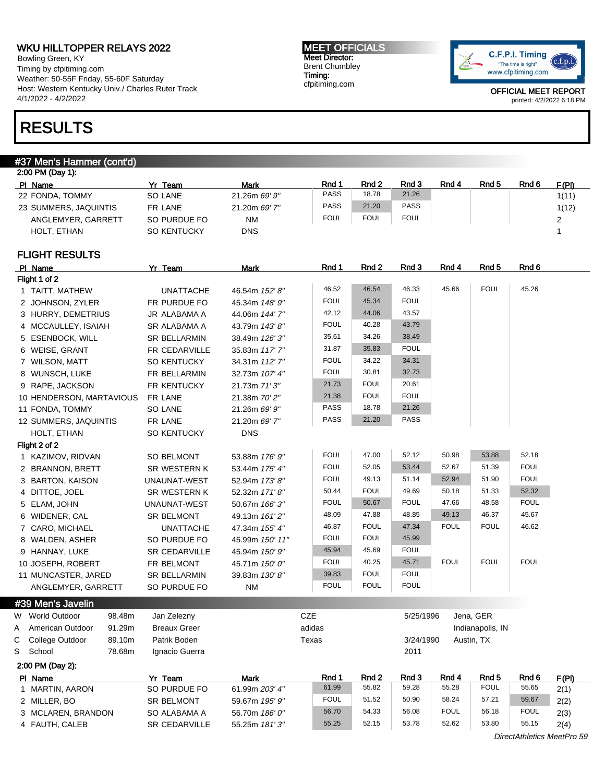Bowling Green, KY Timing by cfpitiming.com Weather: 50-55F Friday, 55-60F Saturday Host: Western Kentucky Univ./ Charles Ruter Track 4/1/2022 - 4/2/2022

## RESULTS

#### #37 Men's Hammer (cont'd)

| 2:00 PM (Day 1):      |              |               |             |                  |             |       |                  |       |       |  |
|-----------------------|--------------|---------------|-------------|------------------|-------------|-------|------------------|-------|-------|--|
| PI Name               | Team<br>Yr   | Mark          | Rnd 1       | Rnd <sub>2</sub> | Rnd 3       | Rnd 4 | Rnd <sub>5</sub> | Rnd 6 | F(PI) |  |
| 22 FONDA, TOMMY       | SO LANE      | 21.26m 69' 9" | <b>PASS</b> | 18.78            | 21.26       |       |                  |       | 1(11) |  |
| 23 SUMMERS, JAQUINTIS | FR LANE      | 21.20m 69' 7" | <b>PASS</b> | 21.20            | <b>PASS</b> |       |                  |       | 1(12) |  |
| ANGLEMYER, GARRETT    | SO PURDUE FO | <b>NM</b>     | <b>FOUL</b> | FOUL             | <b>FOUL</b> |       |                  |       |       |  |
| HOLT. ETHAN           | SO KENTUCKY  | <b>DNS</b>    |             |                  |             |       |                  |       |       |  |

## FLIGHT RESULTS

|   | PI Name                    | Yr Team              | <b>Mark</b>                | Rnd 1       | Rnd 2       | Rnd 3       | Rnd 4       | Rnd 5            | Rnd 6       |       |
|---|----------------------------|----------------------|----------------------------|-------------|-------------|-------------|-------------|------------------|-------------|-------|
|   | Flight 1 of 2              |                      |                            |             |             |             |             |                  |             |       |
|   | 1 TAITT, MATHEW            | <b>UNATTACHE</b>     | 46.54m 152' 8"             | 46.52       | 46.54       | 46.33       | 45.66       | <b>FOUL</b>      | 45.26       |       |
|   | 2 JOHNSON, ZYLER           | FR PURDUE FO         | 45.34m 148' 9"             | <b>FOUL</b> | 45.34       | <b>FOUL</b> |             |                  |             |       |
|   | 3 HURRY, DEMETRIUS         | JR ALABAMA A         | 44.06m 144' 7"             | 42.12       | 44.06       | 43.57       |             |                  |             |       |
|   | 4 MCCAULLEY, ISAIAH        | SR ALABAMA A         | 43.79m 143' 8"             | <b>FOUL</b> | 40.28       | 43.79       |             |                  |             |       |
|   | 5 ESENBOCK, WILL           | <b>SR BELLARMIN</b>  | 38.49m 126' 3"             | 35.61       | 34.26       | 38.49       |             |                  |             |       |
|   | 6 WEISE, GRANT             | FR CEDARVILLE        | 35.83m 117' 7"             | 31.87       | 35.83       | <b>FOUL</b> |             |                  |             |       |
|   | 7 WILSON, MATT             | <b>SO KENTUCKY</b>   | 34.31m 112'7"              | <b>FOUL</b> | 34.22       | 34.31       |             |                  |             |       |
|   | 8 WUNSCH, LUKE             | FR BELLARMIN         | 32.73m 107' 4"             | <b>FOUL</b> | 30.81       | 32.73       |             |                  |             |       |
|   | 9 RAPE, JACKSON            | FR KENTUCKY          | 21.73m 71'3"               | 21.73       | <b>FOUL</b> | 20.61       |             |                  |             |       |
|   | 10 HENDERSON, MARTAVIOUS   | FR LANE              | 21.38m 70' 2"              | 21.38       | <b>FOUL</b> | <b>FOUL</b> |             |                  |             |       |
|   | 11 FONDA, TOMMY            | SO LANE              | 21.26m 69' 9"              | PASS        | 18.78       | 21.26       |             |                  |             |       |
|   | 12 SUMMERS, JAQUINTIS      | FR LANE              | 21.20m 69' 7"              | PASS        | 21.20       | PASS        |             |                  |             |       |
|   | HOLT, ETHAN                | <b>SO KENTUCKY</b>   | <b>DNS</b>                 |             |             |             |             |                  |             |       |
|   | Flight 2 of 2              |                      |                            |             |             |             |             |                  |             |       |
|   | 1 KAZIMOV, RIDVAN          | <b>SO BELMONT</b>    | 53.88m 176' 9"             | <b>FOUL</b> | 47.00       | 52.12       | 50.98       | 53.88            | 52.18       |       |
|   | 2 BRANNON, BRETT           | <b>SR WESTERN K</b>  | 53.44m 175' 4"             | <b>FOUL</b> | 52.05       | 53.44       | 52.67       | 51.39            | <b>FOUL</b> |       |
|   | 3 BARTON, KAISON           | UNAUNAT-WEST         | 52.94m 173' 8"             | <b>FOUL</b> | 49.13       | 51.14       | 52.94       | 51.90            | <b>FOUL</b> |       |
|   | 4 DITTOE, JOEL             | SR WESTERN K         | 52.32m 171'8"              | 50.44       | <b>FOUL</b> | 49.69       | 50.18       | 51.33            | 52.32       |       |
|   | 5 ELAM, JOHN               | UNAUNAT-WEST         | 50.67m 166' 3"             | <b>FOUL</b> | 50.67       | <b>FOUL</b> | 47.66       | 48.58            | <b>FOUL</b> |       |
|   | 6 WIDENER, CAL             | <b>SR BELMONT</b>    | 49.13m 161'2"              | 48.09       | 47.88       | 48.85       | 49.13       | 46.37            | 45.67       |       |
|   | 7 CARO, MICHAEL            | <b>UNATTACHE</b>     | 47.34m 155' 4"             | 46.87       | <b>FOUL</b> | 47.34       | <b>FOUL</b> | <b>FOUL</b>      | 46.62       |       |
|   | 8 WALDEN, ASHER            | SO PURDUE FO         | 45.99m 150' 11"            | <b>FOUL</b> | <b>FOUL</b> | 45.99       |             |                  |             |       |
|   | 9 HANNAY, LUKE             | <b>SR CEDARVILLE</b> | 45.94m 150' 9"             | 45.94       | 45.69       | <b>FOUL</b> |             |                  |             |       |
|   | 10 JOSEPH, ROBERT          | FR BELMONT           | 45.71m 150' 0"             | <b>FOUL</b> | 40.25       | 45.71       | <b>FOUL</b> | <b>FOUL</b>      | <b>FOUL</b> |       |
|   | 11 MUNCASTER, JARED        | <b>SR BELLARMIN</b>  | 39.83m 130'8"              | 39.83       | <b>FOUL</b> | <b>FOUL</b> |             |                  |             |       |
|   | ANGLEMYER, GARRETT         | SO PURDUE FO         | <b>NM</b>                  | <b>FOUL</b> | <b>FOUL</b> | <b>FOUL</b> |             |                  |             |       |
|   | #39 Men's Javelin          |                      |                            |             |             |             |             |                  |             |       |
|   | W World Outdoor<br>98.48m  | Jan Zelezny          |                            | CZE         |             | 5/25/1996   |             | Jena, GER        |             |       |
| A | American Outdoor<br>91.29m | <b>Breaux Greer</b>  |                            | adidas      |             |             |             | Indianapolis, IN |             |       |
| С | College Outdoor<br>89.10m  | Patrik Boden         |                            | Texas       |             | 3/24/1990   |             | Austin, TX       |             |       |
| S | School<br>78.68m           | Ignacio Guerra       |                            |             |             | 2011        |             |                  |             |       |
|   | 2:00 PM (Day 2):           |                      |                            |             |             |             |             |                  |             |       |
|   | PI Name                    | Yr Team              | <b>Mark</b>                | Rnd 1       | Rnd 2       | Rnd 3       | Rnd 4       | Rnd <sub>5</sub> | Rnd 6       | F(PI) |
|   | 1 MARTIN AARON             | SO PHRDHE FO         | $61$ QQm $203'$ $\Delta$ " | 61.99       | 55.82       | 59.28       | 55.28       | <b>FOUL</b>      | 55.65       | 2(1)  |

## C College Outdoor 89.10m Patrik Boden Texas 3/24/1990 Austin, TX S School 78.68m Ignacio Guerra 2011

| PI Name            | Team                 | Mark           | Rnd 1       | Rnd 2 | Rnd 3 | Rnd 4       | Rnd 5       | Rnd 6       | <u> F(PI) - </u> |
|--------------------|----------------------|----------------|-------------|-------|-------|-------------|-------------|-------------|------------------|
| MARTIN, AARON      | SO PURDUE FO         | 61.99m 203' 4" | 61.99       | 55.82 | 59.28 | 55.28       | <b>FOUL</b> | 55.65       | 2(1)             |
| 2 MILLER, BO       | <b>SR BELMONT</b>    | 59.67m 195' 9" | <b>FOUL</b> | 51.52 | 50.90 | 58.24       | 57.21       | 59.67       | 2(2)             |
| 3 MCLAREN, BRANDON | SO ALABAMA A         | 56.70m 186' 0" | 56.70       | 54.33 | 56.08 | <b>FOUL</b> | 56.18       | <b>FOUL</b> | 2(3)             |
| 4 FAUTH, CALEB     | <b>SR CEDARVILLE</b> | 55.25m 181'3"  | 55.25       | 52.15 | 53.78 | 52.62       | 53.80       | 55.15       | 2(4)             |

OFFICIAL MEET REPORT

printed: 4/2/2022 6:18 PM

DirectAthletics MeetPro 59

MEET OFFICIALS Meet Director: Brent Chumbley Timing: cfpitiming.com